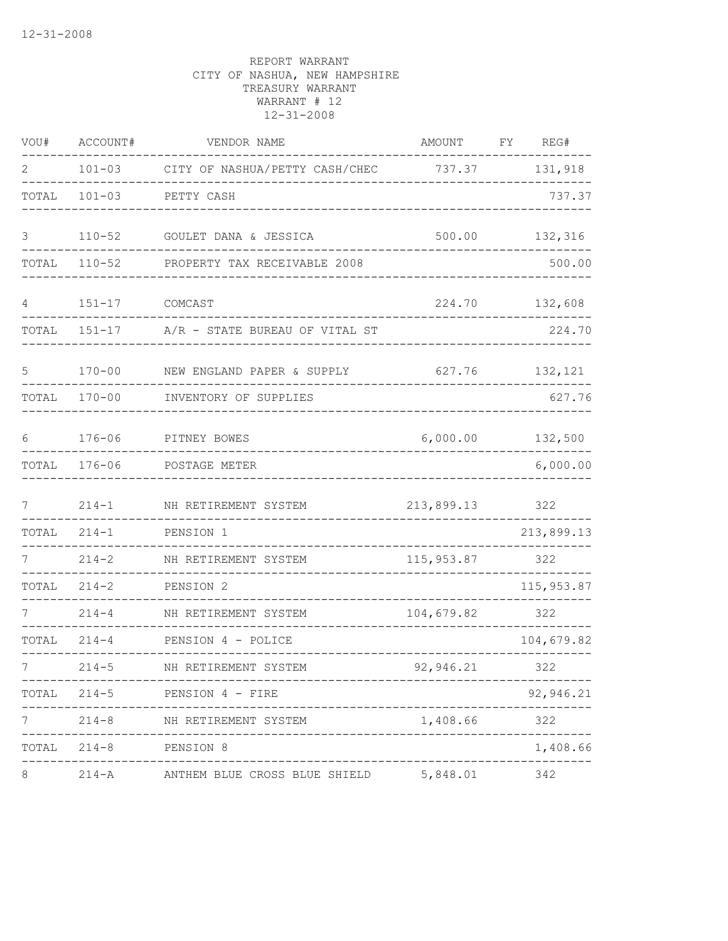| WOU#           | ACCOUNT#              | VENDOR NAME                                      | AMOUNT                                | FY | REG#       |
|----------------|-----------------------|--------------------------------------------------|---------------------------------------|----|------------|
| $\overline{2}$ |                       | 101-03 CITY OF NASHUA/PETTY CASH/CHEC 737.37     |                                       |    | 131,918    |
| TOTAL          | $101 - 03$            | PETTY CASH                                       |                                       |    | 737.37     |
| 3              | $110 - 52$            | GOULET DANA & JESSICA                            | 500.00                                |    | 132,316    |
| TOTAL          | $110 - 52$            | PROPERTY TAX RECEIVABLE 2008                     |                                       |    | 500.00     |
| 4              | $151 - 17$            | COMCAST                                          | 224.70                                |    | 132,608    |
| TOTAL          | $151 - 17$            | A/R - STATE BUREAU OF VITAL ST                   |                                       |    | 224.70     |
| 5              | $170 - 00$            | NEW ENGLAND PAPER & SUPPLY                       | 627.76                                |    | 132,121    |
| TOTAL          | $170 - 00$            | INVENTORY OF SUPPLIES                            |                                       |    | 627.76     |
| 6              | $176 - 06$            | PITNEY BOWES                                     | 6,000.00                              |    | 132,500    |
| TOTAL          | $176 - 06$            | POSTAGE METER                                    |                                       |    | 6,000.00   |
| 7              | $214 - 1$             | NH RETIREMENT SYSTEM                             | 213,899.13                            |    | 322        |
| TOTAL          | $214 - 1$             | PENSION 1                                        |                                       |    | 213,899.13 |
|                | $214 - 2$             | NH RETIREMENT SYSTEM                             | 115,953.87                            |    | 322        |
| TOTAL          | $214 - 2$             | PENSION 2<br>. _ _ _ _ _ _ _ _ _ _ _ _           |                                       |    | 115,953.87 |
|                | $214 - 4$             | NH RETIREMENT SYSTEM                             | 104,679.82                            |    | 322        |
| TOTAL          | $214 - 4$             | PENSION 4 - POLICE                               |                                       |    | 104,679.82 |
|                | $214 - 5$             | NH RETIREMENT SYSTEM                             | 92,946.21                             |    | 322        |
|                |                       | TOTAL 214-5 PENSION 4 - FIRE                     |                                       |    | 92,946.21  |
|                | . <u>.</u>            | 214-8 NH RETIREMENT SYSTEM                       | -------------------------<br>1,408.66 |    | 322        |
|                | TOTAL 214-8 PENSION 8 | ____________________________                     |                                       |    | 1,408.66   |
| $\,8\,$        |                       | 214-A ANTHEM BLUE CROSS BLUE SHIELD 5,848.01 342 |                                       |    |            |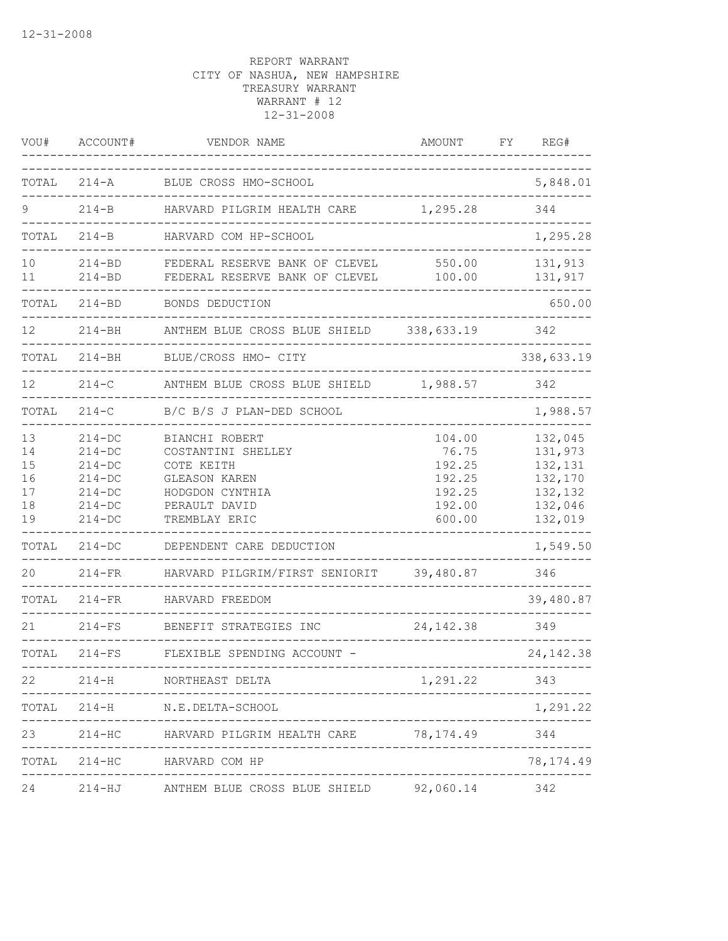| VOU#                                   | ACCOUNT#                                                                                 | VENDOR NAME                                                                                                                     | AMOUNT                                                            | FY | REG#                                                                      |
|----------------------------------------|------------------------------------------------------------------------------------------|---------------------------------------------------------------------------------------------------------------------------------|-------------------------------------------------------------------|----|---------------------------------------------------------------------------|
| TOTAL                                  | $214 - A$                                                                                | BLUE CROSS HMO-SCHOOL                                                                                                           |                                                                   |    | 5,848.01                                                                  |
| 9                                      | $214 - B$                                                                                | HARVARD PILGRIM HEALTH CARE                                                                                                     | 1,295.28                                                          |    | 344                                                                       |
| TOTAL                                  | $214 - B$                                                                                | HARVARD COM HP-SCHOOL                                                                                                           |                                                                   |    | 1,295.28                                                                  |
| 10<br>11                               | $214 - BD$<br>$214 - BD$                                                                 | FEDERAL RESERVE BANK OF CLEVEL<br>FEDERAL RESERVE BANK OF CLEVEL                                                                | 550.00<br>100.00                                                  |    | 131,913<br>131,917                                                        |
| TOTAL                                  | $214 - BD$                                                                               | BONDS DEDUCTION                                                                                                                 |                                                                   |    | 650.00                                                                    |
| 12                                     | $214 - BH$                                                                               | ANTHEM BLUE CROSS BLUE SHIELD                                                                                                   | 338,633.19                                                        |    | 342                                                                       |
| TOTAL                                  | $214 - BH$                                                                               | BLUE/CROSS HMO- CITY                                                                                                            |                                                                   |    | 338,633.19                                                                |
| 12                                     | $214-C$                                                                                  | ANTHEM BLUE CROSS BLUE SHIELD                                                                                                   | 1,988.57                                                          |    | 342                                                                       |
| TOTAL                                  | $214-C$                                                                                  | B/C B/S J PLAN-DED SCHOOL                                                                                                       |                                                                   |    | 1,988.57                                                                  |
| 13<br>14<br>15<br>16<br>17<br>18<br>19 | $214 - DC$<br>$214 - DC$<br>$214 - DC$<br>$214-DC$<br>$214-DC$<br>$214-DC$<br>$214 - DC$ | BIANCHI ROBERT<br>COSTANTINI SHELLEY<br>COTE KEITH<br><b>GLEASON KAREN</b><br>HODGDON CYNTHIA<br>PERAULT DAVID<br>TREMBLAY ERIC | 104.00<br>76.75<br>192.25<br>192.25<br>192.25<br>192.00<br>600.00 |    | 132,045<br>131,973<br>132,131<br>132,170<br>132,132<br>132,046<br>132,019 |
| TOTAL                                  | $214 - DC$                                                                               | DEPENDENT CARE DEDUCTION                                                                                                        |                                                                   |    | 1,549.50                                                                  |
| 20                                     | $214-FR$                                                                                 | HARVARD PILGRIM/FIRST SENIORIT                                                                                                  | 39,480.87                                                         |    | 346                                                                       |
| TOTAL                                  | $214-FR$                                                                                 | HARVARD FREEDOM                                                                                                                 |                                                                   |    | 39,480.87                                                                 |
| 21                                     | $214-FS$                                                                                 | BENEFIT STRATEGIES INC                                                                                                          | 24, 142.38                                                        |    | 349                                                                       |
| TOTAL                                  | $214-FS$                                                                                 | FLEXIBLE SPENDING ACCOUNT -                                                                                                     |                                                                   |    | 24, 142.38                                                                |
| 22                                     | $214-H$                                                                                  | NORTHEAST DELTA                                                                                                                 | 1,291.22                                                          |    | 343                                                                       |
|                                        |                                                                                          | TOTAL 214-H N.E.DELTA-SCHOOL                                                                                                    |                                                                   |    | 1,291.22                                                                  |
| 23                                     |                                                                                          | 214-HC HARVARD PILGRIM HEALTH CARE 78,174.49                                                                                    |                                                                   |    | 344                                                                       |
| TOTAL                                  | $214 - HC$                                                                               | HARVARD COM HP                                                                                                                  |                                                                   |    | 78, 174.49                                                                |
| 24                                     |                                                                                          | 214-HJ ANTHEM BLUE CROSS BLUE SHIELD                                                                                            | 92,060.14                                                         |    | 342                                                                       |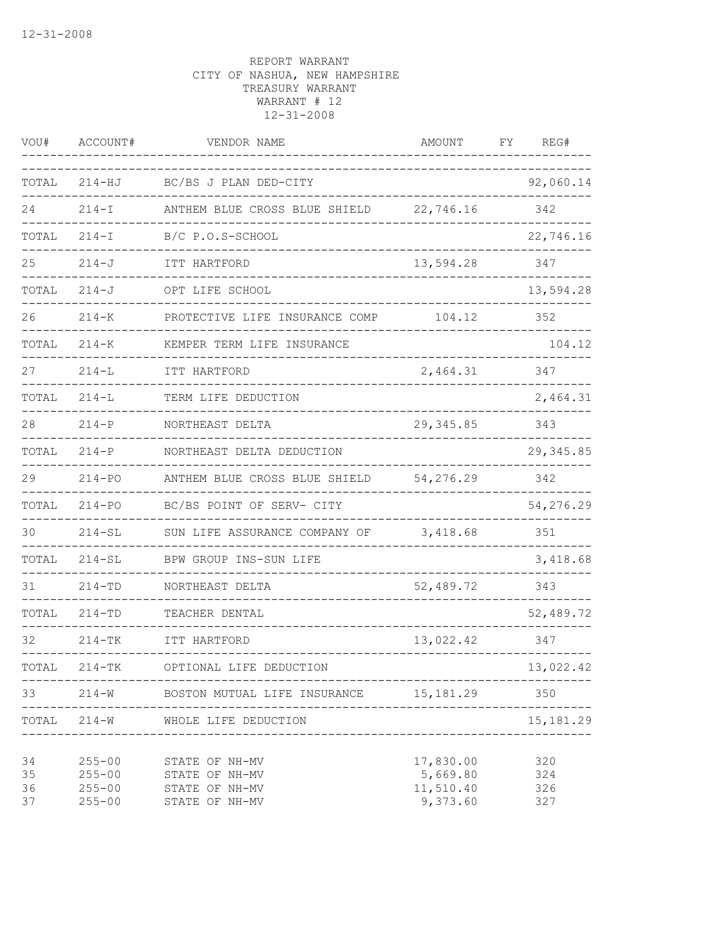| VOU#                 | ACCOUNT#                                             | VENDOR NAME                                                          | <b>AMOUNT</b>                                  | FΥ | REG#                        |
|----------------------|------------------------------------------------------|----------------------------------------------------------------------|------------------------------------------------|----|-----------------------------|
| TOTAL                | $214 - HJ$                                           | BC/BS J PLAN DED-CITY                                                |                                                |    | 92,060.14                   |
| 24                   | $214 - I$                                            | ANTHEM BLUE CROSS BLUE SHIELD                                        | 22,746.16                                      |    | 342                         |
| TOTAL                | $214 - I$                                            | B/C P.O.S-SCHOOL                                                     |                                                |    | 22,746.16                   |
| 25                   | $214 - J$                                            | ITT HARTFORD                                                         | 13,594.28                                      |    | 347                         |
| TOTAL                | $214 - J$                                            | OPT LIFE SCHOOL                                                      |                                                |    | 13,594.28                   |
| 26                   | $214 - K$                                            | PROTECTIVE LIFE INSURANCE COMP                                       | 104.12                                         |    | 352                         |
| TOTAL                | $214 - K$                                            | KEMPER TERM LIFE INSURANCE                                           |                                                |    | 104.12                      |
| 27                   | $214 - L$                                            | ITT HARTFORD                                                         | 2,464.31                                       |    | 347                         |
| TOTAL                | $214 - L$                                            | TERM LIFE DEDUCTION                                                  |                                                |    | 2,464.31                    |
| 28                   | $214 - P$                                            | NORTHEAST DELTA                                                      | 29, 345.85                                     |    | 343                         |
| TOTAL                | $214-P$                                              | NORTHEAST DELTA DEDUCTION                                            |                                                |    | 29, 345.85                  |
| 29                   | $214 - PQ$                                           | ANTHEM BLUE CROSS BLUE SHIELD                                        | 54,276.29                                      |    | 342                         |
| TOTAL                | $214 - PQ$                                           | BC/BS POINT OF SERV- CITY                                            |                                                |    | 54,276.29                   |
| 30                   | $214 - SL$                                           | SUN LIFE ASSURANCE COMPANY OF                                        | 3,418.68                                       |    | 351                         |
| TOTAL                | $214 - SL$                                           | BPW GROUP INS-SUN LIFE                                               |                                                |    | 3,418.68                    |
| 31                   | $214 - TD$                                           | NORTHEAST DELTA                                                      | 52,489.72                                      |    | 343                         |
| TOTAL                | $214 - TD$                                           | TEACHER DENTAL                                                       |                                                |    | 52,489.72                   |
| 32                   | $214 - TK$                                           | ITT HARTFORD                                                         | 13,022.42                                      |    | 347                         |
| TOTAL                | $214-TK$                                             | OPTIONAL LIFE DEDUCTION                                              |                                                |    | 13,022.42                   |
| 33                   |                                                      | 214-W BOSTON MUTUAL LIFE INSURANCE 15,181.29                         |                                                |    | 350                         |
| TOTAL                | 214-W                                                | WHOLE LIFE DEDUCTION                                                 |                                                |    | 15, 181.29<br>------------- |
| 34<br>35<br>36<br>37 | $255 - 00$<br>$255 - 00$<br>$255 - 00$<br>$255 - 00$ | STATE OF NH-MV<br>STATE OF NH-MV<br>STATE OF NH-MV<br>STATE OF NH-MV | 17,830.00<br>5,669.80<br>11,510.40<br>9,373.60 |    | 320<br>324<br>326<br>327    |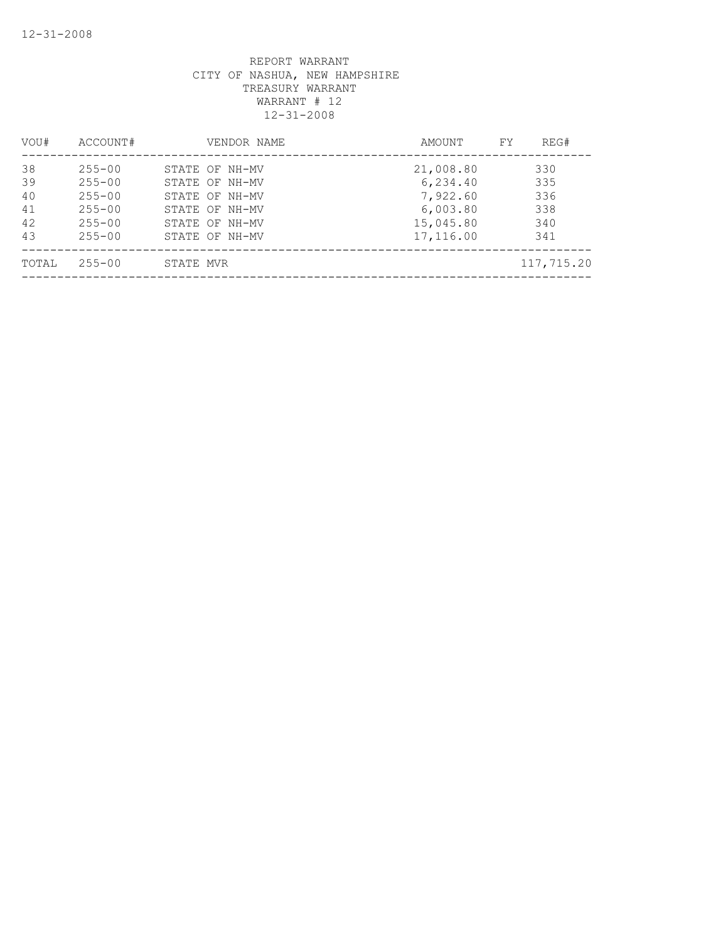| VOU#                             | ACCOUNT#                                                                         |           | VENDOR NAME                                                                                              | AMOUNT                                                                  | FY. | REG#                                   |
|----------------------------------|----------------------------------------------------------------------------------|-----------|----------------------------------------------------------------------------------------------------------|-------------------------------------------------------------------------|-----|----------------------------------------|
| 38<br>39<br>40<br>41<br>42<br>43 | $255 - 00$<br>$255 - 00$<br>$255 - 00$<br>$255 - 00$<br>$255 - 00$<br>$255 - 00$ |           | STATE OF NH-MV<br>STATE OF NH-MV<br>STATE OF NH-MV<br>STATE OF NH-MV<br>STATE OF NH-MV<br>STATE OF NH-MV | 21,008.80<br>6,234.40<br>7,922.60<br>6,003.80<br>15,045.80<br>17,116.00 |     | 330<br>335<br>336<br>338<br>340<br>341 |
| TOTAL                            | $255 - 00$                                                                       | STATE MVR |                                                                                                          |                                                                         |     | 117,715.20                             |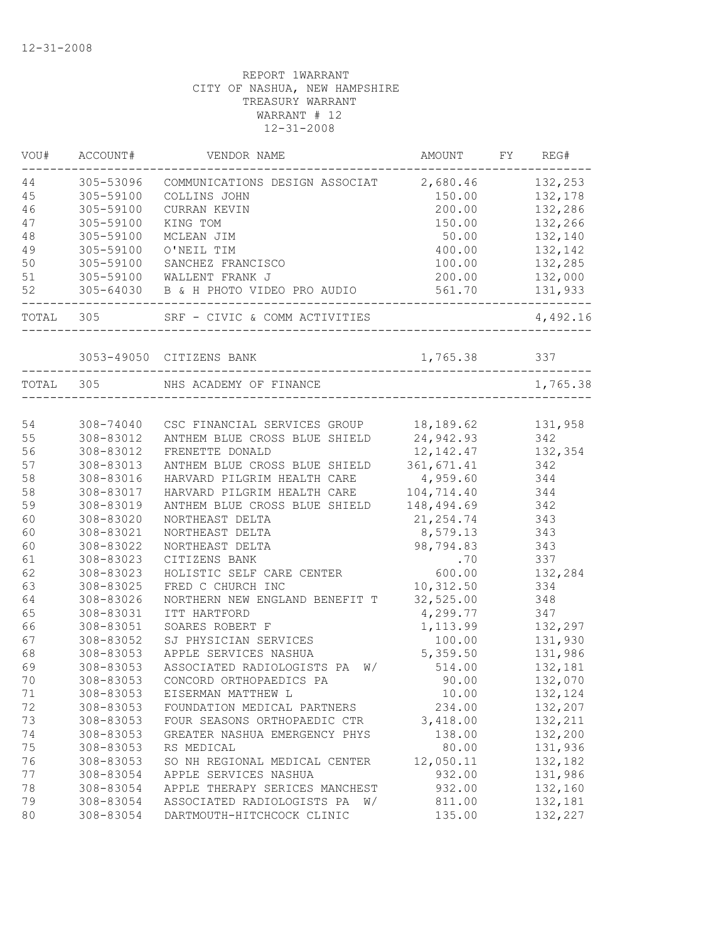| VOU#  | ACCOUNT#               | VENDOR NAME                            | AMOUNT       | FY | REG#     |
|-------|------------------------|----------------------------------------|--------------|----|----------|
| 44    | 305-53096              | COMMUNICATIONS DESIGN ASSOCIAT         | 2,680.46     |    | 132,253  |
| 45    | 305-59100              | COLLINS JOHN                           | 150.00       |    | 132,178  |
| 46    | 305-59100              | CURRAN KEVIN                           | 200.00       |    | 132,286  |
| 47    | 305-59100              | KING TOM                               | 150.00       |    | 132,266  |
| 48    | 305-59100              | MCLEAN JIM                             | 50.00        |    | 132,140  |
| 49    | 305-59100              | O'NEIL TIM                             | 400.00       |    | 132,142  |
| 50    | 305-59100              | SANCHEZ FRANCISCO                      | 100.00       |    | 132,285  |
| 51    | 305-59100              | WALLENT FRANK J                        | 200.00       |    | 132,000  |
| 52    | 305-64030              | B & H PHOTO VIDEO PRO AUDIO            | 561.70       |    | 131,933  |
| TOTAL | 305                    | SRF - CIVIC & COMM ACTIVITIES          |              |    | 4,492.16 |
|       |                        | 3053-49050 CITIZENS BANK               | 1,765.38 337 |    |          |
|       | TOTAL 305              | NHS ACADEMY OF FINANCE                 |              |    | 1,765.38 |
|       |                        |                                        |              |    |          |
| 54    | 308-74040              | CSC FINANCIAL SERVICES GROUP 18,189.62 |              |    | 131,958  |
| 55    | 308-83012              | ANTHEM BLUE CROSS BLUE SHIELD          | 24,942.93    |    | 342      |
| 56    | 308-83012              | FRENETTE DONALD                        | 12, 142.47   |    | 132,354  |
| 57    | 308-83013              | ANTHEM BLUE CROSS BLUE SHIELD          | 361,671.41   |    | 342      |
| 58    | 308-83016              | HARVARD PILGRIM HEALTH CARE            | 4,959.60     |    | 344      |
| 58    | 308-83017              | HARVARD PILGRIM HEALTH CARE            | 104,714.40   |    | 344      |
| 59    | 308-83019              | ANTHEM BLUE CROSS BLUE SHIELD          | 148,494.69   |    | 342      |
| 60    | 308-83020              | NORTHEAST DELTA                        | 21, 254.74   |    | 343      |
| 60    | 308-83021              | NORTHEAST DELTA                        | 8,579.13     |    | 343      |
| 60    | 308-83022              | NORTHEAST DELTA                        | 98,794.83    |    | 343      |
| 61    | 308-83023              | CITIZENS BANK                          | .70          |    | 337      |
| 62    | 308-83023              | HOLISTIC SELF CARE CENTER              | 600.00       |    | 132,284  |
| 63    | 308-83025              | FRED C CHURCH INC                      | 10,312.50    |    | 334      |
| 64    | 308-83026              | NORTHERN NEW ENGLAND BENEFIT T         | 32,525.00    |    | 348      |
| 65    | 308-83031              | ITT HARTFORD                           | 4,299.77     |    | 347      |
| 66    | 308-83051              | SOARES ROBERT F                        | 1,113.99     |    | 132,297  |
| 67    | 308-83052              | SJ PHYSICIAN SERVICES                  | 100.00       |    |          |
|       |                        |                                        |              |    | 131,930  |
| 68    | 308-83053<br>308-83053 | APPLE SERVICES NASHUA                  | 5,359.50     |    | 131,986  |
| 69    |                        | ASSOCIATED RADIOLOGISTS PA<br>W/       | 514.00       |    | 132,181  |
| 70    | 308-83053              | CONCORD ORTHOPAEDICS PA                | 90.00        |    | 132,070  |
| 71    | 308-83053              | EISERMAN MATTHEW L                     | 10.00        |    | 132,124  |
| 72    | 308-83053              | FOUNDATION MEDICAL PARTNERS            | 234.00       |    | 132,207  |
| 73    | 308-83053              | FOUR SEASONS ORTHOPAEDIC CTR           | 3,418.00     |    | 132,211  |
| 74    | 308-83053              | GREATER NASHUA EMERGENCY PHYS          | 138.00       |    | 132,200  |
| 75    | 308-83053              | RS MEDICAL                             | 80.00        |    | 131,936  |
| 76    | 308-83053              | SO NH REGIONAL MEDICAL CENTER          | 12,050.11    |    | 132,182  |
| 77    | 308-83054              | APPLE SERVICES NASHUA                  | 932.00       |    | 131,986  |
| 78    | 308-83054              | APPLE THERAPY SERICES MANCHEST         | 932.00       |    | 132,160  |
| 79    | 308-83054              | ASSOCIATED RADIOLOGISTS PA<br>W/       | 811.00       |    | 132,181  |
| 80    | 308-83054              | DARTMOUTH-HITCHCOCK CLINIC             | 135.00       |    | 132,227  |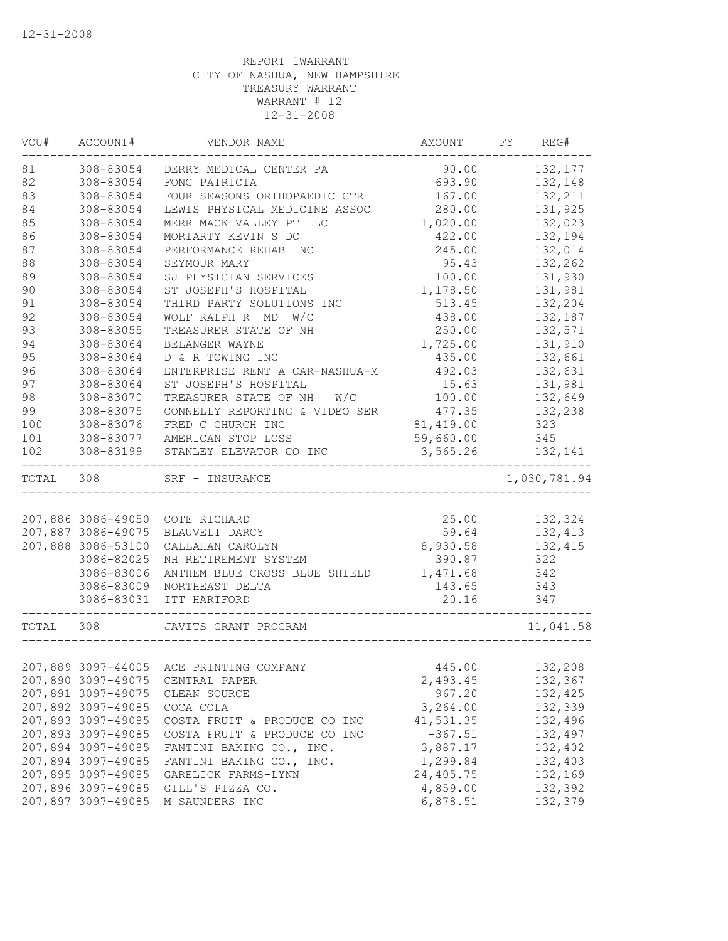| WOU#  | ACCOUNT#           | VENDOR NAME                             | AMOUNT    | FY REG#      |
|-------|--------------------|-----------------------------------------|-----------|--------------|
| 81    | 308-83054          | DERRY MEDICAL CENTER PA                 | 90.00     | 132,177      |
| 82    | 308-83054          | FONG PATRICIA                           | 693.90    | 132,148      |
| 83    | 308-83054          | FOUR SEASONS ORTHOPAEDIC CTR            | 167.00    | 132,211      |
| 84    | 308-83054          | LEWIS PHYSICAL MEDICINE ASSOC           | 280.00    | 131,925      |
| 85    | 308-83054          | MERRIMACK VALLEY PT LLC                 | 1,020.00  | 132,023      |
| 86    | 308-83054          | MORIARTY KEVIN S DC                     | 422.00    | 132,194      |
| 87    | 308-83054          | PERFORMANCE REHAB INC                   | 245.00    | 132,014      |
| 88    | 308-83054          | SEYMOUR MARY                            | 95.43     | 132,262      |
| 89    | 308-83054          | SJ PHYSICIAN SERVICES                   | 100.00    | 131,930      |
| 90    | 308-83054          | ST JOSEPH'S HOSPITAL                    | 1,178.50  | 131,981      |
| 91    | 308-83054          | THIRD PARTY SOLUTIONS INC               | 513.45    | 132,204      |
| 92    | 308-83054          | WOLF RALPH R MD W/C                     | 438.00    | 132,187      |
| 93    | 308-83055          | TREASURER STATE OF NH                   | 250.00    | 132,571      |
| 94    | 308-83064          | BELANGER WAYNE                          | 1,725.00  | 131,910      |
| 95    | 308-83064          | D & R TOWING INC                        | 435.00    | 132,661      |
| 96    | 308-83064          | ENTERPRISE RENT A CAR-NASHUA-M          | 492.03    | 132,631      |
| 97    | 308-83064          | ST JOSEPH'S HOSPITAL                    | 15.63     | 131,981      |
| 98    | 308-83070          | TREASURER STATE OF NH<br>W/C            | 100.00    | 132,649      |
| 99    | 308-83075          | CONNELLY REPORTING & VIDEO SER          | 477.35    | 132,238      |
| 100   | 308-83076          | FRED C CHURCH INC                       | 81,419.00 | 323          |
| 101   | 308-83077          | AMERICAN STOP LOSS                      | 59,660.00 | 345          |
| 102   | 308-83199          | STANLEY ELEVATOR CO INC                 | 3,565.26  | 132,141      |
| TOTAL | 308                | SRF - INSURANCE                         |           | 1,030,781.94 |
|       |                    |                                         |           |              |
|       | 207,886 3086-49050 | COTE RICHARD                            | 25.00     | 132,324      |
|       | 207,887 3086-49075 | BLAUVELT DARCY                          | 59.64     | 132,413      |
|       | 207,888 3086-53100 | CALLAHAN CAROLYN                        | 8,930.58  | 132,415      |
|       | 3086-82025         | NH RETIREMENT SYSTEM                    | 390.87    | 322          |
|       | 3086-83006         | ANTHEM BLUE CROSS BLUE SHIELD           | 1,471.68  | 342          |
|       | 3086-83009         | NORTHEAST DELTA                         | 143.65    | 343          |
|       | 3086-83031         | ITT HARTFORD                            | 20.16     | 347          |
| TOTAL | 308                | JAVITS GRANT PROGRAM                    |           | 11,041.58    |
|       |                    |                                         |           |              |
|       |                    | 207,889 3097-44005 ACE PRINTING COMPANY | 445.00    | 132,208      |
|       | 207,890 3097-49075 | CENTRAL PAPER                           | 2,493.45  | 132,367      |
|       | 207,891 3097-49075 | CLEAN SOURCE                            | 967.20    | 132,425      |
|       | 207,892 3097-49085 | COCA COLA                               | 3,264.00  | 132,339      |
|       | 207,893 3097-49085 | COSTA FRUIT & PRODUCE CO INC            | 41,531.35 | 132,496      |
|       | 207,893 3097-49085 | COSTA FRUIT & PRODUCE CO INC            | $-367.51$ | 132,497      |
|       | 207,894 3097-49085 | FANTINI BAKING CO., INC.                | 3,887.17  | 132,402      |
|       | 207,894 3097-49085 | FANTINI BAKING CO., INC.                | 1,299.84  | 132,403      |
|       | 207,895 3097-49085 | GARELICK FARMS-LYNN                     | 24,405.75 | 132,169      |
|       | 207,896 3097-49085 | GILL'S PIZZA CO.                        | 4,859.00  | 132,392      |
|       | 207,897 3097-49085 | M SAUNDERS INC                          | 6,878.51  | 132,379      |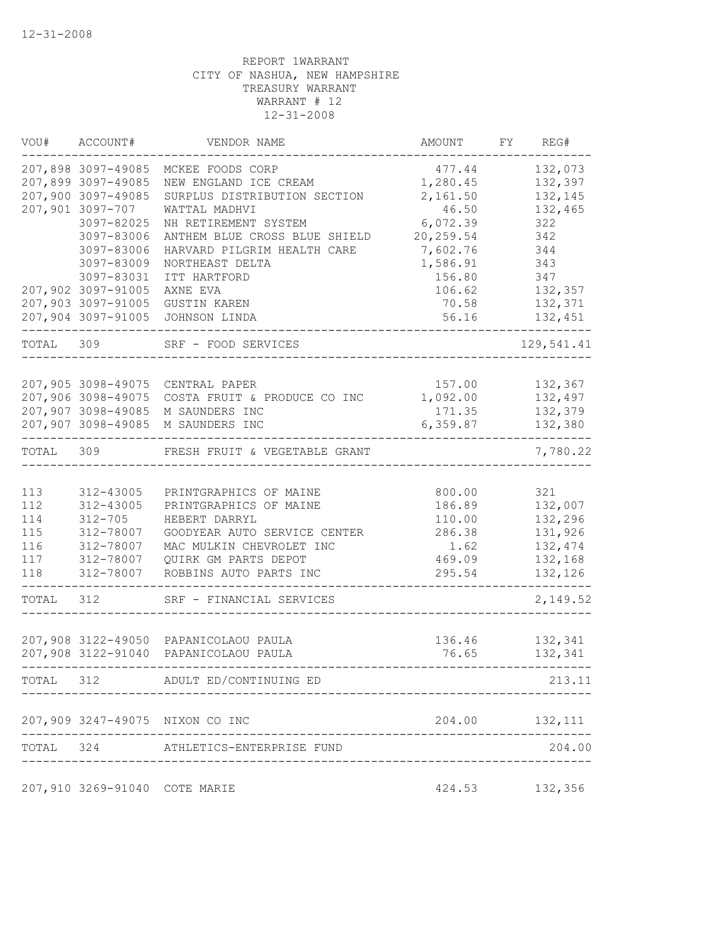| VOU#  | ACCOUNT#                                 | VENDOR NAME                                           | AMOUNT               | FY | REG#               |
|-------|------------------------------------------|-------------------------------------------------------|----------------------|----|--------------------|
|       | 207,898 3097-49085                       | MCKEE FOODS CORP                                      | 477.44               |    | 132,073            |
|       | 207,899 3097-49085<br>207,900 3097-49085 | NEW ENGLAND ICE CREAM<br>SURPLUS DISTRIBUTION SECTION | 1,280.45<br>2,161.50 |    | 132,397<br>132,145 |
|       | 207,901 3097-707                         | WATTAL MADHVI                                         | 46.50                |    | 132,465            |
|       | 3097-82025                               | NH RETIREMENT SYSTEM                                  | 6,072.39             |    | 322                |
|       | 3097-83006                               | ANTHEM BLUE CROSS BLUE SHIELD                         | 20, 259.54           |    | 342                |
|       | 3097-83006                               | HARVARD PILGRIM HEALTH CARE                           | 7,602.76             |    | 344                |
|       | 3097-83009                               | NORTHEAST DELTA                                       | 1,586.91             |    | 343                |
|       | 3097-83031                               | ITT HARTFORD                                          | 156.80               |    | 347                |
|       | 207,902 3097-91005                       | AXNE EVA                                              | 106.62               |    | 132,357            |
|       | 207,903 3097-91005                       | <b>GUSTIN KAREN</b>                                   | 70.58                |    | 132,371            |
|       | 207,904 3097-91005                       | JOHNSON LINDA                                         | 56.16                |    | 132,451            |
| TOTAL | 309                                      | SRF - FOOD SERVICES                                   |                      |    | 129,541.41         |
|       |                                          |                                                       |                      |    |                    |
|       | 207,905 3098-49075                       | CENTRAL PAPER                                         | 157.00               |    | 132,367            |
|       | 207,906 3098-49075                       | COSTA FRUIT & PRODUCE CO INC                          | 1,092.00             |    | 132,497            |
|       | 207,907 3098-49085                       | M SAUNDERS INC                                        | 171.35               |    | 132,379            |
|       | 207,907 3098-49085                       | M SAUNDERS INC                                        | 6,359.87             |    | 132,380            |
| TOTAL | 309                                      | FRESH FRUIT & VEGETABLE GRANT                         |                      |    | 7,780.22           |
|       |                                          |                                                       |                      |    |                    |
| 113   | 312-43005                                | PRINTGRAPHICS OF MAINE                                | 800.00               |    | 321                |
| 112   | 312-43005                                | PRINTGRAPHICS OF MAINE                                | 186.89               |    | 132,007            |
| 114   | $312 - 705$                              | HEBERT DARRYL                                         | 110.00               |    | 132,296            |
| 115   | 312-78007                                | GOODYEAR AUTO SERVICE CENTER                          | 286.38               |    | 131,926            |
| 116   | 312-78007                                | MAC MULKIN CHEVROLET INC                              | 1.62                 |    | 132,474            |
| 117   | 312-78007                                | QUIRK GM PARTS DEPOT                                  | 469.09               |    | 132,168            |
| 118   | 312-78007                                | ROBBINS AUTO PARTS INC                                | 295.54               |    | 132,126            |
| TOTAL | 312                                      | SRF - FINANCIAL SERVICES                              |                      |    | 2,149.52           |
|       |                                          |                                                       |                      |    |                    |
|       |                                          | 207,908 3122-49050 PAPANICOLAOU PAULA                 | 136.46               |    | 132,341            |
|       | 207,908 3122-91040                       | PAPANICOLAOU PAULA                                    | 76.65                |    | 132,341            |
| TOTAL |                                          | 312 ADULT ED/CONTINUING ED                            |                      |    | 213.11             |
|       |                                          | 207,909 3247-49075 NIXON CO INC                       |                      |    |                    |
|       |                                          | TOTAL 324 ATHLETICS-ENTERPRISE FUND                   |                      |    | 204.00             |
|       |                                          |                                                       |                      |    |                    |
|       | 207,910 3269-91040 COTE MARIE            |                                                       |                      |    | 424.53 132,356     |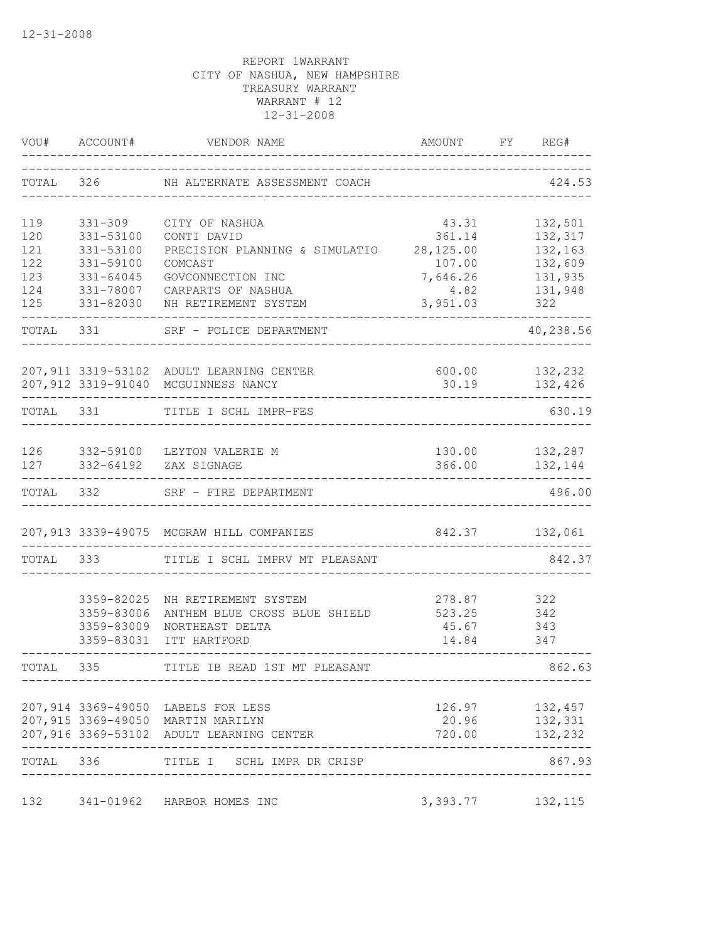|           | VOU# ACCOUNT# | VENDOR NAME                                                                   | AMOUNT                                | FY | REG#               |
|-----------|---------------|-------------------------------------------------------------------------------|---------------------------------------|----|--------------------|
| TOTAL     | 326           | NH ALTERNATE ASSESSMENT COACH                                                 |                                       |    | 424.53             |
| 119       | 331-309       | CITY OF NASHUA                                                                | 43.31                                 |    | 132,501            |
| 120       | 331-53100     | CONTI DAVID                                                                   | 361.14                                |    | 132,317            |
| 121       | 331-53100     | PRECISION PLANNING & SIMULATIO                                                | 28,125.00                             |    | 132,163            |
| 122       | 331-59100     | COMCAST                                                                       | 107.00                                |    | 132,609            |
| 123       | $331 - 64045$ | GOVCONNECTION INC                                                             | 7,646.26                              |    | 131,935            |
| 124       | 331-78007     | CARPARTS OF NASHUA                                                            | 4.82                                  |    | 131,948            |
| 125       | 331-82030     | NH RETIREMENT SYSTEM                                                          | 3,951.03                              |    | 322                |
| TOTAL 331 |               | SRF - POLICE DEPARTMENT                                                       |                                       |    | 40,238.56          |
|           |               | 207,911 3319-53102 ADULT LEARNING CENTER                                      | 600.00                                |    | 132,232            |
|           |               | 207,912 3319-91040 MCGUINNESS NANCY                                           | 30.19                                 |    | 132,426            |
| TOTAL 331 |               | TITLE I SCHL IMPR-FES                                                         |                                       |    | 630.19             |
|           |               | 126 332-59100 LEYTON VALERIE M                                                |                                       |    | 130.00 132,287     |
|           |               | 127 332-64192 ZAX SIGNAGE                                                     | 366.00                                |    | 132,144            |
| TOTAL 332 |               | SRF - FIRE DEPARTMENT                                                         |                                       |    | 496.00             |
|           |               | 207,913 3339-49075 MCGRAW HILL COMPANIES                                      | 842.37 132,061                        |    |                    |
| TOTAL     | 333           | TITLE I SCHL IMPRV MT PLEASANT                                                |                                       |    | 842.37             |
|           | 3359-82025    | NH RETIREMENT SYSTEM                                                          | 278.87                                |    | 322                |
|           | 3359-83006    | ANTHEM BLUE CROSS BLUE SHIELD                                                 | 523.25                                |    | 342                |
|           | 3359-83009    | NORTHEAST DELTA                                                               | 45.67                                 |    | 343                |
|           | 3359-83031    | ITT HARTFORD                                                                  | 14.84                                 |    | 347                |
| TOTAL     | 335           | TITLE IB READ 1ST MT PLEASANT                                                 |                                       |    | 862.63             |
|           |               |                                                                               |                                       |    |                    |
|           |               | 207,914 3369-49050 LABELS FOR LESS                                            |                                       |    | 126.97 132,457     |
|           |               | 207,915 3369-49050 MARTIN MARILYN<br>207,916 3369-53102 ADULT LEARNING CENTER | 20.96<br>720.00                       |    | 132,331<br>132,232 |
| TOTAL 336 |               | _____________________________________<br>TITLE I SCHL IMPR DR CRISP           |                                       |    | 867.93             |
|           |               |                                                                               | ------------------------------------- |    |                    |
| 132       |               | 341-01962 HARBOR HOMES INC                                                    | 3, 393. 77 132, 115                   |    |                    |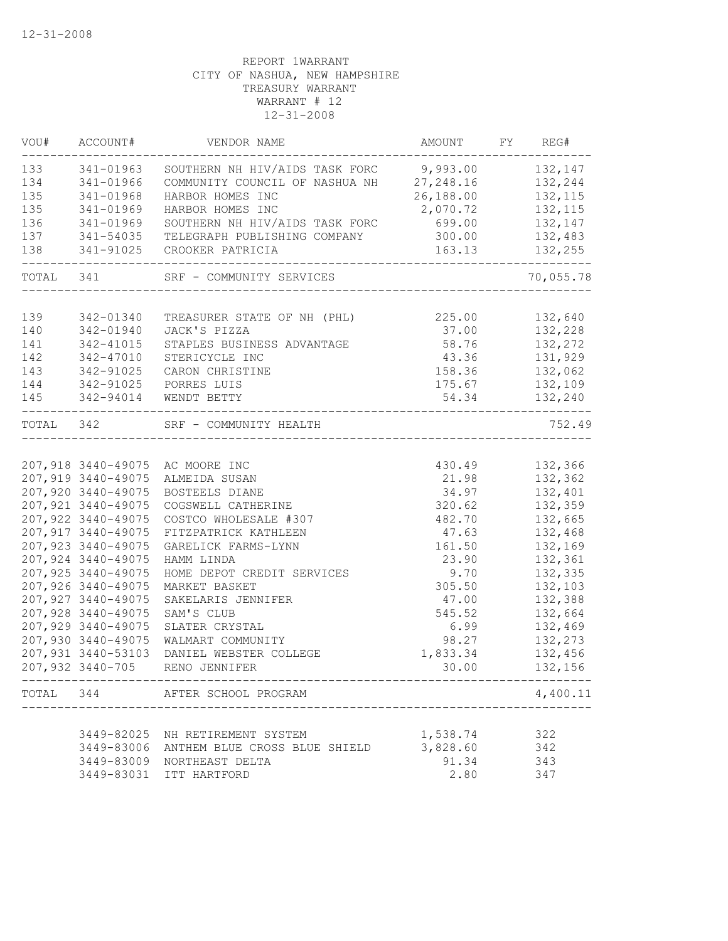| VOU#      | ACCOUNT#            | VENDOR NAME                                     | AMOUNT FY REG#                   |           |
|-----------|---------------------|-------------------------------------------------|----------------------------------|-----------|
| 133       | 341-01963           | SOUTHERN NH HIV/AIDS TASK FORC 9,993.00 132,147 |                                  |           |
| 134       | 341-01966           | COMMUNITY COUNCIL OF NASHUA NH 27,248.16        |                                  | 132,244   |
| 135       | 341-01968           | HARBOR HOMES INC                                | 26,188.00                        | 132, 115  |
| 135       | 341-01969           | HARBOR HOMES INC                                | 2,070.72                         | 132,115   |
| 136       | 341-01969           | SOUTHERN NH HIV/AIDS TASK FORC 699.00           |                                  | 132,147   |
| 137       | 341-54035           | TELEGRAPH PUBLISHING COMPANY 300.00             |                                  | 132,483   |
| 138       | 341-91025           | CROOKER PATRICIA                                | 163.13                           | 132,255   |
|           | TOTAL 341           | SRF - COMMUNITY SERVICES                        |                                  | 70,055.78 |
|           |                     |                                                 |                                  |           |
| 139       | 342-01340           | TREASURER STATE OF NH (PHL) 225.00 132,640      |                                  |           |
| 140       | 342-01940           | JACK'S PIZZA                                    | 37.00                            | 132,228   |
| 141       | 342-41015           | STAPLES BUSINESS ADVANTAGE                      | 58.76                            | 132,272   |
| 142       | 342-47010           | STERICYCLE INC                                  | 43.36                            | 131,929   |
| 143       | 342-91025           | CARON CHRISTINE                                 | 158.36                           | 132,062   |
| 144       | $342 - 91025$       | PORRES LUIS                                     | 175.67                           | 132,109   |
| 145       | 342-94014           | WENDT BETTY                                     | 54.34                            | 132,240   |
| TOTAL 342 |                     | SRF - COMMUNITY HEALTH<br>______________        |                                  | 752.49    |
|           |                     |                                                 |                                  |           |
|           |                     | 207,918 3440-49075 AC MOORE INC                 | 430.49                           | 132,366   |
|           | 207,919 3440-49075  | ALMEIDA SUSAN                                   | 21.98                            | 132,362   |
|           | 207,920 3440-49075  | BOSTEELS DIANE                                  | 34.97                            | 132,401   |
|           | 207, 921 3440-49075 | COGSWELL CATHERINE                              | 320.62                           | 132,359   |
|           | 207,922 3440-49075  | COSTCO WHOLESALE #307                           | 482.70                           | 132,665   |
|           | 207, 917 3440-49075 | FITZPATRICK KATHLEEN                            | 47.63                            | 132,468   |
|           | 207, 923 3440-49075 | GARELICK FARMS-LYNN                             | 161.50                           | 132,169   |
|           | 207,924 3440-49075  | HAMM LINDA                                      | 23.90                            | 132,361   |
|           | 207,925 3440-49075  | HOME DEPOT CREDIT SERVICES                      | 9.70                             | 132,335   |
|           | 207,926 3440-49075  | MARKET BASKET                                   | 305.50                           | 132,103   |
|           | 207, 927 3440-49075 | SAKELARIS JENNIFER                              | 47.00                            | 132,388   |
|           | 207,928 3440-49075  | SAM'S CLUB                                      | 545.52                           | 132,664   |
|           | 207,929 3440-49075  | SLATER CRYSTAL                                  | 6.99                             | 132,469   |
|           | 207,930 3440-49075  | WALMART COMMUNITY                               | 98.27                            | 132,273   |
|           | 207,931 3440-53103  | DANIEL WEBSTER COLLEGE                          | 1,833.34                         | 132,456   |
|           | 207,932 3440-705    | RENO JENNIFER                                   | 30.00                            | 132,156   |
|           |                     | TOTAL 344 AFTER SCHOOL PROGRAM                  | -------------------------------- | 4,400.11  |
|           |                     |                                                 |                                  |           |
|           |                     | 3449-82025 NH RETIREMENT SYSTEM                 | 1,538.74                         | 322       |
|           | 3449-83006          | ANTHEM BLUE CROSS BLUE SHIELD                   | 3,828.60                         | 342       |
|           |                     | 3449-83009 NORTHEAST DELTA                      | 91.34                            | 343       |
|           |                     | 3449-83031 ITT HARTFORD                         | 2.80                             | 347       |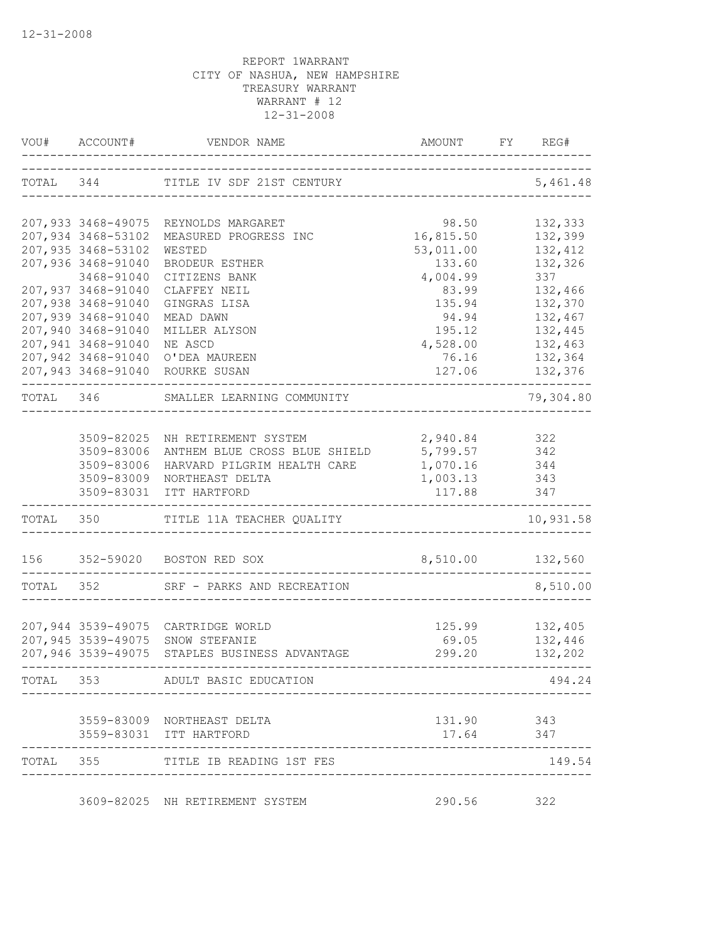|           | VOU# ACCOUNT#      | VENDOR NAME                                   | AMOUNT                       | REG#<br>FY           |
|-----------|--------------------|-----------------------------------------------|------------------------------|----------------------|
|           |                    | TOTAL 344 TITLE IV SDF 21ST CENTURY           | -------------------          | 5,461.48             |
|           | 207,933 3468-49075 | REYNOLDS MARGARET                             | 98.50                        | 132,333              |
|           | 207,934 3468-53102 | MEASURED PROGRESS INC                         | 16,815.50                    | 132,399              |
|           | 207,935 3468-53102 | WESTED                                        | 53,011.00                    | 132,412              |
|           | 207,936 3468-91040 | BRODEUR ESTHER                                | 133.60                       | 132,326              |
|           | 3468-91040         | CITIZENS BANK                                 | 4,004.99                     | 337                  |
|           | 207,937 3468-91040 | CLAFFEY NEIL                                  | 83.99                        | 132,466              |
|           | 207,938 3468-91040 | GINGRAS LISA                                  | 135.94                       | 132,370              |
|           | 207,939 3468-91040 | MEAD DAWN                                     | 94.94                        | 132,467              |
|           | 207,940 3468-91040 | MILLER ALYSON                                 | 195.12                       | 132,445              |
|           | 207,941 3468-91040 | NE ASCD                                       | 4,528.00                     | 132,463              |
|           | 207,942 3468-91040 | O'DEA MAUREEN                                 | 76.16                        | 132,364              |
|           |                    | 207,943 3468-91040 ROURKE SUSAN               | 127.06                       | 132,376<br>$- - - -$ |
| TOTAL 346 |                    | SMALLER LEARNING COMMUNITY                    |                              | 79,304.80            |
|           |                    | 3509-82025 NH RETIREMENT SYSTEM               |                              |                      |
|           | 3509-83006         | ANTHEM BLUE CROSS BLUE SHIELD                 | 2,940.84 322<br>5,799.57 342 |                      |
|           | 3509-83006         | HARVARD PILGRIM HEALTH CARE                   | 1,070.16 344                 |                      |
|           | 3509-83009         | NORTHEAST DELTA                               | 1,003.13                     | 343                  |
|           | 3509-83031         | ITT HARTFORD                                  | 117.88                       | 347                  |
|           |                    | TOTAL 350 TITLE 11A TEACHER QUALITY           |                              | 10,931.58            |
|           |                    | 156 352-59020 BOSTON RED SOX                  | 8,510.00 132,560             |                      |
| TOTAL 352 |                    | SRF - PARKS AND RECREATION                    |                              | 8,510.00             |
|           |                    |                                               |                              |                      |
|           |                    | 207,944 3539-49075 CARTRIDGE WORLD            | 125.99                       | 132,405              |
|           |                    | 207,945 3539-49075 SNOW STEFANIE              | 69.05                        | 132,446              |
|           |                    | 207,946 3539-49075 STAPLES BUSINESS ADVANTAGE | 299.20                       | 132,202              |
| TOTAL 353 |                    | ADULT BASIC EDUCATION                         |                              | 494.24               |
|           |                    | 3559-83009 NORTHEAST DELTA                    | 131.90 343                   |                      |
|           |                    | 3559-83031 ITT HARTFORD                       | 17.64                        | 347                  |
|           |                    | TOTAL 355 TITLE IB READING 1ST FES            |                              | 149.54               |
|           |                    | 3609-82025 NH RETIREMENT SYSTEM               | 290.56 322                   |                      |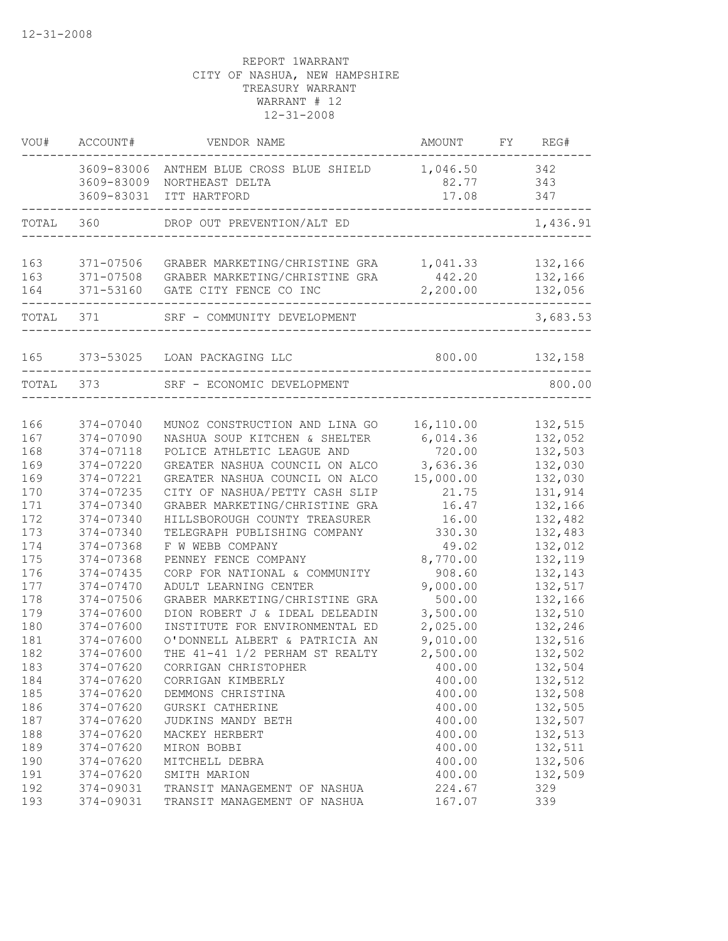| VOU#       | ACCOUNT#                               | VENDOR NAME                                                        | AMOUNT                     | FY REG#            |
|------------|----------------------------------------|--------------------------------------------------------------------|----------------------------|--------------------|
|            | 3609-83006<br>3609-83009<br>3609-83031 | ANTHEM BLUE CROSS BLUE SHIELD<br>NORTHEAST DELTA<br>ITT HARTFORD   | 1,046.50<br>82.77<br>17.08 | 342<br>343<br>347  |
|            |                                        |                                                                    |                            |                    |
| TOTAL      | 360                                    | DROP OUT PREVENTION/ALT ED                                         |                            | 1,436.91           |
| 163        | 371-07506                              | GRABER MARKETING/CHRISTINE GRA                                     | 1,041.33                   | 132,166            |
| 163<br>164 | 371-53160                              | 371-07508 GRABER MARKETING/CHRISTINE GRA<br>GATE CITY FENCE CO INC | 442.20<br>2,200.00         | 132,166<br>132,056 |
| TOTAL      | 371                                    | SRF - COMMUNITY DEVELOPMENT                                        |                            | 3,683.53           |
| 165        | 373-53025                              | LOAN PACKAGING LLC                                                 | 800.00                     | 132,158            |
| TOTAL      | 373                                    | SRF - ECONOMIC DEVELOPMENT                                         |                            | 800.00             |
|            |                                        |                                                                    |                            |                    |
| 166        | 374-07040                              | MUNOZ CONSTRUCTION AND LINA GO                                     | 16,110.00                  | 132,515            |
| 167        | 374-07090                              | NASHUA SOUP KITCHEN & SHELTER                                      | 6,014.36                   | 132,052            |
| 168        | 374-07118                              | POLICE ATHLETIC LEAGUE AND                                         | 720.00                     | 132,503            |
| 169        | 374-07220                              | GREATER NASHUA COUNCIL ON ALCO                                     | 3,636.36                   | 132,030            |
| 169        | 374-07221                              | GREATER NASHUA COUNCIL ON ALCO                                     | 15,000.00                  | 132,030            |
| 170        | 374-07235                              | CITY OF NASHUA/PETTY CASH SLIP                                     | 21.75                      | 131,914            |
| 171        | 374-07340                              | GRABER MARKETING/CHRISTINE GRA                                     | 16.47                      | 132,166            |
| 172        | 374-07340                              | HILLSBOROUGH COUNTY TREASURER                                      | 16.00                      | 132,482            |
| 173        | 374-07340                              | TELEGRAPH PUBLISHING COMPANY                                       | 330.30                     | 132,483            |
| 174        | 374-07368                              | F W WEBB COMPANY                                                   | 49.02                      | 132,012            |
| 175        | 374-07368                              | PENNEY FENCE COMPANY                                               | 8,770.00                   | 132,119            |
| 176        | 374-07435                              | CORP FOR NATIONAL & COMMUNITY                                      | 908.60                     | 132,143            |
| 177        | 374-07470                              | ADULT LEARNING CENTER                                              | 9,000.00                   | 132,517            |
| 178        | 374-07506                              | GRABER MARKETING/CHRISTINE GRA                                     | 500.00                     | 132,166            |
| 179        | 374-07600                              | DION ROBERT J & IDEAL DELEADIN                                     | 3,500.00                   | 132,510            |
| 180        | 374-07600                              | INSTITUTE FOR ENVIRONMENTAL ED                                     | 2,025.00                   | 132,246            |
| 181        | 374-07600                              | O'DONNELL ALBERT & PATRICIA AN                                     | 9,010.00                   | 132,516            |
| 182        | 374-07600                              | THE 41-41 1/2 PERHAM ST REALTY                                     | 2,500.00                   | 132,502            |
| 183        | 374-07620                              | CORRIGAN CHRISTOPHER                                               | 400.00                     | 132,504            |
| 184        | 374-07620                              | CORRIGAN KIMBERLY                                                  | 400.00                     | 132,512            |
| 185        | 374-07620                              | DEMMONS CHRISTINA                                                  | 400.00                     | 132,508            |
| 186        | 374-07620                              | GURSKI CATHERINE                                                   | 400.00                     | 132,505            |
| 187        | 374-07620                              | JUDKINS MANDY BETH                                                 | 400.00                     | 132,507            |
| 188        | 374-07620                              | MACKEY HERBERT                                                     | 400.00                     | 132,513            |
| 189        | 374-07620                              | MIRON BOBBI                                                        | 400.00                     | 132,511            |
| 190        | 374-07620                              | MITCHELL DEBRA                                                     | 400.00                     | 132,506            |
| 191        | 374-07620                              | SMITH MARION                                                       | 400.00                     | 132,509            |
| 192        | 374-09031                              | TRANSIT MANAGEMENT OF NASHUA                                       | 224.67                     | 329                |
| 193        | 374-09031                              | TRANSIT MANAGEMENT OF NASHUA                                       | 167.07                     | 339                |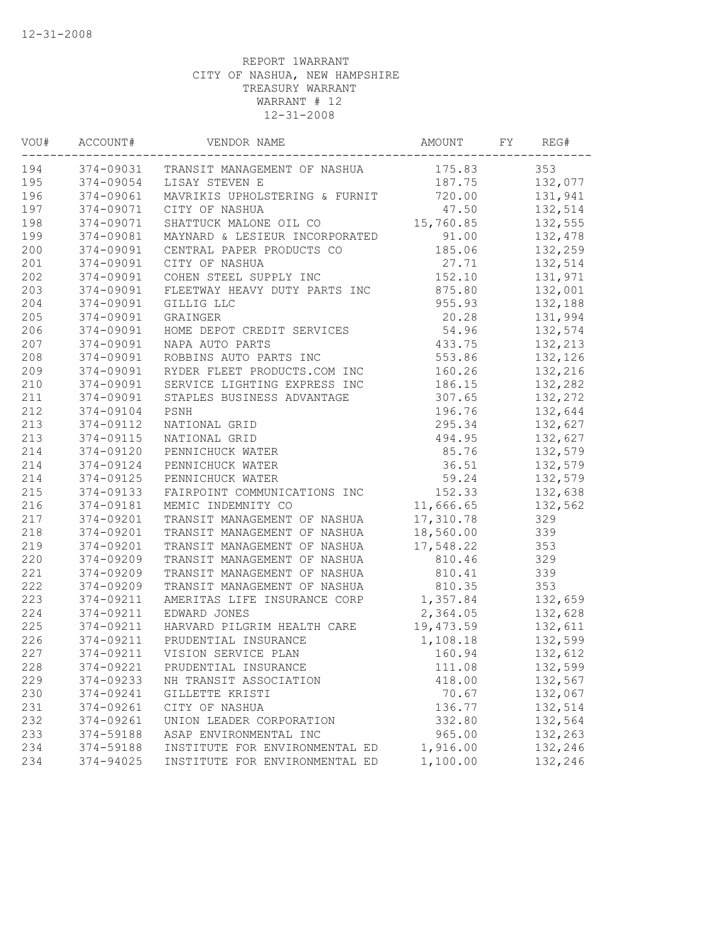| VOU# | ACCOUNT#  | VENDOR NAME                            | AMOUNT    | FY | REG#    |
|------|-----------|----------------------------------------|-----------|----|---------|
| 194  |           | 374-09031 TRANSIT MANAGEMENT OF NASHUA | 175.83    |    | 353     |
| 195  | 374-09054 | LISAY STEVEN E                         | 187.75    |    | 132,077 |
| 196  | 374-09061 | MAVRIKIS UPHOLSTERING & FURNIT         | 720.00    |    | 131,941 |
| 197  | 374-09071 | CITY OF NASHUA                         | 47.50     |    | 132,514 |
| 198  | 374-09071 | SHATTUCK MALONE OIL CO                 | 15,760.85 |    | 132,555 |
| 199  | 374-09081 | MAYNARD & LESIEUR INCORPORATED         | 91.00     |    | 132,478 |
| 200  | 374-09091 | CENTRAL PAPER PRODUCTS CO              | 185.06    |    | 132,259 |
| 201  | 374-09091 | CITY OF NASHUA                         | 27.71     |    | 132,514 |
| 202  | 374-09091 | COHEN STEEL SUPPLY INC                 | 152.10    |    | 131,971 |
| 203  | 374-09091 | FLEETWAY HEAVY DUTY PARTS INC          | 875.80    |    | 132,001 |
| 204  | 374-09091 | GILLIG LLC                             | 955.93    |    | 132,188 |
| 205  | 374-09091 | GRAINGER                               | 20.28     |    | 131,994 |
| 206  | 374-09091 | HOME DEPOT CREDIT SERVICES             | 54.96     |    | 132,574 |
| 207  | 374-09091 | NAPA AUTO PARTS                        | 433.75    |    | 132,213 |
| 208  | 374-09091 | ROBBINS AUTO PARTS INC                 | 553.86    |    | 132,126 |
| 209  | 374-09091 | RYDER FLEET PRODUCTS.COM INC           | 160.26    |    | 132,216 |
| 210  | 374-09091 | SERVICE LIGHTING EXPRESS INC           | 186.15    |    | 132,282 |
| 211  | 374-09091 | STAPLES BUSINESS ADVANTAGE             | 307.65    |    | 132,272 |
| 212  | 374-09104 | PSNH                                   | 196.76    |    | 132,644 |
| 213  | 374-09112 | NATIONAL GRID                          | 295.34    |    | 132,627 |
| 213  | 374-09115 | NATIONAL GRID                          | 494.95    |    | 132,627 |
| 214  | 374-09120 | PENNICHUCK WATER                       | 85.76     |    | 132,579 |
| 214  | 374-09124 | PENNICHUCK WATER                       | 36.51     |    | 132,579 |
| 214  | 374-09125 | PENNICHUCK WATER                       | 59.24     |    | 132,579 |
| 215  | 374-09133 | FAIRPOINT COMMUNICATIONS INC           | 152.33    |    | 132,638 |
| 216  | 374-09181 | MEMIC INDEMNITY CO                     | 11,666.65 |    | 132,562 |
| 217  | 374-09201 | TRANSIT MANAGEMENT OF NASHUA           | 17,310.78 |    | 329     |
| 218  | 374-09201 | TRANSIT MANAGEMENT OF NASHUA           | 18,560.00 |    | 339     |
| 219  | 374-09201 | TRANSIT MANAGEMENT OF NASHUA           | 17,548.22 |    | 353     |
| 220  | 374-09209 | TRANSIT MANAGEMENT OF NASHUA           | 810.46    |    | 329     |
| 221  | 374-09209 | TRANSIT MANAGEMENT OF NASHUA           | 810.41    |    | 339     |
| 222  | 374-09209 | TRANSIT MANAGEMENT OF NASHUA           | 810.35    |    | 353     |
| 223  | 374-09211 | AMERITAS LIFE INSURANCE CORP           | 1,357.84  |    | 132,659 |
| 224  | 374-09211 | EDWARD JONES                           | 2,364.05  |    | 132,628 |
| 225  | 374-09211 | HARVARD PILGRIM HEALTH CARE            | 19,473.59 |    | 132,611 |
| 226  | 374-09211 | PRUDENTIAL INSURANCE                   | 1,108.18  |    | 132,599 |
| 227  | 374-09211 | VISION SERVICE PLAN                    | 160.94    |    | 132,612 |
| 228  |           | 374-09221 PRUDENTIAL INSURANCE         | 111.08    |    | 132,599 |
| 229  | 374-09233 | NH TRANSIT ASSOCIATION                 | 418.00    |    | 132,567 |
| 230  | 374-09241 | GILLETTE KRISTI                        | 70.67     |    | 132,067 |
| 231  | 374-09261 | CITY OF NASHUA                         | 136.77    |    | 132,514 |
| 232  | 374-09261 | UNION LEADER CORPORATION               | 332.80    |    | 132,564 |
| 233  | 374-59188 | ASAP ENVIRONMENTAL INC                 | 965.00    |    | 132,263 |
| 234  | 374-59188 | INSTITUTE FOR ENVIRONMENTAL ED         | 1,916.00  |    | 132,246 |
| 234  | 374-94025 | INSTITUTE FOR ENVIRONMENTAL ED         | 1,100.00  |    | 132,246 |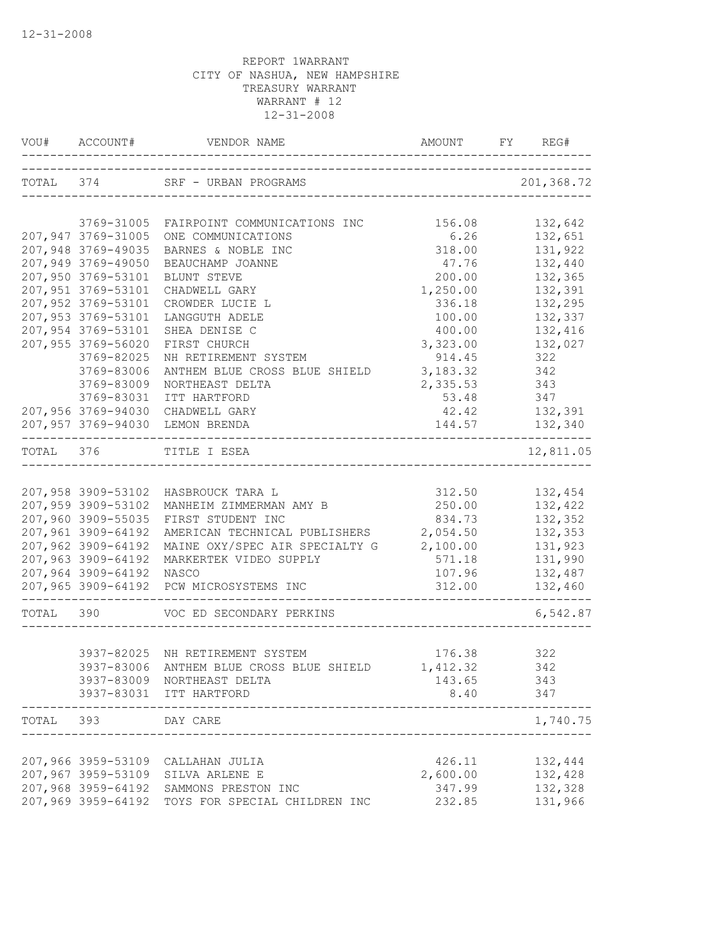|           | VOU# ACCOUNT#                            |                                                                     |                              | FY REG#            |
|-----------|------------------------------------------|---------------------------------------------------------------------|------------------------------|--------------------|
|           |                                          | TOTAL 374 SRF - URBAN PROGRAMS<br>--------------------------------- |                              | 201,368.72         |
|           | 3769-31005                               | FAIRPOINT COMMUNICATIONS INC                                        | 156.08                       | 132,642            |
|           | 207,947 3769-31005                       | ONE COMMUNICATIONS                                                  | 6.26                         | 132,651            |
|           | 207,948 3769-49035                       | BARNES & NOBLE INC                                                  | 318.00                       | 131,922            |
|           | 207,949 3769-49050                       | BEAUCHAMP JOANNE                                                    | 47.76                        | 132,440            |
|           | 207,950 3769-53101                       | BLUNT STEVE                                                         | 200.00                       | 132,365            |
|           | 207,951 3769-53101                       | CHADWELL GARY                                                       | 1,250.00                     | 132,391            |
|           | 207,952 3769-53101                       | CROWDER LUCIE L                                                     | 336.18                       | 132,295            |
|           | 207,953 3769-53101                       | LANGGUTH ADELE                                                      | 100.00                       | 132,337            |
|           | 207,954 3769-53101                       | SHEA DENISE C                                                       | 400.00                       | 132,416            |
|           | 207,955 3769-56020                       | FIRST CHURCH                                                        | 3,323.00                     | 132,027            |
|           | 3769-82025                               | NH RETIREMENT SYSTEM                                                | 914.45                       | 322                |
|           | 3769-83006                               | ANTHEM BLUE CROSS BLUE SHIELD                                       | 3,183.32                     | 342                |
|           | 3769-83009                               | NORTHEAST DELTA                                                     | 2,335.53                     | 343                |
|           | 3769-83031                               | ITT HARTFORD                                                        | 53.48                        | 347                |
|           | 207,956 3769-94030                       | CHADWELL GARY                                                       | 42.42                        | 132,391            |
|           |                                          | 207,957 3769-94030 LEMON BRENDA                                     | ____________________________ | 144.57 132,340     |
| TOTAL 376 |                                          | TITLE I ESEA                                                        |                              | 12,811.05          |
|           |                                          |                                                                     |                              |                    |
|           |                                          | 207,958 3909-53102 HASBROUCK TARA L                                 | 312.50                       | 132,454            |
|           | 207,959 3909-53102                       | MANHEIM ZIMMERMAN AMY B                                             | 250.00                       | 132,422            |
|           | 207,960 3909-55035                       | FIRST STUDENT INC                                                   | 834.73                       | 132,352            |
|           | 207,961 3909-64192<br>207,962 3909-64192 | AMERICAN TECHNICAL PUBLISHERS<br>MAINE OXY/SPEC AIR SPECIALTY G     | 2,054.50<br>2,100.00         | 132,353<br>131,923 |
|           | 207,963 3909-64192                       | MARKERTEK VIDEO SUPPLY                                              | 571.18                       | 131,990            |
|           | 207,964 3909-64192                       | NASCO                                                               | 107.96                       | 132,487            |
|           | 207,965 3909-64192                       | PCW MICROSYSTEMS INC                                                | 312.00                       | 132,460            |
|           |                                          |                                                                     |                              |                    |
| TOTAL 390 |                                          | VOC ED SECONDARY PERKINS                                            |                              | 6,542.87           |
|           |                                          | 3937-82025 NH RETIREMENT SYSTEM                                     | 176.38 322                   |                    |
|           |                                          | 3937-83006 ANTHEM BLUE CROSS BLUE SHIELD 1,412.32 342               |                              |                    |
|           |                                          | 3937-83009 NORTHEAST DELTA                                          | 143.65                       | 343                |
|           |                                          | 3937-83031 ITT HARTFORD                                             | 8.40                         | 347                |
| TOTAL 393 |                                          | -------------------<br>DAY CARE                                     |                              | 1,740.75           |
|           |                                          | ______________________                                              |                              |                    |
|           |                                          | 207,966 3959-53109 CALLAHAN JULIA                                   | 426.11                       | 132,444            |
|           |                                          | 207,967 3959-53109 SILVA ARLENE E                                   | 2,600.00                     | 132,428            |
|           |                                          | 207,968 3959-64192 SAMMONS PRESTON INC                              | 347.99                       | 132,328            |
|           |                                          | 207,969 3959-64192 TOYS FOR SPECIAL CHILDREN INC                    | 232.85                       | 131,966            |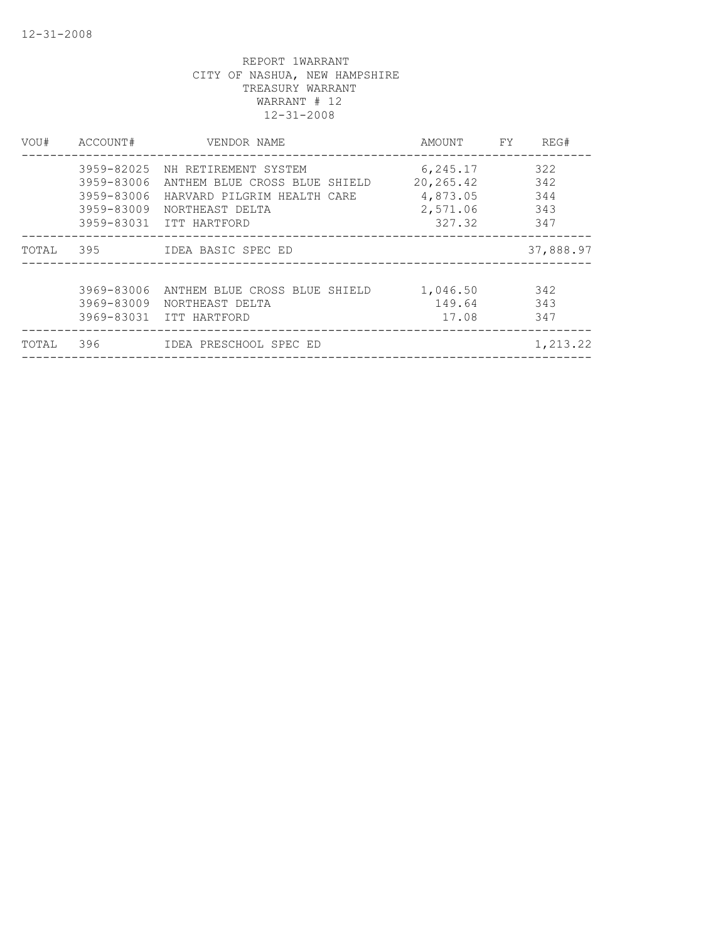| VOU#  | ACCOUNT#                                             | VENDOR NAME                                                                                                                        | AMOUNT                                                   | <b>FY</b> | REG#                            |
|-------|------------------------------------------------------|------------------------------------------------------------------------------------------------------------------------------------|----------------------------------------------------------|-----------|---------------------------------|
|       | 3959-82025<br>3959-83006<br>3959-83006<br>3959-83009 | NH RETIREMENT SYSTEM<br>ANTHEM BLUE CROSS BLUE SHIELD<br>HARVARD PILGRIM HEALTH CARE<br>NORTHEAST DELTA<br>3959-83031 ITT HARTFORD | 6,245.17<br>20, 265.42<br>4,873.05<br>2,571.06<br>327.32 |           | 322<br>342<br>344<br>343<br>347 |
| TOTAL |                                                      |                                                                                                                                    |                                                          |           | 37,888.97                       |
|       | 3969-83006<br>3969-83009                             | ANTHEM BLUE CROSS BLUE SHIELD<br>NORTHEAST DELTA<br>3969-83031 ITT HARTFORD                                                        | 1,046.50<br>149.64<br>17.08                              |           | 342<br>343<br>347               |
| TOTAL | 396                                                  | IDEA PRESCHOOL SPEC ED                                                                                                             |                                                          |           | 1,213.22                        |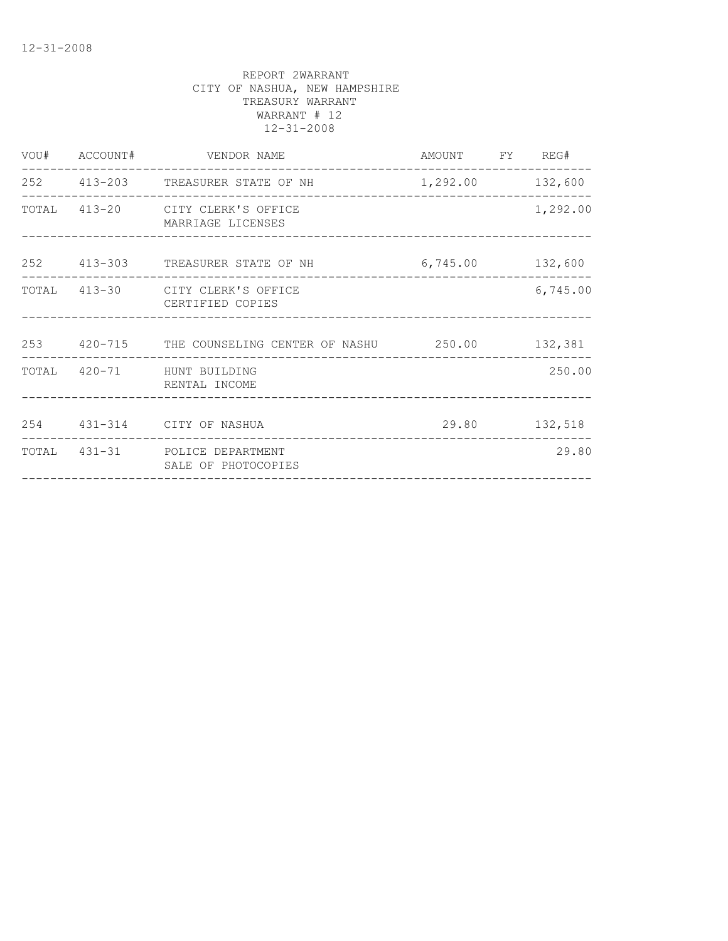|  | VOU# ACCOUNT# VENDOR NAME                                 | AMOUNT FY REG#   |          |
|--|-----------------------------------------------------------|------------------|----------|
|  | 252 413-203 TREASURER STATE OF NH                         | 1,292.00 132,600 |          |
|  | TOTAL 413-20 CITY CLERK'S OFFICE<br>MARRIAGE LICENSES     |                  | 1,292.00 |
|  | 252 413-303 TREASURER STATE OF NH 6,745.00 132,600        |                  |          |
|  | TOTAL 413-30 CITY CLERK'S OFFICE<br>CERTIFIED COPIES      |                  | 6,745.00 |
|  | 253 420-715 THE COUNSELING CENTER OF NASHU 250.00 132,381 |                  |          |
|  | TOTAL 420-71 HUNT BUILDING<br>RENTAL INCOME               |                  | 250.00   |
|  | 254 431-314 CITY OF NASHUA                                | 29.80 132,518    |          |
|  | TOTAL 431-31 POLICE DEPARTMENT<br>SALE OF PHOTOCOPIES     |                  | 29.80    |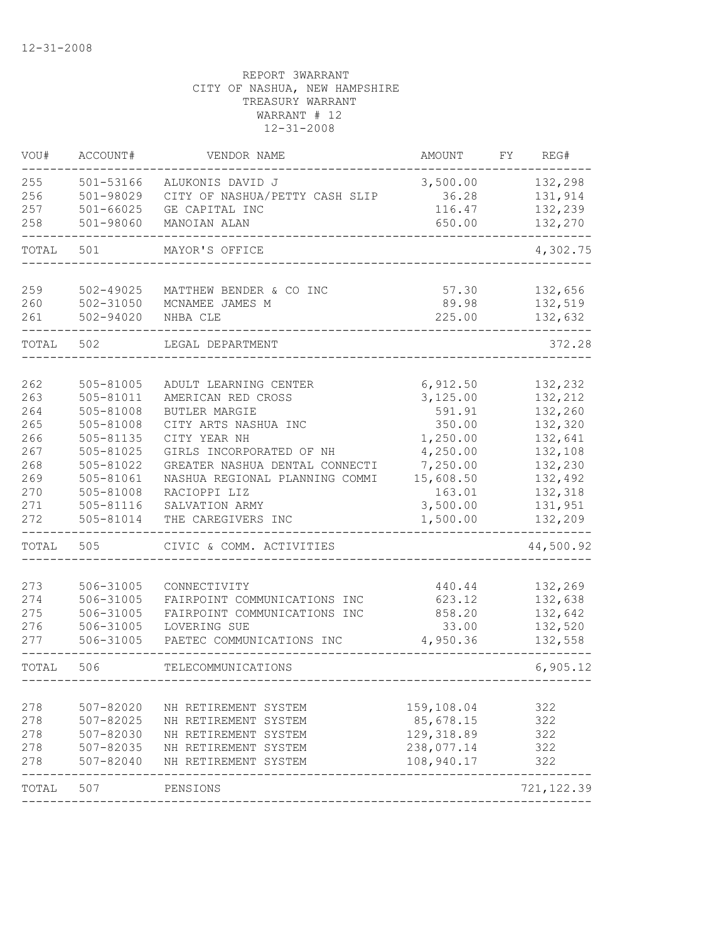| VOU#  | ACCOUNT#      | VENDOR NAME                                  | <b>AMOUNT</b>        | FΥ | REG#               |
|-------|---------------|----------------------------------------------|----------------------|----|--------------------|
| 255   | 501-53166     | ALUKONIS DAVID J                             | 3,500.00             |    | 132,298            |
| 256   | 501-98029     | CITY OF NASHUA/PETTY CASH SLIP               | 36.28                |    | 131,914            |
| 257   | $501 - 66025$ | GE CAPITAL INC                               | 116.47               |    | 132,239            |
| 258   | 501-98060     | MANOIAN ALAN                                 | 650.00               |    | 132,270            |
| TOTAL | 501           | MAYOR'S OFFICE                               |                      |    | 4,302.75           |
| 259   | 502-49025     | MATTHEW BENDER & CO INC                      | 57.30                |    | 132,656            |
| 260   | $502 - 31050$ | MCNAMEE JAMES M                              | 89.98                |    | 132,519            |
| 261   | 502-94020     | NHBA CLE                                     | 225.00               |    | 132,632            |
| TOTAL | 502           | LEGAL DEPARTMENT                             |                      |    | 372.28             |
| 262   | 505-81005     | ADULT LEARNING CENTER                        |                      |    | 132,232            |
| 263   | 505-81011     | AMERICAN RED CROSS                           | 6,912.50<br>3,125.00 |    | 132,212            |
| 264   | 505-81008     | <b>BUTLER MARGIE</b>                         | 591.91               |    | 132,260            |
| 265   | 505-81008     | CITY ARTS NASHUA INC                         | 350.00               |    | 132,320            |
| 266   | 505-81135     | CITY YEAR NH                                 | 1,250.00             |    | 132,641            |
| 267   | 505-81025     | GIRLS INCORPORATED OF NH                     | 4,250.00             |    | 132,108            |
| 268   | 505-81022     | GREATER NASHUA DENTAL CONNECTI               | 7,250.00             |    | 132,230            |
| 269   | 505-81061     | NASHUA REGIONAL PLANNING COMMI               | 15,608.50            |    | 132,492            |
| 270   | 505-81008     | RACIOPPI LIZ                                 | 163.01               |    | 132,318            |
| 271   | 505-81116     | SALVATION ARMY                               | 3,500.00             |    | 131,951            |
| 272   | 505-81014     | THE CAREGIVERS INC                           | 1,500.00             |    | 132,209            |
| TOTAL | 505           | CIVIC & COMM. ACTIVITIES                     |                      |    | 44,500.92          |
| 273   | 506-31005     |                                              |                      |    |                    |
| 274   | 506-31005     | CONNECTIVITY<br>FAIRPOINT COMMUNICATIONS INC | 440.44<br>623.12     |    | 132,269<br>132,638 |
| 275   | 506-31005     | FAIRPOINT COMMUNICATIONS INC                 | 858.20               |    | 132,642            |
| 276   | 506-31005     | LOVERING SUE                                 | 33.00                |    | 132,520            |
| 277   | 506-31005     | PAETEC COMMUNICATIONS INC                    | 4,950.36             |    | 132,558            |
| TOTAL | 506           | TELECOMMUNICATIONS                           |                      |    | 6,905.12           |
|       |               |                                              |                      |    |                    |
| 278   | 507-82020     | NH RETIREMENT SYSTEM                         | 159,108.04           |    | 322                |
| 278   | 507-82025     | NH RETIREMENT SYSTEM                         | 85,678.15            |    | 322                |
| 278   | 507-82030     | NH RETIREMENT SYSTEM                         | 129, 318.89          |    | 322                |
| 278   | 507-82035     | NH RETIREMENT SYSTEM                         | 238,077.14           |    | 322                |
| 278   | $507 - 82040$ | NH RETIREMENT SYSTEM                         | 108,940.17           |    | 322                |
| TOTAL | 507           | PENSIONS                                     |                      |    | 721, 122.39        |
|       |               |                                              |                      |    |                    |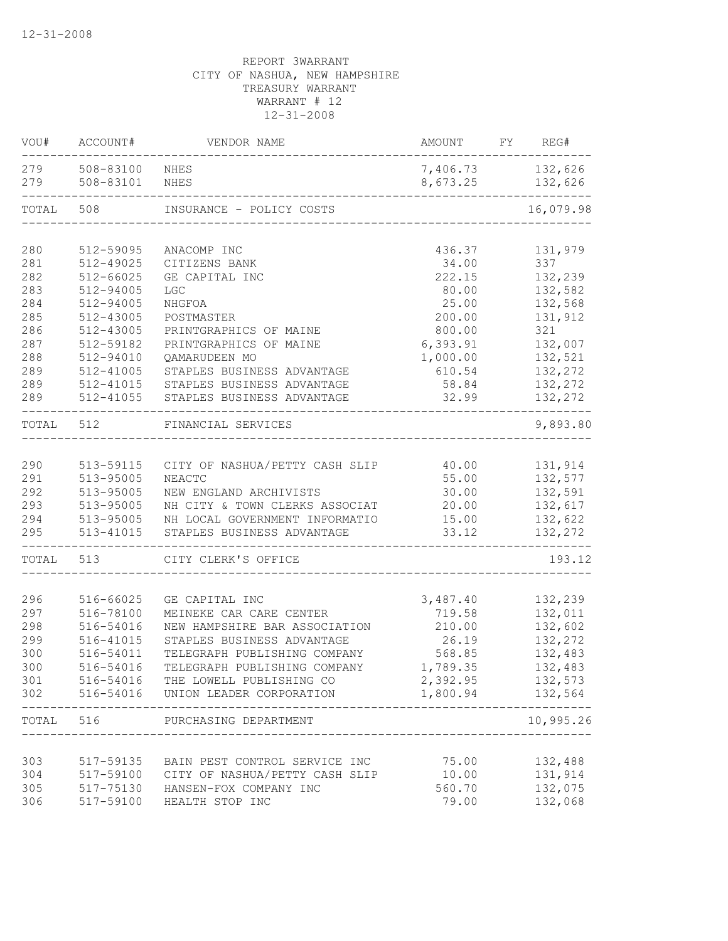| VOU#       | ACCOUNT#               | VENDOR NAME                                              | AMOUNT FY REG#   |                    |
|------------|------------------------|----------------------------------------------------------|------------------|--------------------|
| 279        | 508-83100 NHES         |                                                          | 7,406.73 132,626 |                    |
| 279        | 508-83101              | NHES                                                     | 8,673.25         | 132,626            |
| TOTAL      | 508                    | INSURANCE - POLICY COSTS                                 |                  | 16,079.98          |
|            |                        |                                                          |                  |                    |
| 280        | 512-59095<br>512-49025 | ANACOMP INC<br>CITIZENS BANK                             | 436.37           | 131,979            |
| 281<br>282 | $512 - 66025$          | GE CAPITAL INC                                           | 34.00<br>222.15  | 337<br>132,239     |
| 283        | 512-94005              | LGC                                                      | 80.00            | 132,582            |
| 284        |                        |                                                          |                  | 132,568            |
|            | 512-94005              | NHGFOA                                                   | 25.00            |                    |
| 285        | 512-43005              | POSTMASTER                                               | 200.00           | 131,912            |
| 286<br>287 | 512-43005              | PRINTGRAPHICS OF MAINE                                   | 800.00           | 321                |
| 288        | 512-59182              | PRINTGRAPHICS OF MAINE                                   | 6,393.91         | 132,007            |
|            | 512-94010<br>512-41005 | QAMARUDEEN MO                                            | 1,000.00         | 132,521            |
| 289        |                        | STAPLES BUSINESS ADVANTAGE                               | 610.54<br>58.84  | 132,272            |
| 289<br>289 | 512-41015<br>512-41055 | STAPLES BUSINESS ADVANTAGE<br>STAPLES BUSINESS ADVANTAGE | 32.99            | 132,272<br>132,272 |
|            |                        |                                                          |                  |                    |
| TOTAL      | 512                    | FINANCIAL SERVICES                                       |                  | 9,893.80           |
| 290        | 513-59115              | CITY OF NASHUA/PETTY CASH SLIP                           | 40.00            | 131,914            |
| 291        | 513-95005              | NEACTC                                                   | 55.00            | 132,577            |
| 292        | 513-95005              | NEW ENGLAND ARCHIVISTS                                   | 30.00            | 132,591            |
| 293        | 513-95005              | NH CITY & TOWN CLERKS ASSOCIAT                           | 20.00            | 132,617            |
| 294        | 513-95005              | NH LOCAL GOVERNMENT INFORMATIO                           | 15.00            | 132,622            |
| 295        | 513-41015              | STAPLES BUSINESS ADVANTAGE                               | 33.12            | 132,272            |
| TOTAL      | 513                    | CITY CLERK'S OFFICE                                      |                  | 193.12             |
| 296        | 516-66025              | GE CAPITAL INC                                           | 3,487.40         | 132,239            |
| 297        | 516-78100              | MEINEKE CAR CARE CENTER                                  | 719.58           | 132,011            |
| 298        | 516-54016              | NEW HAMPSHIRE BAR ASSOCIATION                            | 210.00           | 132,602            |
| 299        | 516-41015              | STAPLES BUSINESS ADVANTAGE                               | 26.19            | 132,272            |
| 300        | 516-54011              | TELEGRAPH PUBLISHING COMPANY                             | 568.85           | 132,483            |
| 300        | 516-54016              | TELEGRAPH PUBLISHING COMPANY                             | 1,789.35         | 132,483            |
| 301        |                        | 516-54016 THE LOWELL PUBLISHING CO                       | 2,392.95         | 132,573            |
|            |                        | 302 516-54016 UNION LEADER CORPORATION                   | 1,800.94         | 132,564            |
|            | TOTAL 516              | PURCHASING DEPARTMENT                                    |                  | 10,995.26          |
|            |                        |                                                          |                  |                    |
| 303        |                        | 517-59135 BAIN PEST CONTROL SERVICE INC                  | 75.00            | 132,488            |
| 304        |                        | 517-59100 CITY OF NASHUA/PETTY CASH SLIP                 | 10.00            | 131,914            |
| 305        |                        | 517-75130 HANSEN-FOX COMPANY INC                         | 560.70           | 132,075            |
| 306        |                        | 517-59100 HEALTH STOP INC                                | 79.00            | 132,068            |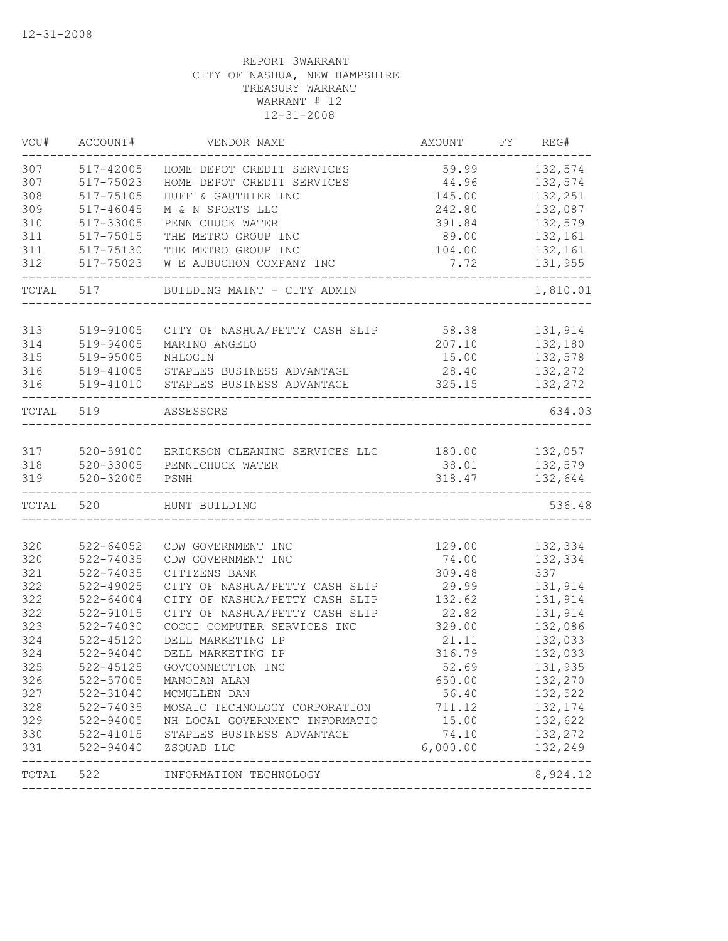| VOU#                                                               | ACCOUNT#                                    | VENDOR NAME                                   | AMOUNT   | FY REG#            |
|--------------------------------------------------------------------|---------------------------------------------|-----------------------------------------------|----------|--------------------|
| 307                                                                | 517-42005                                   | HOME DEPOT CREDIT SERVICES                    | 59.99    | 132,574            |
| 307                                                                | 517-75023                                   | HOME DEPOT CREDIT SERVICES                    | 44.96    | 132,574            |
| 308                                                                | 517-75105                                   | HUFF & GAUTHIER INC                           | 145.00   | 132,251            |
| 309                                                                | 517-46045                                   | M & N SPORTS LLC                              | 242.80   | 132,087            |
| 310                                                                | 517-33005                                   | PENNICHUCK WATER                              | 391.84   | 132,579            |
| 311                                                                | 517-75015                                   | THE METRO GROUP INC                           | 89.00    | 132,161            |
| 311                                                                | 517-75130                                   | THE METRO GROUP INC                           | 104.00   | 132,161            |
| 312                                                                | 517-75023                                   | W E AUBUCHON COMPANY INC                      | 7.72     | 131,955            |
| TOTAL                                                              | 517                                         | BUILDING MAINT - CITY ADMIN                   |          | 1,810.01           |
|                                                                    |                                             |                                               |          |                    |
| 313                                                                | 519-91005                                   | CITY OF NASHUA/PETTY CASH SLIP                | 58.38    | 131,914            |
| 314                                                                | 519-94005                                   | MARINO ANGELO                                 | 207.10   | 132,180            |
| 315                                                                | 519-95005                                   | NHLOGIN                                       | 15.00    | 132,578            |
| 316                                                                | 519-41005                                   | STAPLES BUSINESS ADVANTAGE                    | 28.40    | 132,272            |
| 316                                                                | 519-41010                                   | STAPLES BUSINESS ADVANTAGE                    | 325.15   | 132,272            |
| TOTAL                                                              | 519                                         | ASSESSORS                                     |          | 634.03             |
|                                                                    |                                             |                                               |          |                    |
| 317                                                                | 520-59100                                   | ERICKSON CLEANING SERVICES LLC 180.00 132,057 |          |                    |
| 318                                                                | 520-33005                                   | PENNICHUCK WATER                              | 38.01    | 132,579            |
| 319                                                                | $520 - 32005$                               | PSNH                                          | 318.47   | 132,644            |
| TOTAL                                                              | 520                                         | HUNT BUILDING                                 |          | 536.48             |
|                                                                    |                                             |                                               |          |                    |
| 320                                                                | $522 - 64052$                               | CDW GOVERNMENT INC                            | 129.00   | 132,334            |
| 320                                                                | 522-74035                                   | CDW GOVERNMENT INC                            | 74.00    | 132,334            |
| 321                                                                | 522-74035                                   | CITIZENS BANK                                 | 309.48   | 337                |
| 322                                                                | 522-49025                                   | CITY OF NASHUA/PETTY CASH SLIP                | 29.99    | 131,914            |
| 322                                                                | $522 - 64004$                               | CITY OF NASHUA/PETTY CASH SLIP                | 132.62   | 131,914            |
| 322                                                                | 522-91015                                   | CITY OF NASHUA/PETTY CASH SLIP                | 22.82    | 131,914            |
|                                                                    |                                             | COCCI COMPUTER SERVICES INC                   |          | 132,086            |
|                                                                    | 522-74030                                   |                                               | 329.00   |                    |
|                                                                    | 522-45120                                   | DELL MARKETING LP                             | 21.11    | 132,033            |
|                                                                    | 522-94040                                   | DELL MARKETING LP                             | 316.79   | 132,033            |
|                                                                    | 522-45125                                   | GOVCONNECTION INC                             | 52.69    | 131,935            |
|                                                                    | 522-57005                                   | MANOIAN ALAN                                  | 650.00   | 132,270            |
|                                                                    | 522-31040                                   | MCMULLEN DAN                                  | 56.40    | 132,522            |
|                                                                    | 522-74035                                   | MOSAIC TECHNOLOGY CORPORATION                 | 711.12   | 132,174            |
|                                                                    |                                             | NH LOCAL GOVERNMENT INFORMATIO                | 15.00    | 132,622            |
|                                                                    |                                             | STAPLES BUSINESS ADVANTAGE                    | 74.10    |                    |
| 323<br>324<br>324<br>325<br>326<br>327<br>328<br>329<br>330<br>331 | $522 - 94005$<br>$522 - 41015$<br>522-94040 | ZSQUAD LLC                                    | 6,000.00 | 132,272<br>132,249 |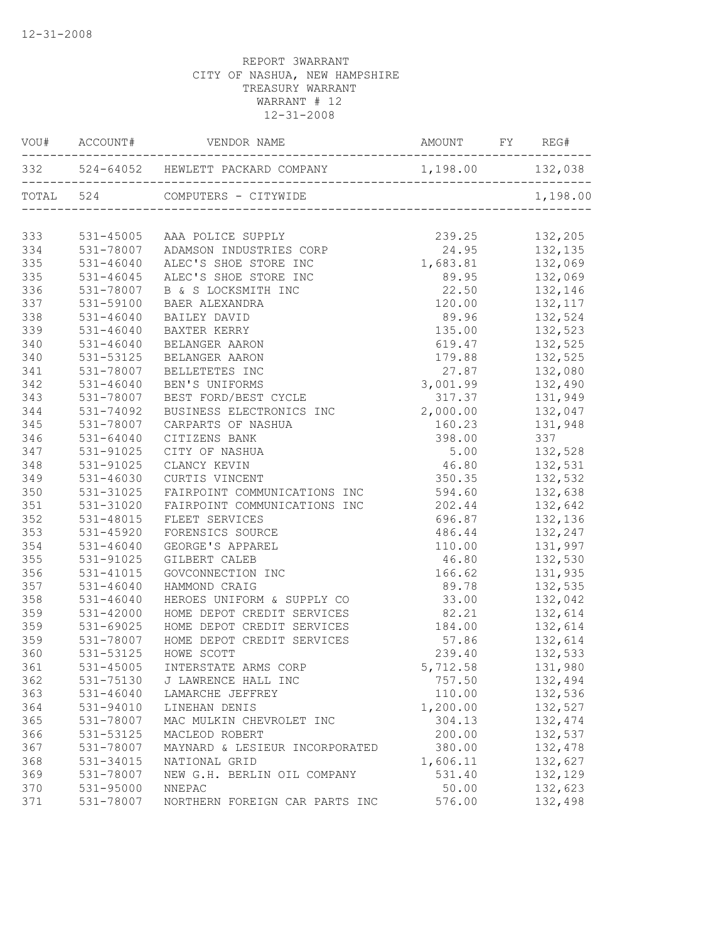|     | VOU# ACCOUNT# |                                                        |                                                    |                               |
|-----|---------------|--------------------------------------------------------|----------------------------------------------------|-------------------------------|
|     |               | 332 524-64052 HEWLETT PACKARD COMPANY 1,198.00 132,038 |                                                    |                               |
|     | TOTAL 524     | COMPUTERS - CITYWIDE                                   |                                                    | 1,198.00                      |
| 333 |               | 531-45005 AAA POLICE SUPPLY                            | 239.25                                             | 132,205                       |
| 334 |               | 531-78007 ADAMSON INDUSTRIES CORP                      |                                                    |                               |
| 335 | 531-46040     | ALEC'S SHOE STORE INC                                  |                                                    |                               |
| 335 | $531 - 46045$ | ALEC'S SHOE STORE INC                                  | 24.95 132,135<br>1,683.81 132,069<br>89.95 132,069 |                               |
| 336 | 531-78007     | B & S LOCKSMITH INC                                    |                                                    | 22.50 132,146                 |
| 337 | 531-59100     | BAER ALEXANDRA                                         | 120.00 132,117                                     |                               |
| 338 | 531-46040     | BAILEY DAVID                                           |                                                    | 89.96 132,524                 |
| 339 | 531-46040     | BAXTER KERRY                                           |                                                    | 135.00 132,523                |
| 340 | 531-46040     | BELANGER AARON                                         | 619.47                                             | 132,525                       |
| 340 | 531-53125     | BELANGER AARON                                         | 179.88                                             | 132,525                       |
| 341 | 531-78007     | BELLETETES INC                                         | 27.87                                              |                               |
| 342 | 531-46040     | BEN'S UNIFORMS                                         | 3,001.99                                           | 132,080<br>132,490            |
| 343 | 531-78007     | BEST FORD/BEST CYCLE                                   | 317.37                                             | 131,949                       |
| 344 | 531-74092     | BUSINESS ELECTRONICS INC                               | 2,000.00 132,047                                   |                               |
| 345 | 531-78007     | CARPARTS OF NASHUA                                     | 160.23                                             | 131,948                       |
| 346 | 531-64040     | CITIZENS BANK                                          | 398.00                                             | 337                           |
| 347 | 531-91025     | CITY OF NASHUA                                         |                                                    | $5.00$ $132,528$              |
| 348 | 531-91025     | CLANCY KEVIN                                           | 46.80                                              | 132,531                       |
| 349 | $531 - 46030$ | CURTIS VINCENT                                         | 350.35                                             | 132,532                       |
| 350 | 531-31025     | FAIRPOINT COMMUNICATIONS INC                           | 594.60                                             | 132,638                       |
| 351 | 531-31020     | FAIRPOINT COMMUNICATIONS INC                           | 202.44                                             | 132,642                       |
| 352 | 531-48015     | FLEET SERVICES                                         |                                                    | $696.87$ $132,136$            |
| 353 | 531-45920     | FORENSICS SOURCE                                       |                                                    | 486.44 132,247                |
| 354 | 531-46040     | GEORGE'S APPAREL                                       |                                                    | 110.00   131,997              |
| 355 | 531-91025     | GILBERT CALEB                                          | 46.80 132,530                                      |                               |
| 356 | 531-41015     | GOVCONNECTION INC                                      |                                                    | 166.62 131,935                |
| 357 | 531-46040     | HAMMOND CRAIG                                          | 89.78                                              | 132,535                       |
| 358 | 531-46040     | HEROES UNIFORM & SUPPLY CO                             | 33.00                                              | 132,042                       |
| 359 | 531-42000     | HOME DEPOT CREDIT SERVICES                             | 82.21                                              |                               |
| 359 | 531-69025     | HOME DEPOT CREDIT SERVICES                             | 184.00                                             | 132,614<br>132,614<br>132,614 |
| 359 | 531-78007     | HOME DEPOT CREDIT SERVICES                             | 57.86                                              |                               |
| 360 | 531-53125     | HOWE SCOTT                                             |                                                    | 239.40 132,533                |
| 361 |               | 531-45005 INTERSTATE ARMS CORP                         | 5,712.58                                           | 131,980                       |
| 362 | 531-75130     | J LAWRENCE HALL INC                                    | 757.50                                             | 132,494                       |
| 363 | $531 - 46040$ | LAMARCHE JEFFREY                                       | 110.00                                             | 132,536                       |
| 364 | 531-94010     | LINEHAN DENIS                                          | 1,200.00                                           | 132,527                       |
| 365 | 531-78007     | MAC MULKIN CHEVROLET INC                               | 304.13                                             | 132,474                       |
| 366 | 531-53125     | MACLEOD ROBERT                                         | 200.00                                             | 132,537                       |
| 367 | 531-78007     | MAYNARD & LESIEUR INCORPORATED                         | 380.00                                             | 132,478                       |
| 368 | 531-34015     | NATIONAL GRID                                          | 1,606.11                                           | 132,627                       |
| 369 | 531-78007     | NEW G.H. BERLIN OIL COMPANY                            | 531.40                                             | 132,129                       |
| 370 | 531-95000     | NNEPAC                                                 | 50.00                                              | 132,623                       |
| 371 | 531-78007     | NORTHERN FOREIGN CAR PARTS INC                         | 576.00                                             | 132,498                       |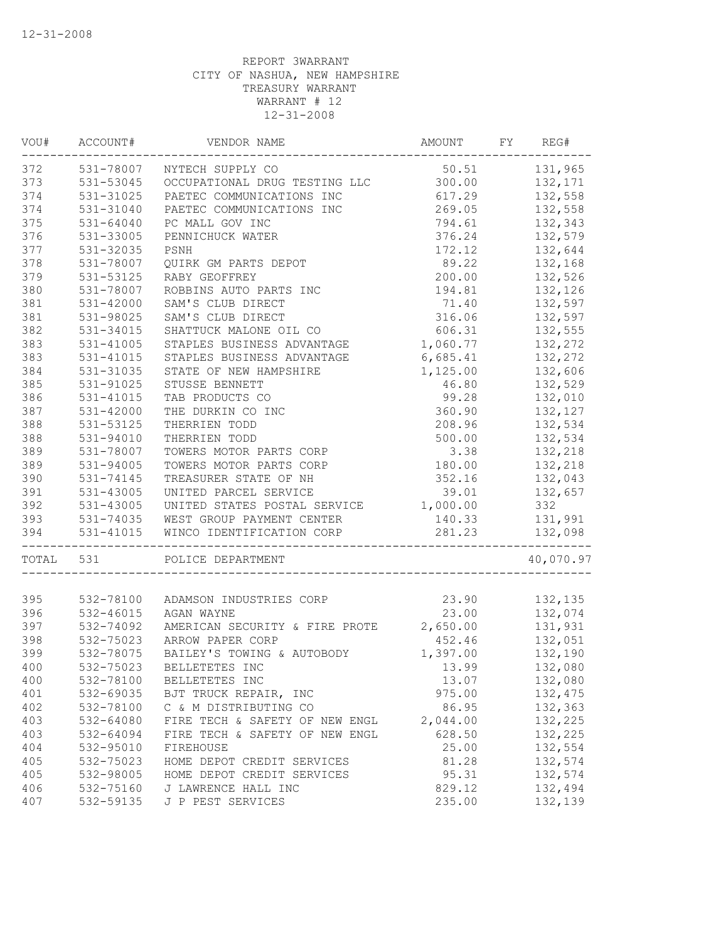| VOU#  | ACCOUNT#      | VENDOR NAME                             | AMOUNT   | FY | REG#      |
|-------|---------------|-----------------------------------------|----------|----|-----------|
| 372   |               | 531-78007 NYTECH SUPPLY CO              | 50.51    |    | 131,965   |
| 373   | 531-53045     | OCCUPATIONAL DRUG TESTING LLC           | 300.00   |    | 132,171   |
| 374   | 531-31025     | PAETEC COMMUNICATIONS INC               | 617.29   |    | 132,558   |
| 374   | 531-31040     | PAETEC COMMUNICATIONS INC               | 269.05   |    | 132,558   |
| 375   | $531 - 64040$ | PC MALL GOV INC                         | 794.61   |    | 132,343   |
| 376   | 531-33005     | PENNICHUCK WATER                        | 376.24   |    | 132,579   |
| 377   | 531-32035     | PSNH                                    | 172.12   |    | 132,644   |
| 378   | 531-78007     | QUIRK GM PARTS DEPOT                    | 89.22    |    | 132,168   |
| 379   | 531-53125     | RABY GEOFFREY                           | 200.00   |    | 132,526   |
| 380   | 531-78007     | ROBBINS AUTO PARTS INC                  | 194.81   |    | 132,126   |
| 381   | 531-42000     | SAM'S CLUB DIRECT                       | 71.40    |    | 132,597   |
| 381   | 531-98025     | SAM'S CLUB DIRECT                       | 316.06   |    | 132,597   |
| 382   | 531-34015     | SHATTUCK MALONE OIL CO                  | 606.31   |    | 132,555   |
| 383   | 531-41005     | STAPLES BUSINESS ADVANTAGE              | 1,060.77 |    | 132,272   |
| 383   | 531-41015     | STAPLES BUSINESS ADVANTAGE              | 6,685.41 |    | 132,272   |
| 384   | 531-31035     | STATE OF NEW HAMPSHIRE                  | 1,125.00 |    | 132,606   |
| 385   | 531-91025     | STUSSE BENNETT                          | 46.80    |    | 132,529   |
| 386   | 531-41015     | TAB PRODUCTS CO                         | 99.28    |    | 132,010   |
| 387   | 531-42000     | THE DURKIN CO INC                       | 360.90   |    | 132,127   |
| 388   | 531-53125     | THERRIEN TODD                           | 208.96   |    | 132,534   |
| 388   | 531-94010     | THERRIEN TODD                           | 500.00   |    | 132,534   |
| 389   | 531-78007     | TOWERS MOTOR PARTS CORP                 | 3.38     |    | 132,218   |
| 389   | 531-94005     | TOWERS MOTOR PARTS CORP                 | 180.00   |    | 132,218   |
| 390   | 531-74145     | TREASURER STATE OF NH                   | 352.16   |    | 132,043   |
| 391   | 531-43005     | UNITED PARCEL SERVICE                   | 39.01    |    | 132,657   |
| 392   | 531-43005     | UNITED STATES POSTAL SERVICE            | 1,000.00 |    | 332       |
| 393   |               | 531-74035 WEST GROUP PAYMENT CENTER     | 140.33   |    | 131,991   |
| 394   | 531-41015     | WINCO IDENTIFICATION CORP               | 281.23   |    | 132,098   |
| TOTAL | 531           | ________________<br>POLICE DEPARTMENT   |          |    | 40,070.97 |
|       |               |                                         |          |    |           |
| 395   |               | 532-78100 ADAMSON INDUSTRIES CORP       | 23.90    |    | 132,135   |
| 396   | 532-46015     | AGAN WAYNE                              | 23.00    |    | 132,074   |
| 397   | 532-74092     | AMERICAN SECURITY & FIRE PROTE 2,650.00 |          |    | 131,931   |
| 398   | 532-75023     | ARROW PAPER CORP                        | 452.46   |    | 132,051   |
| 399   | 532-78075     | BAILEY'S TOWING & AUTOBODY              | 1,397.00 |    | 132,190   |
| 400   |               | 532-75023 BELLETETES INC                | 13.99    |    | 132,080   |
| 400   | 532-78100     | BELLETETES INC                          | 13.07    |    | 132,080   |
| 401   | 532-69035     | BJT TRUCK REPAIR, INC                   | 975.00   |    | 132,475   |
| 402   | 532-78100     | C & M DISTRIBUTING CO                   | 86.95    |    | 132,363   |
| 403   | 532-64080     | FIRE TECH & SAFETY OF NEW ENGL          | 2,044.00 |    | 132,225   |
| 403   | 532-64094     | FIRE TECH & SAFETY OF NEW ENGL          | 628.50   |    | 132,225   |
| 404   | 532-95010     | FIREHOUSE                               | 25.00    |    | 132,554   |
| 405   | 532-75023     | HOME DEPOT CREDIT SERVICES              | 81.28    |    | 132,574   |
| 405   | 532-98005     | HOME DEPOT CREDIT SERVICES              | 95.31    |    | 132,574   |
| 406   | 532-75160     | J LAWRENCE HALL INC                     | 829.12   |    | 132,494   |
| 407   | 532-59135     | J P PEST SERVICES                       | 235.00   |    | 132,139   |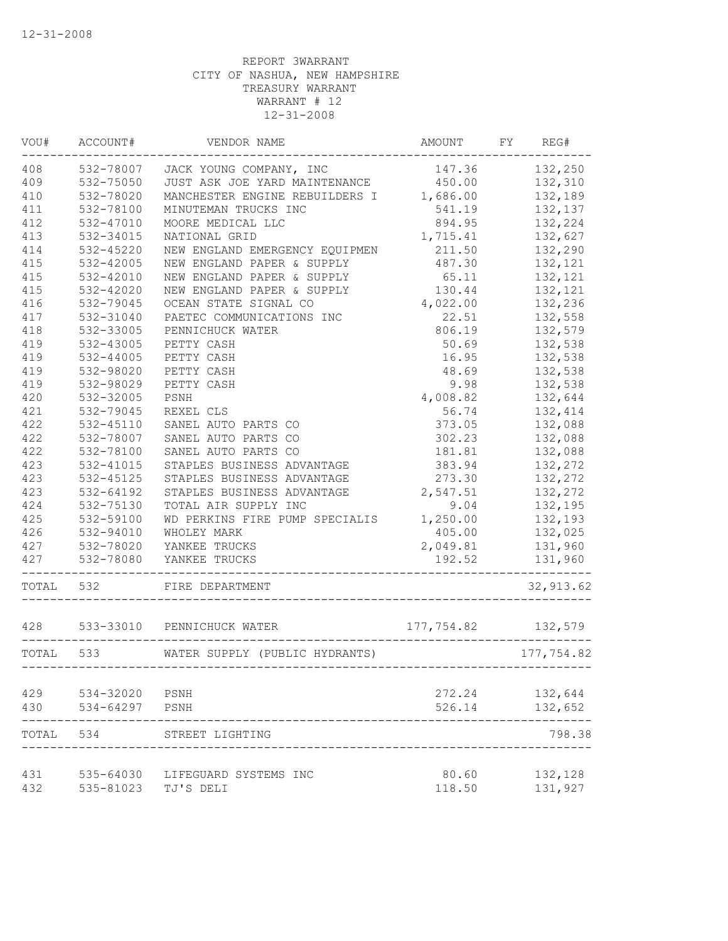| VOU#      | ACCOUNT#  | VENDOR NAME                                                         | AMOUNT     | FY REG#    |
|-----------|-----------|---------------------------------------------------------------------|------------|------------|
| 408       |           | 532-78007 JACK YOUNG COMPANY, INC                                   | 147.36     | 132,250    |
| 409       | 532-75050 | JUST ASK JOE YARD MAINTENANCE 450.00                                |            | 132,310    |
| 410       | 532-78020 | MANCHESTER ENGINE REBUILDERS I 1,686.00                             |            | 132,189    |
| 411       | 532-78100 | MINUTEMAN TRUCKS INC                                                | 541.19     | 132,137    |
| 412       | 532-47010 | MOORE MEDICAL LLC                                                   | 894.95     | 132,224    |
| 413       | 532-34015 | NATIONAL GRID                                                       | 1,715.41   | 132,627    |
| 414       | 532-45220 | NEW ENGLAND EMERGENCY EQUIPMEN                                      | 211.50     | 132,290    |
| 415       | 532-42005 | NEW ENGLAND PAPER & SUPPLY                                          | 487.30     | 132,121    |
| 415       | 532-42010 | NEW ENGLAND PAPER & SUPPLY                                          | 65.11      | 132,121    |
| 415       | 532-42020 | NEW ENGLAND PAPER & SUPPLY                                          | 130.44     | 132,121    |
| 416       | 532-79045 | OCEAN STATE SIGNAL CO                                               | 4,022.00   | 132,236    |
| 417       | 532-31040 | PAETEC COMMUNICATIONS INC                                           | 22.51      | 132,558    |
| 418       | 532-33005 | PENNICHUCK WATER                                                    | 806.19     | 132,579    |
| 419       | 532-43005 | PETTY CASH                                                          | 50.69      | 132,538    |
| 419       | 532-44005 | PETTY CASH                                                          | 16.95      | 132,538    |
| 419       | 532-98020 | PETTY CASH                                                          | 48.69      | 132,538    |
| 419       | 532-98029 | PETTY CASH                                                          | 9.98       | 132,538    |
| 420       | 532-32005 | PSNH                                                                | 4,008.82   | 132,644    |
| 421       | 532-79045 | REXEL CLS                                                           | 56.74      | 132,414    |
| 422       | 532-45110 | SANEL AUTO PARTS CO                                                 | 373.05     | 132,088    |
| 422       | 532-78007 | SANEL AUTO PARTS CO                                                 | 302.23     | 132,088    |
| 422       | 532-78100 | SANEL AUTO PARTS CO                                                 | 181.81     | 132,088    |
| 423       | 532-41015 | STAPLES BUSINESS ADVANTAGE                                          | 383.94     | 132,272    |
| 423       | 532-45125 | STAPLES BUSINESS ADVANTAGE                                          | 273.30     | 132,272    |
| 423       | 532-64192 | STAPLES BUSINESS ADVANTAGE                                          | 2,547.51   | 132,272    |
| 424       | 532-75130 | TOTAL AIR SUPPLY INC                                                | 9.04       | 132,195    |
| 425       | 532-59100 | WD PERKINS FIRE PUMP SPECIALIS                                      | 1,250.00   | 132,193    |
| 426       | 532-94010 | WHOLEY MARK                                                         | 405.00     | 132,025    |
| 427       | 532-78020 | YANKEE TRUCKS                                                       | 2,049.81   | 131,960    |
| 427       | 532-78080 | YANKEE TRUCKS                                                       | 192.52     | 131,960    |
| TOTAL     | 532       | FIRE DEPARTMENT                                                     |            | 32, 913.62 |
| 428       | 533-33010 | PENNICHUCK WATER                                                    | 177,754.82 | 132,579    |
| TOTAL 533 |           | WATER SUPPLY (PUBLIC HYDRANTS)<br>--------------------------------- |            | 177,754.82 |
| 429       | 534-32020 | PSNH                                                                | 272.24     | 132,644    |
| 430       | 534-64297 | PSNH                                                                | 526.14     | 132,652    |
| TOTAL     | 534       | STREET LIGHTING                                                     |            | 798.38     |
| 431       | 535-64030 | LIFEGUARD SYSTEMS INC                                               | 80.60      | 132,128    |
| 432       | 535-81023 | TJ'S DELI                                                           | 118.50     | 131,927    |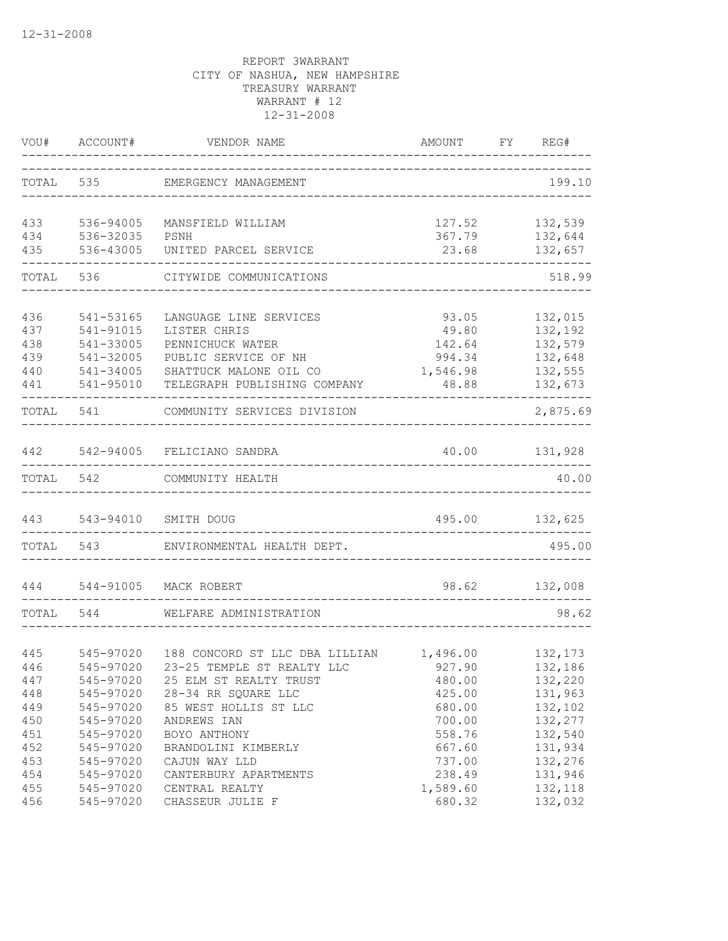|            | VOU# ACCOUNT#          | VENDOR NAME<br>--------------------------------------<br>_____________________________ | AMOUNT FY REG#     |                    |
|------------|------------------------|----------------------------------------------------------------------------------------|--------------------|--------------------|
|            |                        | TOTAL 535 EMERGENCY MANAGEMENT                                                         |                    | 199.10             |
| 433        | 536-94005              | MANSFIELD WILLIAM                                                                      | 127.52             | 132,539            |
| 434<br>435 | 536-32035<br>536-43005 | PSNH<br>UNITED PARCEL SERVICE                                                          | 367.79<br>23.68    | 132,644<br>132,657 |
| TOTAL      |                        | 536 CITYWIDE COMMUNICATIONS                                                            |                    | 518.99             |
| 436        | 541-53165              | LANGUAGE LINE SERVICES                                                                 | 93.05              | 132,015            |
| 437        | 541-91015              | LISTER CHRIS                                                                           | 49.80              | 132,192            |
| 438        | 541-33005              | PENNICHUCK WATER                                                                       | 142.64             | 132,579            |
| 439        | 541-32005              | PUBLIC SERVICE OF NH                                                                   | 994.34             | 132,648            |
| 440        | 541-34005              | SHATTUCK MALONE OIL CO                                                                 | 1,546.98           | 132,555            |
| 441        | 541-95010              | TELEGRAPH PUBLISHING COMPANY                                                           | 48.88              | 132,673            |
| TOTAL      | 541                    | COMMUNITY SERVICES DIVISION                                                            |                    | 2,875.69           |
| 442        |                        | 542-94005 FELICIANO SANDRA                                                             | 40.00    131,928   |                    |
|            |                        | TOTAL 542 COMMUNITY HEALTH                                                             |                    | 40.00              |
| 443        | 543-94010              | SMITH DOUG                                                                             |                    | 495.00 132,625     |
|            |                        | TOTAL 543 ENVIRONMENTAL HEALTH DEPT.                                                   |                    | 495.00             |
| 444        | 544-91005              | MACK ROBERT                                                                            |                    | 98.62 132,008      |
| TOTAL      | 544                    | WELFARE ADMINISTRATION                                                                 |                    | 98.62              |
|            |                        |                                                                                        |                    |                    |
| 445        | 545-97020              | 188 CONCORD ST LLC DBA LILLIAN 1,496.00                                                |                    | 132,173            |
| 446        | 545-97020              | 23-25 TEMPLE ST REALTY LLC 927.90                                                      |                    | 132,186            |
| 447        | 545-97020              | 25 ELM ST REALTY TRUST                                                                 | 480.00             | 132,220            |
| 448        | 545-97020              | 28-34 RR SQUARE LLC                                                                    | 425.00             | 131,963            |
| 449        | 545-97020              | 85 WEST HOLLIS ST LLC                                                                  | 680.00             | 132,102            |
| 450        | 545-97020              | ANDREWS IAN                                                                            | 700.00             | 132,277            |
| 451        | 545-97020              | BOYO ANTHONY                                                                           | 558.76             | 132,540            |
| 452        | 545-97020              | BRANDOLINI KIMBERLY                                                                    | 667.60             | 131,934            |
|            | 545-97020              |                                                                                        |                    |                    |
| 453<br>454 | 545-97020              | CAJUN WAY LLD                                                                          | 737.00             | 132,276<br>131,946 |
| 455        | 545-97020              | CANTERBURY APARTMENTS<br>CENTRAL REALTY                                                | 238.49<br>1,589.60 | 132,118            |
| 456        | 545-97020              | CHASSEUR JULIE F                                                                       | 680.32             | 132,032            |
|            |                        |                                                                                        |                    |                    |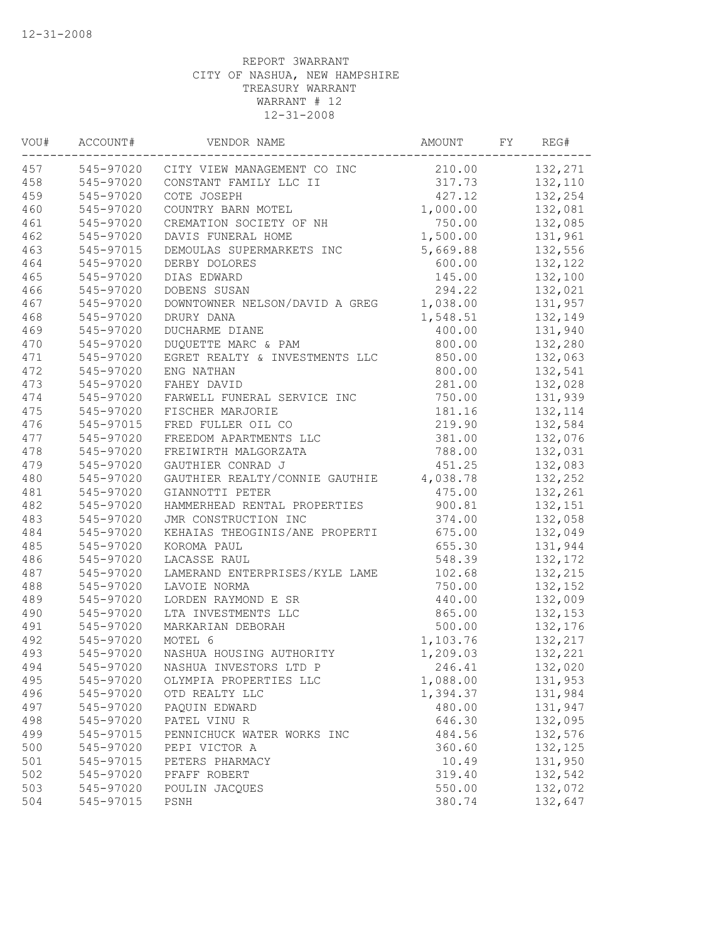| ACCOUNT#  | VENDOR NAME                                                                | AMOUNT                                             |                                                                                                                                                                                                                    | REG#                   |
|-----------|----------------------------------------------------------------------------|----------------------------------------------------|--------------------------------------------------------------------------------------------------------------------------------------------------------------------------------------------------------------------|------------------------|
|           | CITY VIEW MANAGEMENT CO INC                                                |                                                    |                                                                                                                                                                                                                    | 132,271                |
| 545-97020 | CONSTANT FAMILY LLC II                                                     |                                                    |                                                                                                                                                                                                                    | 132,110                |
| 545-97020 | COTE JOSEPH                                                                | 427.12                                             |                                                                                                                                                                                                                    | 132,254                |
| 545-97020 | COUNTRY BARN MOTEL                                                         |                                                    |                                                                                                                                                                                                                    | 132,081                |
| 545-97020 | CREMATION SOCIETY OF NH                                                    | 750.00                                             |                                                                                                                                                                                                                    | 132,085                |
| 545-97020 | DAVIS FUNERAL HOME                                                         | 1,500.00                                           |                                                                                                                                                                                                                    | 131,961                |
| 545-97015 | DEMOULAS SUPERMARKETS INC                                                  | 5,669.88                                           |                                                                                                                                                                                                                    | 132,556                |
| 545-97020 | DERBY DOLORES                                                              |                                                    |                                                                                                                                                                                                                    | 132,122                |
| 545-97020 | DIAS EDWARD                                                                |                                                    |                                                                                                                                                                                                                    | 132,100                |
| 545-97020 | DOBENS SUSAN                                                               | 294.22                                             |                                                                                                                                                                                                                    | 132,021                |
| 545-97020 |                                                                            |                                                    |                                                                                                                                                                                                                    | 131,957                |
| 545-97020 | DRURY DANA                                                                 | 1,548.51                                           |                                                                                                                                                                                                                    | 132,149                |
| 545-97020 | DUCHARME DIANE                                                             |                                                    |                                                                                                                                                                                                                    | 131,940                |
| 545-97020 | DUQUETTE MARC & PAM                                                        | 800.00                                             |                                                                                                                                                                                                                    | 132,280                |
| 545-97020 | EGRET REALTY & INVESTMENTS LLC                                             |                                                    |                                                                                                                                                                                                                    | 132,063                |
| 545-97020 | ENG NATHAN                                                                 | 800.00                                             |                                                                                                                                                                                                                    | 132,541                |
| 545-97020 | FAHEY DAVID                                                                |                                                    |                                                                                                                                                                                                                    | 132,028                |
| 545-97020 | FARWELL FUNERAL SERVICE INC                                                | 750.00                                             |                                                                                                                                                                                                                    | 131,939                |
| 545-97020 | FISCHER MARJORIE                                                           | 181.16                                             |                                                                                                                                                                                                                    | 132, 114               |
| 545-97015 | FRED FULLER OIL CO                                                         | 219.90                                             |                                                                                                                                                                                                                    | 132,584                |
| 545-97020 | FREEDOM APARTMENTS LLC                                                     | 381.00                                             |                                                                                                                                                                                                                    | 132,076                |
| 545-97020 | FREIWIRTH MALGORZATA                                                       | 788.00                                             |                                                                                                                                                                                                                    | 132,031                |
| 545-97020 | GAUTHIER CONRAD J                                                          | 451.25                                             |                                                                                                                                                                                                                    | 132,083                |
| 545-97020 | GAUTHIER REALTY/CONNIE GAUTHIE                                             |                                                    |                                                                                                                                                                                                                    | 132,252                |
| 545-97020 | GIANNOTTI PETER                                                            |                                                    |                                                                                                                                                                                                                    | 132,261                |
| 545-97020 | HAMMERHEAD RENTAL PROPERTIES                                               | 900.81                                             |                                                                                                                                                                                                                    | 132,151                |
| 545-97020 | JMR CONSTRUCTION INC                                                       |                                                    |                                                                                                                                                                                                                    | 132,058                |
| 545-97020 | KEHAIAS THEOGINIS/ANE PROPERTI                                             | 675.00                                             |                                                                                                                                                                                                                    | 132,049                |
| 545-97020 | KOROMA PAUL                                                                | 655.30                                             |                                                                                                                                                                                                                    | 131,944                |
| 545-97020 | LACASSE RAUL                                                               |                                                    |                                                                                                                                                                                                                    | 132,172                |
|           | LAMERAND ENTERPRISES/KYLE LAME                                             | 102.68                                             |                                                                                                                                                                                                                    | 132,215                |
| 545-97020 | LAVOIE NORMA                                                               | 750.00                                             |                                                                                                                                                                                                                    | 132,152                |
|           | LORDEN RAYMOND E SR                                                        | 440.00                                             |                                                                                                                                                                                                                    | 132,009                |
| 545-97020 | LTA INVESTMENTS LLC                                                        |                                                    |                                                                                                                                                                                                                    | 132,153                |
|           | MARKARIAN DEBORAH                                                          |                                                    |                                                                                                                                                                                                                    | 132,176                |
|           | MOTEL 6                                                                    |                                                    |                                                                                                                                                                                                                    | 132,217                |
|           |                                                                            |                                                    |                                                                                                                                                                                                                    | 132,221                |
|           | NASHUA INVESTORS LTD P                                                     | 246.41                                             |                                                                                                                                                                                                                    | 132,020                |
| 545-97020 | OLYMPIA PROPERTIES LLC                                                     | 1,088.00                                           |                                                                                                                                                                                                                    | 131,953                |
| 545-97020 | OTD REALTY LLC                                                             | 1,394.37                                           |                                                                                                                                                                                                                    | 131,984                |
| 545-97020 | PAQUIN EDWARD                                                              | 480.00                                             |                                                                                                                                                                                                                    | 131,947                |
| 545-97020 | PATEL VINU R                                                               |                                                    |                                                                                                                                                                                                                    | 132,095                |
|           | PENNICHUCK WATER WORKS INC                                                 |                                                    |                                                                                                                                                                                                                    | 132,576                |
| 545-97020 | PEPI VICTOR A                                                              | 360.60                                             |                                                                                                                                                                                                                    | 132,125                |
| 545-97015 | PETERS PHARMACY                                                            | 10.49                                              |                                                                                                                                                                                                                    | 131,950                |
| 545-97020 | PFAFF ROBERT                                                               | 319.40                                             |                                                                                                                                                                                                                    | 132,542                |
| 545-97020 | POULIN JACOUES                                                             | 550.00                                             |                                                                                                                                                                                                                    | 132,072                |
| 545-97015 | PSNH                                                                       | 380.74                                             |                                                                                                                                                                                                                    | 132,647                |
|           | 545-97020<br>545-97020<br>545-97020<br>545-97020<br>545-97020<br>545-97015 | 545-97020<br>NASHUA HOUSING AUTHORITY<br>545-97020 | 1,000.00<br>600.00<br>145.00<br>DOWNTOWNER NELSON/DAVID A GREG<br>1,038.00<br>400.00<br>850.00<br>281.00<br>4,038.78<br>475.00<br>374.00<br>548.39<br>865.00<br>500.00<br>1,103.76<br>1,209.03<br>646.30<br>484.56 | FY<br>210.00<br>317.73 |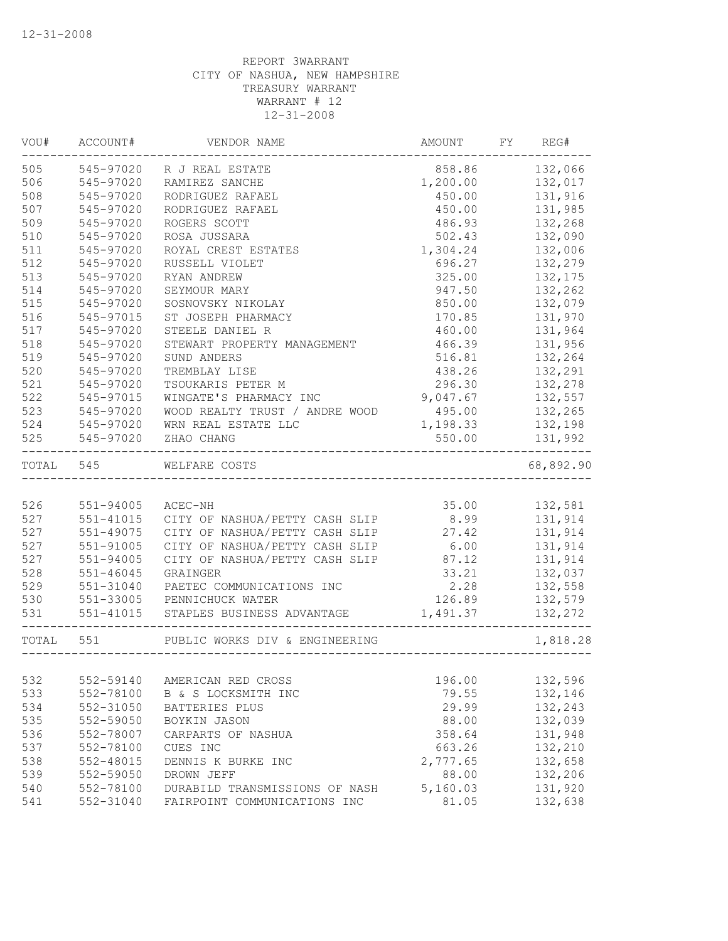| VOU#      | ACCOUNT#      | VENDOR NAME                                               | AMOUNT   | FY REG#       |
|-----------|---------------|-----------------------------------------------------------|----------|---------------|
| 505       | 545-97020     | R J REAL ESTATE                                           | 858.86   | 132,066       |
| 506       | 545-97020     | RAMIREZ SANCHE                                            | 1,200.00 | 132,017       |
| 508       | 545-97020     | RODRIGUEZ RAFAEL                                          | 450.00   | 131,916       |
| 507       | 545-97020     | RODRIGUEZ RAFAEL                                          | 450.00   | 131,985       |
| 509       | 545-97020     | ROGERS SCOTT                                              | 486.93   | 132,268       |
| 510       | 545-97020     | ROSA JUSSARA                                              | 502.43   | 132,090       |
| 511       | 545-97020     | ROYAL CREST ESTATES                                       | 1,304.24 | 132,006       |
| 512       | 545-97020     | RUSSELL VIOLET                                            | 696.27   | 132,279       |
| 513       | 545-97020     | RYAN ANDREW                                               | 325.00   | 132,175       |
| 514       | 545-97020     | SEYMOUR MARY                                              | 947.50   | 132,262       |
| 515       | 545-97020     | SOSNOVSKY NIKOLAY                                         | 850.00   | 132,079       |
| 516       | 545-97015     | ST JOSEPH PHARMACY                                        | 170.85   | 131,970       |
| 517       | 545-97020     | STEELE DANIEL R                                           | 460.00   | 131,964       |
| 518       | 545-97020     | STEWART PROPERTY MANAGEMENT                               | 466.39   | 131,956       |
| 519       | 545-97020     | SUND ANDERS                                               | 516.81   | 132,264       |
| 520       | 545-97020     | TREMBLAY LISE                                             | 438.26   | 132,291       |
| 521       | 545-97020     | TSOUKARIS PETER M                                         | 296.30   | 132,278       |
| 522       | 545-97015     | WINGATE'S PHARMACY INC                                    | 9,047.67 | 132,557       |
| 523       | 545-97020     | WOOD REALTY TRUST / ANDRE WOOD                            | 495.00   | 132,265       |
|           | 524 545-97020 | WRN REAL ESTATE LLC                                       | 1,198.33 | 132,198       |
| 525       | 545-97020     | ZHAO CHANG                                                | 550.00   | 131,992       |
| TOTAL 545 |               | WELFARE COSTS                                             |          | 68,892.90     |
|           |               |                                                           |          |               |
| 526       | 551-94005     | ACEC-NH                                                   |          | 35.00 132,581 |
| 527       | 551-41015     | CITY OF NASHUA/PETTY CASH SLIP                            | 8.99     | 131,914       |
| 527       | 551-49075     | CITY OF NASHUA/PETTY CASH SLIP 27.42                      |          | 131,914       |
| 527       | 551-91005     | CITY OF NASHUA/PETTY CASH SLIP 6.00                       |          | 131,914       |
| 527       | 551-94005     | CITY OF NASHUA/PETTY CASH SLIP 87.12                      |          | 131,914       |
| 528       | 551-46045     | GRAINGER                                                  | 33.21    | 132,037       |
| 529       | 551-31040     | PAETEC COMMUNICATIONS INC                                 | 2.28     | 132,558       |
| 530       |               | 551-33005 PENNICHUCK WATER                                | 126.89   | 132,579       |
| 531       | 551-41015     | STAPLES BUSINESS ADVANTAGE<br>--------------------------- | 1,491.37 | 132,272       |
| TOTAL 551 |               | PUBLIC WORKS DIV & ENGINEERING                            |          | 1,818.28      |
|           |               |                                                           |          |               |
| 532       | 552-59140     | AMERICAN RED CROSS                                        | 196.00   | 132,596       |
| 533       | 552-78100     | B & S LOCKSMITH INC                                       | 79.55    | 132,146       |
| 534       | 552-31050     | BATTERIES PLUS                                            | 29.99    | 132,243       |
| 535       | 552-59050     | BOYKIN JASON                                              | 88.00    | 132,039       |
| 536       | 552-78007     | CARPARTS OF NASHUA                                        | 358.64   | 131,948       |
| 537       | 552-78100     | CUES INC                                                  | 663.26   | 132,210       |
| 538       | 552-48015     | DENNIS K BURKE INC                                        | 2,777.65 | 132,658       |
| 539       | 552-59050     | DROWN JEFF                                                | 88.00    | 132,206       |
| 540       | 552-78100     | DURABILD TRANSMISSIONS OF NASH                            | 5,160.03 | 131,920       |
| 541       | 552-31040     | FAIRPOINT COMMUNICATIONS INC                              | 81.05    | 132,638       |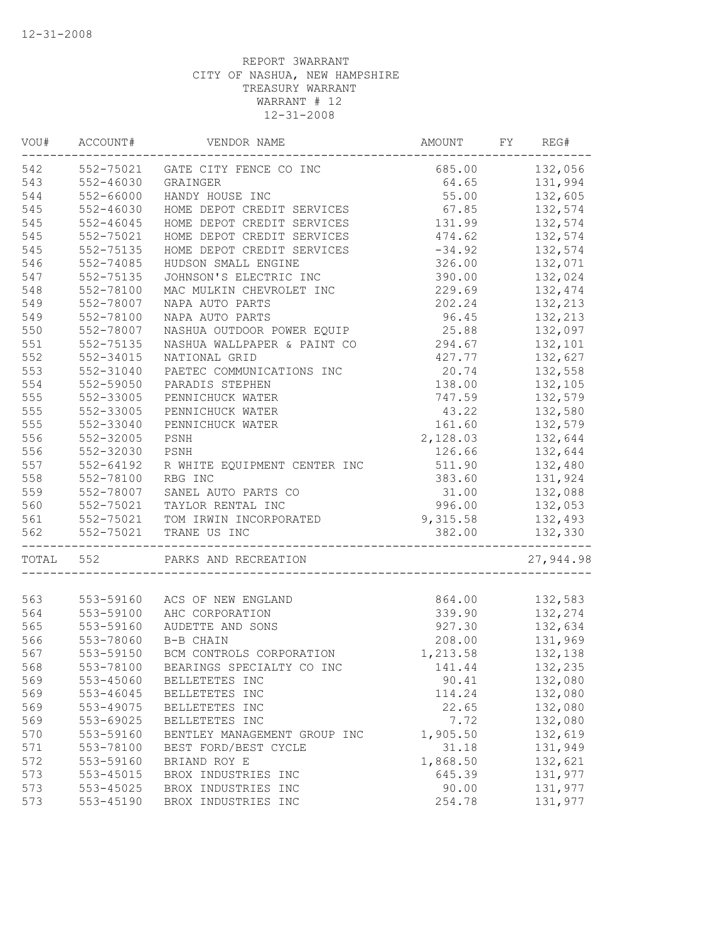| VOU#      | ACCOUNT#      | VENDOR NAME                      | AMOUNT         | FY | REG#      |
|-----------|---------------|----------------------------------|----------------|----|-----------|
| 542       |               | 552-75021 GATE CITY FENCE CO INC | 685.00 132,056 |    |           |
| 543       | 552-46030     | GRAINGER                         | 64.65          |    | 131,994   |
| 544       | 552-66000     | HANDY HOUSE INC                  | 55.00          |    | 132,605   |
| 545       | 552-46030     | HOME DEPOT CREDIT SERVICES       | 67.85          |    | 132,574   |
| 545       | $552 - 46045$ | HOME DEPOT CREDIT SERVICES       | 131.99         |    | 132,574   |
| 545       | 552-75021     | HOME DEPOT CREDIT SERVICES       | 474.62         |    | 132,574   |
| 545       | 552-75135     | HOME DEPOT CREDIT SERVICES       | $-34.92$       |    | 132,574   |
| 546       | 552-74085     | HUDSON SMALL ENGINE              | 326.00         |    | 132,071   |
| 547       | 552-75135     | JOHNSON'S ELECTRIC INC           | 390.00         |    | 132,024   |
| 548       | 552-78100     | MAC MULKIN CHEVROLET INC         | 229.69         |    | 132,474   |
| 549       | 552-78007     | NAPA AUTO PARTS                  | 202.24         |    | 132,213   |
| 549       | 552-78100     | NAPA AUTO PARTS                  | 96.45          |    | 132,213   |
| 550       | 552-78007     | NASHUA OUTDOOR POWER EQUIP       | 25.88          |    | 132,097   |
| 551       | 552-75135     | NASHUA WALLPAPER & PAINT CO      | 294.67         |    | 132,101   |
| 552       | 552-34015     | NATIONAL GRID                    | 427.77         |    | 132,627   |
| 553       | 552-31040     | PAETEC COMMUNICATIONS INC        | 20.74          |    | 132,558   |
| 554       | 552-59050     | PARADIS STEPHEN                  | 138.00         |    | 132,105   |
| 555       | 552-33005     | PENNICHUCK WATER                 | 747.59         |    | 132,579   |
| 555       | 552-33005     | PENNICHUCK WATER                 | 43.22          |    | 132,580   |
| 555       | 552-33040     | PENNICHUCK WATER                 | 161.60         |    | 132,579   |
| 556       | 552-32005     | PSNH                             | 2,128.03       |    | 132,644   |
| 556       | 552-32030     | PSNH                             | 126.66         |    | 132,644   |
| 557       | 552-64192     | R WHITE EQUIPMENT CENTER INC     | 511.90         |    | 132,480   |
| 558       | 552-78100     | RBG INC                          | 383.60         |    | 131,924   |
| 559       | 552-78007     | SANEL AUTO PARTS CO              | 31.00          |    | 132,088   |
| 560       | 552-75021     | TAYLOR RENTAL INC                | 996.00         |    | 132,053   |
| 561       |               | 552-75021 TOM IRWIN INCORPORATED | 9,315.58       |    | 132,493   |
| 562       | 552-75021     | TRANE US INC                     | 382.00         |    | 132,330   |
| TOTAL 552 |               | PARKS AND RECREATION             |                |    | 27,944.98 |
|           |               |                                  |                |    |           |
| 563       |               | 553-59160 ACS OF NEW ENGLAND     | 864.00         |    | 132,583   |
| 564       | 553-59100     | AHC CORPORATION                  | 339.90         |    | 132,274   |
| 565       | 553-59160     | AUDETTE AND SONS                 | 927.30         |    | 132,634   |
| 566       | 553-78060     | B-B CHAIN                        | 208.00         |    | 131,969   |
| 567       | 553-59150     | BCM CONTROLS CORPORATION         | 1,213.58       |    | 132,138   |
| 568       | 553-78100     | BEARINGS SPECIALTY CO INC        | 141.44         |    | 132,235   |
| 569       | 553-45060     | BELLETETES INC                   | 90.41          |    | 132,080   |
| 569       | 553-46045     | BELLETETES INC                   | 114.24         |    | 132,080   |
| 569       | 553-49075     | BELLETETES INC                   | 22.65          |    | 132,080   |
| 569       | 553-69025     | BELLETETES INC                   | 7.72           |    | 132,080   |
| 570       | 553-59160     | BENTLEY MANAGEMENT GROUP INC     | 1,905.50       |    | 132,619   |
| 571       | 553-78100     | BEST FORD/BEST CYCLE             | 31.18          |    | 131,949   |
| 572       | 553-59160     | BRIAND ROY E                     | 1,868.50       |    | 132,621   |
| 573       | 553-45015     | BROX INDUSTRIES INC              | 645.39         |    | 131,977   |
| 573       | 553-45025     | BROX INDUSTRIES INC              | 90.00          |    | 131,977   |
| 573       | 553-45190     | BROX INDUSTRIES INC              | 254.78         |    | 131,977   |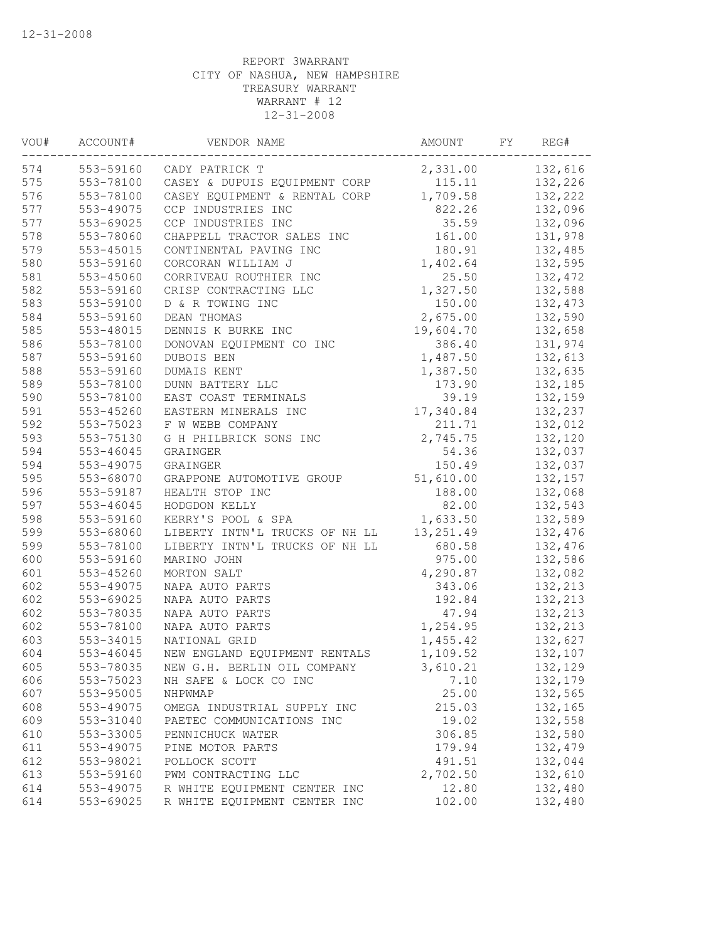| VOU# | ACCOUNT#      | VENDOR NAME                    | AMOUNT    | FY | REG#    |
|------|---------------|--------------------------------|-----------|----|---------|
| 574  | 553-59160     | CADY PATRICK T                 | 2,331.00  |    | 132,616 |
| 575  | 553-78100     | CASEY & DUPUIS EQUIPMENT CORP  | 115.11    |    | 132,226 |
| 576  | 553-78100     | CASEY EQUIPMENT & RENTAL CORP  | 1,709.58  |    | 132,222 |
| 577  | 553-49075     | CCP INDUSTRIES INC             | 822.26    |    | 132,096 |
| 577  | 553-69025     | CCP INDUSTRIES INC             | 35.59     |    | 132,096 |
| 578  | 553-78060     | CHAPPELL TRACTOR SALES INC     | 161.00    |    | 131,978 |
| 579  | 553-45015     | CONTINENTAL PAVING INC         | 180.91    |    | 132,485 |
| 580  | 553-59160     | CORCORAN WILLIAM J             | 1,402.64  |    | 132,595 |
| 581  | 553-45060     | CORRIVEAU ROUTHIER INC         | 25.50     |    | 132,472 |
| 582  | 553-59160     | CRISP CONTRACTING LLC          | 1,327.50  |    | 132,588 |
| 583  | 553-59100     | D & R TOWING INC               | 150.00    |    | 132,473 |
| 584  | 553-59160     | DEAN THOMAS                    | 2,675.00  |    | 132,590 |
| 585  | 553-48015     | DENNIS K BURKE INC             | 19,604.70 |    | 132,658 |
| 586  | 553-78100     | DONOVAN EQUIPMENT CO INC       | 386.40    |    | 131,974 |
| 587  | 553-59160     | DUBOIS BEN                     | 1,487.50  |    | 132,613 |
| 588  | 553-59160     | DUMAIS KENT                    | 1,387.50  |    | 132,635 |
| 589  | 553-78100     | DUNN BATTERY LLC               | 173.90    |    | 132,185 |
| 590  | 553-78100     | EAST COAST TERMINALS           | 39.19     |    | 132,159 |
| 591  | 553-45260     | EASTERN MINERALS INC           | 17,340.84 |    | 132,237 |
| 592  | 553-75023     | F W WEBB COMPANY               | 211.71    |    | 132,012 |
| 593  | 553-75130     | G H PHILBRICK SONS INC         | 2,745.75  |    | 132,120 |
| 594  | 553-46045     | GRAINGER                       | 54.36     |    | 132,037 |
| 594  | 553-49075     | GRAINGER                       | 150.49    |    | 132,037 |
| 595  | 553-68070     | GRAPPONE AUTOMOTIVE GROUP      | 51,610.00 |    | 132,157 |
| 596  | 553-59187     | HEALTH STOP INC                | 188.00    |    | 132,068 |
| 597  | $553 - 46045$ | HODGDON KELLY                  | 82.00     |    | 132,543 |
| 598  | 553-59160     | KERRY'S POOL & SPA             | 1,633.50  |    | 132,589 |
| 599  | 553-68060     | LIBERTY INTN'L TRUCKS OF NH LL | 13,251.49 |    | 132,476 |
| 599  | 553-78100     | LIBERTY INTN'L TRUCKS OF NH LL | 680.58    |    | 132,476 |
| 600  | 553-59160     | MARINO JOHN                    | 975.00    |    | 132,586 |
| 601  | 553-45260     | MORTON SALT                    | 4,290.87  |    | 132,082 |
| 602  | 553-49075     | NAPA AUTO PARTS                | 343.06    |    | 132,213 |
| 602  | 553-69025     | NAPA AUTO PARTS                | 192.84    |    | 132,213 |
| 602  | 553-78035     | NAPA AUTO PARTS                | 47.94     |    | 132,213 |
| 602  | 553-78100     | NAPA AUTO PARTS                | 1,254.95  |    | 132,213 |
| 603  | 553-34015     | NATIONAL GRID                  | 1,455.42  |    | 132,627 |
| 604  | 553-46045     | NEW ENGLAND EQUIPMENT RENTALS  | 1,109.52  |    | 132,107 |
| 605  | 553-78035     | NEW G.H. BERLIN OIL COMPANY    | 3,610.21  |    | 132,129 |
| 606  | 553-75023     | NH SAFE & LOCK CO INC          | 7.10      |    | 132,179 |
| 607  | 553-95005     | NHPWMAP                        | 25.00     |    | 132,565 |
| 608  | 553-49075     | OMEGA INDUSTRIAL SUPPLY INC    | 215.03    |    | 132,165 |
| 609  | 553-31040     | PAETEC COMMUNICATIONS INC      | 19.02     |    | 132,558 |
| 610  | 553-33005     | PENNICHUCK WATER               | 306.85    |    | 132,580 |
| 611  | 553-49075     | PINE MOTOR PARTS               | 179.94    |    | 132,479 |
| 612  | 553-98021     | POLLOCK SCOTT                  | 491.51    |    | 132,044 |
| 613  | 553-59160     | PWM CONTRACTING LLC            | 2,702.50  |    | 132,610 |
| 614  | 553-49075     | R WHITE EQUIPMENT CENTER INC   | 12.80     |    | 132,480 |
| 614  | 553-69025     | R WHITE EQUIPMENT CENTER INC   | 102.00    |    | 132,480 |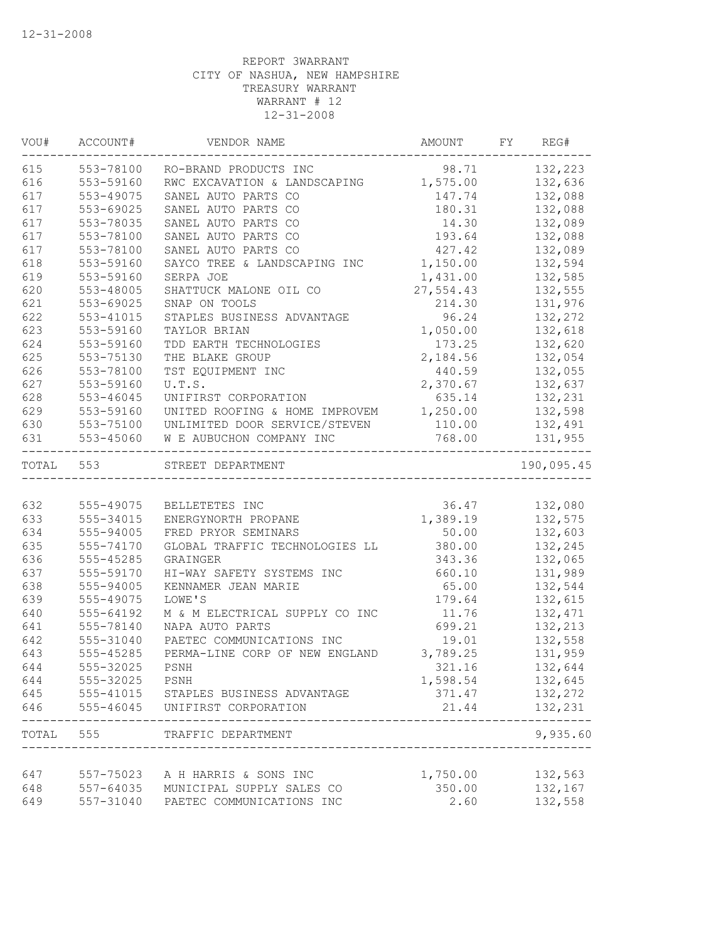| VOU#      | ACCOUNT#       | VENDOR NAME                             | AMOUNT FY REG# |                      |
|-----------|----------------|-----------------------------------------|----------------|----------------------|
| 615       | 553-78100      | RO-BRAND PRODUCTS INC                   | 98.71 132,223  |                      |
| 616       | 553-59160      | RWC EXCAVATION & LANDSCAPING 1,575.00   |                | 132,636              |
| 617       | 553-49075      | SANEL AUTO PARTS CO                     | 147.74         | 132,088              |
| 617       | $553 - 69025$  | SANEL AUTO PARTS CO                     | 180.31         | 132,088              |
| 617       | 553-78035      | SANEL AUTO PARTS CO                     | 14.30          | 132,089              |
| 617       | 553-78100      | SANEL AUTO PARTS CO                     | 193.64         | 132,088              |
| 617       | 553-78100      | SANEL AUTO PARTS CO                     | 427.42         | 132,089              |
| 618       | 553-59160      | SAYCO TREE & LANDSCAPING INC            | 1,150.00       | 132,594              |
| 619       | 553-59160      | SERPA JOE                               | 1,431.00       | 132,585              |
| 620       | 553-48005      | SHATTUCK MALONE OIL CO                  | 27,554.43      | 132,555              |
| 621       | 553-69025      | SNAP ON TOOLS                           | 214.30         | 131,976              |
| 622       | 553-41015      | STAPLES BUSINESS ADVANTAGE              | 96.24          | 132,272              |
| 623       | 553-59160      | TAYLOR BRIAN                            | 1,050.00       | 132,618              |
| 624       | 553-59160      | TDD EARTH TECHNOLOGIES                  | 173.25         | 132,620              |
| 625       | 553-75130      | THE BLAKE GROUP                         | 2,184.56       | 132,054              |
| 626       | 553-78100      | TST EQUIPMENT INC                       | 440.59         | 132,055              |
| 627       | 553-59160      | U.T.S.                                  | 2,370.67       | 132,637              |
| 628       | 553-46045      | UNIFIRST CORPORATION                    | 635.14         | 132,231              |
| 629       | 553-59160      | UNITED ROOFING & HOME IMPROVEM 1,250.00 |                | 132,598              |
| 630       |                | 553-75100 UNLIMITED DOOR SERVICE/STEVEN | 110.00         | 132,491              |
| 631       | 553-45060      | W E AUBUCHON COMPANY INC                | 768.00         | 131,955<br>--------- |
| TOTAL 553 |                | STREET DEPARTMENT                       |                | 190,095.45           |
|           |                |                                         |                |                      |
| 632       |                | 555-49075 BELLETETES INC                | 36.47          | 132,080              |
| 633       | 555-34015      | ENERGYNORTH PROPANE                     | 1,389.19       | 132,575              |
| 634       | 555-94005      | FRED PRYOR SEMINARS                     | 50.00          | 132,603              |
| 635       | 555-74170      | GLOBAL TRAFFIC TECHNOLOGIES LL          | 380.00         | 132,245              |
| 636       | 555-45285      | GRAINGER                                | 343.36         | 132,065              |
| 637       | 555-59170      | HI-WAY SAFETY SYSTEMS INC               | 660.10         | 131,989              |
| 638       | 555-94005      | KENNAMER JEAN MARIE                     | 65.00          | 132,544              |
| 639       | 555-49075      | LOWE'S                                  | 179.64         | 132,615              |
| 640       | 555-64192      | M & M ELECTRICAL SUPPLY CO INC          | 11.76          | 132,471              |
| 641       | 555-78140      | NAPA AUTO PARTS                         | 699.21         | 132,213              |
| 642       | 555-31040      | PAETEC COMMUNICATIONS INC               | 19.01          | 132,558              |
| 643       | 555-45285      | PERMA-LINE CORP OF NEW ENGLAND 3,789.25 |                | 131,959              |
| 644       | 555-32025      | PSNH                                    | 321.16         | 132,644              |
| 644       | 555-32025 PSNH |                                         | 1,598.54       | 132,645              |
| 645       |                | 555-41015 STAPLES BUSINESS ADVANTAGE    | 371.47         | 132,272              |
| 646       |                | 555-46045 UNIFIRST CORPORATION          | 21.44          | 132,231<br>-----     |
|           | TOTAL 555      | TRAFFIC DEPARTMENT                      |                | 9,935.60             |
|           |                |                                         |                |                      |
| 647       |                | 557-75023 A H HARRIS & SONS INC         | 1,750.00       | 132,563              |
| 648       |                | 557-64035 MUNICIPAL SUPPLY SALES CO     | 350.00         | 132,167              |
| 649       | 557-31040      | PAETEC COMMUNICATIONS INC               | 2.60           | 132,558              |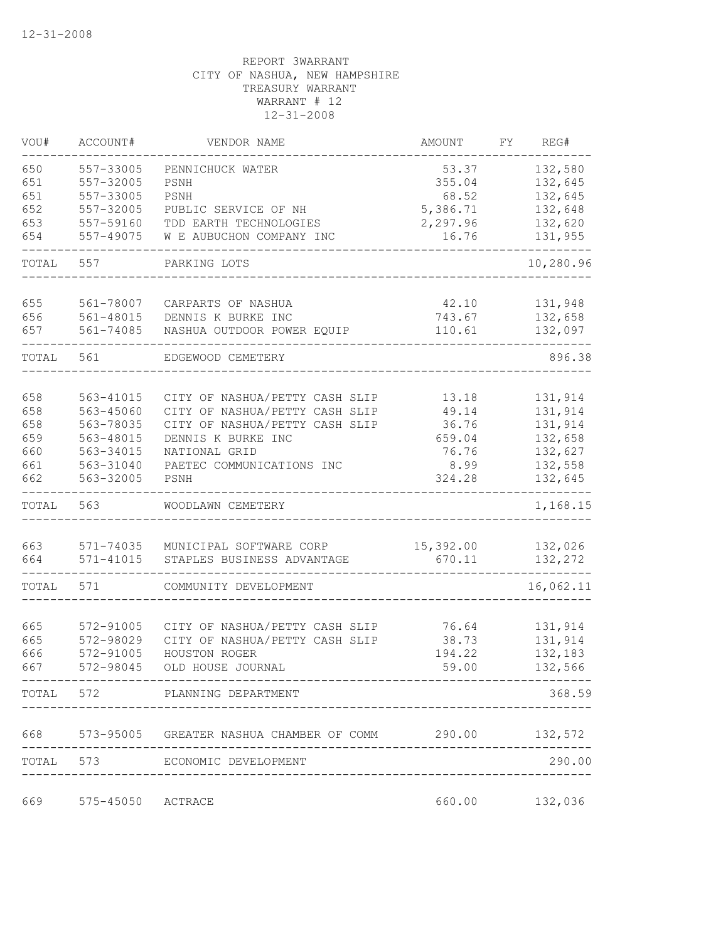| VOU#  | ACCOUNT#          | VENDOR NAME                                                 | AMOUNT    | FΥ | REG#      |
|-------|-------------------|-------------------------------------------------------------|-----------|----|-----------|
| 650   | 557-33005         | PENNICHUCK WATER                                            | 53.37     |    | 132,580   |
| 651   | 557-32005         | PSNH                                                        | 355.04    |    | 132,645   |
| 651   | 557-33005         | PSNH                                                        | 68.52     |    | 132,645   |
| 652   | 557-32005         | PUBLIC SERVICE OF NH                                        | 5,386.71  |    | 132,648   |
| 653   | 557-59160         | TDD EARTH TECHNOLOGIES                                      | 2,297.96  |    | 132,620   |
| 654   | 557-49075         | W E AUBUCHON COMPANY INC                                    | 16.76     |    | 131,955   |
| TOTAL | 557               | PARKING LOTS                                                |           |    | 10,280.96 |
| 655   | 561-78007         | CARPARTS OF NASHUA                                          | 42.10     |    | 131,948   |
| 656   | 561-48015         | DENNIS K BURKE INC                                          | 743.67    |    | 132,658   |
| 657   | 561-74085         | NASHUA OUTDOOR POWER EQUIP                                  | 110.61    |    | 132,097   |
| TOTAL | 561               | EDGEWOOD CEMETERY                                           |           |    | 896.38    |
|       |                   |                                                             |           |    |           |
| 658   | 563-41015         | CITY OF NASHUA/PETTY CASH SLIP                              | 13.18     |    | 131,914   |
| 658   | 563-45060         | CITY OF NASHUA/PETTY CASH SLIP                              | 49.14     |    | 131,914   |
| 658   | 563-78035         | CITY OF NASHUA/PETTY CASH SLIP                              | 36.76     |    | 131,914   |
| 659   | 563-48015         | DENNIS K BURKE INC                                          | 659.04    |    | 132,658   |
| 660   | 563-34015         | NATIONAL GRID                                               | 76.76     |    | 132,627   |
| 661   | 563-31040         | PAETEC COMMUNICATIONS INC                                   | 8.99      |    | 132,558   |
| 662   | 563-32005         | PSNH                                                        | 324.28    |    | 132,645   |
| TOTAL | 563               | WOODLAWN CEMETERY                                           |           |    | 1,168.15  |
| 663   | 571-74035         | MUNICIPAL SOFTWARE CORP                                     | 15,392.00 |    | 132,026   |
| 664   | $571 - 41015$     | STAPLES BUSINESS ADVANTAGE                                  | 670.11    |    | 132,272   |
| TOTAL | 571               | COMMUNITY DEVELOPMENT                                       |           |    | 16,062.11 |
|       |                   |                                                             |           |    |           |
| 665   | 572-91005         | CITY OF NASHUA/PETTY CASH SLIP                              | 76.64     |    | 131,914   |
| 665   | 572-98029         | CITY OF NASHUA/PETTY CASH SLIP                              | 38.73     |    | 131,914   |
| 666   | 572-91005         | HOUSTON ROGER                                               | 194.22    |    | 132,183   |
| 667   | 572-98045         | OLD HOUSE JOURNAL                                           | 59.00     |    | 132,566   |
|       |                   | TOTAL 572 PLANNING DEPARTMENT                               |           |    | 368.59    |
|       |                   | 668 573-95005 GREATER NASHUA CHAMBER OF COMM 290.00 132,572 |           |    |           |
| TOTAL |                   | 573 ECONOMIC DEVELOPMENT                                    |           |    | 290.00    |
|       |                   |                                                             |           |    |           |
| 669   | 575-45050 ACTRACE |                                                             | 660.00    |    | 132,036   |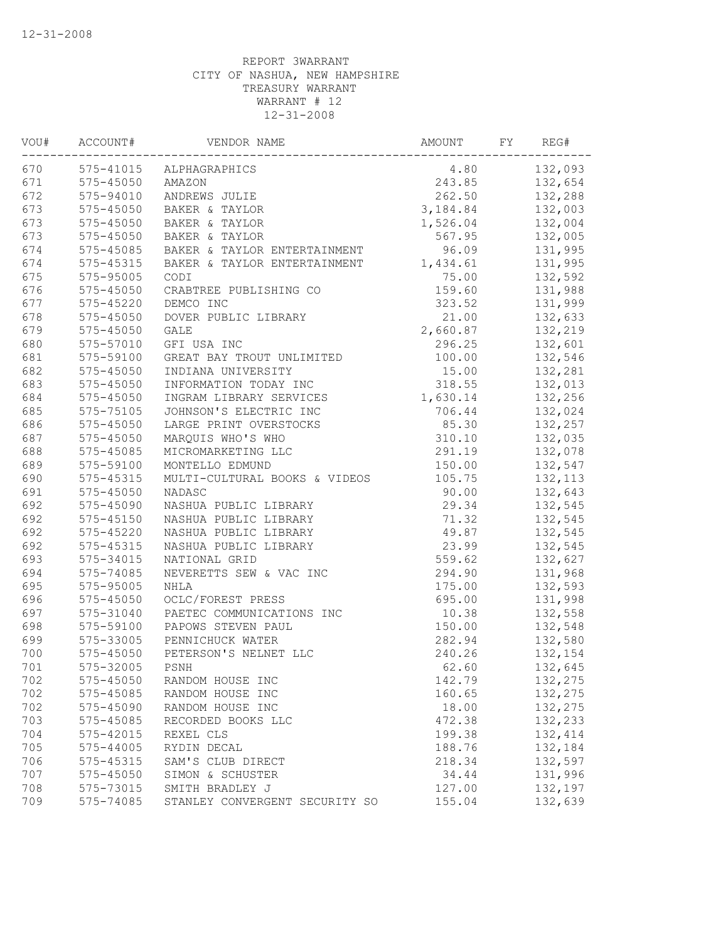| VOU# | ACCOUNT#      | VENDOR NAME                    | AMOUNT   | FY | REG#     |
|------|---------------|--------------------------------|----------|----|----------|
| 670  |               | 575-41015 ALPHAGRAPHICS        | 4.80     |    | 132,093  |
| 671  | 575-45050     | AMAZON                         | 243.85   |    | 132,654  |
| 672  | 575-94010     | ANDREWS JULIE                  | 262.50   |    | 132,288  |
| 673  | $575 - 45050$ | BAKER & TAYLOR                 | 3,184.84 |    | 132,003  |
| 673  | $575 - 45050$ | BAKER & TAYLOR                 | 1,526.04 |    | 132,004  |
| 673  | 575-45050     | BAKER & TAYLOR                 | 567.95   |    | 132,005  |
| 674  | 575-45085     | BAKER & TAYLOR ENTERTAINMENT   | 96.09    |    | 131,995  |
| 674  | $575 - 45315$ | BAKER & TAYLOR ENTERTAINMENT   | 1,434.61 |    | 131,995  |
| 675  | 575-95005     | CODI                           | 75.00    |    | 132,592  |
| 676  | 575-45050     | CRABTREE PUBLISHING CO         | 159.60   |    | 131,988  |
| 677  | 575-45220     | DEMCO INC                      | 323.52   |    | 131,999  |
| 678  | 575-45050     | DOVER PUBLIC LIBRARY           | 21.00    |    | 132,633  |
| 679  | $575 - 45050$ | <b>GALE</b>                    | 2,660.87 |    | 132,219  |
| 680  | 575-57010     | GFI USA INC                    | 296.25   |    | 132,601  |
| 681  | 575-59100     | GREAT BAY TROUT UNLIMITED      | 100.00   |    | 132,546  |
| 682  | $575 - 45050$ | INDIANA UNIVERSITY             | 15.00    |    | 132,281  |
| 683  | $575 - 45050$ | INFORMATION TODAY INC          | 318.55   |    | 132,013  |
| 684  | 575-45050     | INGRAM LIBRARY SERVICES        | 1,630.14 |    | 132,256  |
| 685  | 575-75105     | JOHNSON'S ELECTRIC INC         | 706.44   |    | 132,024  |
| 686  | 575-45050     | LARGE PRINT OVERSTOCKS         | 85.30    |    | 132,257  |
| 687  | 575-45050     | MARQUIS WHO'S WHO              | 310.10   |    | 132,035  |
| 688  | 575-45085     | MICROMARKETING LLC             | 291.19   |    | 132,078  |
| 689  | 575-59100     | MONTELLO EDMUND                | 150.00   |    | 132,547  |
| 690  | 575-45315     | MULTI-CULTURAL BOOKS & VIDEOS  | 105.75   |    | 132, 113 |
| 691  | 575-45050     | NADASC                         | 90.00    |    | 132,643  |
| 692  | 575-45090     | NASHUA PUBLIC LIBRARY          | 29.34    |    | 132,545  |
| 692  | 575-45150     | NASHUA PUBLIC LIBRARY          | 71.32    |    | 132,545  |
| 692  | $575 - 45220$ | NASHUA PUBLIC LIBRARY          | 49.87    |    | 132,545  |
| 692  | 575-45315     | NASHUA PUBLIC LIBRARY          | 23.99    |    | 132,545  |
| 693  | 575-34015     | NATIONAL GRID                  | 559.62   |    | 132,627  |
| 694  | 575-74085     | NEVERETTS SEW & VAC INC        | 294.90   |    | 131,968  |
| 695  | 575-95005     | NHLA                           | 175.00   |    | 132,593  |
| 696  | $575 - 45050$ | OCLC/FOREST PRESS              | 695.00   |    | 131,998  |
| 697  | 575-31040     | PAETEC COMMUNICATIONS INC      | 10.38    |    | 132,558  |
| 698  | 575-59100     | PAPOWS STEVEN PAUL             | 150.00   |    | 132,548  |
| 699  | 575-33005     | PENNICHUCK WATER               | 282.94   |    | 132,580  |
| 700  | 575-45050     | PETERSON'S NELNET LLC          | 240.26   |    | 132,154  |
| 701  | 575-32005     | PSNH                           | 62.60    |    | 132,645  |
| 702  | 575-45050     | RANDOM HOUSE INC               | 142.79   |    | 132,275  |
| 702  | 575-45085     | RANDOM HOUSE INC               | 160.65   |    | 132,275  |
| 702  | 575-45090     | RANDOM HOUSE INC               | 18.00    |    | 132,275  |
| 703  | 575-45085     | RECORDED BOOKS LLC             | 472.38   |    | 132,233  |
| 704  | 575-42015     | REXEL CLS                      | 199.38   |    | 132, 414 |
| 705  | 575-44005     | RYDIN DECAL                    | 188.76   |    | 132,184  |
| 706  | 575-45315     | SAM'S CLUB DIRECT              | 218.34   |    | 132,597  |
| 707  | 575-45050     | SIMON & SCHUSTER               | 34.44    |    | 131,996  |
| 708  | 575-73015     | SMITH BRADLEY J                | 127.00   |    | 132,197  |
| 709  | 575-74085     | STANLEY CONVERGENT SECURITY SO | 155.04   |    | 132,639  |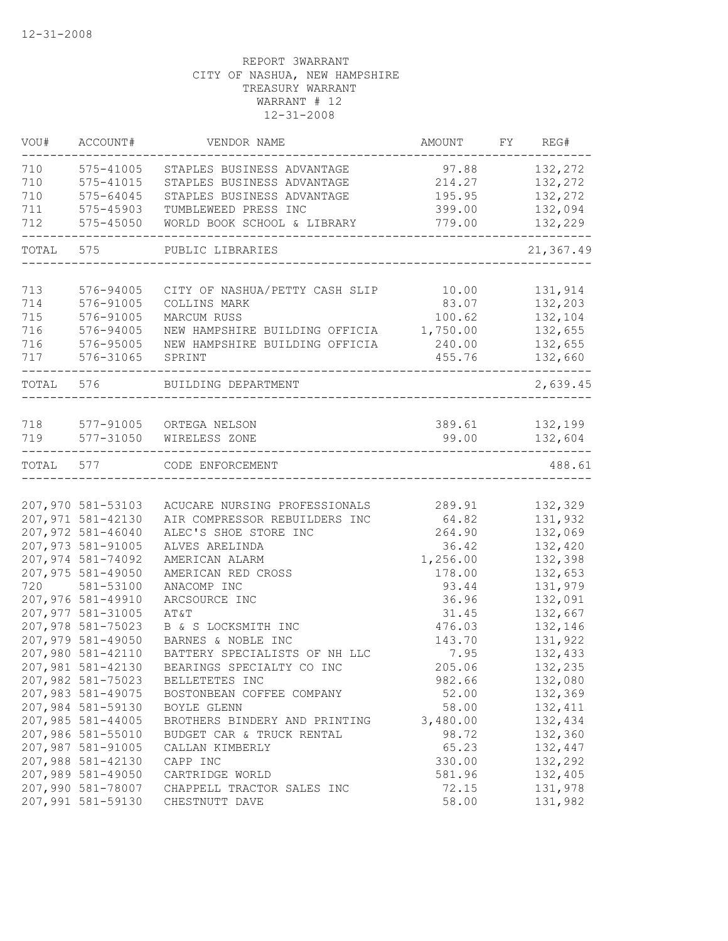| VOU#      | ACCOUNT#                               | VENDOR NAME                             | AMOUNT          | FY REG#            |
|-----------|----------------------------------------|-----------------------------------------|-----------------|--------------------|
| 710       | 575-41005                              | STAPLES BUSINESS ADVANTAGE              | 97.88           | 132,272            |
| 710       | $575 - 41015$                          | STAPLES BUSINESS ADVANTAGE              | 214.27          | 132,272            |
| 710       | 575-64045                              | STAPLES BUSINESS ADVANTAGE              | 195.95          | 132,272            |
| 711       | 575-45903                              | TUMBLEWEED PRESS INC                    | 399.00          | 132,094            |
| 712       | 575-45050                              | WORLD BOOK SCHOOL & LIBRARY             | 779.00          | 132,229            |
| TOTAL     | 575                                    | PUBLIC LIBRARIES                        |                 | 21,367.49          |
| 713       | 576-94005                              | CITY OF NASHUA/PETTY CASH SLIP 10.00    |                 | 131,914            |
| 714       | 576-91005                              | COLLINS MARK                            | 83.07           | 132,203            |
| 715       | 576-91005                              | MARCUM RUSS                             | 100.62          | 132,104            |
| 716       | 576-94005                              | NEW HAMPSHIRE BUILDING OFFICIA          | 1,750.00        | 132,655            |
| 716       | 576-95005                              | NEW HAMPSHIRE BUILDING OFFICIA          | 240.00          | 132,655            |
| 717       | 576-31065                              | SPRINT                                  | 455.76          | 132,660            |
| TOTAL 576 |                                        | BUILDING DEPARTMENT                     |                 | 2,639.45           |
|           |                                        |                                         |                 |                    |
| 718       | 577-91005                              | ORTEGA NELSON                           |                 | 389.61 132,199     |
| 719       | 577-31050                              | WIRELESS ZONE                           | 99.00           | 132,604            |
| TOTAL     | 577                                    | CODE ENFORCEMENT                        |                 | 488.61             |
|           |                                        |                                         |                 |                    |
|           | 207,970 581-53103                      | ACUCARE NURSING PROFESSIONALS           | 289.91          | 132,329            |
|           | 207,971 581-42130<br>207,972 581-46040 | AIR COMPRESSOR REBUILDERS INC           | 64.82           | 131,932<br>132,069 |
|           | 207,973 581-91005                      | ALEC'S SHOE STORE INC<br>ALVES ARELINDA | 264.90<br>36.42 | 132,420            |
|           | 207,974 581-74092                      | AMERICAN ALARM                          | 1,256.00        | 132,398            |
|           | 207,975 581-49050                      | AMERICAN RED CROSS                      | 178.00          | 132,653            |
| 720       | 581-53100                              | ANACOMP INC                             | 93.44           | 131,979            |
|           | 207,976 581-49910                      | ARCSOURCE INC                           | 36.96           | 132,091            |
|           | 207,977 581-31005                      | AT&T                                    | 31.45           | 132,667            |
|           | 207,978 581-75023                      | B & S LOCKSMITH INC                     | 476.03          | 132,146            |
|           | 207,979 581-49050                      | BARNES & NOBLE INC                      | 143.70          | 131,922            |
|           | 207,980 581-42110                      | BATTERY SPECIALISTS OF NH LLC           | 7.95            | 132,433            |
|           | 207,981 581-42130                      | BEARINGS SPECIALTY CO INC               | 205.06          | 132,235            |
|           | 207,982 581-75023                      | BELLETETES INC                          | 982.66          | 132,080            |
|           | 207,983 581-49075                      | BOSTONBEAN COFFEE COMPANY               | 52.00           | 132,369            |
|           | 207,984 581-59130                      | BOYLE GLENN                             | 58.00           | 132,411            |
|           | 207,985 581-44005                      | BROTHERS BINDERY AND PRINTING           | 3,480.00        | 132,434            |
|           | 207,986 581-55010                      | BUDGET CAR & TRUCK RENTAL               | 98.72           | 132,360            |
|           | 207,987 581-91005                      | CALLAN KIMBERLY                         | 65.23           | 132,447            |
|           | 207,988 581-42130                      | CAPP INC                                | 330.00          | 132,292            |
|           | 207,989 581-49050                      | CARTRIDGE WORLD                         | 581.96          | 132,405            |
|           | 207,990 581-78007                      | CHAPPELL TRACTOR SALES INC              | 72.15           | 131,978            |
|           | 207,991 581-59130                      | CHESTNUTT DAVE                          | 58.00           | 131,982            |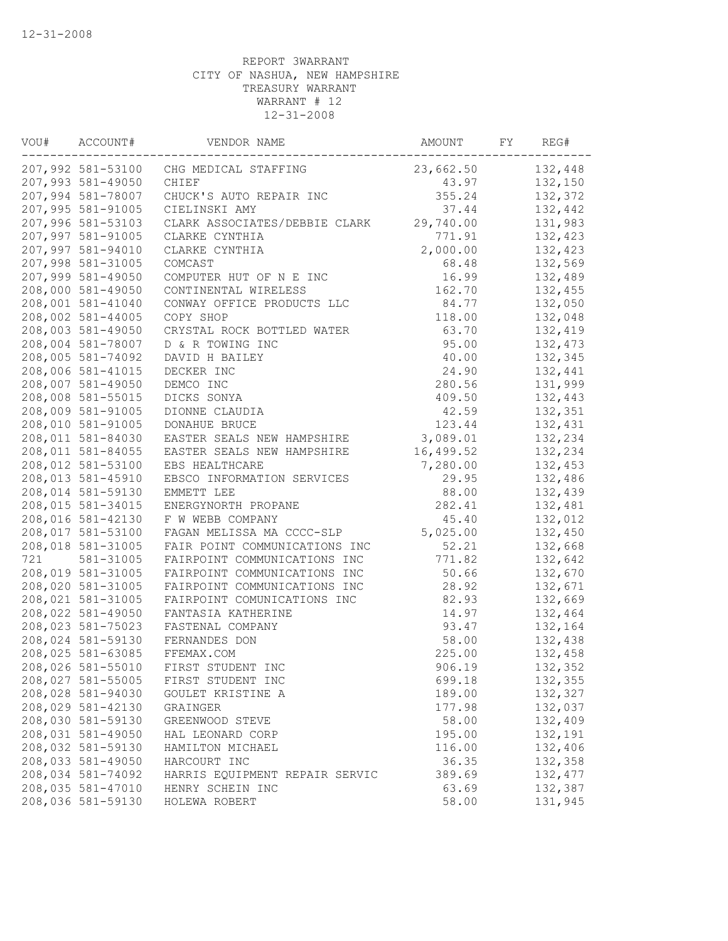| VOU# | ACCOUNT#          | VENDOR NAME                            | AMOUNT    | FY | REG#     |
|------|-------------------|----------------------------------------|-----------|----|----------|
|      |                   | 207,992 581-53100 CHG MEDICAL STAFFING | 23,662.50 |    | 132,448  |
|      | 207,993 581-49050 | CHIEF                                  | 43.97     |    | 132,150  |
|      | 207,994 581-78007 | CHUCK'S AUTO REPAIR INC                | 355.24    |    | 132,372  |
|      | 207,995 581-91005 | CIELINSKI AMY                          | 37.44     |    | 132,442  |
|      | 207,996 581-53103 | CLARK ASSOCIATES/DEBBIE CLARK          | 29,740.00 |    | 131,983  |
|      | 207,997 581-91005 | CLARKE CYNTHIA                         | 771.91    |    | 132,423  |
|      | 207,997 581-94010 | CLARKE CYNTHIA                         | 2,000.00  |    | 132,423  |
|      | 207,998 581-31005 | COMCAST                                | 68.48     |    | 132,569  |
|      | 207,999 581-49050 | COMPUTER HUT OF N E INC                | 16.99     |    | 132,489  |
|      | 208,000 581-49050 | CONTINENTAL WIRELESS                   | 162.70    |    | 132,455  |
|      | 208,001 581-41040 | CONWAY OFFICE PRODUCTS LLC             | 84.77     |    | 132,050  |
|      | 208,002 581-44005 | COPY SHOP                              | 118.00    |    | 132,048  |
|      | 208,003 581-49050 | CRYSTAL ROCK BOTTLED WATER             | 63.70     |    | 132,419  |
|      | 208,004 581-78007 | D & R TOWING INC                       | 95.00     |    | 132,473  |
|      | 208,005 581-74092 | DAVID H BAILEY                         | 40.00     |    | 132,345  |
|      | 208,006 581-41015 | DECKER INC                             | 24.90     |    | 132,441  |
|      | 208,007 581-49050 | DEMCO INC                              | 280.56    |    | 131,999  |
|      | 208,008 581-55015 | DICKS SONYA                            | 409.50    |    | 132,443  |
|      | 208,009 581-91005 | DIONNE CLAUDIA                         | 42.59     |    | 132,351  |
|      | 208,010 581-91005 | DONAHUE BRUCE                          | 123.44    |    | 132,431  |
|      | 208,011 581-84030 | EASTER SEALS NEW HAMPSHIRE             | 3,089.01  |    | 132,234  |
|      | 208,011 581-84055 | EASTER SEALS NEW HAMPSHIRE             | 16,499.52 |    | 132,234  |
|      | 208,012 581-53100 | EBS HEALTHCARE                         | 7,280.00  |    | 132,453  |
|      | 208,013 581-45910 | EBSCO INFORMATION SERVICES             | 29.95     |    | 132,486  |
|      | 208,014 581-59130 | EMMETT LEE                             | 88.00     |    | 132,439  |
|      | 208,015 581-34015 | ENERGYNORTH PROPANE                    | 282.41    |    | 132,481  |
|      | 208,016 581-42130 | F W WEBB COMPANY                       | 45.40     |    | 132,012  |
|      | 208,017 581-53100 | FAGAN MELISSA MA CCCC-SLP              | 5,025.00  |    | 132,450  |
|      | 208,018 581-31005 | FAIR POINT COMMUNICATIONS INC          |           |    |          |
|      |                   |                                        | 52.21     |    | 132,668  |
| 721  | 581-31005         | FAIRPOINT COMMUNICATIONS INC           | 771.82    |    | 132,642  |
|      | 208,019 581-31005 | FAIRPOINT COMMUNICATIONS INC           | 50.66     |    | 132,670  |
|      | 208,020 581-31005 | FAIRPOINT COMMUNICATIONS INC           | 28.92     |    | 132,671  |
|      | 208,021 581-31005 | FAIRPOINT COMUNICATIONS INC            | 82.93     |    | 132,669  |
|      | 208,022 581-49050 | FANTASIA KATHERINE                     | 14.97     |    | 132,464  |
|      | 208,023 581-75023 | FASTENAL COMPANY                       | 93.47     |    | 132,164  |
|      | 208,024 581-59130 | FERNANDES DON                          | 58.00     |    | 132,438  |
|      | 208,025 581-63085 | FFEMAX.COM                             | 225.00    |    | 132,458  |
|      | 208,026 581-55010 | FIRST STUDENT INC                      | 906.19    |    | 132,352  |
|      | 208,027 581-55005 | FIRST STUDENT INC                      | 699.18    |    | 132,355  |
|      | 208,028 581-94030 | GOULET KRISTINE A                      | 189.00    |    | 132,327  |
|      | 208,029 581-42130 | GRAINGER                               | 177.98    |    | 132,037  |
|      | 208,030 581-59130 | GREENWOOD STEVE                        | 58.00     |    | 132,409  |
|      | 208,031 581-49050 | HAL LEONARD CORP                       | 195.00    |    | 132,191  |
|      | 208,032 581-59130 | HAMILTON MICHAEL                       | 116.00    |    | 132,406  |
|      | 208,033 581-49050 | HARCOURT INC                           | 36.35     |    | 132,358  |
|      | 208,034 581-74092 | HARRIS EQUIPMENT REPAIR SERVIC         | 389.69    |    | 132, 477 |
|      | 208,035 581-47010 | HENRY SCHEIN INC                       | 63.69     |    | 132,387  |
|      | 208,036 581-59130 | HOLEWA ROBERT                          | 58.00     |    | 131,945  |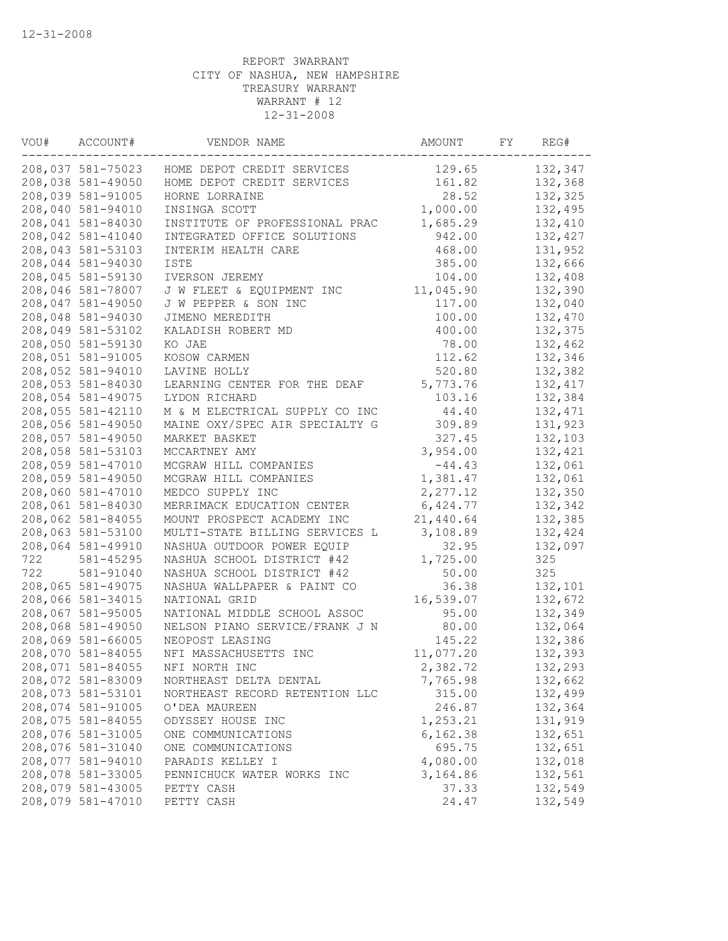| VOU# | ACCOUNT#          | VENDOR NAME                    | AMOUNT    | FY | REG#     |
|------|-------------------|--------------------------------|-----------|----|----------|
|      | 208,037 581-75023 | HOME DEPOT CREDIT SERVICES     | 129.65    |    | 132,347  |
|      | 208,038 581-49050 | HOME DEPOT CREDIT SERVICES     | 161.82    |    | 132,368  |
|      | 208,039 581-91005 | HORNE LORRAINE                 | 28.52     |    | 132,325  |
|      | 208,040 581-94010 | INSINGA SCOTT                  | 1,000.00  |    | 132,495  |
|      | 208,041 581-84030 | INSTITUTE OF PROFESSIONAL PRAC | 1,685.29  |    | 132,410  |
|      | 208,042 581-41040 | INTEGRATED OFFICE SOLUTIONS    | 942.00    |    | 132,427  |
|      | 208,043 581-53103 | INTERIM HEALTH CARE            | 468.00    |    | 131,952  |
|      | 208,044 581-94030 | <b>ISTE</b>                    | 385.00    |    | 132,666  |
|      | 208,045 581-59130 | IVERSON JEREMY                 | 104.00    |    | 132,408  |
|      | 208,046 581-78007 | J W FLEET & EQUIPMENT INC      | 11,045.90 |    | 132,390  |
|      | 208,047 581-49050 | J W PEPPER & SON INC           | 117.00    |    | 132,040  |
|      | 208,048 581-94030 | JIMENO MEREDITH                | 100.00    |    | 132,470  |
|      | 208,049 581-53102 | KALADISH ROBERT MD             | 400.00    |    | 132,375  |
|      | 208,050 581-59130 | KO JAE                         | 78.00     |    | 132,462  |
|      | 208,051 581-91005 | KOSOW CARMEN                   | 112.62    |    | 132,346  |
|      | 208,052 581-94010 | LAVINE HOLLY                   | 520.80    |    | 132,382  |
|      | 208,053 581-84030 | LEARNING CENTER FOR THE DEAF   | 5,773.76  |    | 132, 417 |
|      | 208,054 581-49075 | LYDON RICHARD                  | 103.16    |    | 132,384  |
|      | 208,055 581-42110 | M & M ELECTRICAL SUPPLY CO INC | 44.40     |    | 132,471  |
|      | 208,056 581-49050 | MAINE OXY/SPEC AIR SPECIALTY G | 309.89    |    | 131,923  |
|      | 208,057 581-49050 | MARKET BASKET                  | 327.45    |    | 132,103  |
|      | 208,058 581-53103 | MCCARTNEY AMY                  | 3,954.00  |    | 132,421  |
|      | 208,059 581-47010 | MCGRAW HILL COMPANIES          | $-44.43$  |    | 132,061  |
|      | 208,059 581-49050 | MCGRAW HILL COMPANIES          | 1,381.47  |    | 132,061  |
|      | 208,060 581-47010 | MEDCO SUPPLY INC               | 2,277.12  |    | 132,350  |
|      | 208,061 581-84030 | MERRIMACK EDUCATION CENTER     | 6,424.77  |    | 132,342  |
|      | 208,062 581-84055 | MOUNT PROSPECT ACADEMY INC     | 21,440.64 |    | 132,385  |
|      | 208,063 581-53100 | MULTI-STATE BILLING SERVICES L | 3,108.89  |    | 132,424  |
|      | 208,064 581-49910 | NASHUA OUTDOOR POWER EQUIP     | 32.95     |    | 132,097  |
| 722  | 581-45295         | NASHUA SCHOOL DISTRICT #42     | 1,725.00  |    | 325      |
| 722  | 581-91040         | NASHUA SCHOOL DISTRICT #42     | 50.00     |    | 325      |
|      | 208,065 581-49075 | NASHUA WALLPAPER & PAINT CO    | 36.38     |    | 132,101  |
|      | 208,066 581-34015 | NATIONAL GRID                  | 16,539.07 |    | 132,672  |
|      | 208,067 581-95005 | NATIONAL MIDDLE SCHOOL ASSOC   | 95.00     |    | 132,349  |
|      | 208,068 581-49050 | NELSON PIANO SERVICE/FRANK J N | 80.00     |    | 132,064  |
|      | 208,069 581-66005 | NEOPOST LEASING                | 145.22    |    | 132,386  |
|      | 208,070 581-84055 | NFI MASSACHUSETTS INC          | 11,077.20 |    | 132,393  |
|      | 208,071 581-84055 | NFI NORTH INC                  | 2,382.72  |    | 132,293  |
|      | 208,072 581-83009 | NORTHEAST DELTA DENTAL         | 7,765.98  |    | 132,662  |
|      | 208,073 581-53101 | NORTHEAST RECORD RETENTION LLC | 315.00    |    | 132,499  |
|      | 208,074 581-91005 | O'DEA MAUREEN                  | 246.87    |    | 132,364  |
|      | 208,075 581-84055 | ODYSSEY HOUSE INC              | 1,253.21  |    | 131,919  |
|      | 208,076 581-31005 | ONE COMMUNICATIONS             | 6,162.38  |    | 132,651  |
|      | 208,076 581-31040 | ONE COMMUNICATIONS             | 695.75    |    | 132,651  |
|      | 208,077 581-94010 | PARADIS KELLEY I               | 4,080.00  |    | 132,018  |
|      | 208,078 581-33005 | PENNICHUCK WATER WORKS INC     | 3,164.86  |    | 132,561  |
|      | 208,079 581-43005 | PETTY CASH                     | 37.33     |    | 132,549  |
|      | 208,079 581-47010 | PETTY CASH                     | 24.47     |    | 132,549  |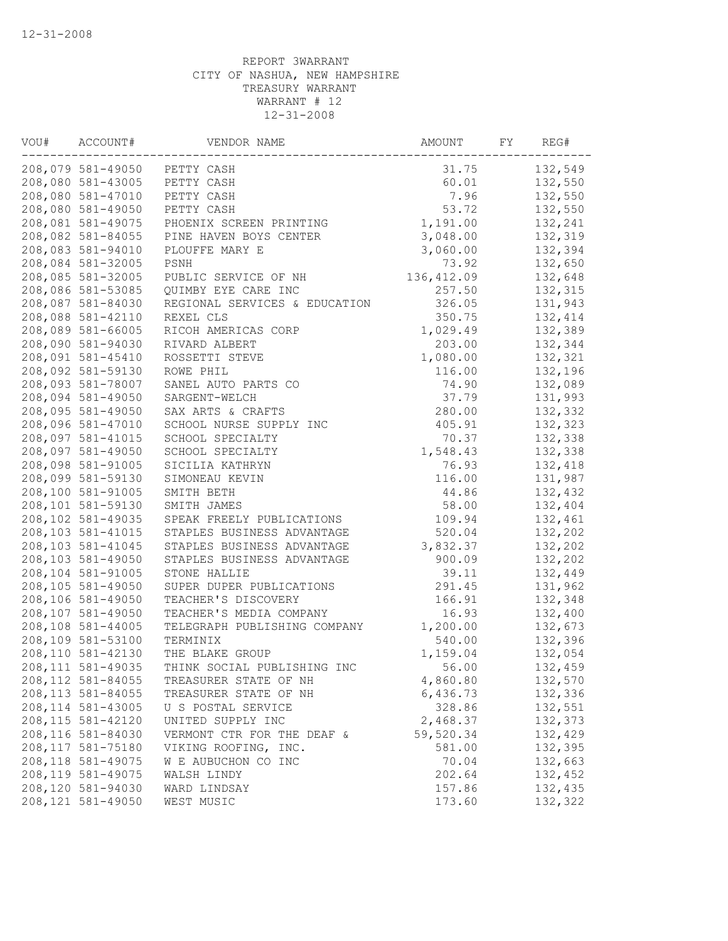| VOU# | ACCOUNT#           | VENDOR NAME                   | AMOUNT      | FY | REG#    |
|------|--------------------|-------------------------------|-------------|----|---------|
|      | 208,079 581-49050  | PETTY CASH                    | 31.75       |    | 132,549 |
|      | 208,080 581-43005  | PETTY CASH                    | 60.01       |    | 132,550 |
|      | 208,080 581-47010  | PETTY CASH                    | 7.96        |    | 132,550 |
|      | 208,080 581-49050  | PETTY CASH                    | 53.72       |    | 132,550 |
|      | 208,081 581-49075  | PHOENIX SCREEN PRINTING       | 1,191.00    |    | 132,241 |
|      | 208,082 581-84055  | PINE HAVEN BOYS CENTER        | 3,048.00    |    | 132,319 |
|      | 208,083 581-94010  | PLOUFFE MARY E                | 3,060.00    |    | 132,394 |
|      | 208,084 581-32005  | PSNH                          | 73.92       |    | 132,650 |
|      | 208,085 581-32005  | PUBLIC SERVICE OF NH          | 136, 412.09 |    | 132,648 |
|      | 208,086 581-53085  | QUIMBY EYE CARE INC           | 257.50      |    | 132,315 |
|      | 208,087 581-84030  | REGIONAL SERVICES & EDUCATION | 326.05      |    | 131,943 |
|      | 208,088 581-42110  | REXEL CLS                     | 350.75      |    | 132,414 |
|      | 208,089 581-66005  | RICOH AMERICAS CORP           | 1,029.49    |    | 132,389 |
|      | 208,090 581-94030  | RIVARD ALBERT                 | 203.00      |    | 132,344 |
|      | 208,091 581-45410  | ROSSETTI STEVE                | 1,080.00    |    | 132,321 |
|      | 208,092 581-59130  | ROWE PHIL                     | 116.00      |    | 132,196 |
|      | 208,093 581-78007  | SANEL AUTO PARTS CO           | 74.90       |    | 132,089 |
|      | 208,094 581-49050  | SARGENT-WELCH                 | 37.79       |    | 131,993 |
|      | 208,095 581-49050  | SAX ARTS & CRAFTS             | 280.00      |    | 132,332 |
|      | 208,096 581-47010  | SCHOOL NURSE SUPPLY INC       | 405.91      |    | 132,323 |
|      | 208,097 581-41015  | SCHOOL SPECIALTY              | 70.37       |    | 132,338 |
|      | 208,097 581-49050  | SCHOOL SPECIALTY              | 1,548.43    |    | 132,338 |
|      | 208,098 581-91005  | SICILIA KATHRYN               | 76.93       |    | 132,418 |
|      | 208,099 581-59130  | SIMONEAU KEVIN                | 116.00      |    | 131,987 |
|      | 208,100 581-91005  | SMITH BETH                    | 44.86       |    | 132,432 |
|      | 208,101 581-59130  | SMITH JAMES                   | 58.00       |    | 132,404 |
|      | 208,102 581-49035  | SPEAK FREELY PUBLICATIONS     | 109.94      |    | 132,461 |
|      | 208,103 581-41015  | STAPLES BUSINESS ADVANTAGE    | 520.04      |    | 132,202 |
|      | 208,103 581-41045  | STAPLES BUSINESS ADVANTAGE    | 3,832.37    |    | 132,202 |
|      | 208,103 581-49050  | STAPLES BUSINESS ADVANTAGE    | 900.09      |    | 132,202 |
|      | 208,104 581-91005  | STONE HALLIE                  | 39.11       |    | 132,449 |
|      | 208,105 581-49050  | SUPER DUPER PUBLICATIONS      | 291.45      |    | 131,962 |
|      | 208,106 581-49050  | TEACHER'S DISCOVERY           | 166.91      |    | 132,348 |
|      | 208,107 581-49050  | TEACHER'S MEDIA COMPANY       | 16.93       |    | 132,400 |
|      | 208,108 581-44005  | TELEGRAPH PUBLISHING COMPANY  | 1,200.00    |    | 132,673 |
|      | 208,109 581-53100  | TERMINIX                      | 540.00      |    | 132,396 |
|      | 208,110 581-42130  | THE BLAKE GROUP               | 1,159.04    |    | 132,054 |
|      | 208, 111 581-49035 | THINK SOCIAL PUBLISHING INC   | 56.00       |    | 132,459 |
|      | 208,112 581-84055  | TREASURER STATE OF NH         | 4,860.80    |    | 132,570 |
|      | 208, 113 581-84055 | TREASURER STATE OF NH         | 6,436.73    |    | 132,336 |
|      | 208, 114 581-43005 | U S POSTAL SERVICE            | 328.86      |    | 132,551 |
|      | 208, 115 581-42120 | UNITED SUPPLY INC             | 2,468.37    |    | 132,373 |
|      | 208,116 581-84030  | VERMONT CTR FOR THE DEAF &    | 59,520.34   |    | 132,429 |
|      | 208, 117 581-75180 | VIKING ROOFING, INC.          | 581.00      |    | 132,395 |
|      | 208, 118 581-49075 | W E AUBUCHON CO INC           | 70.04       |    | 132,663 |
|      | 208, 119 581-49075 | WALSH LINDY                   | 202.64      |    | 132,452 |
|      | 208,120 581-94030  | WARD LINDSAY                  | 157.86      |    | 132,435 |
|      | 208,121 581-49050  | WEST MUSIC                    | 173.60      |    | 132,322 |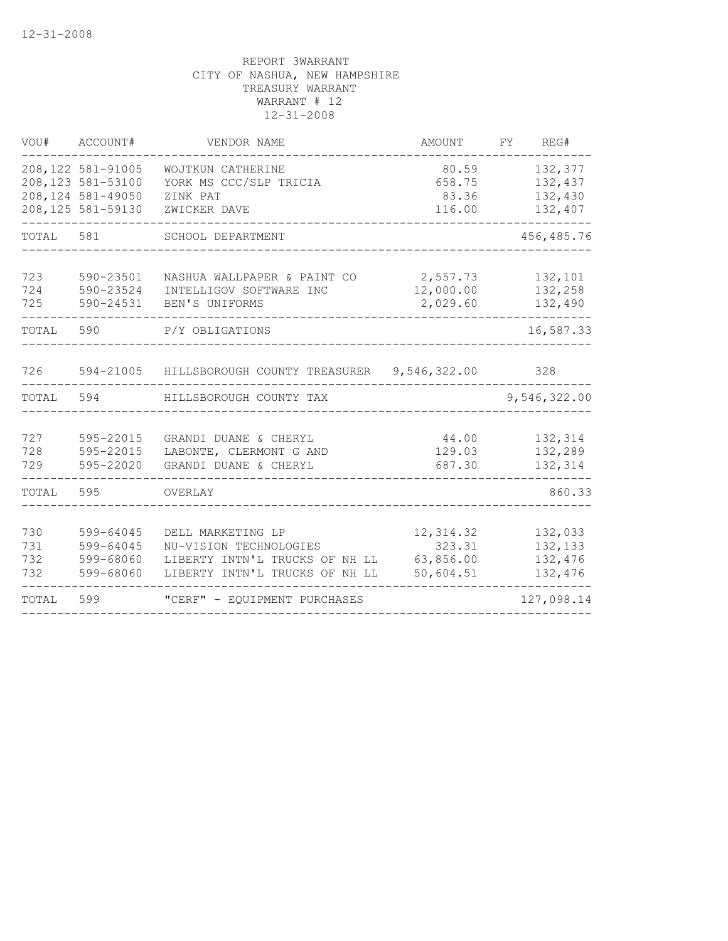| VOU#                     | ACCOUNT#                                                                          | VENDOR NAME                                                                                                     | AMOUNT                                         | FY | REG#                                     |
|--------------------------|-----------------------------------------------------------------------------------|-----------------------------------------------------------------------------------------------------------------|------------------------------------------------|----|------------------------------------------|
|                          | 208, 122 581-91005<br>208,123 581-53100<br>208,124 581-49050<br>208,125 581-59130 | WOJTKUN CATHERINE<br>YORK MS CCC/SLP TRICIA<br>ZINK PAT<br>ZWICKER DAVE                                         | 80.59<br>658.75<br>83.36<br>116.00             |    | 132,377<br>132,437<br>132,430<br>132,407 |
| TOTAL                    | 581                                                                               | SCHOOL DEPARTMENT                                                                                               |                                                |    | 456, 485.76                              |
| 723<br>724<br>725        | 590-23501<br>590-23524<br>590-24531                                               | NASHUA WALLPAPER & PAINT CO<br>INTELLIGOV SOFTWARE INC<br>BEN'S UNIFORMS                                        | 2,557.73<br>12,000.00<br>2,029.60              |    | 132,101<br>132,258<br>132,490            |
| TOTAL                    | 590                                                                               | P/Y OBLIGATIONS                                                                                                 |                                                |    | 16,587.33                                |
| 726                      | 594-21005                                                                         | HILLSBOROUGH COUNTY TREASURER                                                                                   | 9,546,322.00                                   |    | 328                                      |
| TOTAL                    | 594                                                                               | HILLSBOROUGH COUNTY TAX                                                                                         |                                                |    | 9,546,322.00                             |
| 727<br>728<br>729        | 595-22015<br>595-22015<br>595-22020                                               | GRANDI DUANE & CHERYL<br>LABONTE, CLERMONT G AND<br>GRANDI DUANE & CHERYL                                       | 44.00<br>129.03<br>687.30                      |    | 132,314<br>132,289<br>132,314            |
| TOTAL                    | 595                                                                               | OVERLAY                                                                                                         |                                                |    | 860.33                                   |
| 730<br>731<br>732<br>732 | 599-64045<br>599-64045<br>599-68060<br>599-68060                                  | DELL MARKETING LP<br>NU-VISION TECHNOLOGIES<br>LIBERTY INTN'L TRUCKS OF NH LL<br>LIBERTY INTN'L TRUCKS OF NH LL | 12, 314.32<br>323.31<br>63,856.00<br>50,604.51 |    | 132,033<br>132,133<br>132,476<br>132,476 |
| TOTAL                    | 599                                                                               | "CERF" - EQUIPMENT PURCHASES                                                                                    |                                                |    | 127,098.14                               |
|                          |                                                                                   |                                                                                                                 |                                                |    |                                          |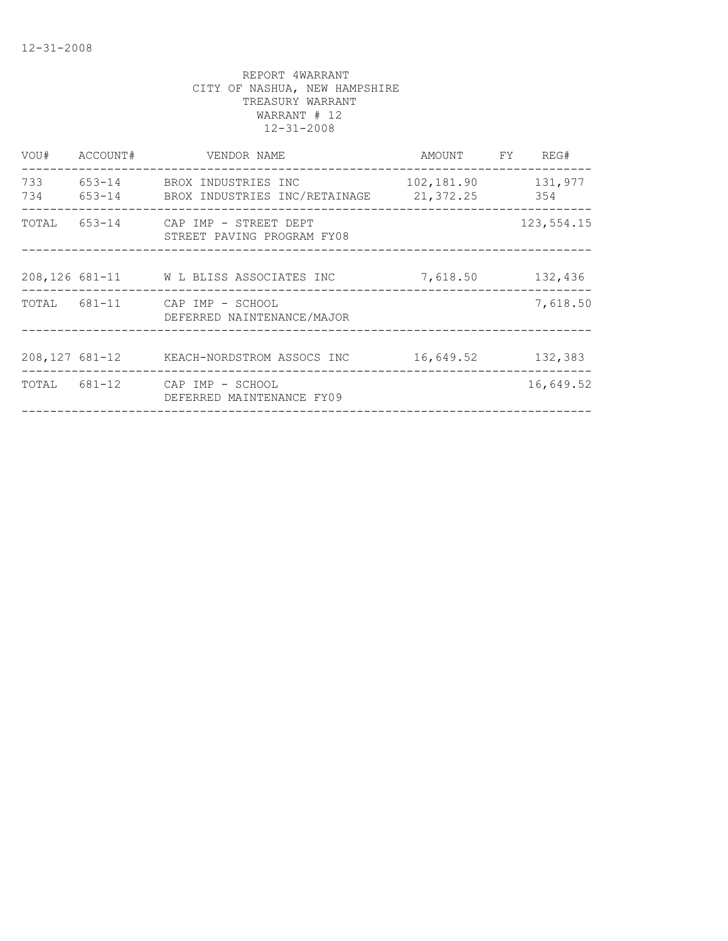| VOU#             | ACCOUNT# | VENDOR NAME                                                 | AMOUNT     | FY | REG#           |
|------------------|----------|-------------------------------------------------------------|------------|----|----------------|
| 733<br>734       |          | 653-14 BROX INDUSTRIES INC                                  | 102,181.90 |    | 131,977<br>354 |
| TOTAL            | 653-14   | CAP IMP - STREET DEPT<br>STREET PAVING PROGRAM FY08         |            |    | 123,554.15     |
|                  |          | 208,126 681-11 W L BLISS ASSOCIATES INC                     | 7,618.50   |    | 132,436        |
|                  |          | TOTAL 681-11 CAP IMP - SCHOOL<br>DEFERRED NAINTENANCE/MAJOR |            |    | 7,618.50       |
| $208,127$ 681-12 |          | KEACH-NORDSTROM ASSOCS INC                                  | 16,649.52  |    | 132,383        |
| TOTAL 681-12     |          | CAP IMP - SCHOOL<br>DEFERRED MAINTENANCE FY09               |            |    | 16,649.52      |
|                  |          |                                                             |            |    |                |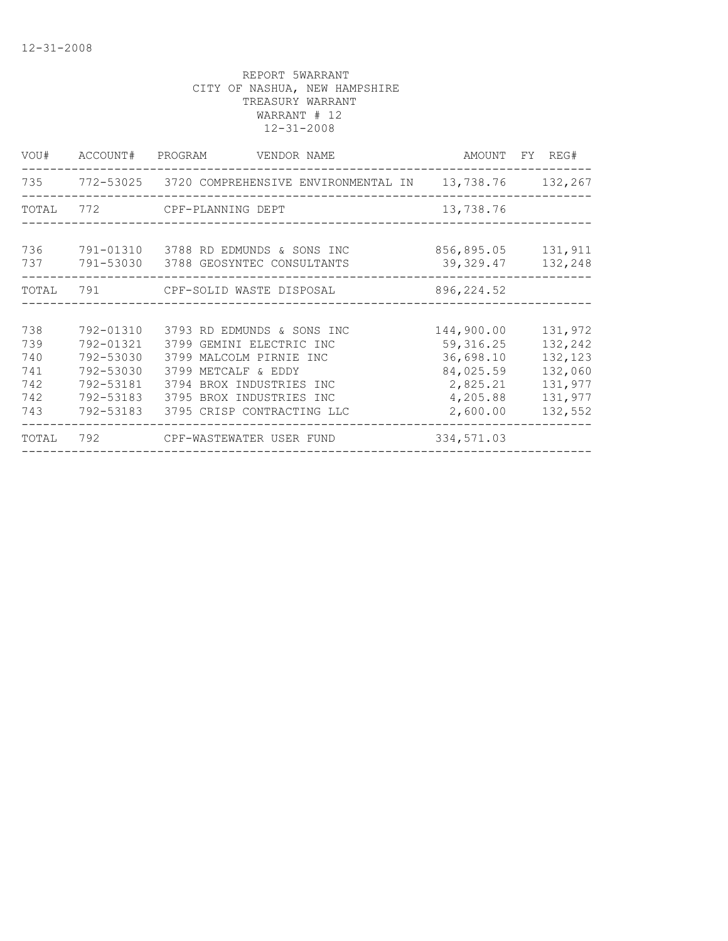| VOU#                                          | ACCOUNT#                                                                                | PROGRAM<br>VENDOR NAME                                                                                                                                                                         |                                                                                        | AMOUNT FY REG#                                                            |
|-----------------------------------------------|-----------------------------------------------------------------------------------------|------------------------------------------------------------------------------------------------------------------------------------------------------------------------------------------------|----------------------------------------------------------------------------------------|---------------------------------------------------------------------------|
|                                               |                                                                                         | 735 772-53025 3720 COMPREHENSIVE ENVIRONMENTAL IN 13,738.76 132,267                                                                                                                            |                                                                                        |                                                                           |
| TOTAL                                         |                                                                                         | 772 CPF-PLANNING DEPT                                                                                                                                                                          | 13,738.76                                                                              |                                                                           |
| 736<br>737                                    | 791-53030                                                                               | 791-01310 3788 RD EDMUNDS & SONS INC<br>3788 GEOSYNTEC CONSULTANTS                                                                                                                             | 856,895.05<br>39,329.47                                                                | 131,911<br>132,248                                                        |
| TOTAL                                         | 791                                                                                     | CPF-SOLID WASTE DISPOSAL                                                                                                                                                                       | 896, 224.52                                                                            |                                                                           |
|                                               |                                                                                         |                                                                                                                                                                                                |                                                                                        |                                                                           |
| 738<br>739<br>740<br>741<br>742<br>742<br>743 | 792-01310<br>792-01321<br>792-53030<br>792-53030<br>792-53181<br>792-53183<br>792-53183 | 3793 RD EDMUNDS & SONS INC<br>3799 GEMINI ELECTRIC INC<br>3799 MALCOLM PIRNIE INC<br>3799 METCALF & EDDY<br>3794 BROX INDUSTRIES INC<br>3795 BROX INDUSTRIES INC<br>3795 CRISP CONTRACTING LLC | 144,900.00<br>59, 316.25<br>36,698.10<br>84,025.59<br>2,825.21<br>4,205.88<br>2,600.00 | 131,972<br>132,242<br>132,123<br>132,060<br>131,977<br>131,977<br>132,552 |
| TOTAL                                         | 792                                                                                     | CPF-WASTEWATER USER FUND                                                                                                                                                                       | 334,571.03                                                                             |                                                                           |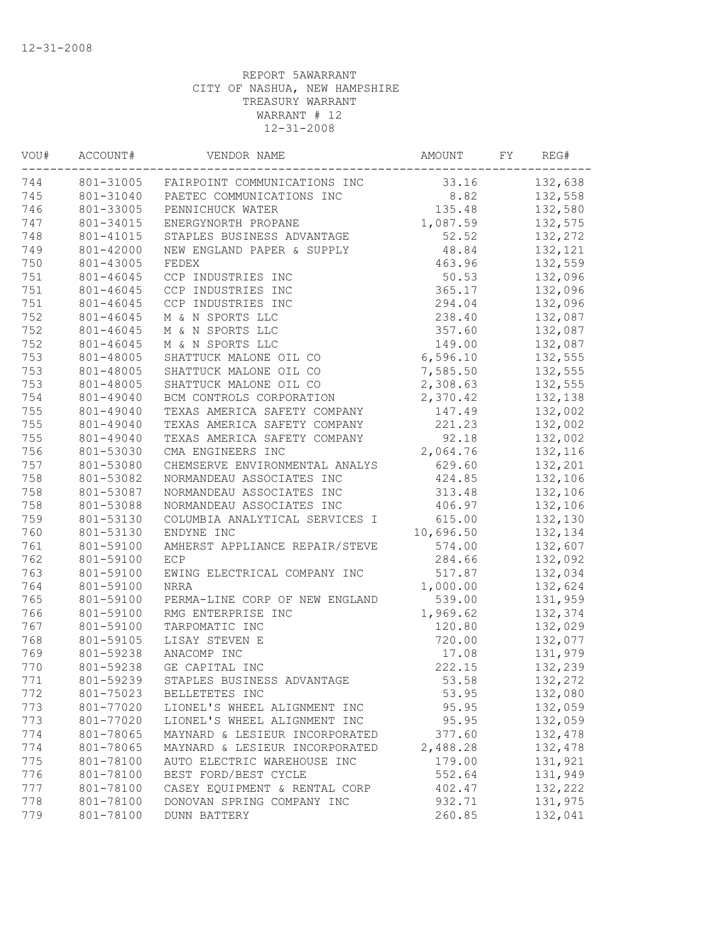| VOU# | ACCOUNT#  | VENDOR NAME                            | AMOUNT    | FY | REG#    |
|------|-----------|----------------------------------------|-----------|----|---------|
| 744  |           | 801-31005 FAIRPOINT COMMUNICATIONS INC | 33.16     |    | 132,638 |
| 745  | 801-31040 | PAETEC COMMUNICATIONS INC              | 8.82      |    | 132,558 |
| 746  | 801-33005 | PENNICHUCK WATER                       | 135.48    |    | 132,580 |
| 747  | 801-34015 | ENERGYNORTH PROPANE                    | 1,087.59  |    | 132,575 |
| 748  | 801-41015 | STAPLES BUSINESS ADVANTAGE             | 52.52     |    | 132,272 |
| 749  | 801-42000 | NEW ENGLAND PAPER & SUPPLY             | 48.84     |    | 132,121 |
| 750  | 801-43005 | FEDEX                                  | 463.96    |    | 132,559 |
| 751  | 801-46045 | CCP INDUSTRIES INC                     | 50.53     |    | 132,096 |
| 751  | 801-46045 | CCP INDUSTRIES INC                     | 365.17    |    | 132,096 |
| 751  | 801-46045 | CCP INDUSTRIES INC                     | 294.04    |    | 132,096 |
| 752  | 801-46045 | M & N SPORTS LLC                       | 238.40    |    | 132,087 |
| 752  | 801-46045 | M & N SPORTS LLC                       | 357.60    |    | 132,087 |
| 752  | 801-46045 | M & N SPORTS LLC                       | 149.00    |    | 132,087 |
| 753  | 801-48005 | SHATTUCK MALONE OIL CO                 | 6,596.10  |    | 132,555 |
| 753  | 801-48005 | SHATTUCK MALONE OIL CO                 | 7,585.50  |    | 132,555 |
| 753  | 801-48005 | SHATTUCK MALONE OIL CO                 | 2,308.63  |    | 132,555 |
| 754  | 801-49040 | BCM CONTROLS CORPORATION               | 2,370.42  |    | 132,138 |
| 755  | 801-49040 | TEXAS AMERICA SAFETY COMPANY           | 147.49    |    | 132,002 |
| 755  | 801-49040 | TEXAS AMERICA SAFETY COMPANY           | 221.23    |    | 132,002 |
| 755  | 801-49040 | TEXAS AMERICA SAFETY COMPANY           | 92.18     |    | 132,002 |
| 756  | 801-53030 | CMA ENGINEERS INC                      | 2,064.76  |    | 132,116 |
| 757  | 801-53080 | CHEMSERVE ENVIRONMENTAL ANALYS         | 629.60    |    | 132,201 |
| 758  | 801-53082 | NORMANDEAU ASSOCIATES INC              | 424.85    |    | 132,106 |
| 758  | 801-53087 | NORMANDEAU ASSOCIATES INC              | 313.48    |    | 132,106 |
| 758  | 801-53088 | NORMANDEAU ASSOCIATES INC              | 406.97    |    | 132,106 |
| 759  | 801-53130 | COLUMBIA ANALYTICAL SERVICES I         | 615.00    |    | 132,130 |
| 760  | 801-53130 | ENDYNE INC                             | 10,696.50 |    | 132,134 |
| 761  | 801-59100 | AMHERST APPLIANCE REPAIR/STEVE         | 574.00    |    | 132,607 |
| 762  | 801-59100 | ECP                                    | 284.66    |    | 132,092 |
| 763  | 801-59100 | EWING ELECTRICAL COMPANY INC           | 517.87    |    | 132,034 |
| 764  | 801-59100 | <b>NRRA</b>                            | 1,000.00  |    | 132,624 |
| 765  | 801-59100 | PERMA-LINE CORP OF NEW ENGLAND         | 539.00    |    | 131,959 |
| 766  | 801-59100 | RMG ENTERPRISE INC                     | 1,969.62  |    | 132,374 |
| 767  | 801-59100 | TARPOMATIC INC                         | 120.80    |    | 132,029 |
| 768  | 801-59105 | LISAY STEVEN E                         | 720.00    |    | 132,077 |
| 769  | 801-59238 | ANACOMP INC                            | 17.08     |    | 131,979 |
| 770  | 801-59238 | GE CAPITAL INC                         | 222.15    |    | 132,239 |
| 771  | 801-59239 | STAPLES BUSINESS ADVANTAGE             | 53.58     |    | 132,272 |
| 772  | 801-75023 | BELLETETES INC                         | 53.95     |    | 132,080 |
| 773  | 801-77020 | LIONEL'S WHEEL ALIGNMENT INC           | 95.95     |    | 132,059 |
| 773  | 801-77020 | LIONEL'S WHEEL ALIGNMENT INC           | 95.95     |    | 132,059 |
| 774  | 801-78065 | MAYNARD & LESIEUR INCORPORATED         | 377.60    |    | 132,478 |
| 774  | 801-78065 | MAYNARD & LESIEUR INCORPORATED         | 2,488.28  |    | 132,478 |
| 775  | 801-78100 | AUTO ELECTRIC WAREHOUSE INC            | 179.00    |    | 131,921 |
| 776  | 801-78100 | BEST FORD/BEST CYCLE                   | 552.64    |    | 131,949 |
| 777  | 801-78100 | CASEY EQUIPMENT & RENTAL CORP          | 402.47    |    | 132,222 |
| 778  | 801-78100 | DONOVAN SPRING COMPANY INC             | 932.71    |    | 131,975 |
| 779  | 801-78100 | <b>DUNN BATTERY</b>                    | 260.85    |    | 132,041 |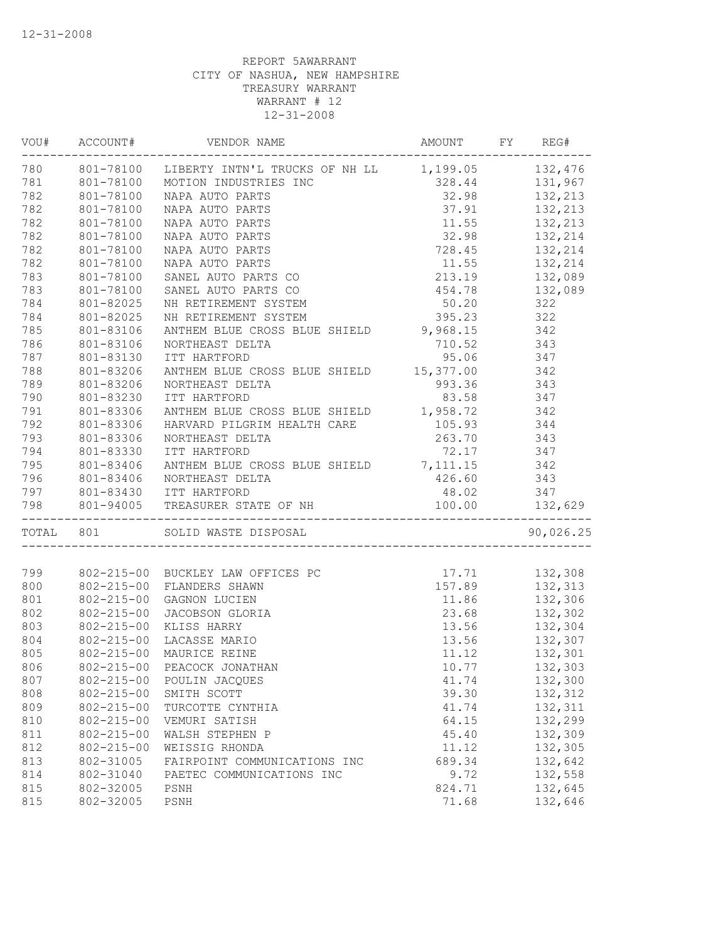|     | -----------------                    | VOU# ACCOUNT# VENDOR NAME<br>AMOUNT FY REG#                                                                                                                                                                                                  |                                                                                                                     | _______________                                                  |
|-----|--------------------------------------|----------------------------------------------------------------------------------------------------------------------------------------------------------------------------------------------------------------------------------------------|---------------------------------------------------------------------------------------------------------------------|------------------------------------------------------------------|
|     |                                      | 780 801-78100 LIBERTY INTN'L TRUCKS OF NH LL 1,199.05 132,476<br>NC 1,199.05 132,476<br>NC 328.44 131,967<br>32.98 132,213<br>37.91 132,213<br>11.55 132,213<br>32.98 132,213<br>728.45 132 214                                              |                                                                                                                     |                                                                  |
| 781 |                                      | 801-78100 MOTION INDUSTRIES INC                                                                                                                                                                                                              |                                                                                                                     |                                                                  |
| 782 | 801-78100                            | NAPA AUTO PARTS                                                                                                                                                                                                                              |                                                                                                                     |                                                                  |
| 782 | 801-78100                            | NAPA AUTO PARTS                                                                                                                                                                                                                              |                                                                                                                     |                                                                  |
| 782 | 801-78100                            | NAPA AUTO PARTS                                                                                                                                                                                                                              | $\begin{array}{cccc} 11.55 & & 132,213 \\ 32.98 & & 132,214 \\ 728.45 & & 132,214 \\ 11.55 & & 132,214 \end{array}$ |                                                                  |
| 782 |                                      | NAPA AUTO PARTS                                                                                                                                                                                                                              |                                                                                                                     |                                                                  |
| 782 | 801-78100<br>801-78100               | NAPA AUTO PARTS                                                                                                                                                                                                                              |                                                                                                                     |                                                                  |
| 782 | 801-78100                            | NAPA AUTO PARTS                                                                                                                                                                                                                              |                                                                                                                     |                                                                  |
| 783 | 801-78100                            | SANEL AUTO PARTS CO                                                                                                                                                                                                                          | 213.19 132,089                                                                                                      |                                                                  |
| 783 | 801-78100                            | SANEL AUTO PARTS CO                                                                                                                                                                                                                          | 454.78 132,089                                                                                                      |                                                                  |
| 784 | 801-82025                            | NH RETIREMENT SYSTEM                                                                                                                                                                                                                         | 50.20 322                                                                                                           |                                                                  |
| 784 | 801-82025                            | NH RETIREMENT SYSTEM                                                                                                                                                                                                                         | 395.23 322                                                                                                          |                                                                  |
| 785 | 801-83106                            | ANTHEM BLUE CROSS BLUE SHIELD 9,968.15 342                                                                                                                                                                                                   |                                                                                                                     |                                                                  |
| 786 | 801-83106                            | NORTHEAST DELTA                                                                                                                                                                                                                              | 710.52 343                                                                                                          |                                                                  |
| 787 | 801-83130                            |                                                                                                                                                                                                                                              |                                                                                                                     |                                                                  |
| 788 | 801-83206                            | $\begin{tabular}{lllllll} \textsc{ITT HARTFORD} & & & 95.06 & & 347 \\ \textsc{ANTHEM BLUE CROS S BLUE SHIELD} & & 15,377.00 & & 342 \\ \end{tabular}$                                                                                       |                                                                                                                     |                                                                  |
| 789 | 801-83206                            | NORTHEAST DELTA                                                                                                                                                                                                                              | $993.36$ 343                                                                                                        |                                                                  |
| 790 | 801-83230                            | ITT HARTFORD                                                                                                                                                                                                                                 | 83.58 347                                                                                                           |                                                                  |
| 791 | 801-83306                            | ANTHEM BLUE CROSS BLUE SHIELD 1,958.72 342                                                                                                                                                                                                   |                                                                                                                     |                                                                  |
| 792 | 801-83306                            | HARVARD PILGRIM HEALTH CARE 105.93 344                                                                                                                                                                                                       |                                                                                                                     |                                                                  |
| 793 | 801-83306                            | NORTHEAST DELTA                                                                                                                                                                                                                              | 263.70 343                                                                                                          |                                                                  |
| 794 | 801-83330                            | ITT HARTFORD                                                                                                                                                                                                                                 |                                                                                                                     |                                                                  |
|     |                                      |                                                                                                                                                                                                                                              | 72.17 347                                                                                                           |                                                                  |
|     |                                      |                                                                                                                                                                                                                                              |                                                                                                                     |                                                                  |
|     |                                      |                                                                                                                                                                                                                                              |                                                                                                                     |                                                                  |
|     |                                      |                                                                                                                                                                                                                                              |                                                                                                                     |                                                                  |
|     |                                      |                                                                                                                                                                                                                                              |                                                                                                                     |                                                                  |
|     |                                      |                                                                                                                                                                                                                                              |                                                                                                                     | 90,026.25                                                        |
|     |                                      | 99 802-215-00 BUCKLEY LAW OFFICES PC<br>800 802-215-00 FLANDERS SHAWN<br>801 802-215-00 GAGNON LUCIEN<br>802 802-215-00 JACOBSON GLORIA<br>802 802-215-00 JACOBSON GLORIA<br>803 802-215-00 KLISS HARRY<br>803 802-215-00 KLISS HARRY<br>803 |                                                                                                                     |                                                                  |
|     |                                      |                                                                                                                                                                                                                                              |                                                                                                                     |                                                                  |
|     |                                      |                                                                                                                                                                                                                                              |                                                                                                                     |                                                                  |
|     |                                      |                                                                                                                                                                                                                                              |                                                                                                                     |                                                                  |
| 803 | $802 - 215 - 00$                     | KLISS HARRY                                                                                                                                                                                                                                  |                                                                                                                     |                                                                  |
| 804 | $802 - 215 - 00$                     | LACASSE MARIO                                                                                                                                                                                                                                |                                                                                                                     | 11.86 132,306<br>23.68 132,302<br>13.56 132,304<br>13.56 132,307 |
| 805 | $802 - 215 - 00$                     | MAURICE REINE                                                                                                                                                                                                                                |                                                                                                                     | $11.12$ $132,301$                                                |
| 806 |                                      | 802-215-00 PEACOCK JONATHAN                                                                                                                                                                                                                  | 10.77                                                                                                               | 132,303                                                          |
| 807 | $802 - 215 - 00$                     |                                                                                                                                                                                                                                              |                                                                                                                     | 132,300                                                          |
| 808 | $802 - 215 - 00$                     | POULIN JACQUES<br>SMITH SCOTT                                                                                                                                                                                                                | 41.74<br>39.30                                                                                                      |                                                                  |
|     |                                      |                                                                                                                                                                                                                                              |                                                                                                                     | 132,312                                                          |
| 809 | $802 - 215 - 00$<br>$802 - 215 - 00$ | TURCOTTE CYNTHIA                                                                                                                                                                                                                             | 41.74                                                                                                               | 132,311                                                          |
| 810 |                                      | VEMURI SATISH                                                                                                                                                                                                                                | 64.15                                                                                                               | 132,299                                                          |
| 811 | $802 - 215 - 00$                     | WALSH STEPHEN P                                                                                                                                                                                                                              | 45.40                                                                                                               | 132,309                                                          |
| 812 | $802 - 215 - 00$                     | WEISSIG RHONDA                                                                                                                                                                                                                               | 11.12                                                                                                               | 132,305                                                          |
| 813 | 802-31005                            | FAIRPOINT COMMUNICATIONS INC                                                                                                                                                                                                                 | 689.34                                                                                                              | 132,642                                                          |
| 814 | 802-31040                            | PAETEC COMMUNICATIONS INC                                                                                                                                                                                                                    | 9.72                                                                                                                | 132,558                                                          |
| 815 | 802-32005                            | PSNH                                                                                                                                                                                                                                         | 824.71                                                                                                              | 132,645                                                          |
| 815 | 802-32005                            | PSNH                                                                                                                                                                                                                                         | 71.68                                                                                                               | 132,646                                                          |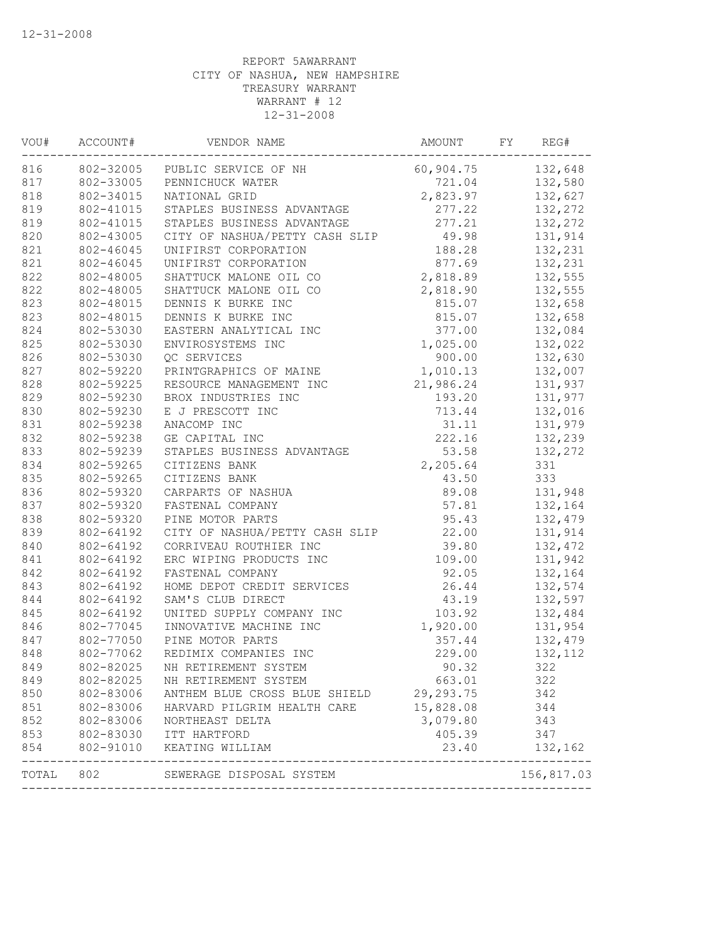| VOU#  | ACCOUNT#  | VENDOR NAME                                      | AMOUNT    | FY | REG#       |
|-------|-----------|--------------------------------------------------|-----------|----|------------|
| 816   |           | 802-32005 PUBLIC SERVICE OF NH                   | 60,904.75 |    | 132,648    |
| 817   | 802-33005 | PENNICHUCK WATER                                 | 721.04    |    | 132,580    |
| 818   | 802-34015 | NATIONAL GRID                                    | 2,823.97  |    | 132,627    |
| 819   | 802-41015 | STAPLES BUSINESS ADVANTAGE                       | 277.22    |    | 132,272    |
| 819   | 802-41015 | STAPLES BUSINESS ADVANTAGE                       | 277.21    |    | 132,272    |
| 820   | 802-43005 | CITY OF NASHUA/PETTY CASH SLIP                   | 49.98     |    | 131,914    |
| 821   | 802-46045 | UNIFIRST CORPORATION                             | 188.28    |    | 132,231    |
| 821   | 802-46045 | UNIFIRST CORPORATION                             | 877.69    |    | 132,231    |
| 822   | 802-48005 | SHATTUCK MALONE OIL CO                           | 2,818.89  |    | 132,555    |
| 822   | 802-48005 | SHATTUCK MALONE OIL CO                           | 2,818.90  |    | 132,555    |
| 823   | 802-48015 | DENNIS K BURKE INC                               | 815.07    |    | 132,658    |
| 823   | 802-48015 | DENNIS K BURKE INC                               | 815.07    |    | 132,658    |
| 824   | 802-53030 | EASTERN ANALYTICAL INC                           | 377.00    |    | 132,084    |
| 825   | 802-53030 | ENVIROSYSTEMS INC                                | 1,025.00  |    | 132,022    |
| 826   | 802-53030 | QC SERVICES                                      | 900.00    |    | 132,630    |
| 827   | 802-59220 | PRINTGRAPHICS OF MAINE                           | 1,010.13  |    | 132,007    |
| 828   | 802-59225 | RESOURCE MANAGEMENT INC                          | 21,986.24 |    | 131,937    |
| 829   | 802-59230 | BROX INDUSTRIES INC                              | 193.20    |    | 131,977    |
| 830   | 802-59230 | E J PRESCOTT INC                                 | 713.44    |    | 132,016    |
| 831   | 802-59238 | ANACOMP INC                                      | 31.11     |    | 131,979    |
| 832   | 802-59238 | GE CAPITAL INC                                   | 222.16    |    | 132,239    |
| 833   | 802-59239 | STAPLES BUSINESS ADVANTAGE                       | 53.58     |    | 132,272    |
| 834   | 802-59265 | CITIZENS BANK                                    | 2,205.64  |    | 331        |
| 835   | 802-59265 | CITIZENS BANK                                    | 43.50     |    | 333        |
| 836   | 802-59320 | CARPARTS OF NASHUA                               | 89.08     |    | 131,948    |
| 837   | 802-59320 | FASTENAL COMPANY                                 | 57.81     |    | 132,164    |
| 838   | 802-59320 | PINE MOTOR PARTS                                 | 95.43     |    | 132,479    |
| 839   | 802-64192 | CITY OF NASHUA/PETTY CASH SLIP                   | 22.00     |    | 131,914    |
| 840   | 802-64192 | CORRIVEAU ROUTHIER INC                           | 39.80     |    | 132,472    |
| 841   | 802-64192 | ERC WIPING PRODUCTS INC                          | 109.00    |    | 131,942    |
| 842   | 802-64192 | FASTENAL COMPANY                                 | 92.05     |    | 132,164    |
| 843   | 802-64192 | HOME DEPOT CREDIT SERVICES                       | 26.44     |    | 132,574    |
| 844   | 802-64192 | SAM'S CLUB DIRECT                                | 43.19     |    | 132,597    |
| 845   | 802-64192 | UNITED SUPPLY COMPANY INC                        | 103.92    |    | 132,484    |
| 846   | 802-77045 | INNOVATIVE MACHINE INC                           | 1,920.00  |    | 131,954    |
| 847   | 802-77050 | PINE MOTOR PARTS                                 | 357.44    |    | 132,479    |
| 848   | 802-77062 | REDIMIX COMPANIES INC                            | 229.00    |    | 132, 112   |
| 849   | 802-82025 | NH RETIREMENT SYSTEM                             | 90.32     |    | 322        |
| 849   | 802-82025 | NH RETIREMENT SYSTEM                             | 663.01    |    | 322        |
| 850   | 802-83006 | ANTHEM BLUE CROSS BLUE SHIELD                    | 29,293.75 |    | 342        |
| 851   | 802-83006 | HARVARD PILGRIM HEALTH CARE                      | 15,828.08 |    | 344        |
| 852   | 802-83006 | NORTHEAST DELTA                                  | 3,079.80  |    | 343        |
| 853   | 802-83030 | ITT HARTFORD                                     | 405.39    |    | 347        |
| 854   | 802-91010 | KEATING WILLIAM<br>----------------------------- | 23.40     |    | 132,162    |
| TOTAL | 802       | SEWERAGE DISPOSAL SYSTEM                         |           |    | 156,817.03 |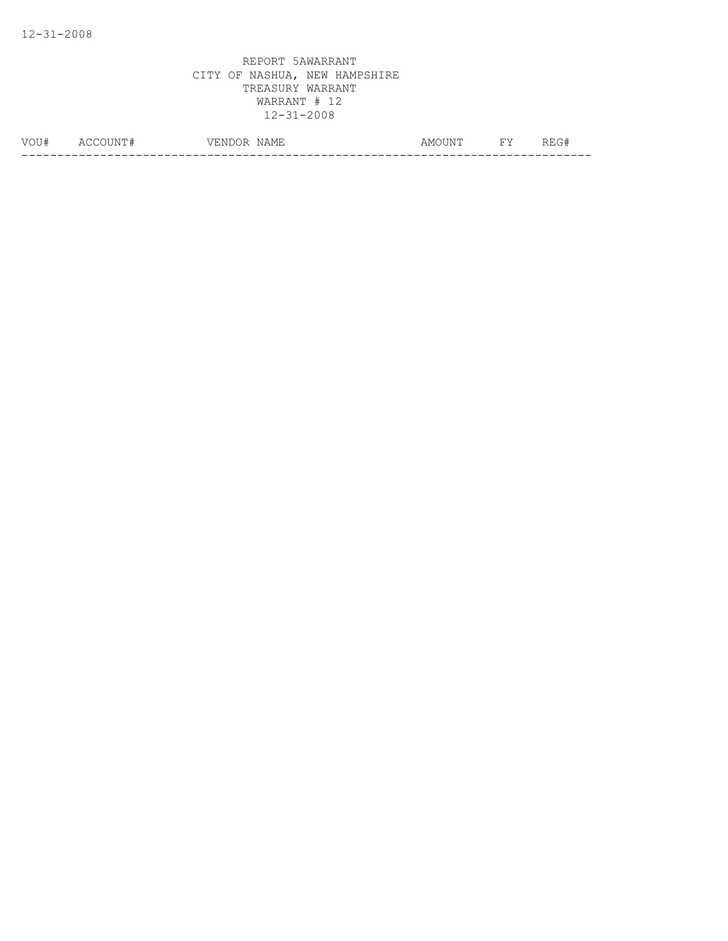| VOIT#<br>◡ | Δ(<br>N<br>__ | $\overline{\phantom{a}}$<br>'NL<br>NAMH<br>ہے د<br>/ ⊢<br>__ | . $\mathbb{N}^m$<br>AMO <sup>.</sup> | <b>TIT</b> | T T<br>____ |
|------------|---------------|--------------------------------------------------------------|--------------------------------------|------------|-------------|
|            |               |                                                              |                                      |            | __          |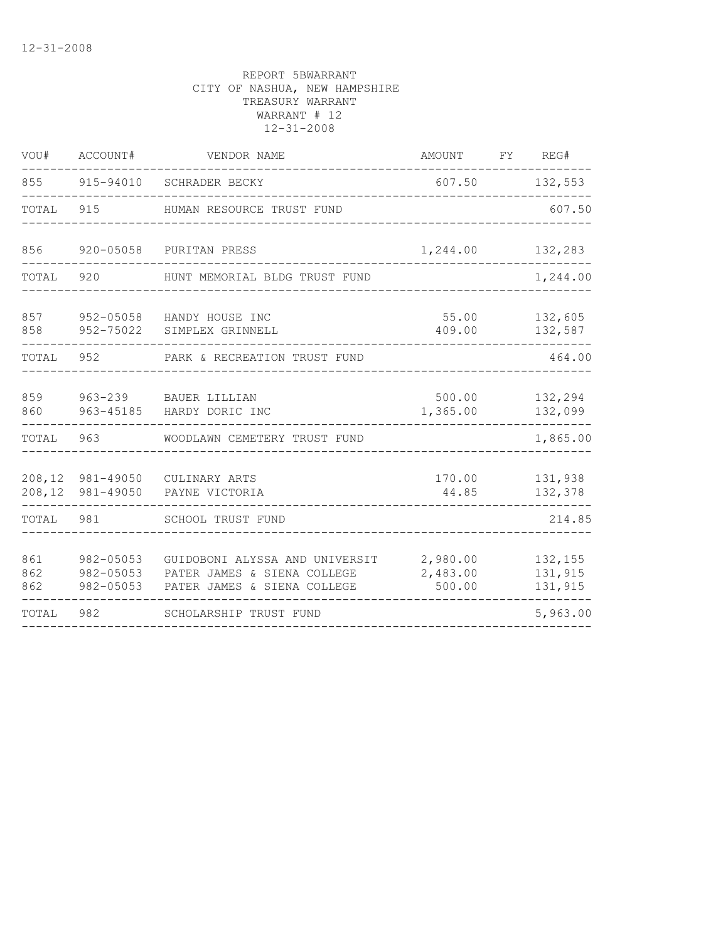| VOU#              | ACCOUNT#                            | VENDOR NAME                                                                                  | AMOUNT                         | FY | REG#                          |
|-------------------|-------------------------------------|----------------------------------------------------------------------------------------------|--------------------------------|----|-------------------------------|
| 855               | 915-94010                           | SCHRADER BECKY                                                                               | 607.50                         |    | 132,553                       |
| TOTAL             | 915                                 | HUMAN RESOURCE TRUST FUND                                                                    |                                |    | 607.50                        |
| 856               | 920-05058                           | PURITAN PRESS                                                                                | 1,244.00                       |    | 132,283                       |
| TOTAL             | 920                                 | HUNT MEMORIAL BLDG TRUST FUND                                                                |                                |    | 1,244.00                      |
| 857<br>858        | 952-75022                           | 952-05058 HANDY HOUSE INC<br>SIMPLEX GRINNELL                                                | 55.00<br>409.00                |    | 132,605<br>132,587            |
| TOTAL             |                                     | 952 PARK & RECREATION TRUST FUND                                                             |                                |    | 464.00                        |
| 859<br>860        | 963-45185                           | 963-239 BAUER LILLIAN<br>HARDY DORIC INC                                                     | 500.00<br>1,365.00             |    | 132,294<br>132,099            |
| TOTAL             | 963                                 | WOODLAWN CEMETERY TRUST FUND                                                                 |                                |    | 1,865.00                      |
| 208,12<br>208,12  | 981-49050<br>981-49050              | CULINARY ARTS<br>PAYNE VICTORIA                                                              | 170.00<br>44.85                |    | 131,938<br>132,378            |
| TOTAL             | 981                                 | SCHOOL TRUST FUND                                                                            |                                |    | 214.85                        |
| 861<br>862<br>862 | 982-05053<br>982-05053<br>982-05053 | GUIDOBONI ALYSSA AND UNIVERSIT<br>PATER JAMES & SIENA COLLEGE<br>PATER JAMES & SIENA COLLEGE | 2,980.00<br>2,483.00<br>500.00 |    | 132,155<br>131,915<br>131,915 |
| TOTAL             | 982                                 | SCHOLARSHIP TRUST FUND                                                                       |                                |    | 5,963.00                      |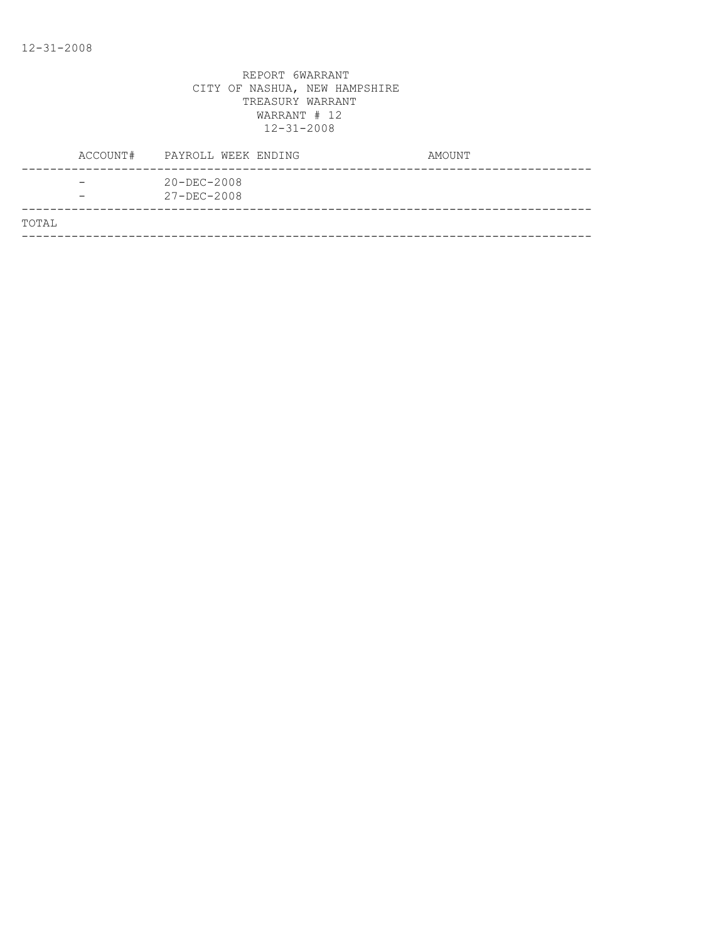|       | ACCOUNT# | PAYROLL WEEK ENDING                    | AMOUNT |
|-------|----------|----------------------------------------|--------|
|       | -        | $20 - DEC - 2008$<br>$27 - DEC - 2008$ |        |
| TOTAL |          |                                        |        |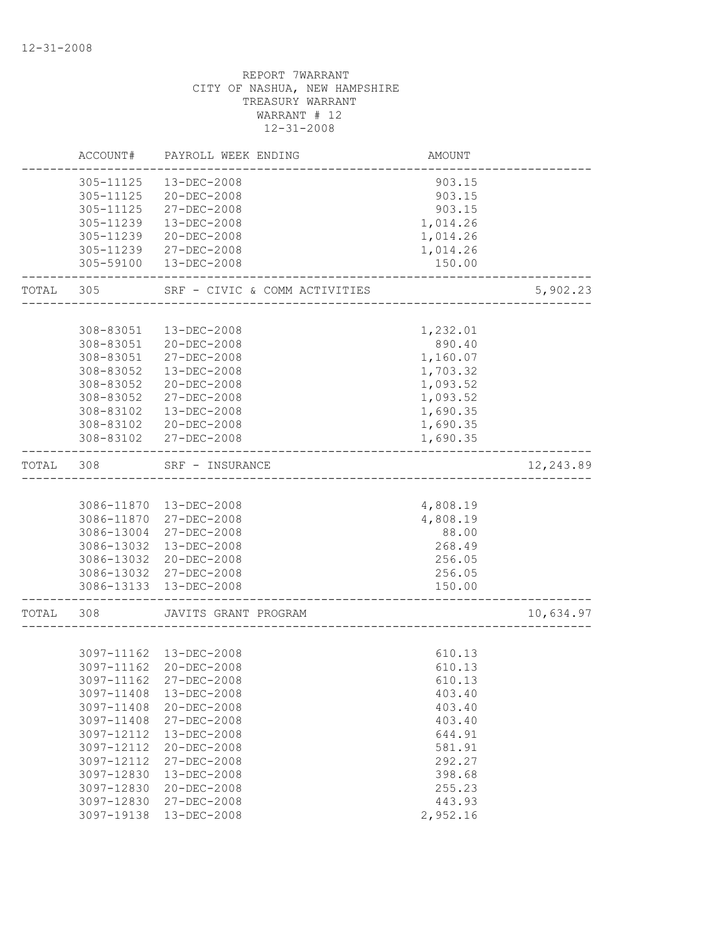|       | ACCOUNT#   | PAYROLL WEEK ENDING                                            | AMOUNT   |           |
|-------|------------|----------------------------------------------------------------|----------|-----------|
|       | 305-11125  | 13-DEC-2008                                                    | 903.15   |           |
|       |            | 305-11125 20-DEC-2008                                          | 903.15   |           |
|       | 305-11125  | 27-DEC-2008                                                    | 903.15   |           |
|       | 305-11239  | 13-DEC-2008                                                    | 1,014.26 |           |
|       | 305-11239  | $20 - DEC - 2008$                                              | 1,014.26 |           |
|       | 305-11239  | 27-DEC-2008                                                    | 1,014.26 |           |
|       | 305-59100  | 13-DEC-2008                                                    | 150.00   |           |
| TOTAL | 305        | SRF - CIVIC & COMM ACTIVITIES                                  |          | 5,902.23  |
|       |            |                                                                |          |           |
|       | 308-83051  | 13-DEC-2008                                                    | 1,232.01 |           |
|       | 308-83051  | $20 - DEC - 2008$                                              | 890.40   |           |
|       | 308-83051  | 27-DEC-2008                                                    | 1,160.07 |           |
|       | 308-83052  | 13-DEC-2008                                                    | 1,703.32 |           |
|       | 308-83052  | 20-DEC-2008                                                    | 1,093.52 |           |
|       | 308-83052  | 27-DEC-2008                                                    | 1,093.52 |           |
|       | 308-83102  | 13-DEC-2008                                                    | 1,690.35 |           |
|       | 308-83102  | 20-DEC-2008                                                    | 1,690.35 |           |
|       |            | 308-83102 27-DEC-2008                                          | 1,690.35 |           |
| TOTAL | 308        | SRF - INSURANCE<br><u> 1999 - Francis Bernstein, francis f</u> |          | 12,243.89 |
|       |            |                                                                |          |           |
|       |            | 3086-11870  13-DEC-2008                                        | 4,808.19 |           |
|       |            | 3086-11870 27-DEC-2008                                         | 4,808.19 |           |
|       | 3086-13004 | 27-DEC-2008                                                    | 88.00    |           |
|       | 3086-13032 | 13-DEC-2008                                                    | 268.49   |           |
|       |            | 3086-13032 20-DEC-2008                                         | 256.05   |           |
|       |            | 3086-13032 27-DEC-2008                                         | 256.05   |           |
|       |            | 3086-13133 13-DEC-2008                                         | 150.00   |           |
| TOTAL | 308        | JAVITS GRANT PROGRAM                                           |          | 10,634.97 |
|       |            |                                                                |          |           |
|       |            | 3097-11162  13-DEC-2008                                        | 610.13   |           |
|       |            | 3097-11162 20-DEC-2008                                         | 610.13   |           |
|       |            | 3097-11162 27-DEC-2008                                         | 610.13   |           |
|       | 3097-11408 | 13-DEC-2008                                                    | 403.40   |           |
|       | 3097-11408 | $20 - DEC - 2008$                                              | 403.40   |           |
|       | 3097-11408 | 27-DEC-2008                                                    | 403.40   |           |
|       | 3097-12112 | 13-DEC-2008                                                    | 644.91   |           |
|       | 3097-12112 | 20-DEC-2008                                                    | 581.91   |           |
|       | 3097-12112 | 27-DEC-2008                                                    | 292.27   |           |
|       | 3097-12830 | 13-DEC-2008                                                    | 398.68   |           |
|       | 3097-12830 | $20 - DEC - 2008$                                              | 255.23   |           |
|       | 3097-12830 | $27 - DEC - 2008$                                              | 443.93   |           |
|       | 3097-19138 | 13-DEC-2008                                                    | 2,952.16 |           |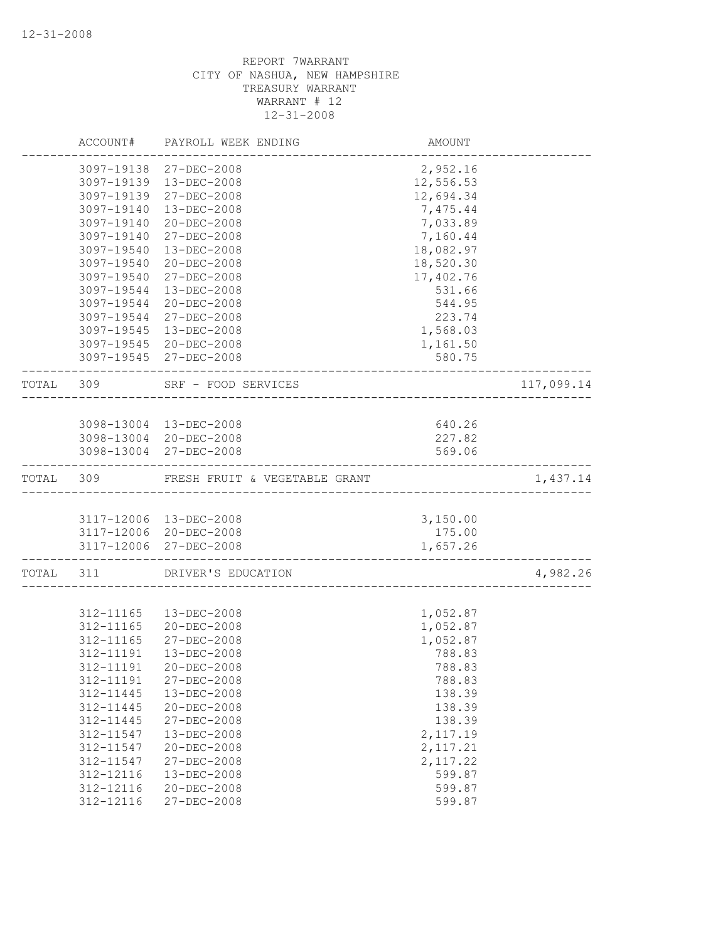|           | ACCOUNT#   | PAYROLL WEEK ENDING                                        | AMOUNT    |            |
|-----------|------------|------------------------------------------------------------|-----------|------------|
|           |            | 3097-19138 27-DEC-2008                                     | 2,952.16  |            |
|           |            | 3097-19139 13-DEC-2008                                     | 12,556.53 |            |
|           | 3097-19139 | 27-DEC-2008                                                | 12,694.34 |            |
|           | 3097-19140 | 13-DEC-2008                                                | 7,475.44  |            |
|           | 3097-19140 | 20-DEC-2008                                                | 7,033.89  |            |
|           | 3097-19140 | 27-DEC-2008                                                | 7,160.44  |            |
|           | 3097-19540 | 13-DEC-2008                                                | 18,082.97 |            |
|           | 3097-19540 | $20 - DEC - 2008$                                          | 18,520.30 |            |
|           | 3097-19540 | $27 - DEC - 2008$                                          | 17,402.76 |            |
|           | 3097-19544 | 13-DEC-2008                                                | 531.66    |            |
|           | 3097-19544 | 20-DEC-2008                                                | 544.95    |            |
|           | 3097-19544 | 27-DEC-2008                                                | 223.74    |            |
|           | 3097-19545 | 13-DEC-2008                                                | 1,568.03  |            |
|           |            | 3097-19545 20-DEC-2008                                     | 1,161.50  |            |
|           |            | 3097-19545 27-DEC-2008                                     | 580.75    |            |
| TOTAL 309 |            | SRF - FOOD SERVICES<br>. _ _ _ _ _ _ _ _ _ _ _ _ _ _ _ _ _ |           | 117,099.14 |
|           |            |                                                            |           |            |
|           |            | 3098-13004 13-DEC-2008                                     | 640.26    |            |
|           |            | 3098-13004 20-DEC-2008                                     | 227.82    |            |
|           |            | 3098-13004 27-DEC-2008                                     | 569.06    |            |
| TOTAL     | 309        | FRESH FRUIT & VEGETABLE GRANT                              |           | 1,437.14   |
|           |            |                                                            |           |            |
|           |            | 3117-12006 13-DEC-2008                                     | 3,150.00  |            |
|           |            | 3117-12006 20-DEC-2008                                     | 175.00    |            |
|           |            | 3117-12006 27-DEC-2008<br>---------------------            | 1,657.26  |            |
| TOTAL 311 |            | DRIVER'S EDUCATION                                         |           | 4,982.26   |
|           |            |                                                            |           |            |
|           | 312-11165  | 13-DEC-2008                                                | 1,052.87  |            |
|           | 312-11165  | 20-DEC-2008                                                | 1,052.87  |            |
|           | 312-11165  | 27-DEC-2008                                                | 1,052.87  |            |
|           | 312-11191  | 13-DEC-2008                                                | 788.83    |            |
|           | 312-11191  | 20-DEC-2008                                                | 788.83    |            |
|           | 312-11191  | $27 - DEC - 2008$                                          | 788.83    |            |
|           | 312-11445  | 13-DEC-2008                                                | 138.39    |            |
|           | 312-11445  | 20-DEC-2008                                                | 138.39    |            |
|           | 312-11445  | 27-DEC-2008                                                | 138.39    |            |
|           | 312-11547  | 13-DEC-2008                                                | 2, 117.19 |            |
|           | 312-11547  | 20-DEC-2008                                                | 2, 117.21 |            |
|           | 312-11547  | 27-DEC-2008                                                | 2, 117.22 |            |
|           | 312-12116  | 13-DEC-2008                                                | 599.87    |            |
|           | 312-12116  | 20-DEC-2008                                                | 599.87    |            |
|           | 312-12116  | 27-DEC-2008                                                | 599.87    |            |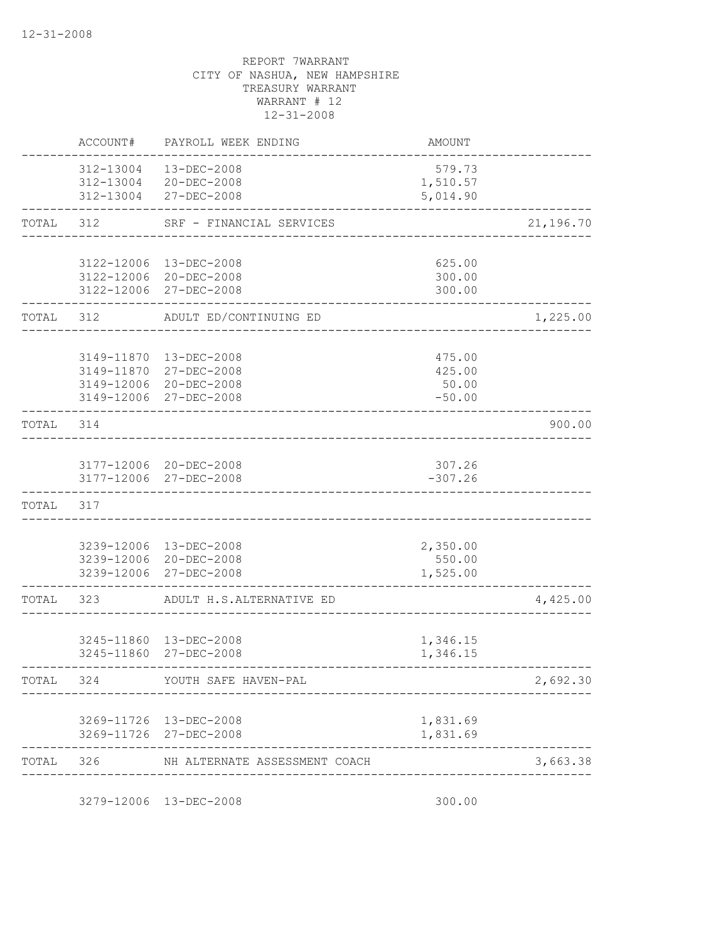|       | ACCOUNT#   | PAYROLL WEEK ENDING                                           | <b>AMOUNT</b>                  |           |
|-------|------------|---------------------------------------------------------------|--------------------------------|-----------|
|       | 312-13004  | 13-DEC-2008<br>312-13004 20-DEC-2008<br>312-13004 27-DEC-2008 | 579.73<br>1,510.57<br>5,014.90 |           |
| TOTAL | 312        | SRF - FINANCIAL SERVICES                                      |                                | 21,196.70 |
|       |            |                                                               |                                |           |
|       |            | 3122-12006 13-DEC-2008<br>3122-12006 20-DEC-2008              | 625.00<br>300.00               |           |
|       |            | 3122-12006 27-DEC-2008                                        | 300.00                         |           |
| TOTAL | 312        | ADULT ED/CONTINUING ED                                        |                                | 1,225.00  |
|       | 3149-11870 |                                                               |                                |           |
|       |            | 13-DEC-2008<br>3149-11870 27-DEC-2008                         | 475.00<br>425.00               |           |
|       | 3149-12006 | 20-DEC-2008                                                   | 50.00                          |           |
|       |            | 3149-12006 27-DEC-2008                                        | $-50.00$                       |           |
| TOTAL | 314        |                                                               |                                | 900.00    |
|       |            | 3177-12006 20-DEC-2008                                        | 307.26                         |           |
|       |            | 3177-12006 27-DEC-2008                                        | $-307.26$                      |           |
| TOTAL | 317        |                                                               |                                |           |
|       |            |                                                               |                                |           |
|       |            | 3239-12006 13-DEC-2008<br>3239-12006 20-DEC-2008              | 2,350.00<br>550.00             |           |
|       |            | 3239-12006 27-DEC-2008                                        | 1,525.00                       |           |
| TOTAL | 323        | ADULT H.S.ALTERNATIVE ED                                      |                                | 4,425.00  |
|       |            |                                                               |                                |           |
|       |            | 3245-11860  13-DEC-2008<br>3245-11860 27-DEC-2008             | 1,346.15<br>1,346.15           |           |
| TOTAL | 324        | YOUTH SAFE HAVEN-PAL                                          |                                | 2,692.30  |
|       |            |                                                               |                                |           |
|       |            | 3269-11726 13-DEC-2008                                        | 1,831.69<br>1,831.69           |           |
|       |            | 3269-11726 27-DEC-2008                                        |                                |           |
| TOTAL | 326        | NH ALTERNATE ASSESSMENT COACH                                 |                                | 3,663.38  |
|       |            | 3279-12006 13-DEC-2008                                        | 300.00                         |           |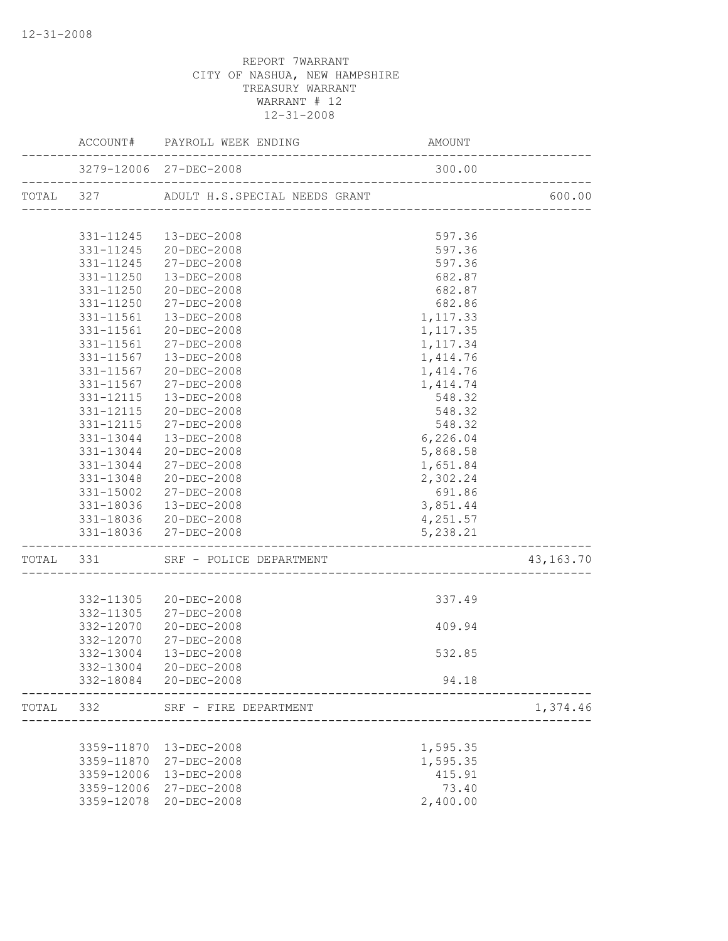|                        | ACCOUNT# PAYROLL WEEK ENDING                                    | AMOUNT                             |             |
|------------------------|-----------------------------------------------------------------|------------------------------------|-------------|
|                        | 3279-12006 27-DEC-2008<br>_____________________________________ | 300.00                             |             |
|                        | TOTAL 327 ADULT H.S.SPECIAL NEEDS GRANT                         |                                    | 600.00      |
|                        |                                                                 |                                    |             |
|                        | 331-11245  13-DEC-2008                                          | 597.36                             |             |
|                        | 331-11245 20-DEC-2008                                           | 597.36                             |             |
|                        | 331-11245 27-DEC-2008                                           | 597.36                             |             |
| 331-11250              | 13-DEC-2008                                                     | 682.87                             |             |
| 331-11250              | 20-DEC-2008                                                     | 682.87                             |             |
| 331-11250              | 27-DEC-2008                                                     | 682.86                             |             |
|                        | 331-11561  13-DEC-2008                                          | 1,117.33                           |             |
|                        | 331-11561 20-DEC-2008                                           | 1,117.35                           |             |
|                        | 331-11561 27-DEC-2008                                           | 1,117.34                           |             |
|                        | 331-11567  13-DEC-2008                                          | 1,414.76                           |             |
| 331-11567              | 20-DEC-2008                                                     | 1,414.76                           |             |
| 331-11567              | 27-DEC-2008<br>13-DEC-2008                                      | 1,414.74<br>548.32                 |             |
| 331-12115<br>331-12115 | 20-DEC-2008                                                     | 548.32                             |             |
| 331-12115              | 27-DEC-2008                                                     | 548.32                             |             |
| 331-13044              | 13-DEC-2008                                                     | 6,226.04                           |             |
|                        | 331-13044 20-DEC-2008                                           | 5,868.58                           |             |
|                        | 331-13044 27-DEC-2008                                           | 1,651.84                           |             |
|                        | 331-13048 20-DEC-2008                                           | 2,302.24                           |             |
|                        | 331-15002 27-DEC-2008                                           | 691.86                             |             |
|                        | 331-18036  13-DEC-2008                                          | 3,851.44                           |             |
|                        | 331-18036 20-DEC-2008                                           | 4,251.57                           |             |
|                        | 331-18036 27-DEC-2008                                           | 5,238.21<br>______________________ |             |
|                        | TOTAL 331 SRF - POLICE DEPARTMENT                               | --------------------------------   | 43, 163. 70 |
|                        |                                                                 |                                    |             |
|                        | 332-11305 20-DEC-2008                                           | 337.49                             |             |
|                        | 332-11305 27-DEC-2008                                           |                                    |             |
|                        | 332-12070 20-DEC-2008                                           | 409.94                             |             |
|                        | 332-12070 27-DEC-2008                                           |                                    |             |
| 332-13004              | 13-DEC-2008                                                     | 532.85                             |             |
| 332-13004              | 20-DEC-2008<br>332-18084 20-DEC-2008                            | 94.18                              |             |
| TOTAL 332              | --------------------<br>SRF - FIRE DEPARTMENT                   |                                    | 1,374.46    |
|                        |                                                                 |                                    |             |
|                        | 3359-11870  13-DEC-2008                                         | 1,595.35                           |             |
|                        | 3359-11870 27-DEC-2008                                          | 1,595.35                           |             |
|                        | 3359-12006 13-DEC-2008                                          | 415.91                             |             |
|                        | 3359-12006 27-DEC-2008                                          | 73.40                              |             |
|                        | 3359-12078 20-DEC-2008                                          | 2,400.00                           |             |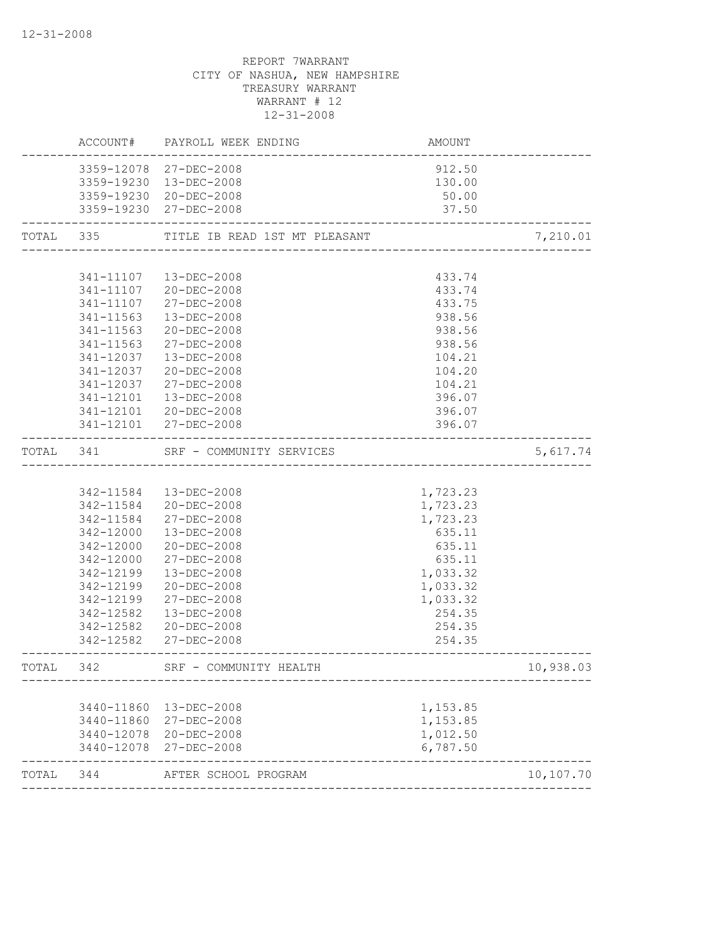|           |            | ACCOUNT# PAYROLL WEEK ENDING            | AMOUNT                                            |           |
|-----------|------------|-----------------------------------------|---------------------------------------------------|-----------|
|           |            | 3359-12078 27-DEC-2008                  | 912.50                                            |           |
|           |            | 3359-19230 13-DEC-2008                  | 130.00                                            |           |
|           |            | 3359-19230 20-DEC-2008                  | 50.00                                             |           |
|           |            | 3359-19230 27-DEC-2008                  | 37.50                                             |           |
|           |            | TOTAL 335 TITLE IB READ 1ST MT PLEASANT | ИТ PLEASANT<br>---------------------------------- | 7,210.01  |
|           |            |                                         |                                                   |           |
|           |            | 341-11107  13-DEC-2008                  | 433.74                                            |           |
|           |            | 341-11107 20-DEC-2008                   | 433.74                                            |           |
|           |            | 341-11107 27-DEC-2008                   | 433.75                                            |           |
|           |            | 341-11563  13-DEC-2008                  | 938.56                                            |           |
|           |            | 341-11563 20-DEC-2008                   | 938.56                                            |           |
|           | 341-11563  | 27-DEC-2008                             | 938.56                                            |           |
|           | 341-12037  | 13-DEC-2008                             | 104.21                                            |           |
|           | 341-12037  | $20 - DEC - 2008$                       | 104.20                                            |           |
|           | 341-12037  | 27-DEC-2008                             | 104.21                                            |           |
|           | 341-12101  | 13-DEC-2008                             | 396.07                                            |           |
|           |            | 341-12101 20-DEC-2008                   | 396.07                                            |           |
|           |            | 341-12101 27-DEC-2008                   | 396.07                                            |           |
| TOTAL 341 |            | SRF - COMMUNITY SERVICES                |                                                   | 5,617.74  |
|           |            |                                         |                                                   |           |
|           |            | 342-11584  13-DEC-2008                  | 1,723.23                                          |           |
|           |            | 342-11584 20-DEC-2008                   | 1,723.23                                          |           |
|           | 342-11584  | 27-DEC-2008                             | 1,723.23                                          |           |
|           | 342-12000  | 13-DEC-2008                             | 635.11                                            |           |
|           | 342-12000  | 20-DEC-2008                             | 635.11                                            |           |
|           | 342-12000  | 27-DEC-2008                             | 635.11                                            |           |
|           | 342-12199  | 13-DEC-2008                             | 1,033.32                                          |           |
|           | 342-12199  | 20-DEC-2008                             | 1,033.32                                          |           |
|           | 342-12199  | 27-DEC-2008                             | 1,033.32                                          |           |
|           | 342-12582  | 13-DEC-2008                             | 254.35                                            |           |
|           | 342-12582  | 20-DEC-2008                             | 254.35                                            |           |
|           |            | 342-12582 27-DEC-2008                   | 254.35                                            |           |
| TOTAL 342 |            | SRF - COMMUNITY HEALTH                  |                                                   | 10,938.03 |
|           |            |                                         |                                                   |           |
|           | 3440-11860 | 13-DEC-2008                             | 1,153.85                                          |           |
|           |            | 3440-11860 27-DEC-2008                  | 1,153.85                                          |           |
|           |            | 3440-12078 20-DEC-2008                  | 1,012.50                                          |           |
|           | 3440-12078 | 27-DEC-2008                             | 6,787.50                                          |           |
| TOTAL     | 344        | AFTER SCHOOL PROGRAM                    | ________________________________                  | 10,107.70 |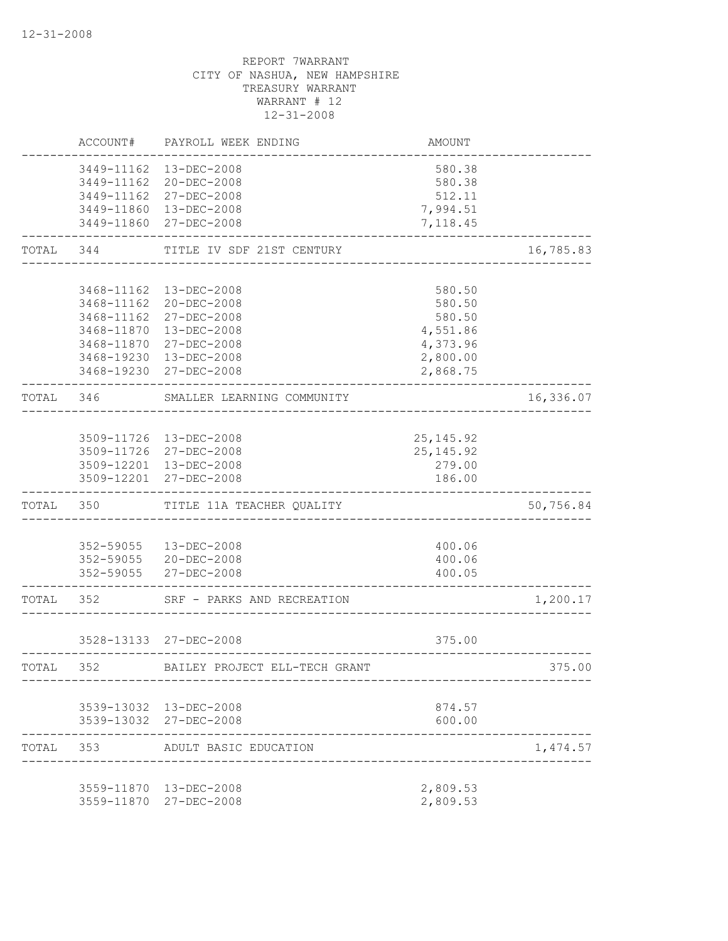|           | ACCOUNT#                                             | PAYROLL WEEK ENDING                                                                                                                     | <b>AMOUNT</b>                                                              |           |
|-----------|------------------------------------------------------|-----------------------------------------------------------------------------------------------------------------------------------------|----------------------------------------------------------------------------|-----------|
|           |                                                      | 3449-11162  13-DEC-2008<br>3449-11162 20-DEC-2008<br>3449-11162 27-DEC-2008                                                             | 580.38<br>580.38<br>512.11                                                 |           |
|           |                                                      | 3449-11860 13-DEC-2008<br>3449-11860 27-DEC-2008                                                                                        | 7,994.51<br>7,118.45                                                       |           |
| TOTAL     | 344                                                  | TITLE IV SDF 21ST CENTURY                                                                                                               |                                                                            | 16,785.83 |
|           | 3468-11162<br>3468-11162<br>3468-11870<br>3468-11870 | 3468-11162  13-DEC-2008<br>20-DEC-2008<br>27-DEC-2008<br>13-DEC-2008<br>27-DEC-2008<br>3468-19230 13-DEC-2008<br>3468-19230 27-DEC-2008 | 580.50<br>580.50<br>580.50<br>4,551.86<br>4,373.96<br>2,800.00<br>2,868.75 |           |
| TOTAL     | 346                                                  | SMALLER LEARNING COMMUNITY<br>______________                                                                                            |                                                                            | 16,336.07 |
|           |                                                      | 3509-11726 13-DEC-2008<br>3509-11726 27-DEC-2008<br>3509-12201 13-DEC-2008<br>3509-12201 27-DEC-2008                                    | 25, 145.92<br>25, 145.92<br>279.00<br>186.00                               |           |
| TOTAL 350 |                                                      | TITLE 11A TEACHER QUALITY                                                                                                               |                                                                            | 50,756.84 |
|           |                                                      | 352-59055  13-DEC-2008<br>352-59055 20-DEC-2008<br>352-59055 27-DEC-2008                                                                | 400.06<br>400.06<br>400.05                                                 |           |
| TOTAL 352 |                                                      | SRF - PARKS AND RECREATION                                                                                                              | --------------                                                             | 1,200.17  |
|           |                                                      | 3528-13133 27-DEC-2008                                                                                                                  | 375.00                                                                     |           |
| TOTAL     | 352                                                  | BAILEY PROJECT ELL-TECH GRANT                                                                                                           |                                                                            | 375.00    |
|           |                                                      | 3539-13032 13-DEC-2008<br>3539-13032 27-DEC-2008                                                                                        | 874.57<br>600.00                                                           |           |
| TOTAL     | 353                                                  | ADULT BASIC EDUCATION                                                                                                                   |                                                                            | 1,474.57  |
|           |                                                      | 3559-11870  13-DEC-2008<br>3559-11870 27-DEC-2008                                                                                       | 2,809.53<br>2,809.53                                                       |           |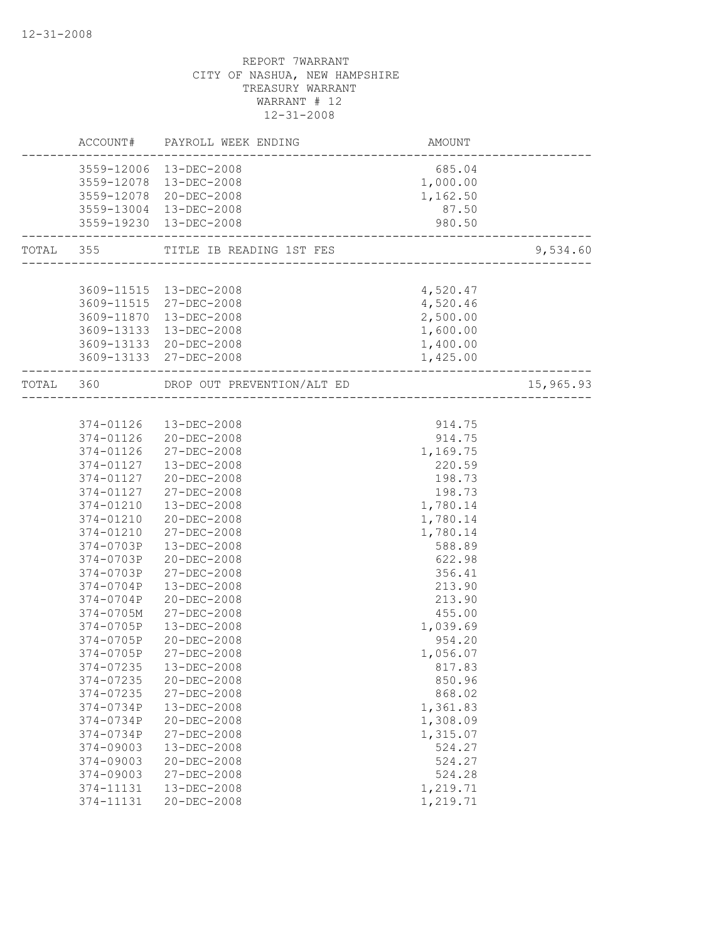|               | ACCOUNT# PAYROLL WEEK ENDING       | AMOUNT                        |           |
|---------------|------------------------------------|-------------------------------|-----------|
|               | 3559-12006 13-DEC-2008             | 685.04                        |           |
|               | 3559-12078  13-DEC-2008            | 1,000.00                      |           |
|               | 3559-12078 20-DEC-2008             | 1,162.50                      |           |
|               | 3559-13004 13-DEC-2008             | 87.50                         |           |
|               | 3559-19230 13-DEC-2008             | 980.50<br>___________________ |           |
|               | TOTAL 355 TITLE IB READING 1ST FES | ________________________      | 9,534.60  |
|               |                                    |                               |           |
|               | 3609-11515  13-DEC-2008            | 4,520.47                      |           |
|               | 3609-11515 27-DEC-2008             | 4,520.46                      |           |
|               | 3609-11870  13-DEC-2008            | 2,500.00                      |           |
|               | 3609-13133 13-DEC-2008             | 1,600.00                      |           |
|               | 3609-13133 20-DEC-2008             | 1,400.00                      |           |
|               | 3609-13133 27-DEC-2008             | 1,425.00                      |           |
| TOTAL 360     | DROP OUT PREVENTION/ALT ED         |                               | 15,965.93 |
|               |                                    |                               |           |
|               | 374-01126  13-DEC-2008             | 914.75                        |           |
|               | 374-01126 20-DEC-2008              | 914.75                        |           |
| 374-01126     | 27-DEC-2008                        | 1,169.75                      |           |
| 374-01127     | 13-DEC-2008                        | 220.59                        |           |
|               | 374-01127 20-DEC-2008              | 198.73                        |           |
| 374-01127     | 27-DEC-2008                        | 198.73                        |           |
| 374-01210     | 13-DEC-2008                        | 1,780.14                      |           |
| 374-01210     | 20-DEC-2008                        | 1,780.14                      |           |
| 374-01210     | 27-DEC-2008                        | 1,780.14                      |           |
| 374-0703P     | 13-DEC-2008                        | 588.89                        |           |
| 374-0703P     | 20-DEC-2008                        | 622.98                        |           |
| 374-0703P     | 27-DEC-2008                        | 356.41                        |           |
| 374-0704P     | 13-DEC-2008                        | 213.90                        |           |
| 374-0704P     | $20 - DEC - 2008$                  | 213.90                        |           |
| 374-0705M     | 27-DEC-2008                        | 455.00                        |           |
| 374-0705P     | $13 - DEC - 2008$                  | 1,039.69                      |           |
| 374-0705P     | 20-DEC-2008                        | 954.20                        |           |
| 374-0705P     | 27-DEC-2008                        | 1,056.07                      |           |
| 374-07235     | 13-DEC-2008                        | 817.83                        |           |
| 374-07235     | 20-DEC-2008                        | 850.96                        |           |
| 374-07235     | 27-DEC-2008                        | 868.02                        |           |
| 374-0734P     | 13-DEC-2008                        | 1,361.83                      |           |
| 374-0734P     | 20-DEC-2008                        | 1,308.09                      |           |
| 374-0734P     | 27-DEC-2008                        | 1,315.07                      |           |
| 374-09003     | 13-DEC-2008                        | 524.27                        |           |
| 374-09003     | $20 - DEC - 2008$                  | 524.27                        |           |
| $374 - 09003$ | 27-DEC-2008                        | 524.28                        |           |
| 374-11131     | 13-DEC-2008                        | 1,219.71                      |           |
| 374-11131     | $20 - DEC - 2008$                  | 1,219.71                      |           |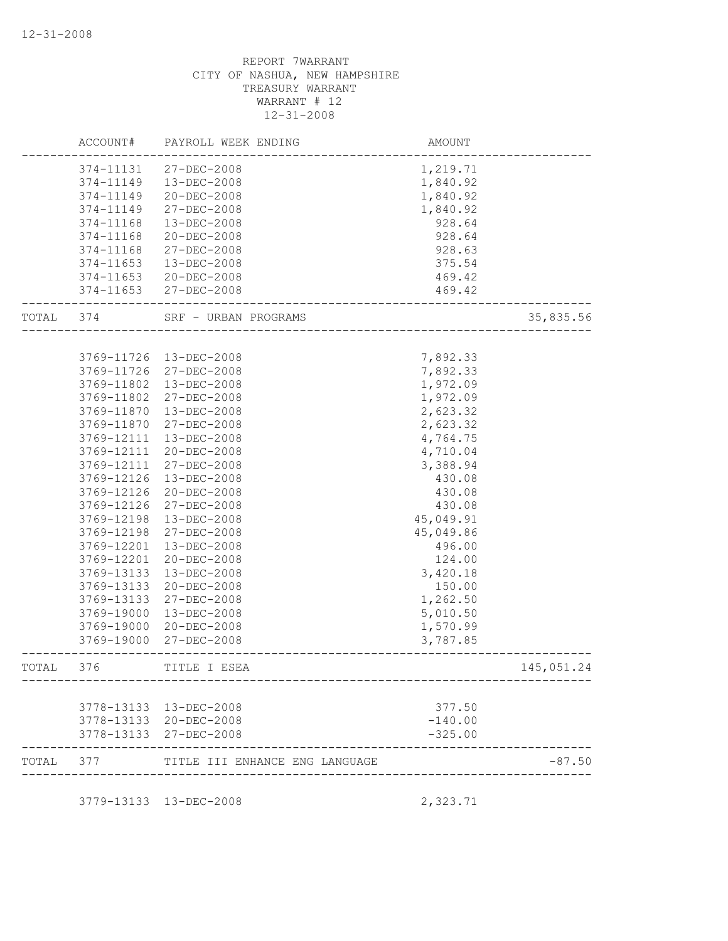|       | ACCOUNT#      | PAYROLL WEEK ENDING            | AMOUNT    |            |
|-------|---------------|--------------------------------|-----------|------------|
|       | 374-11131     | $27 - DEC - 2008$              | 1,219.71  |            |
|       | 374-11149     | 13-DEC-2008                    | 1,840.92  |            |
|       | 374-11149     | $20 - DEC - 2008$              | 1,840.92  |            |
|       | 374-11149     | 27-DEC-2008                    | 1,840.92  |            |
|       | 374-11168     | 13-DEC-2008                    | 928.64    |            |
|       | 374-11168     | 20-DEC-2008                    | 928.64    |            |
|       | 374-11168     | 27-DEC-2008                    | 928.63    |            |
|       | 374-11653     | 13-DEC-2008                    | 375.54    |            |
|       | $374 - 11653$ | 20-DEC-2008                    | 469.42    |            |
|       |               | 374-11653 27-DEC-2008          | 469.42    |            |
| TOTAL | 374           | SRF - URBAN PROGRAMS           |           | 35,835.56  |
|       |               |                                |           |            |
|       | 3769-11726    | 13-DEC-2008                    | 7,892.33  |            |
|       | 3769-11726    | 27-DEC-2008                    | 7,892.33  |            |
|       | 3769-11802    | $13 - DEC - 2008$              | 1,972.09  |            |
|       | 3769-11802    | $27 - DEC - 2008$              | 1,972.09  |            |
|       | 3769-11870    | 13-DEC-2008                    | 2,623.32  |            |
|       | 3769-11870    | 27-DEC-2008                    | 2,623.32  |            |
|       | 3769-12111    | 13-DEC-2008                    | 4,764.75  |            |
|       | 3769-12111    | 20-DEC-2008                    | 4,710.04  |            |
|       | 3769-12111    | 27-DEC-2008                    | 3,388.94  |            |
|       | 3769-12126    | 13-DEC-2008                    | 430.08    |            |
|       | 3769-12126    | 20-DEC-2008                    | 430.08    |            |
|       | 3769-12126    | 27-DEC-2008                    | 430.08    |            |
|       | 3769-12198    | 13-DEC-2008                    | 45,049.91 |            |
|       | 3769-12198    | 27-DEC-2008                    | 45,049.86 |            |
|       | 3769-12201    | 13-DEC-2008                    | 496.00    |            |
|       | 3769-12201    | 20-DEC-2008                    | 124.00    |            |
|       | 3769-13133    | 13-DEC-2008                    | 3,420.18  |            |
|       | 3769-13133    | 20-DEC-2008                    | 150.00    |            |
|       | 3769-13133    | 27-DEC-2008                    | 1,262.50  |            |
|       | 3769-19000    | 13-DEC-2008                    | 5,010.50  |            |
|       | 3769-19000    | $20 - DEC - 2008$              | 1,570.99  |            |
|       | 3769-19000    | 27-DEC-2008                    | 3,787.85  |            |
| TOTAL | 376           | TITLE I ESEA                   |           | 145,051.24 |
|       |               |                                |           |            |
|       |               | 3778-13133 13-DEC-2008         | 377.50    |            |
|       |               | 3778-13133 20-DEC-2008         | $-140.00$ |            |
|       |               | 3778-13133 27-DEC-2008         | $-325.00$ |            |
| TOTAL | 377           | TITLE III ENHANCE ENG LANGUAGE |           | $-87.50$   |
|       |               | 3779-13133 13-DEC-2008         | 2,323.71  |            |
|       |               |                                |           |            |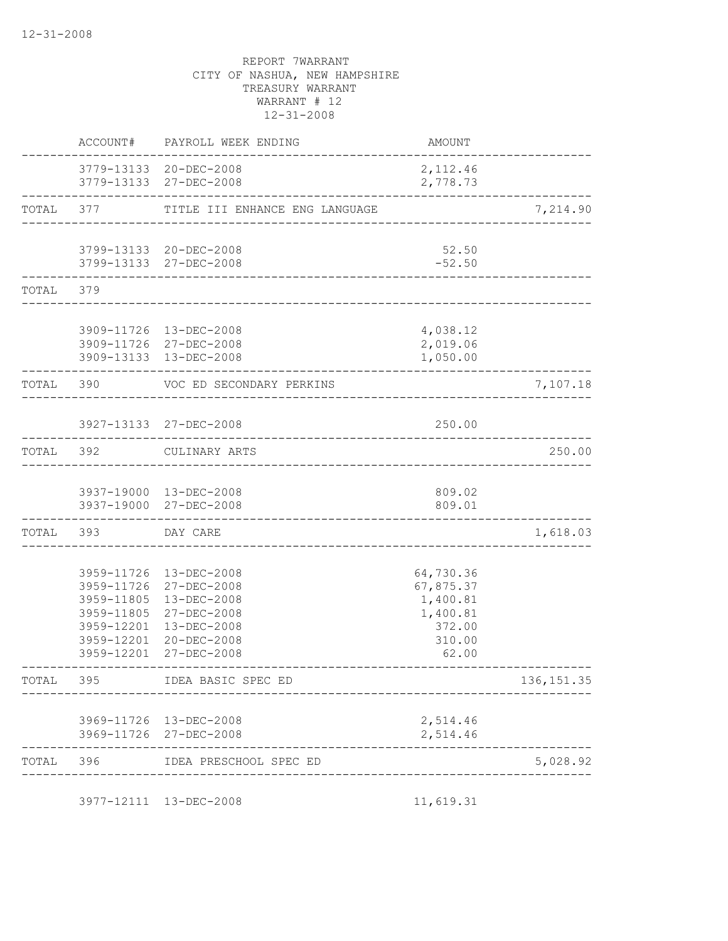|           | ACCOUNT#                                                                         | PAYROLL WEEK ENDING                                                                                                    | AMOUNT                                                                      |             |
|-----------|----------------------------------------------------------------------------------|------------------------------------------------------------------------------------------------------------------------|-----------------------------------------------------------------------------|-------------|
|           |                                                                                  | 3779-13133 20-DEC-2008<br>3779-13133 27-DEC-2008                                                                       | 2, 112.46<br>2,778.73                                                       |             |
|           |                                                                                  | TOTAL 377 TITLE III ENHANCE ENG LANGUAGE                                                                               |                                                                             | 7,214.90    |
|           |                                                                                  | 3799-13133 20-DEC-2008<br>3799-13133 27-DEC-2008                                                                       | 52.50<br>$-52.50$                                                           |             |
| TOTAL 379 |                                                                                  |                                                                                                                        |                                                                             |             |
|           |                                                                                  | 3909-11726 13-DEC-2008<br>3909-11726 27-DEC-2008<br>3909-13133 13-DEC-2008                                             | 4,038.12<br>2,019.06<br>1,050.00                                            |             |
|           | TOTAL 390                                                                        | VOC ED SECONDARY PERKINS                                                                                               |                                                                             | 7,107.18    |
|           |                                                                                  | 3927-13133 27-DEC-2008                                                                                                 | 250.00                                                                      |             |
| TOTAL 392 |                                                                                  | CULINARY ARTS                                                                                                          |                                                                             | 250.00      |
|           |                                                                                  | 3937-19000 13-DEC-2008<br>3937-19000 27-DEC-2008                                                                       | 809.02<br>809.01                                                            |             |
|           | TOTAL 393                                                                        | DAY CARE                                                                                                               |                                                                             | 1,618.03    |
|           | 3959-11726<br>3959-11805<br>3959-11805<br>3959-12201<br>3959-12201<br>3959-12201 | 3959-11726 13-DEC-2008<br>27-DEC-2008<br>13-DEC-2008<br>27-DEC-2008<br>13-DEC-2008<br>$20 - DEC - 2008$<br>27-DEC-2008 | 64,730.36<br>67,875.37<br>1,400.81<br>1,400.81<br>372.00<br>310.00<br>62.00 |             |
| TOTAL     | 395                                                                              | IDEA BASIC SPEC ED                                                                                                     |                                                                             | 136, 151.35 |
|           |                                                                                  | 3969-11726 13-DEC-2008<br>3969-11726 27-DEC-2008                                                                       | 2,514.46<br>2,514.46                                                        |             |
| TOTAL 396 |                                                                                  | IDEA PRESCHOOL SPEC ED                                                                                                 |                                                                             | 5,028.92    |
|           |                                                                                  | 3977-12111 13-DEC-2008                                                                                                 | 11,619.31                                                                   |             |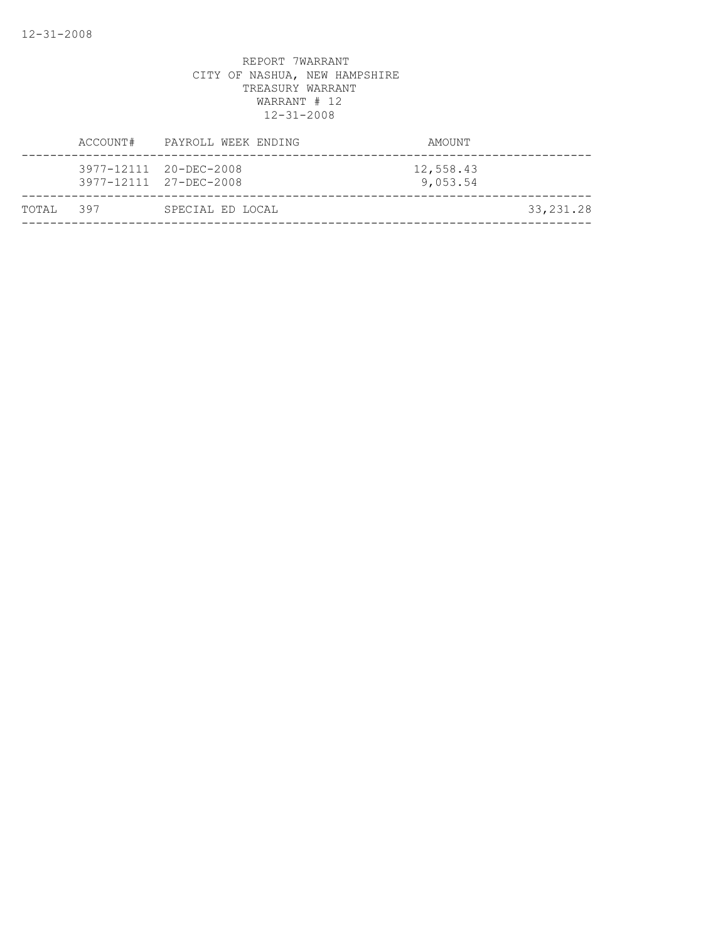|            | ACCOUNT# PAYROLL WEEK ENDING                     | AMOUNT                |             |
|------------|--------------------------------------------------|-----------------------|-------------|
|            | 3977-12111 20-DEC-2008<br>3977-12111 27-DEC-2008 | 12,558.43<br>9,053.54 |             |
| ТОТАІ. 397 | SPECIAL ED LOCAL                                 |                       | 33, 231. 28 |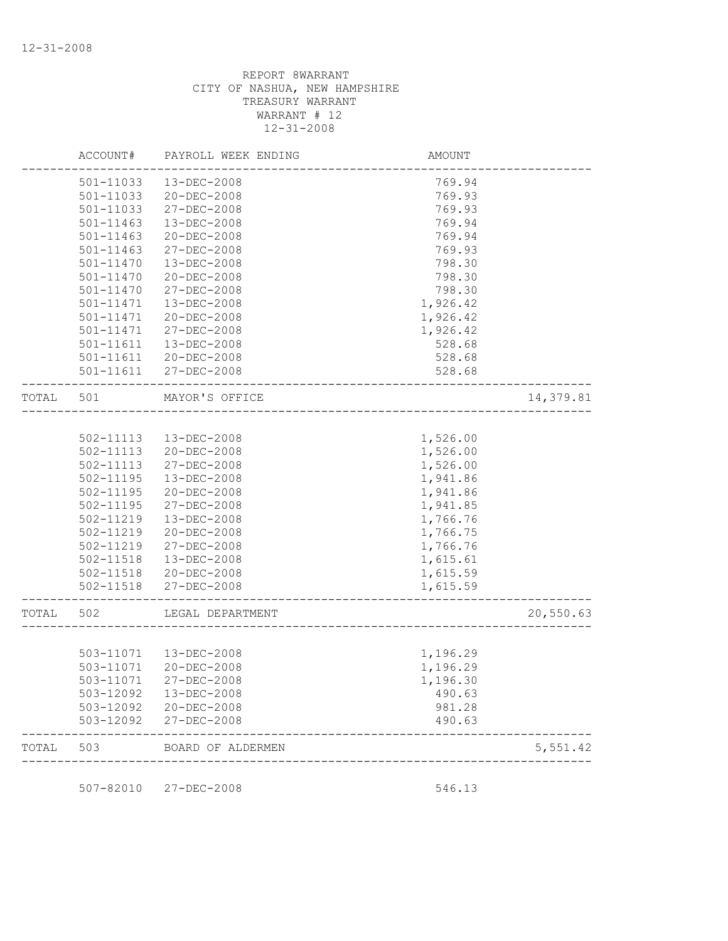|           | ACCOUNT#      | PAYROLL WEEK ENDING    | <b>AMOUNT</b>                     |           |
|-----------|---------------|------------------------|-----------------------------------|-----------|
|           | 501-11033     | 13-DEC-2008            | 769.94                            |           |
|           | 501-11033     | 20-DEC-2008            | 769.93                            |           |
|           | 501-11033     | 27-DEC-2008            | 769.93                            |           |
|           | 501-11463     | 13-DEC-2008            | 769.94                            |           |
|           | $501 - 11463$ | $20 - DEC - 2008$      | 769.94                            |           |
|           | $501 - 11463$ | 27-DEC-2008            | 769.93                            |           |
|           | 501-11470     | 13-DEC-2008            | 798.30                            |           |
|           | 501-11470     | $20 - DEC - 2008$      | 798.30                            |           |
|           | 501-11470     | 27-DEC-2008            | 798.30                            |           |
|           | 501-11471     | $13 - DEC - 2008$      | 1,926.42                          |           |
|           | 501-11471     | 20-DEC-2008            | 1,926.42                          |           |
|           | 501-11471     | 27-DEC-2008            | 1,926.42                          |           |
|           | 501-11611     | 13-DEC-2008            | 528.68                            |           |
|           | 501-11611     | $20 - DEC - 2008$      | 528.68                            |           |
|           |               | 501-11611 27-DEC-2008  | 528.68                            |           |
|           |               |                        |                                   |           |
| TOTAL 501 |               | MAYOR'S OFFICE         | _________________________________ | 14,379.81 |
|           |               |                        |                                   |           |
|           | 502-11113     | 13-DEC-2008            | 1,526.00                          |           |
|           | 502-11113     | 20-DEC-2008            | 1,526.00                          |           |
|           | 502-11113     | 27-DEC-2008            | 1,526.00                          |           |
|           | 502-11195     | 13-DEC-2008            | 1,941.86                          |           |
|           | $502 - 11195$ | 20-DEC-2008            | 1,941.86                          |           |
|           | 502-11195     | 27-DEC-2008            | 1,941.85                          |           |
|           | 502-11219     | 13-DEC-2008            | 1,766.76                          |           |
|           | 502-11219     | $20 - DEC - 2008$      | 1,766.75                          |           |
|           | 502-11219     | 27-DEC-2008            | 1,766.76                          |           |
|           | 502-11518     | 13-DEC-2008            | 1,615.61                          |           |
|           |               | 502-11518 20-DEC-2008  | 1,615.59                          |           |
|           |               | 502-11518 27-DEC-2008  | 1,615.59                          |           |
| TOTAL     | 502           | LEGAL DEPARTMENT       |                                   | 20,550.63 |
|           |               |                        |                                   |           |
|           |               | 503-11071  13-DEC-2008 | 1,196.29                          |           |
|           |               | 503-11071 20-DEC-2008  | 1,196.29                          |           |
|           |               | 503-11071 27-DEC-2008  | 1,196.30                          |           |
|           | 503-12092     | $13 - DEC - 2008$      | 490.63                            |           |
|           | 503-12092     | 20-DEC-2008            | 981.28                            |           |
|           | 503-12092     | 27-DEC-2008            | 490.63                            |           |
| TOTAL     | 503           | BOARD OF ALDERMEN      |                                   | 5,551.42  |
|           |               |                        |                                   |           |
|           |               | 507-82010 27-DEC-2008  | 546.13                            |           |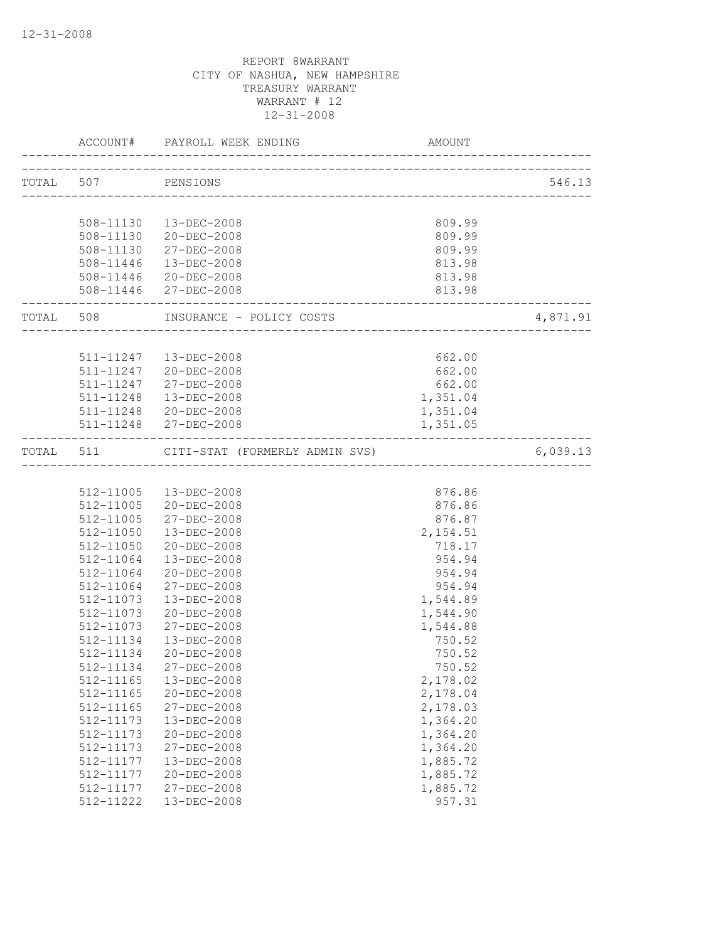|           |                           | ACCOUNT# PAYROLL WEEK ENDING       | AMOUNT                                 |          |
|-----------|---------------------------|------------------------------------|----------------------------------------|----------|
|           | TOTAL 507 PENSIONS        |                                    |                                        | 546.13   |
|           |                           |                                    |                                        |          |
|           |                           | 508-11130  13-DEC-2008             | 809.99                                 |          |
|           |                           | 508-11130 20-DEC-2008              | 809.99                                 |          |
|           |                           | 508-11130 27-DEC-2008              | 809.99                                 |          |
|           |                           | 508-11446  13-DEC-2008             | 813.98                                 |          |
|           |                           | 508-11446 20-DEC-2008              | 813.98                                 |          |
|           | ------------------------- | 508-11446 27-DEC-2008              | 813.98<br>---------------------------  |          |
|           |                           | TOTAL 508 INSURANCE - POLICY COSTS | __<br>-------------------------------- | 4,871.91 |
|           |                           |                                    |                                        |          |
|           |                           | 511-11247  13-DEC-2008             | 662.00                                 |          |
|           |                           | 511-11247 20-DEC-2008              | 662.00                                 |          |
|           |                           | 511-11247 27-DEC-2008              | 662.00                                 |          |
|           | 511-11248                 | 13-DEC-2008                        | 1,351.04                               |          |
|           |                           | 511-11248 20-DEC-2008              | 1,351.04                               |          |
|           |                           | 511-11248 27-DEC-2008              | 1,351.05                               |          |
| TOTAL 511 |                           | CITI-STAT (FORMERLY ADMIN SVS)     |                                        | 6,039.13 |
|           |                           |                                    |                                        |          |
|           |                           | 512-11005  13-DEC-2008             | 876.86                                 |          |
|           |                           | 512-11005 20-DEC-2008              | 876.86                                 |          |
|           | 512-11005                 | 27-DEC-2008                        | 876.87                                 |          |
|           | 512-11050                 | 13-DEC-2008                        | 2,154.51                               |          |
|           | 512-11050                 | 20-DEC-2008                        | 718.17                                 |          |
|           | 512-11064                 | 13-DEC-2008                        | 954.94                                 |          |
|           | 512-11064                 | 20-DEC-2008                        | 954.94                                 |          |
|           | 512-11064                 | 27-DEC-2008                        | 954.94                                 |          |
|           | 512-11073                 | $13 - DEC - 2008$                  | 1,544.89                               |          |
|           | 512-11073                 | 20-DEC-2008                        | 1,544.90                               |          |
|           | 512-11073                 | 27-DEC-2008                        | 1,544.88                               |          |
|           | 512-11134                 | 13-DEC-2008                        | 750.52                                 |          |
|           | 512-11134                 | $20 - DEC - 2008$                  | 750.52                                 |          |
|           | 512-11134                 | 27-DEC-2008                        | 750.52                                 |          |
|           | 512-11165                 | 13-DEC-2008                        | 2,178.02                               |          |
|           | 512-11165                 | 20-DEC-2008                        | 2,178.04                               |          |
|           | 512-11165                 | 27-DEC-2008                        | 2,178.03                               |          |
|           | 512-11173                 | 13-DEC-2008                        | 1,364.20                               |          |
|           | 512-11173                 | 20-DEC-2008                        | 1,364.20                               |          |
|           | 512-11173                 | 27-DEC-2008                        | 1,364.20                               |          |
|           | 512-11177                 | 13-DEC-2008                        | 1,885.72                               |          |
|           | 512-11177                 | 20-DEC-2008                        | 1,885.72                               |          |
|           | 512-11177                 | 27-DEC-2008                        | 1,885.72                               |          |
|           | 512-11222                 | 13-DEC-2008                        | 957.31                                 |          |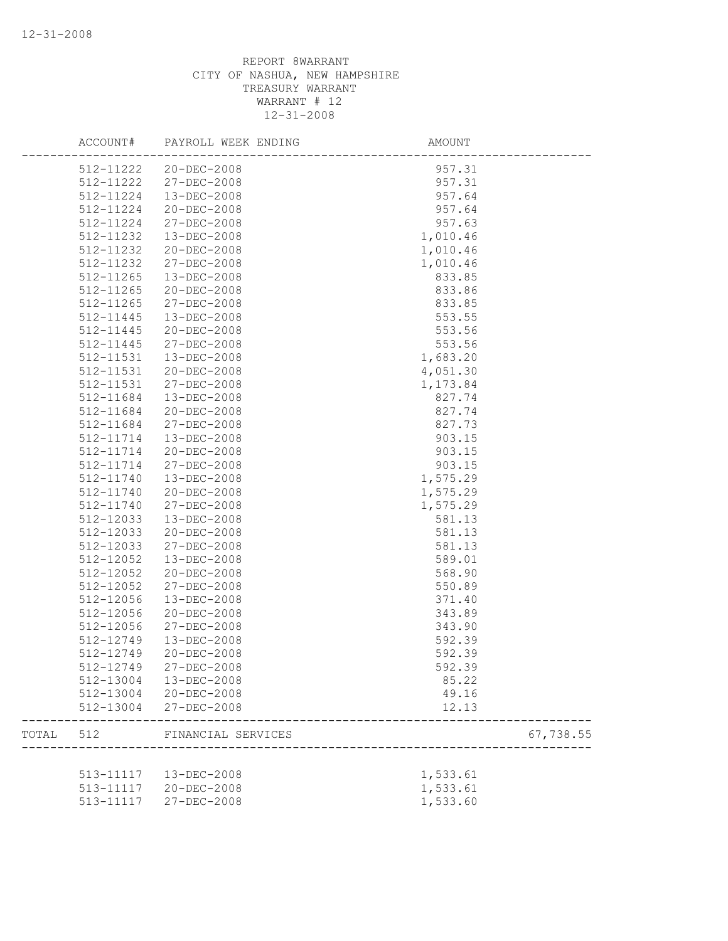|       | ACCOUNT#      | PAYROLL WEEK ENDING    | AMOUNT   |           |
|-------|---------------|------------------------|----------|-----------|
|       |               | 512-11222 20-DEC-2008  | 957.31   |           |
|       | 512-11222     | $27 - DEC - 2008$      | 957.31   |           |
|       | 512-11224     | 13-DEC-2008            | 957.64   |           |
|       | 512-11224     | $20 - DEC - 2008$      | 957.64   |           |
|       | 512-11224     | 27-DEC-2008            | 957.63   |           |
|       | 512-11232     | 13-DEC-2008            | 1,010.46 |           |
|       | 512-11232     | 20-DEC-2008            | 1,010.46 |           |
|       | 512-11232     | 27-DEC-2008            | 1,010.46 |           |
|       | 512-11265     | $13 - DEC - 2008$      | 833.85   |           |
|       | 512-11265     | 20-DEC-2008            | 833.86   |           |
|       | $512 - 11265$ | 27-DEC-2008            | 833.85   |           |
|       | 512-11445     | 13-DEC-2008            | 553.55   |           |
|       | 512-11445     | 20-DEC-2008            | 553.56   |           |
|       | 512-11445     | 27-DEC-2008            | 553.56   |           |
|       | 512-11531     | $13 - DEC - 2008$      | 1,683.20 |           |
|       | 512-11531     | 20-DEC-2008            | 4,051.30 |           |
|       | 512-11531     | 27-DEC-2008            | 1,173.84 |           |
|       | 512-11684     | $13 - DEC - 2008$      | 827.74   |           |
|       | 512-11684     | 20-DEC-2008            | 827.74   |           |
|       | 512-11684     | 27-DEC-2008            | 827.73   |           |
|       | 512-11714     | 13-DEC-2008            | 903.15   |           |
|       | 512-11714     | 20-DEC-2008            | 903.15   |           |
|       | 512-11714     | 27-DEC-2008            | 903.15   |           |
|       | 512-11740     | $13 - DEC - 2008$      | 1,575.29 |           |
|       | 512-11740     | 20-DEC-2008            | 1,575.29 |           |
|       | 512-11740     | 27-DEC-2008            | 1,575.29 |           |
|       | 512-12033     | 13-DEC-2008            | 581.13   |           |
|       | 512-12033     | 20-DEC-2008            | 581.13   |           |
|       | 512-12033     | 27-DEC-2008            | 581.13   |           |
|       | 512-12052     | 13-DEC-2008            | 589.01   |           |
|       | 512-12052     | 20-DEC-2008            | 568.90   |           |
|       | 512-12052     | 27-DEC-2008            | 550.89   |           |
|       | 512-12056     | 13-DEC-2008            | 371.40   |           |
|       | 512-12056     | 20-DEC-2008            | 343.89   |           |
|       | 512-12056     | 27-DEC-2008            | 343.90   |           |
|       | 512-12749     | 13-DEC-2008            | 592.39   |           |
|       | 512-12749     | 20-DEC-2008            | 592.39   |           |
|       | 512-12749     | $27 - DEC - 2008$      | 592.39   |           |
|       | 512-13004     | 13-DEC-2008            | 85.22    |           |
|       |               | 512-13004 20-DEC-2008  | 49.16    |           |
|       | 512-13004     | 27-DEC-2008            | 12.13    |           |
| TOTAL | 512           | FINANCIAL SERVICES     |          | 67,738.55 |
|       |               |                        |          |           |
|       |               | 513-11117  13-DEC-2008 | 1,533.61 |           |
|       |               | 513-11117 20-DEC-2008  | 1,533.61 |           |
|       | 513-11117     | 27-DEC-2008            | 1,533.60 |           |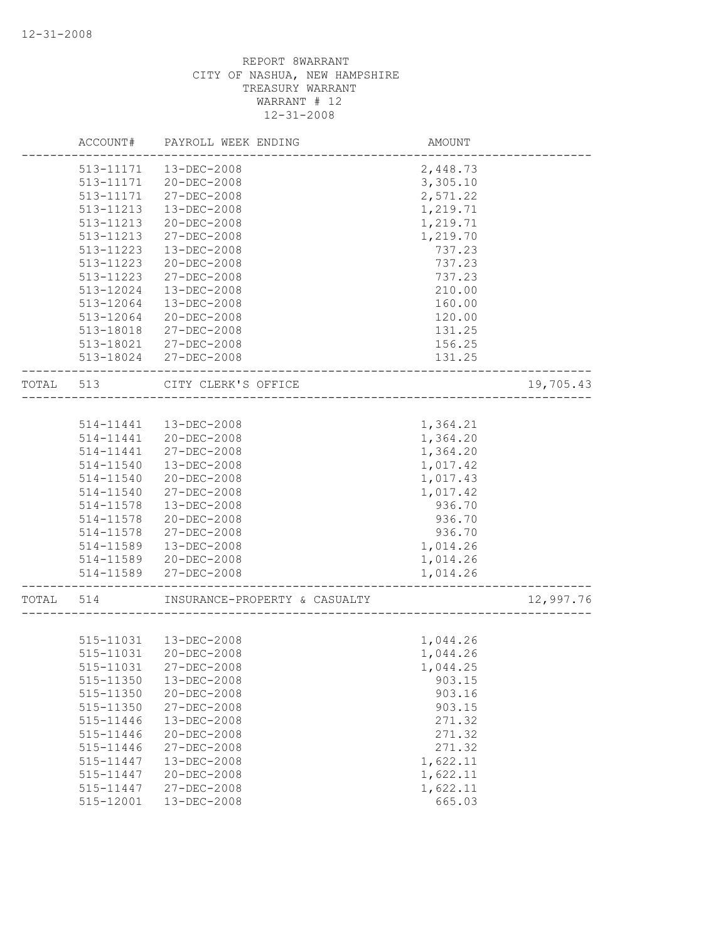|           | ACCOUNT#  | PAYROLL WEEK ENDING           | AMOUNT   |           |
|-----------|-----------|-------------------------------|----------|-----------|
|           | 513-11171 | 13-DEC-2008                   | 2,448.73 |           |
|           | 513-11171 | $20 - DEC - 2008$             | 3,305.10 |           |
|           | 513-11171 | 27-DEC-2008                   | 2,571.22 |           |
|           | 513-11213 | 13-DEC-2008                   | 1,219.71 |           |
|           | 513-11213 | 20-DEC-2008                   | 1,219.71 |           |
|           | 513-11213 | 27-DEC-2008                   | 1,219.70 |           |
|           | 513-11223 | 13-DEC-2008                   | 737.23   |           |
|           | 513-11223 | $20 - DEC - 2008$             | 737.23   |           |
|           | 513-11223 | 27-DEC-2008                   | 737.23   |           |
|           | 513-12024 | 13-DEC-2008                   | 210.00   |           |
|           | 513-12064 | $13 - DEC - 2008$             | 160.00   |           |
|           | 513-12064 | 20-DEC-2008                   | 120.00   |           |
|           | 513-18018 | 27-DEC-2008                   | 131.25   |           |
|           | 513-18021 | 27-DEC-2008                   | 156.25   |           |
|           |           | 513-18024 27-DEC-2008         | 131.25   |           |
| TOTAL 513 |           | CITY CLERK'S OFFICE           |          | 19,705.43 |
|           |           |                               |          |           |
|           |           |                               |          |           |
|           | 514-11441 | 13-DEC-2008                   | 1,364.21 |           |
|           | 514-11441 | 20-DEC-2008                   | 1,364.20 |           |
|           | 514-11441 | $27 - DEC - 2008$             | 1,364.20 |           |
|           | 514-11540 | 13-DEC-2008                   | 1,017.42 |           |
|           | 514-11540 | 20-DEC-2008                   | 1,017.43 |           |
|           | 514-11540 | 27-DEC-2008                   | 1,017.42 |           |
|           | 514-11578 | 13-DEC-2008                   | 936.70   |           |
|           | 514-11578 | $20 - DEC - 2008$             | 936.70   |           |
|           | 514-11578 | 27-DEC-2008                   | 936.70   |           |
|           | 514-11589 | 13-DEC-2008                   | 1,014.26 |           |
|           | 514-11589 | 20-DEC-2008                   | 1,014.26 |           |
|           | 514-11589 | 27-DEC-2008                   | 1,014.26 |           |
| TOTAL     | 514       | INSURANCE-PROPERTY & CASUALTY |          | 12,997.76 |
|           |           |                               |          |           |
|           |           | 515-11031  13-DEC-2008        | 1,044.26 |           |
|           | 515-11031 | 20-DEC-2008                   | 1,044.26 |           |
|           | 515-11031 | 27-DEC-2008                   | 1,044.25 |           |
|           | 515-11350 | 13-DEC-2008                   | 903.15   |           |
|           | 515-11350 | 20-DEC-2008                   | 903.16   |           |
|           | 515-11350 | 27-DEC-2008                   | 903.15   |           |
|           | 515-11446 | 13-DEC-2008                   | 271.32   |           |
|           | 515-11446 | 20-DEC-2008                   | 271.32   |           |
|           | 515-11446 | 27-DEC-2008                   | 271.32   |           |
|           | 515-11447 | 13-DEC-2008                   | 1,622.11 |           |
|           | 515-11447 | 20-DEC-2008                   | 1,622.11 |           |
|           | 515-11447 | $27 - DEC - 2008$             | 1,622.11 |           |
|           | 515-12001 | 13-DEC-2008                   | 665.03   |           |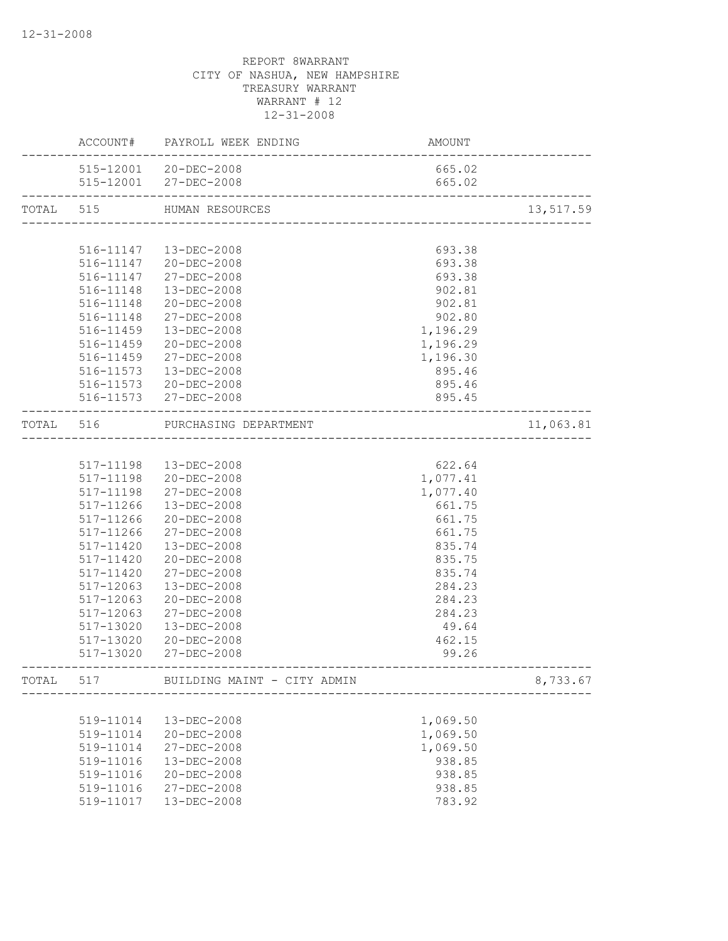|           |           | ACCOUNT# PAYROLL WEEK ENDING                          | AMOUNT                             |           |
|-----------|-----------|-------------------------------------------------------|------------------------------------|-----------|
|           |           | 515-12001 20-DEC-2008                                 | 665.02                             |           |
|           |           | 515-12001 27-DEC-2008<br>---------------------------- | 665.02                             |           |
| TOTAL 515 |           | HUMAN RESOURCES                                       |                                    | 13,517.59 |
|           |           |                                                       |                                    |           |
|           |           | 516-11147  13-DEC-2008                                | 693.38                             |           |
|           |           | 516-11147 20-DEC-2008                                 | 693.38                             |           |
|           |           | 516-11147 27-DEC-2008                                 | 693.38                             |           |
|           |           | 516-11148  13-DEC-2008                                | 902.81                             |           |
|           |           | 516-11148 20-DEC-2008                                 | 902.81                             |           |
|           | 516-11148 | 27-DEC-2008                                           | 902.80                             |           |
|           | 516-11459 | 13-DEC-2008                                           | 1,196.29                           |           |
|           | 516-11459 | 20-DEC-2008                                           | 1,196.29                           |           |
|           | 516-11459 | 27-DEC-2008                                           | 1,196.30                           |           |
|           | 516-11573 | 13-DEC-2008                                           | 895.46                             |           |
|           |           | 516-11573 20-DEC-2008                                 | 895.46                             |           |
|           |           | 516-11573 27-DEC-2008                                 | 895.45                             |           |
|           |           | TOTAL 516 PURCHASING DEPARTMENT                       | __________________________________ | 11,063.81 |
|           |           |                                                       |                                    |           |
|           |           | 517-11198  13-DEC-2008                                | 622.64                             |           |
|           |           | 517-11198 20-DEC-2008                                 | 1,077.41                           |           |
|           | 517-11198 | 27-DEC-2008                                           | 1,077.40                           |           |
|           | 517-11266 | 13-DEC-2008                                           | 661.75                             |           |
|           | 517-11266 | 20-DEC-2008                                           | 661.75                             |           |
|           | 517-11266 | 27-DEC-2008                                           | 661.75                             |           |
|           | 517-11420 | 13-DEC-2008                                           | 835.74                             |           |
|           | 517-11420 | 20-DEC-2008                                           | 835.75                             |           |
|           | 517-11420 | 27-DEC-2008                                           | 835.74                             |           |
|           | 517-12063 | $13 - DEC - 2008$                                     | 284.23                             |           |
|           | 517-12063 | $20 - DEC - 2008$                                     | 284.23                             |           |
|           | 517-12063 | 27-DEC-2008                                           | 284.23                             |           |
|           | 517-13020 | 13-DEC-2008                                           | 49.64                              |           |
|           | 517-13020 | 20-DEC-2008                                           | 462.15                             |           |
|           |           | 517-13020 27-DEC-2008                                 | 99.26                              |           |
| TOTAL     | 517       | BUILDING MAINT - CITY ADMIN                           |                                    | 8,733.67  |
|           |           |                                                       |                                    |           |
|           | 519-11014 | 13-DEC-2008                                           | 1,069.50                           |           |
|           | 519-11014 | $20 - DEC - 2008$                                     | 1,069.50                           |           |
|           | 519-11014 | 27-DEC-2008                                           | 1,069.50                           |           |
|           | 519-11016 | 13-DEC-2008                                           | 938.85                             |           |
|           | 519-11016 | 20-DEC-2008                                           | 938.85                             |           |
|           | 519-11016 | 27-DEC-2008                                           | 938.85                             |           |
|           | 519-11017 | 13-DEC-2008                                           | 783.92                             |           |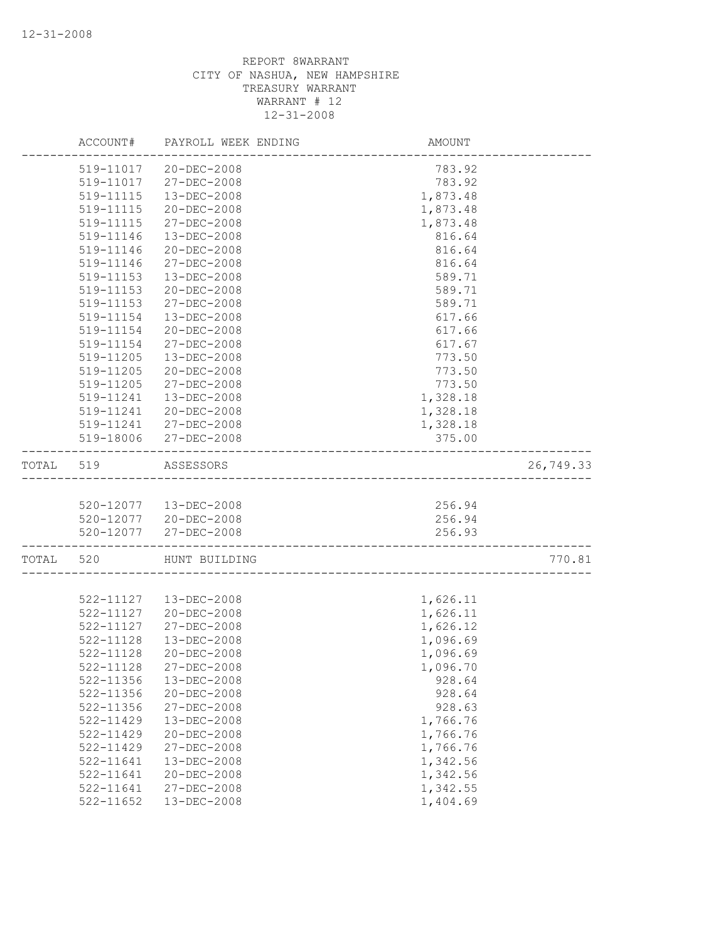|           | ACCOUNT#                   | PAYROLL WEEK ENDING    | AMOUNT   |           |
|-----------|----------------------------|------------------------|----------|-----------|
|           |                            | 519-11017 20-DEC-2008  | 783.92   |           |
|           | 519-11017                  | 27-DEC-2008            | 783.92   |           |
|           | 519-11115                  | $13 - DEC - 2008$      | 1,873.48 |           |
|           | 519-11115                  | $20 - DEC - 2008$      | 1,873.48 |           |
|           | 519-11115                  | 27-DEC-2008            | 1,873.48 |           |
|           | 519-11146                  | 13-DEC-2008            | 816.64   |           |
|           | 519-11146                  | $20 - DEC - 2008$      | 816.64   |           |
|           | 519-11146                  | 27-DEC-2008            | 816.64   |           |
|           | 519-11153                  | 13-DEC-2008            | 589.71   |           |
|           | 519-11153                  | $20 - DEC - 2008$      | 589.71   |           |
|           | $519 - 11153$              | $27 - DEC - 2008$      | 589.71   |           |
|           | 519-11154                  | 13-DEC-2008            | 617.66   |           |
|           | 519-11154                  | $20 - DEC - 2008$      | 617.66   |           |
|           | 519-11154                  | 27-DEC-2008            | 617.67   |           |
|           | 519-11205                  | 13-DEC-2008            | 773.50   |           |
|           | 519-11205                  | 20-DEC-2008            | 773.50   |           |
|           | 519-11205                  | 27-DEC-2008            | 773.50   |           |
|           | 519-11241                  | $13 - DEC - 2008$      | 1,328.18 |           |
|           | 519-11241                  | 20-DEC-2008            | 1,328.18 |           |
|           |                            | 519-11241 27-DEC-2008  | 1,328.18 |           |
|           |                            | 519-18006 27-DEC-2008  | 375.00   |           |
| TOTAL 519 |                            | ASSESSORS              |          | 26,749.33 |
|           |                            |                        |          |           |
|           |                            | 520-12077  13-DEC-2008 | 256.94   |           |
|           |                            | 520-12077 20-DEC-2008  | 256.94   |           |
|           | -------------------------- | 520-12077 27-DEC-2008  | 256.93   |           |
| TOTAL     | 520                        | HUNT BUILDING          |          | 770.81    |
|           |                            |                        |          |           |
|           |                            | 522-11127  13-DEC-2008 | 1,626.11 |           |
|           | 522-11127                  | 20-DEC-2008            | 1,626.11 |           |
|           | 522-11127                  | $27 - DEC - 2008$      | 1,626.12 |           |
|           | 522-11128                  | 13-DEC-2008            | 1,096.69 |           |
|           | 522-11128                  | $20 - DEC - 2008$      | 1,096.69 |           |
|           | 522-11128                  | 27-DEC-2008            | 1,096.70 |           |
|           | 522-11356                  | 13-DEC-2008            | 928.64   |           |
|           | 522-11356                  | $20 - DEC - 2008$      | 928.64   |           |
|           | 522-11356                  | 27-DEC-2008            | 928.63   |           |
|           | 522-11429                  | 13-DEC-2008            | 1,766.76 |           |
|           | 522-11429                  | 20-DEC-2008            | 1,766.76 |           |
|           | 522-11429                  | 27-DEC-2008            | 1,766.76 |           |
|           | 522-11641                  | 13-DEC-2008            | 1,342.56 |           |
|           | 522-11641                  | 20-DEC-2008            | 1,342.56 |           |
|           | 522-11641                  | 27-DEC-2008            | 1,342.55 |           |
|           | 522-11652                  | 13-DEC-2008            | 1,404.69 |           |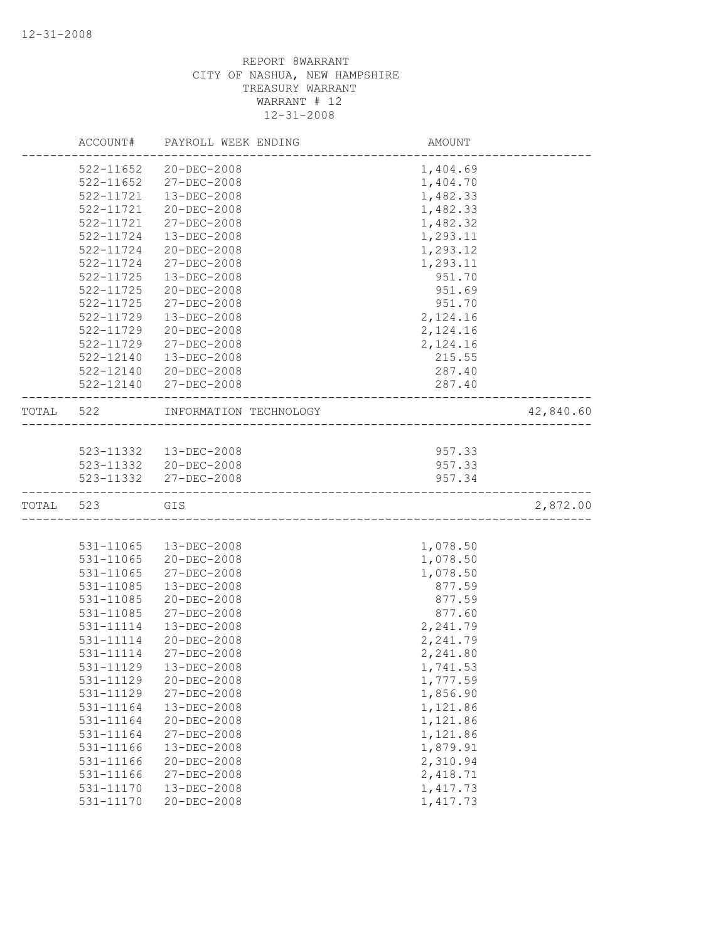|       | ACCOUNT#      | PAYROLL WEEK ENDING    | AMOUNT   |           |
|-------|---------------|------------------------|----------|-----------|
|       | 522-11652     | $20 - DEC - 2008$      | 1,404.69 |           |
|       | 522-11652     | 27-DEC-2008            | 1,404.70 |           |
|       | 522-11721     | 13-DEC-2008            | 1,482.33 |           |
|       | 522-11721     | 20-DEC-2008            | 1,482.33 |           |
|       | 522-11721     | 27-DEC-2008            | 1,482.32 |           |
|       | 522-11724     | 13-DEC-2008            | 1,293.11 |           |
|       | 522-11724     | $20 - DEC - 2008$      | 1,293.12 |           |
|       | 522-11724     | 27-DEC-2008            | 1,293.11 |           |
|       | $522 - 11725$ | 13-DEC-2008            | 951.70   |           |
|       | $522 - 11725$ | 20-DEC-2008            | 951.69   |           |
|       | 522-11725     | 27-DEC-2008            | 951.70   |           |
|       | 522-11729     | 13-DEC-2008            | 2,124.16 |           |
|       | 522-11729     | 20-DEC-2008            | 2,124.16 |           |
|       | 522-11729     | 27-DEC-2008            | 2,124.16 |           |
|       | 522-12140     | 13-DEC-2008            | 215.55   |           |
|       | 522-12140     | 20-DEC-2008            | 287.40   |           |
|       | 522-12140     | 27-DEC-2008            | 287.40   |           |
| TOTAL | 522           | INFORMATION TECHNOLOGY |          | 42,840.60 |
|       |               |                        |          |           |
|       |               | 523-11332  13-DEC-2008 | 957.33   |           |
|       |               | 523-11332 20-DEC-2008  | 957.33   |           |
|       |               | 523-11332 27-DEC-2008  | 957.34   |           |
| TOTAL | 523           | GIS                    |          | 2,872.00  |
|       |               |                        |          |           |
|       | 531-11065     | $13 - DEC - 2008$      | 1,078.50 |           |
|       | 531-11065     | 20-DEC-2008            | 1,078.50 |           |
|       | 531-11065     | 27-DEC-2008            | 1,078.50 |           |
|       | 531-11085     | 13-DEC-2008            | 877.59   |           |
|       | 531-11085     | 20-DEC-2008            | 877.59   |           |
|       | 531-11085     | 27-DEC-2008            | 877.60   |           |
|       | 531-11114     | 13-DEC-2008            | 2,241.79 |           |
|       | 531-11114     | 20-DEC-2008            | 2,241.79 |           |
|       | 531-11114     | $27 - DEC - 2008$      | 2,241.80 |           |
|       | 531-11129     | 13-DEC-2008            | 1,741.53 |           |
|       | 531-11129     | 20-DEC-2008            | 1,777.59 |           |
|       | 531-11129     | 27-DEC-2008            | 1,856.90 |           |
|       | 531-11164     | 13-DEC-2008            | 1,121.86 |           |
|       | 531-11164     | 20-DEC-2008            | 1,121.86 |           |
|       | 531-11164     | 27-DEC-2008            | 1,121.86 |           |
|       | 531-11166     | 13-DEC-2008            | 1,879.91 |           |
|       | 531-11166     | 20-DEC-2008            | 2,310.94 |           |
|       | 531-11166     | 27-DEC-2008            | 2,418.71 |           |
|       | 531-11170     | 13-DEC-2008            | 1,417.73 |           |
|       | 531-11170     | 20-DEC-2008            | 1,417.73 |           |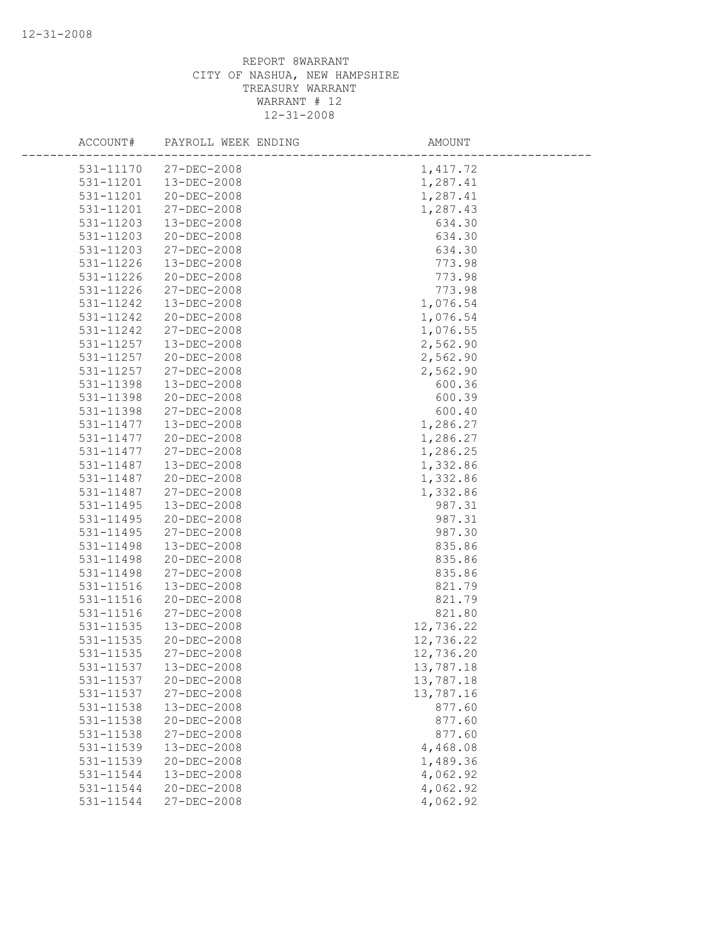| ACCOUNT#  | PAYROLL WEEK ENDING | AMOUNT    |
|-----------|---------------------|-----------|
| 531-11170 | $27 - DEC - 2008$   | 1,417.72  |
| 531-11201 | 13-DEC-2008         | 1,287.41  |
| 531-11201 | $20 - DEC - 2008$   | 1,287.41  |
| 531-11201 | 27-DEC-2008         | 1,287.43  |
| 531-11203 | 13-DEC-2008         | 634.30    |
| 531-11203 | 20-DEC-2008         | 634.30    |
| 531-11203 | 27-DEC-2008         | 634.30    |
| 531-11226 | $13 - DEC - 2008$   | 773.98    |
| 531-11226 | 20-DEC-2008         | 773.98    |
| 531-11226 | $27 - DEC - 2008$   | 773.98    |
| 531-11242 | $13 - DEC - 2008$   | 1,076.54  |
| 531-11242 | 20-DEC-2008         | 1,076.54  |
| 531-11242 | 27-DEC-2008         | 1,076.55  |
| 531-11257 | 13-DEC-2008         | 2,562.90  |
| 531-11257 | 20-DEC-2008         | 2,562.90  |
| 531-11257 | 27-DEC-2008         | 2,562.90  |
| 531-11398 | 13-DEC-2008         | 600.36    |
| 531-11398 | 20-DEC-2008         | 600.39    |
| 531-11398 | 27-DEC-2008         | 600.40    |
| 531-11477 | $13 - DEC - 2008$   | 1,286.27  |
| 531-11477 | 20-DEC-2008         | 1,286.27  |
| 531-11477 | $27 - DEC - 2008$   | 1,286.25  |
| 531-11487 | 13-DEC-2008         | 1,332.86  |
| 531-11487 | 20-DEC-2008         | 1,332.86  |
| 531-11487 | 27-DEC-2008         | 1,332.86  |
| 531-11495 | $13 - DEC - 2008$   | 987.31    |
| 531-11495 | 20-DEC-2008         | 987.31    |
| 531-11495 | 27-DEC-2008         | 987.30    |
| 531-11498 | 13-DEC-2008         | 835.86    |
| 531-11498 | 20-DEC-2008         | 835.86    |
| 531-11498 | 27-DEC-2008         | 835.86    |
| 531-11516 | 13-DEC-2008         | 821.79    |
| 531-11516 | 20-DEC-2008         | 821.79    |
| 531-11516 | 27-DEC-2008         | 821.80    |
| 531-11535 | $13 - DEC - 2008$   | 12,736.22 |
| 531-11535 | 20-DEC-2008         | 12,736.22 |
| 531-11535 | 27-DEC-2008         | 12,736.20 |
| 531-11537 | 13-DEC-2008         | 13,787.18 |
| 531-11537 | 20-DEC-2008         | 13,787.18 |
| 531-11537 | 27-DEC-2008         | 13,787.16 |
| 531-11538 | 13-DEC-2008         | 877.60    |
| 531-11538 | 20-DEC-2008         | 877.60    |
| 531-11538 | 27-DEC-2008         | 877.60    |
| 531-11539 | 13-DEC-2008         | 4,468.08  |
| 531-11539 | 20-DEC-2008         | 1,489.36  |
| 531-11544 | 13-DEC-2008         | 4,062.92  |
| 531-11544 | 20-DEC-2008         | 4,062.92  |
| 531-11544 | 27-DEC-2008         | 4,062.92  |
|           |                     |           |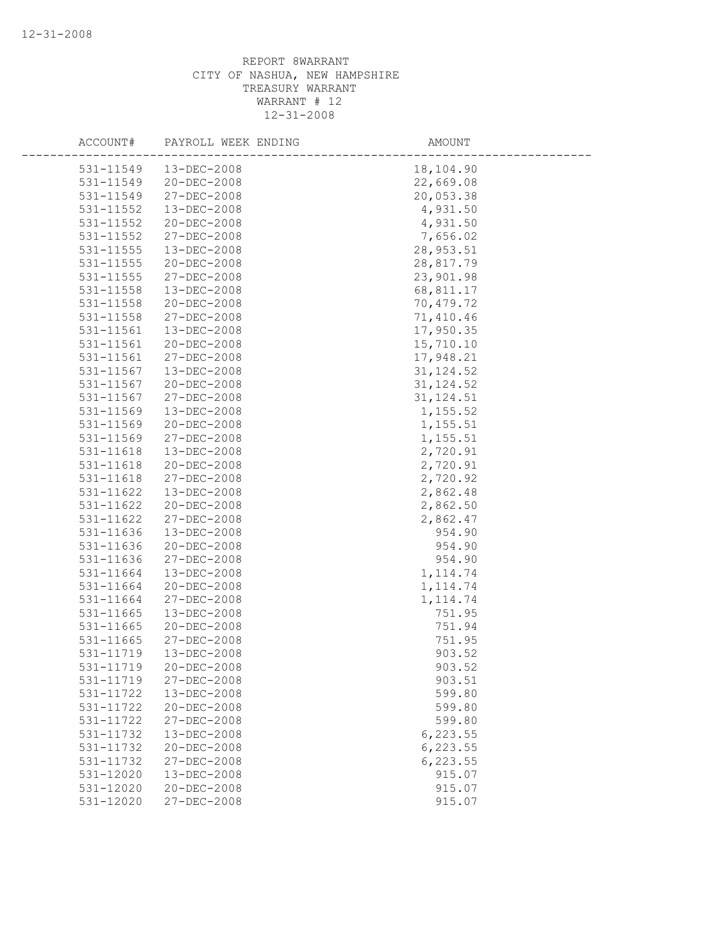| ACCOUNT#               | PAYROLL WEEK ENDING | AMOUNT     |
|------------------------|---------------------|------------|
|                        |                     |            |
| 531-11549<br>531-11549 | $13 - DEC - 2008$   | 18,104.90  |
|                        | $20 - DEC - 2008$   | 22,669.08  |
| 531-11549              | 27-DEC-2008         | 20,053.38  |
| 531-11552              | 13-DEC-2008         | 4,931.50   |
| 531-11552              | 20-DEC-2008         | 4,931.50   |
| 531-11552              | 27-DEC-2008         | 7,656.02   |
| 531-11555              | 13-DEC-2008         | 28, 953.51 |
| 531-11555              | 20-DEC-2008         | 28,817.79  |
| 531-11555              | 27-DEC-2008         | 23,901.98  |
| 531-11558              | 13-DEC-2008         | 68,811.17  |
| 531-11558              | 20-DEC-2008         | 70,479.72  |
| 531-11558              | 27-DEC-2008         | 71,410.46  |
| 531-11561              | 13-DEC-2008         | 17,950.35  |
| 531-11561              | 20-DEC-2008         | 15,710.10  |
| 531-11561              | 27-DEC-2008         | 17,948.21  |
| 531-11567              | 13-DEC-2008         | 31, 124.52 |
| 531-11567              | $20 - DEC - 2008$   | 31, 124.52 |
| 531-11567              | 27-DEC-2008         | 31, 124.51 |
| 531-11569              | 13-DEC-2008         | 1,155.52   |
| 531-11569              | 20-DEC-2008         | 1,155.51   |
| 531-11569              | 27-DEC-2008         | 1,155.51   |
| 531-11618              | 13-DEC-2008         | 2,720.91   |
| 531-11618              | 20-DEC-2008         | 2,720.91   |
| 531-11618              | 27-DEC-2008         | 2,720.92   |
| 531-11622              | 13-DEC-2008         | 2,862.48   |
| 531-11622              | 20-DEC-2008         | 2,862.50   |
| 531-11622              | 27-DEC-2008         | 2,862.47   |
| 531-11636              | 13-DEC-2008         | 954.90     |
| 531-11636              | $20 - DEC - 2008$   | 954.90     |
| 531-11636              | 27-DEC-2008         | 954.90     |
| 531-11664              | 13-DEC-2008         | 1, 114.74  |
| 531-11664              | 20-DEC-2008         | 1, 114.74  |
| 531-11664              | 27-DEC-2008         | 1, 114.74  |
| 531-11665              | 13-DEC-2008         | 751.95     |
| 531-11665              | 20-DEC-2008         | 751.94     |
| 531-11665              | 27-DEC-2008         | 751.95     |
| 531-11719              | $13 - DEC - 2008$   | 903.52     |
| 531-11719              | 20-DEC-2008         | 903.52     |
| 531-11719              | 27-DEC-2008         | 903.51     |
| 531-11722              | 13-DEC-2008         | 599.80     |
| 531-11722              | 20-DEC-2008         | 599.80     |
| 531-11722              | 27-DEC-2008         | 599.80     |
| 531-11732              | 13-DEC-2008         | 6, 223.55  |
| 531-11732              | 20-DEC-2008         | 6, 223.55  |
| 531-11732              | 27-DEC-2008         | 6, 223.55  |
| 531-12020              | 13-DEC-2008         | 915.07     |
| 531-12020              | $20 - DEC - 2008$   | 915.07     |
| 531-12020              | 27-DEC-2008         | 915.07     |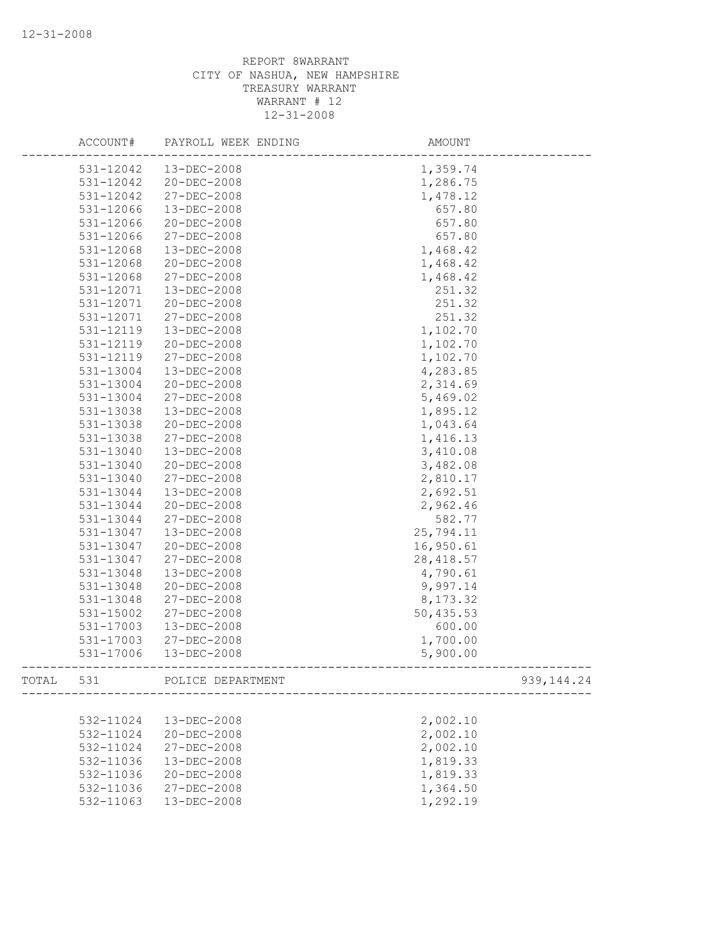|       | ACCOUNT#  | PAYROLL WEEK ENDING | AMOUNT     |              |
|-------|-----------|---------------------|------------|--------------|
|       | 531-12042 | 13-DEC-2008         | 1,359.74   |              |
|       | 531-12042 | 20-DEC-2008         | 1,286.75   |              |
|       | 531-12042 | 27-DEC-2008         | 1,478.12   |              |
|       | 531-12066 | 13-DEC-2008         | 657.80     |              |
|       | 531-12066 | 20-DEC-2008         | 657.80     |              |
|       | 531-12066 | 27-DEC-2008         | 657.80     |              |
|       | 531-12068 | 13-DEC-2008         | 1,468.42   |              |
|       | 531-12068 | $20 - DEC - 2008$   | 1,468.42   |              |
|       | 531-12068 | 27-DEC-2008         | 1,468.42   |              |
|       | 531-12071 | 13-DEC-2008         | 251.32     |              |
|       | 531-12071 | $20 - DEC - 2008$   | 251.32     |              |
|       | 531-12071 | 27-DEC-2008         | 251.32     |              |
|       | 531-12119 | 13-DEC-2008         | 1,102.70   |              |
|       | 531-12119 | 20-DEC-2008         | 1,102.70   |              |
|       | 531-12119 | 27-DEC-2008         | 1,102.70   |              |
|       | 531-13004 | 13-DEC-2008         | 4,283.85   |              |
|       | 531-13004 | $20 - DEC - 2008$   | 2,314.69   |              |
|       | 531-13004 | 27-DEC-2008         | 5,469.02   |              |
|       | 531-13038 | 13-DEC-2008         | 1,895.12   |              |
|       | 531-13038 | 20-DEC-2008         | 1,043.64   |              |
|       | 531-13038 | 27-DEC-2008         | 1,416.13   |              |
|       | 531-13040 | $13 - DEC - 2008$   | 3,410.08   |              |
|       | 531-13040 | 20-DEC-2008         | 3,482.08   |              |
|       | 531-13040 | 27-DEC-2008         | 2,810.17   |              |
|       | 531-13044 | 13-DEC-2008         | 2,692.51   |              |
|       | 531-13044 | $20 - DEC - 2008$   | 2,962.46   |              |
|       | 531-13044 | 27-DEC-2008         | 582.77     |              |
|       | 531-13047 | 13-DEC-2008         | 25,794.11  |              |
|       | 531-13047 | $20 - DEC - 2008$   | 16,950.61  |              |
|       | 531-13047 | 27-DEC-2008         | 28, 418.57 |              |
|       | 531-13048 | 13-DEC-2008         | 4,790.61   |              |
|       | 531-13048 | 20-DEC-2008         | 9,997.14   |              |
|       | 531-13048 | 27-DEC-2008         | 8,173.32   |              |
|       | 531-15002 | 27-DEC-2008         | 50,435.53  |              |
|       | 531-17003 | 13-DEC-2008         | 600.00     |              |
|       | 531-17003 | 27-DEC-2008         | 1,700.00   |              |
|       | 531-17006 | 13-DEC-2008         | 5,900.00   |              |
| TOTAL | 531       | POLICE DEPARTMENT   |            | 939, 144. 24 |
|       |           |                     |            |              |
|       | 532-11024 | 13-DEC-2008         | 2,002.10   |              |
|       | 532-11024 | 20-DEC-2008         | 2,002.10   |              |
|       | 532-11024 | 27-DEC-2008         | 2,002.10   |              |
|       | 532-11036 | 13-DEC-2008         | 1,819.33   |              |
|       | 532-11036 | 20-DEC-2008         | 1,819.33   |              |
|       | 532-11036 | 27-DEC-2008         | 1,364.50   |              |
|       | 532-11063 | 13-DEC-2008         | 1,292.19   |              |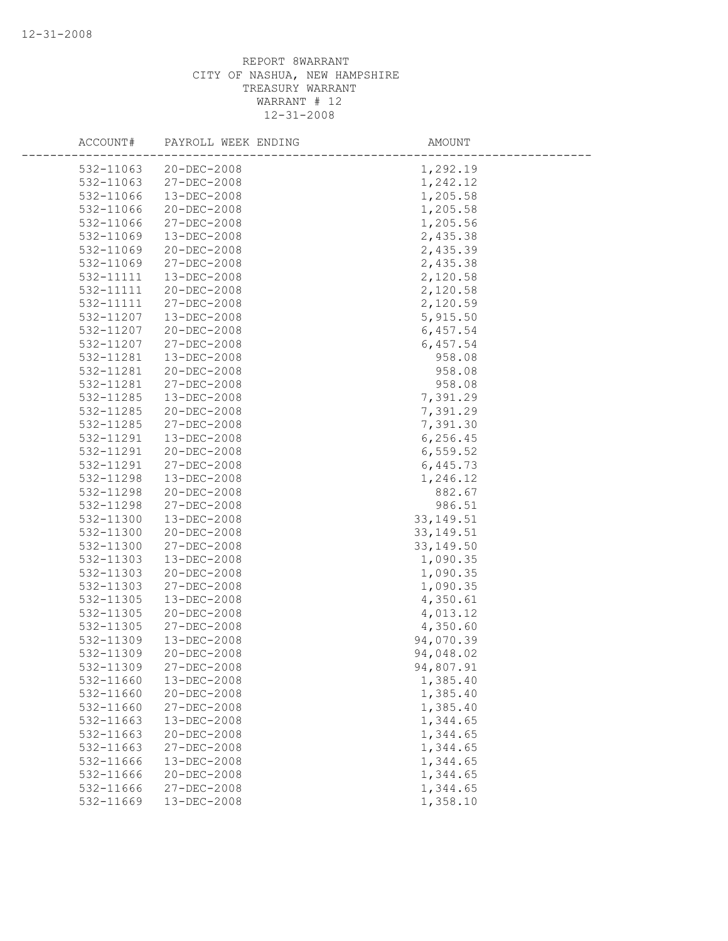| ACCOUNT#  | PAYROLL WEEK ENDING | AMOUNT     |
|-----------|---------------------|------------|
| 532-11063 | $20 - DEC - 2008$   | 1,292.19   |
| 532-11063 | 27-DEC-2008         | 1,242.12   |
| 532-11066 | 13-DEC-2008         | 1,205.58   |
| 532-11066 | 20-DEC-2008         | 1,205.58   |
| 532-11066 | 27-DEC-2008         | 1,205.56   |
| 532-11069 | 13-DEC-2008         | 2,435.38   |
| 532-11069 | 20-DEC-2008         | 2,435.39   |
| 532-11069 | $27 - DEC - 2008$   | 2,435.38   |
| 532-11111 | 13-DEC-2008         | 2,120.58   |
| 532-11111 | $20 - DEC - 2008$   | 2,120.58   |
| 532-11111 | 27-DEC-2008         | 2,120.59   |
| 532-11207 | 13-DEC-2008         | 5,915.50   |
| 532-11207 | 20-DEC-2008         | 6,457.54   |
| 532-11207 | 27-DEC-2008         | 6,457.54   |
| 532-11281 | 13-DEC-2008         | 958.08     |
| 532-11281 | 20-DEC-2008         | 958.08     |
| 532-11281 | 27-DEC-2008         | 958.08     |
| 532-11285 | 13-DEC-2008         | 7,391.29   |
| 532-11285 | $20 - DEC - 2008$   | 7,391.29   |
| 532-11285 | 27-DEC-2008         | 7,391.30   |
| 532-11291 | $13 - DEC - 2008$   | 6, 256.45  |
| 532-11291 | 20-DEC-2008         | 6, 559.52  |
| 532-11291 | 27-DEC-2008         | 6,445.73   |
| 532-11298 | 13-DEC-2008         | 1,246.12   |
| 532-11298 | 20-DEC-2008         | 882.67     |
| 532-11298 | 27-DEC-2008         | 986.51     |
| 532-11300 | 13-DEC-2008         | 33, 149.51 |
| 532-11300 | 20-DEC-2008         | 33, 149.51 |
| 532-11300 | 27-DEC-2008         | 33, 149.50 |
| 532-11303 | 13-DEC-2008         | 1,090.35   |
| 532-11303 | 20-DEC-2008         | 1,090.35   |
| 532-11303 | 27-DEC-2008         | 1,090.35   |
| 532-11305 | 13-DEC-2008         | 4,350.61   |
| 532-11305 | 20-DEC-2008         | 4,013.12   |
| 532-11305 | $27 - DEC - 2008$   | 4,350.60   |
| 532-11309 | $13 - DEC - 2008$   | 94,070.39  |
| 532-11309 | 20-DEC-2008         | 94,048.02  |
| 532-11309 | 27-DEC-2008         | 94,807.91  |
| 532-11660 | 13-DEC-2008         | 1,385.40   |
| 532-11660 | 20-DEC-2008         | 1,385.40   |
| 532-11660 | 27-DEC-2008         | 1,385.40   |
| 532-11663 | 13-DEC-2008         | 1,344.65   |
| 532-11663 | 20-DEC-2008         | 1,344.65   |
| 532-11663 | 27-DEC-2008         | 1,344.65   |
| 532-11666 | 13-DEC-2008         | 1,344.65   |
| 532-11666 | 20-DEC-2008         | 1,344.65   |
| 532-11666 | 27-DEC-2008         | 1,344.65   |
| 532-11669 | 13-DEC-2008         | 1,358.10   |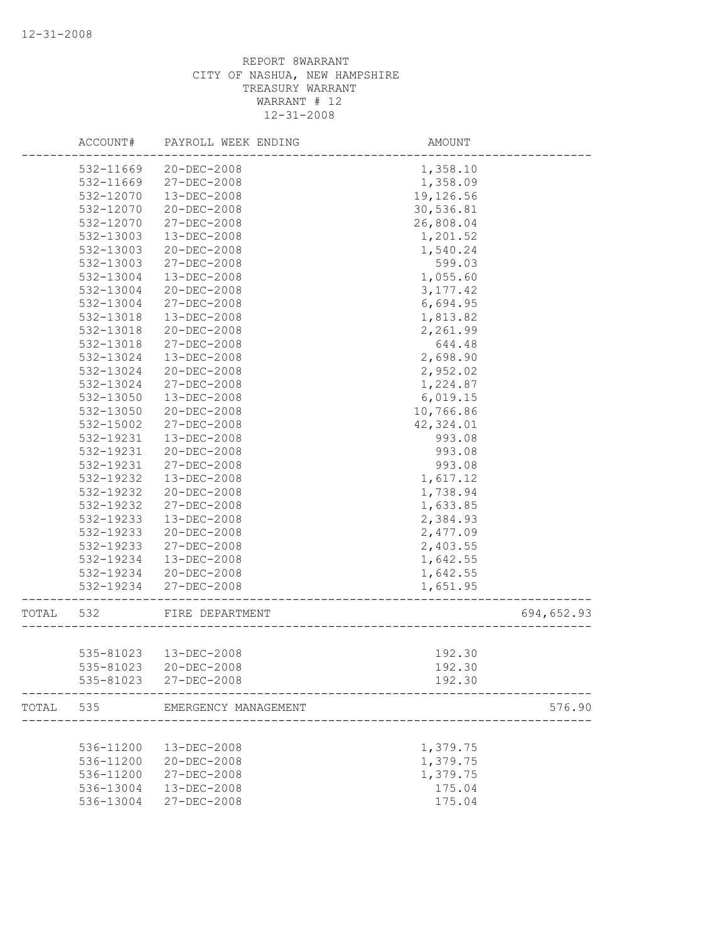|       | ACCOUNT#  | PAYROLL WEEK ENDING   | AMOUNT    |            |
|-------|-----------|-----------------------|-----------|------------|
|       | 532-11669 | 20-DEC-2008           | 1,358.10  |            |
|       | 532-11669 | $27 - DEC - 2008$     | 1,358.09  |            |
|       | 532-12070 | 13-DEC-2008           | 19,126.56 |            |
|       | 532-12070 | 20-DEC-2008           | 30,536.81 |            |
|       | 532-12070 | 27-DEC-2008           | 26,808.04 |            |
|       | 532-13003 | 13-DEC-2008           | 1,201.52  |            |
|       | 532-13003 | $20 - DEC - 2008$     | 1,540.24  |            |
|       | 532-13003 | 27-DEC-2008           | 599.03    |            |
|       | 532-13004 | $13 - DEC - 2008$     | 1,055.60  |            |
|       | 532-13004 | 20-DEC-2008           | 3, 177.42 |            |
|       | 532-13004 | 27-DEC-2008           | 6,694.95  |            |
|       | 532-13018 | 13-DEC-2008           | 1,813.82  |            |
|       | 532-13018 | $20 - DEC - 2008$     | 2,261.99  |            |
|       | 532-13018 | 27-DEC-2008           | 644.48    |            |
|       | 532-13024 | 13-DEC-2008           | 2,698.90  |            |
|       | 532-13024 | 20-DEC-2008           | 2,952.02  |            |
|       | 532-13024 | 27-DEC-2008           | 1,224.87  |            |
|       | 532-13050 | $13 - DEC - 2008$     | 6,019.15  |            |
|       | 532-13050 | 20-DEC-2008           | 10,766.86 |            |
|       | 532-15002 | 27-DEC-2008           | 42,324.01 |            |
|       | 532-19231 | 13-DEC-2008           | 993.08    |            |
|       | 532-19231 | $20 - DEC - 2008$     | 993.08    |            |
|       | 532-19231 | 27-DEC-2008           | 993.08    |            |
|       | 532-19232 | 13-DEC-2008           | 1,617.12  |            |
|       | 532-19232 | $20 - DEC - 2008$     | 1,738.94  |            |
|       | 532-19232 | 27-DEC-2008           | 1,633.85  |            |
|       | 532-19233 | 13-DEC-2008           | 2,384.93  |            |
|       | 532-19233 | 20-DEC-2008           | 2,477.09  |            |
|       | 532-19233 | 27-DEC-2008           | 2,403.55  |            |
|       | 532-19234 | 13-DEC-2008           | 1,642.55  |            |
|       | 532-19234 | $20 - DEC - 2008$     | 1,642.55  |            |
|       | 532-19234 | 27-DEC-2008           | 1,651.95  |            |
|       |           |                       |           |            |
| TOTAL | 532       | FIRE DEPARTMENT       |           | 694,652.93 |
|       |           |                       |           |            |
|       | 535-81023 | 13-DEC-2008           | 192.30    |            |
|       | 535-81023 | 20-DEC-2008           | 192.30    |            |
|       |           | 535-81023 27-DEC-2008 | 192.30    |            |
| TOTAL | 535       | EMERGENCY MANAGEMENT  |           | 576.90     |
|       |           |                       |           |            |
|       | 536-11200 | 13-DEC-2008           | 1,379.75  |            |
|       | 536-11200 | 20-DEC-2008           | 1,379.75  |            |
|       | 536-11200 | 27-DEC-2008           | 1,379.75  |            |
|       | 536-13004 | 13-DEC-2008           | 175.04    |            |
|       | 536-13004 | 27-DEC-2008           | 175.04    |            |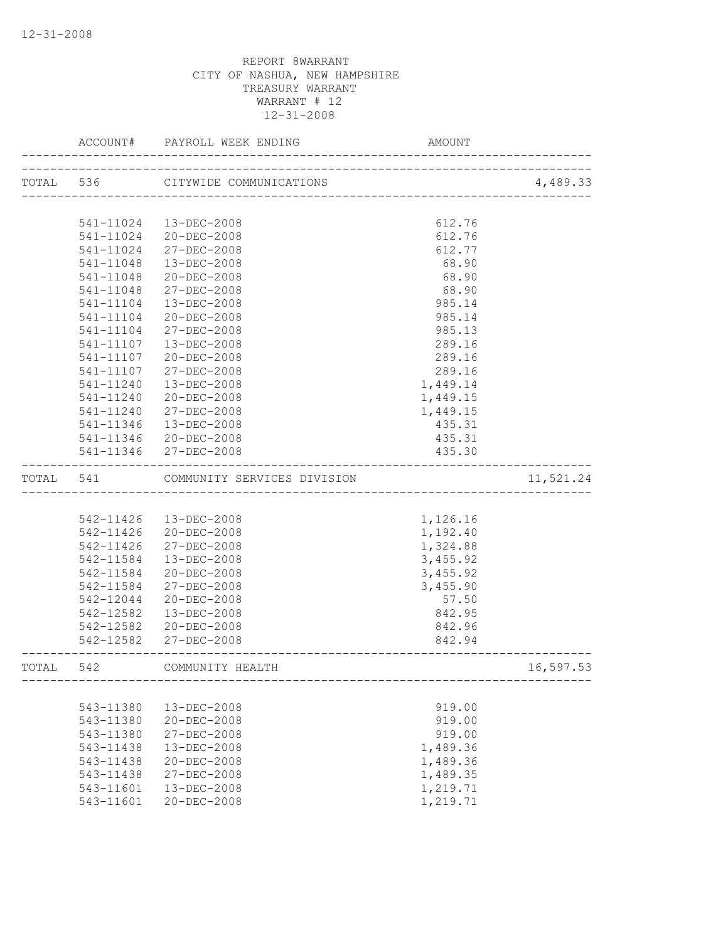|           | ACCOUNT#  |                                       |                            |           |
|-----------|-----------|---------------------------------------|----------------------------|-----------|
|           |           | TOTAL 536 CITYWIDE COMMUNICATIONS     | -------------------------- | 4,489.33  |
|           |           |                                       |                            |           |
|           |           | 541-11024  13-DEC-2008                | 612.76                     |           |
|           |           | 541-11024 20-DEC-2008                 | 612.76                     |           |
|           | 541-11024 | 27-DEC-2008                           | 612.77                     |           |
|           | 541-11048 | 13-DEC-2008                           | 68.90                      |           |
|           | 541-11048 | $20 - DEC - 2008$                     | 68.90                      |           |
|           | 541-11048 | 27-DEC-2008                           | 68.90                      |           |
|           | 541-11104 | $13 - DEC - 2008$                     | 985.14                     |           |
|           | 541-11104 | 20-DEC-2008                           | 985.14                     |           |
|           | 541-11104 | 27-DEC-2008                           | 985.13                     |           |
|           | 541-11107 | 13-DEC-2008                           | 289.16                     |           |
|           | 541-11107 | 20-DEC-2008                           | 289.16                     |           |
|           | 541-11107 | 27-DEC-2008                           | 289.16                     |           |
|           | 541-11240 | 13-DEC-2008                           | 1,449.14                   |           |
|           | 541-11240 | 20-DEC-2008                           | 1,449.15                   |           |
|           | 541-11240 | 27-DEC-2008                           | 1,449.15                   |           |
|           | 541-11346 | 13-DEC-2008                           | 435.31                     |           |
|           |           | 541-11346 20-DEC-2008                 | 435.31                     |           |
|           |           | 541-11346 27-DEC-2008                 | 435.30                     |           |
|           |           | TOTAL 541 COMMUNITY SERVICES DIVISION |                            | 11,521.24 |
|           |           |                                       |                            |           |
|           |           | 542-11426  13-DEC-2008                | 1,126.16                   |           |
|           | 542-11426 | 20-DEC-2008                           | 1,192.40                   |           |
|           | 542-11426 | 27-DEC-2008                           | 1,324.88                   |           |
|           | 542-11584 | 13-DEC-2008                           | 3,455.92                   |           |
|           | 542-11584 | 20-DEC-2008                           | 3,455.92                   |           |
|           | 542-11584 | 27-DEC-2008                           | 3,455.90                   |           |
|           | 542-12044 | 20-DEC-2008                           | 57.50                      |           |
|           | 542-12582 | 13-DEC-2008                           | 842.95                     |           |
|           |           | 542-12582 20-DEC-2008                 | 842.96                     |           |
|           |           | 542-12582 27-DEC-2008                 | 842.94                     |           |
| TOTAL 542 |           | COMMUNITY HEALTH                      |                            | 16,597.53 |
|           |           |                                       |                            |           |
|           | 543-11380 | 13-DEC-2008                           | 919.00                     |           |
|           | 543-11380 | 20-DEC-2008                           | 919.00                     |           |
|           | 543-11380 | 27-DEC-2008                           | 919.00                     |           |
|           | 543-11438 | 13-DEC-2008                           | 1,489.36                   |           |
|           | 543-11438 | 20-DEC-2008                           | 1,489.36                   |           |
|           | 543-11438 | 27-DEC-2008                           | 1,489.35                   |           |
|           | 543-11601 | $13 - DEC - 2008$                     | 1,219.71                   |           |
|           | 543-11601 | $20 - DEC - 2008$                     | 1,219.71                   |           |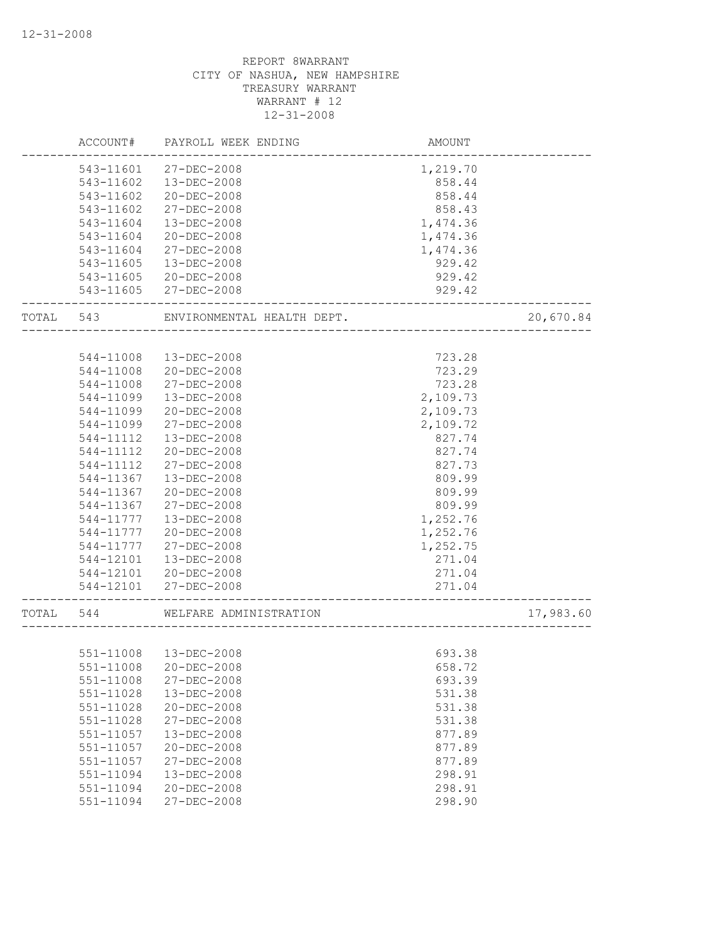|       | ACCOUNT#      | PAYROLL WEEK ENDING        | AMOUNT             |           |
|-------|---------------|----------------------------|--------------------|-----------|
|       | 543-11601     | 27-DEC-2008                | 1,219.70           |           |
|       | 543-11602     | $13 - DEC - 2008$          | 858.44             |           |
|       | 543-11602     | 20-DEC-2008                | 858.44             |           |
|       | 543-11602     | 27-DEC-2008                | 858.43             |           |
|       | 543-11604     | 13-DEC-2008                | 1,474.36           |           |
|       | 543-11604     | $20 - DEC - 2008$          | 1,474.36           |           |
|       | 543-11604     | 27-DEC-2008                | 1,474.36           |           |
|       | 543-11605     | $13 - DEC - 2008$          | 929.42             |           |
|       | 543-11605     | $20 - DEC - 2008$          | 929.42             |           |
|       | 543-11605     | 27-DEC-2008                | 929.42             |           |
| TOTAL | 543           | ENVIRONMENTAL HEALTH DEPT. |                    | 20,670.84 |
|       |               |                            |                    |           |
|       | 544-11008     | $13 - DEC - 2008$          | 723.28             |           |
|       | 544-11008     | 20-DEC-2008                | 723.29             |           |
|       | 544-11008     | 27-DEC-2008                | 723.28             |           |
|       | 544-11099     | $13 - DEC - 2008$          | 2,109.73           |           |
|       | 544-11099     | $20 - DEC - 2008$          | 2,109.73           |           |
|       | 544-11099     | $27 - DEC - 2008$          | 2,109.72           |           |
|       | 544-11112     | $13 - DEC - 2008$          | 827.74             |           |
|       | 544-11112     | $20 - DEC - 2008$          | 827.74             |           |
|       | 544-11112     | 27-DEC-2008                | 827.73             |           |
|       | 544-11367     | $13 - DEC - 2008$          | 809.99             |           |
|       | 544-11367     | 20-DEC-2008                | 809.99             |           |
|       | 544-11367     | 27-DEC-2008                | 809.99             |           |
|       | 544-11777     | 13-DEC-2008                | 1,252.76           |           |
|       | 544-11777     | $20 - DEC - 2008$          | 1,252.76           |           |
|       | 544-11777     | $27 - DEC - 2008$          | 1,252.75           |           |
|       | 544-12101     | 13-DEC-2008                | 271.04             |           |
|       | 544-12101     | 20-DEC-2008                | 271.04             |           |
|       | 544-12101     | 27-DEC-2008                | 271.04             |           |
| TOTAL | 544           | WELFARE ADMINISTRATION     | __________________ | 17,983.60 |
|       |               |                            |                    |           |
|       | 551-11008     | 13-DEC-2008                | 693.38             |           |
|       |               | 551-11008 20-DEC-2008      | 658.72             |           |
|       | 551-11008     | 27-DEC-2008                | 693.39             |           |
|       | $551 - 11028$ | 13-DEC-2008                | 531.38             |           |
|       | 551-11028     | 20-DEC-2008                | 531.38             |           |
|       | 551-11028     | 27-DEC-2008                | 531.38             |           |
|       | 551-11057     | 13-DEC-2008                | 877.89             |           |
|       | 551-11057     | 20-DEC-2008                | 877.89             |           |
|       | 551-11057     | 27-DEC-2008                | 877.89             |           |
|       | 551-11094     | 13-DEC-2008                | 298.91             |           |
|       | 551-11094     | 20-DEC-2008                | 298.91             |           |
|       | 551-11094     | 27-DEC-2008                | 298.90             |           |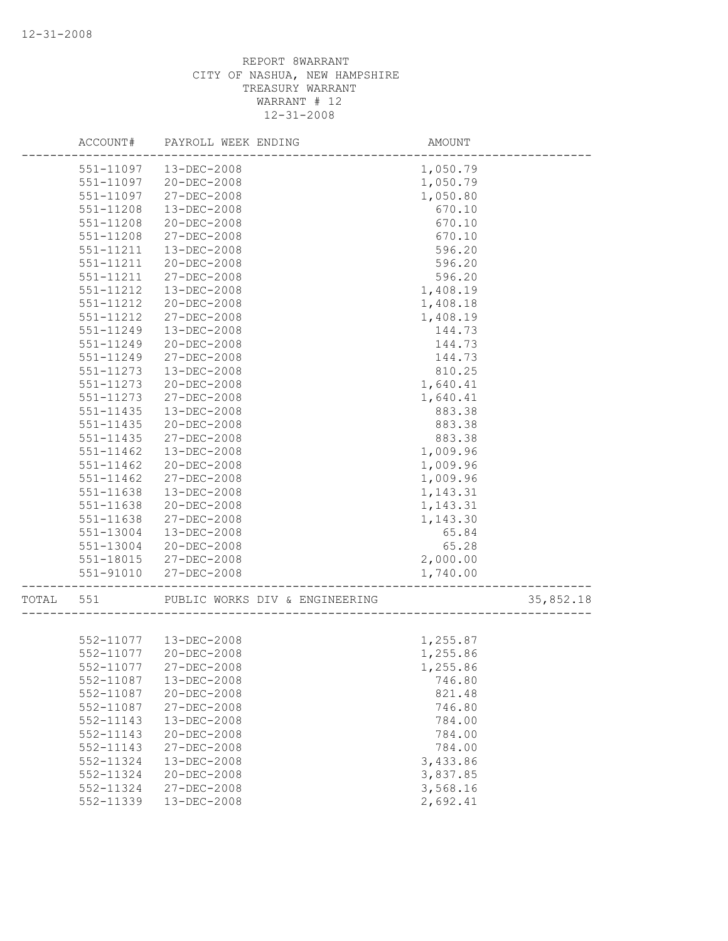|       | ACCOUNT#      | PAYROLL WEEK ENDING            | AMOUNT   |           |
|-------|---------------|--------------------------------|----------|-----------|
|       | 551-11097     | $13 - DEC - 2008$              | 1,050.79 |           |
|       | 551-11097     | $20 - DEC - 2008$              | 1,050.79 |           |
|       | 551-11097     | 27-DEC-2008                    | 1,050.80 |           |
|       | 551-11208     | 13-DEC-2008                    | 670.10   |           |
|       | 551-11208     | 20-DEC-2008                    | 670.10   |           |
|       | 551-11208     | 27-DEC-2008                    | 670.10   |           |
|       | 551-11211     | 13-DEC-2008                    | 596.20   |           |
|       | 551-11211     | $20 - DEC - 2008$              | 596.20   |           |
|       | 551-11211     | 27-DEC-2008                    | 596.20   |           |
|       | 551-11212     | $13 - DEC - 2008$              | 1,408.19 |           |
|       | 551-11212     | $20 - DEC - 2008$              | 1,408.18 |           |
|       | 551-11212     | 27-DEC-2008                    | 1,408.19 |           |
|       | 551-11249     | 13-DEC-2008                    | 144.73   |           |
|       | 551-11249     | $20 - DEC - 2008$              | 144.73   |           |
|       | 551-11249     | 27-DEC-2008                    | 144.73   |           |
|       | 551-11273     | 13-DEC-2008                    | 810.25   |           |
|       | 551-11273     | $20 - DEC - 2008$              | 1,640.41 |           |
|       | 551-11273     | 27-DEC-2008                    | 1,640.41 |           |
|       | $551 - 11435$ | $13 - DEC - 2008$              | 883.38   |           |
|       | 551-11435     | 20-DEC-2008                    | 883.38   |           |
|       | $551 - 11435$ | 27-DEC-2008                    | 883.38   |           |
|       | 551-11462     | 13-DEC-2008                    | 1,009.96 |           |
|       | 551-11462     | $20 - DEC - 2008$              | 1,009.96 |           |
|       | 551-11462     | 27-DEC-2008                    | 1,009.96 |           |
|       | 551-11638     | 13-DEC-2008                    | 1,143.31 |           |
|       | 551-11638     | $20 - DEC - 2008$              | 1,143.31 |           |
|       | 551-11638     | 27-DEC-2008                    | 1,143.30 |           |
|       | 551-13004     | 13-DEC-2008                    | 65.84    |           |
|       | 551-13004     | $20 - DEC - 2008$              | 65.28    |           |
|       | 551-18015     | 27-DEC-2008                    | 2,000.00 |           |
|       | $551 - 91010$ | 27-DEC-2008                    | 1,740.00 |           |
| TOTAL | 551           | PUBLIC WORKS DIV & ENGINEERING |          | 35,852.18 |
|       |               |                                |          |           |
|       |               | 552-11077  13-DEC-2008         | 1,255.87 |           |
|       | 552-11077     | 20-DEC-2008                    | 1,255.86 |           |
|       |               | 552-11077 27-DEC-2008          | 1,255.86 |           |
|       | 552-11087     | 13-DEC-2008                    | 746.80   |           |
|       | 552-11087     | 20-DEC-2008                    | 821.48   |           |
|       | 552-11087     | 27-DEC-2008                    | 746.80   |           |
|       | 552-11143     | 13-DEC-2008                    | 784.00   |           |
|       | 552-11143     | 20-DEC-2008                    | 784.00   |           |
|       | 552-11143     | 27-DEC-2008                    | 784.00   |           |
|       | 552-11324     | 13-DEC-2008                    | 3,433.86 |           |
|       | 552-11324     | $20 - DEC - 2008$              | 3,837.85 |           |
|       | 552-11324     | 27-DEC-2008                    | 3,568.16 |           |
|       | 552-11339     | 13-DEC-2008                    | 2,692.41 |           |
|       |               |                                |          |           |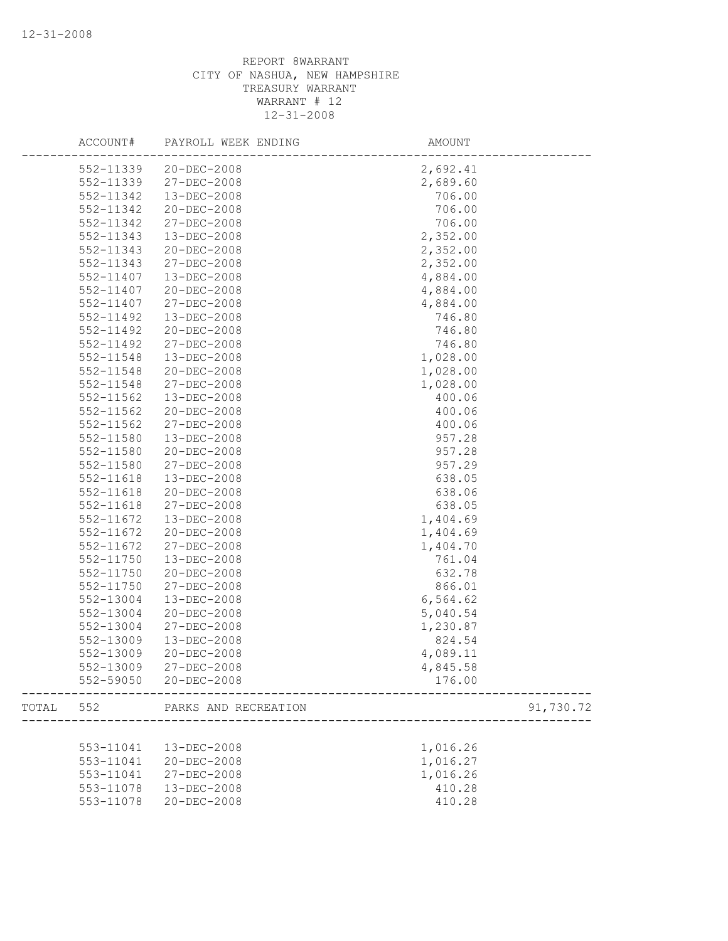|       | ACCOUNT#               | PAYROLL WEEK ENDING  | AMOUNT    |  |
|-------|------------------------|----------------------|-----------|--|
|       | 552-11339              | 20-DEC-2008          | 2,692.41  |  |
|       | 552-11339              | 27-DEC-2008          | 2,689.60  |  |
|       | 552-11342              | 13-DEC-2008          | 706.00    |  |
|       | 552-11342              | 20-DEC-2008          | 706.00    |  |
|       | 552-11342              | 27-DEC-2008          | 706.00    |  |
|       | 552-11343              | 13-DEC-2008          | 2,352.00  |  |
|       | 552-11343              | 20-DEC-2008          | 2,352.00  |  |
|       | 552-11343              | 27-DEC-2008          | 2,352.00  |  |
|       | 552-11407              | 13-DEC-2008          | 4,884.00  |  |
|       | 552-11407              | 20-DEC-2008          | 4,884.00  |  |
|       | 552-11407              | 27-DEC-2008          | 4,884.00  |  |
|       | 552-11492              | 13-DEC-2008          | 746.80    |  |
|       | 552-11492              | 20-DEC-2008          | 746.80    |  |
|       | 552-11492              | 27-DEC-2008          | 746.80    |  |
|       | 552-11548              | 13-DEC-2008          | 1,028.00  |  |
|       | 552-11548              | 20-DEC-2008          | 1,028.00  |  |
|       | 552-11548              | 27-DEC-2008          | 1,028.00  |  |
|       | 552-11562              | 13-DEC-2008          | 400.06    |  |
|       | 552-11562              | 20-DEC-2008          | 400.06    |  |
|       | 552-11562              | 27-DEC-2008          | 400.06    |  |
|       | 552-11580              | 13-DEC-2008          | 957.28    |  |
|       | 552-11580              | 20-DEC-2008          | 957.28    |  |
|       | 552-11580              | 27-DEC-2008          | 957.29    |  |
|       | 552-11618              | 13-DEC-2008          | 638.05    |  |
|       | $552 - 11618$          | 20-DEC-2008          | 638.06    |  |
|       | 552-11618              | 27-DEC-2008          | 638.05    |  |
|       | 552-11672              | 13-DEC-2008          | 1,404.69  |  |
|       | 552-11672              | 20-DEC-2008          | 1,404.69  |  |
|       | 552-11672              | 27-DEC-2008          | 1,404.70  |  |
|       | 552-11750              | 13-DEC-2008          | 761.04    |  |
|       | 552-11750              | 20-DEC-2008          | 632.78    |  |
|       | 552-11750              | 27-DEC-2008          | 866.01    |  |
|       | 552-13004              | 13-DEC-2008          | 6,564.62  |  |
|       | 552-13004              | 20-DEC-2008          | 5,040.54  |  |
|       | 552-13004              | 27-DEC-2008          | 1,230.87  |  |
|       | 552-13009              | 13-DEC-2008          | 824.54    |  |
|       |                        | 20-DEC-2008          | 4,089.11  |  |
|       | 552-13009<br>552-13009 | $27 - DEC - 2008$    |           |  |
|       |                        |                      | 4,845.58  |  |
|       | 552-59050              | 20-DEC-2008          | 176.00    |  |
| TOTAL | 552                    | PARKS AND RECREATION | 91,730.72 |  |
|       |                        |                      |           |  |
|       | 553-11041              | 13-DEC-2008          | 1,016.26  |  |
|       | 553-11041              | $20 - DEC - 2008$    | 1,016.27  |  |
|       | 553-11041              | 27-DEC-2008          | 1,016.26  |  |
|       | 553-11078              | 13-DEC-2008          | 410.28    |  |
|       | 553-11078              | $20 - DEC - 2008$    | 410.28    |  |
|       |                        |                      |           |  |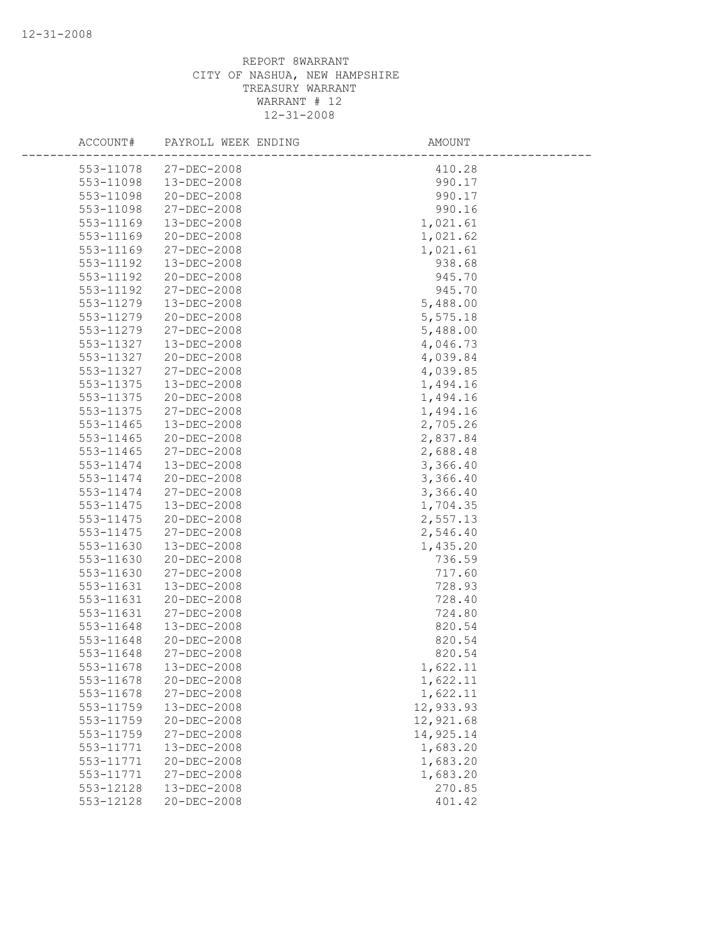| ACCOUNT#               | PAYROLL WEEK ENDING        | AMOUNT           |
|------------------------|----------------------------|------------------|
| 553-11078              | 27-DEC-2008                | 410.28           |
| 553-11098              | 13-DEC-2008                | 990.17           |
| 553-11098              | 20-DEC-2008                | 990.17           |
| 553-11098              | 27-DEC-2008                | 990.16           |
| 553-11169              | 13-DEC-2008                | 1,021.61         |
| 553-11169              | 20-DEC-2008                | 1,021.62         |
| 553-11169              | 27-DEC-2008                | 1,021.61         |
| 553-11192              | 13-DEC-2008                | 938.68           |
| 553-11192              | 20-DEC-2008                | 945.70           |
| 553-11192              | 27-DEC-2008                | 945.70           |
| 553-11279              | 13-DEC-2008                | 5,488.00         |
| 553-11279              | 20-DEC-2008                | 5,575.18         |
| 553-11279              | 27-DEC-2008                | 5,488.00         |
| 553-11327              | 13-DEC-2008                | 4,046.73         |
| 553-11327              | 20-DEC-2008                | 4,039.84         |
| 553-11327              | 27-DEC-2008                | 4,039.85         |
| 553-11375              | $13 - DEC - 2008$          | 1,494.16         |
| 553-11375              | $20 - DEC - 2008$          | 1,494.16         |
| 553-11375              | $27 - DEC - 2008$          | 1,494.16         |
| 553-11465              | 13-DEC-2008                | 2,705.26         |
| 553-11465              | $20 - DEC - 2008$          | 2,837.84         |
| 553-11465              | 27-DEC-2008                | 2,688.48         |
| 553-11474              | 13-DEC-2008                | 3,366.40         |
| 553-11474              | 20-DEC-2008                | 3,366.40         |
| 553-11474              | 27-DEC-2008                | 3,366.40         |
| 553-11475              | 13-DEC-2008                | 1,704.35         |
| 553-11475              | 20-DEC-2008                | 2,557.13         |
| 553-11475              | 27-DEC-2008                | 2,546.40         |
| 553-11630<br>553-11630 | 13-DEC-2008                | 1,435.20         |
|                        | 20-DEC-2008                | 736.59           |
| 553-11630<br>553-11631 | 27-DEC-2008<br>13-DEC-2008 | 717.60<br>728.93 |
| 553-11631              | 20-DEC-2008                | 728.40           |
| 553-11631              | $27 - DEC - 2008$          | 724.80           |
| 553-11648              | $13 - DEC - 2008$          | 820.54           |
| 553-11648              | 20-DEC-2008                | 820.54           |
| 553-11648              | 27-DEC-2008                | 820.54           |
| 553-11678              | 13-DEC-2008                | 1,622.11         |
| 553-11678              | 20-DEC-2008                | 1,622.11         |
| 553-11678              | 27-DEC-2008                | 1,622.11         |
| 553-11759              | 13-DEC-2008                | 12,933.93        |
| 553-11759              | 20-DEC-2008                | 12,921.68        |
| 553-11759              | 27-DEC-2008                | 14,925.14        |
| 553-11771              | 13-DEC-2008                | 1,683.20         |
| 553-11771              | 20-DEC-2008                | 1,683.20         |
| 553-11771              | $27 - DEC - 2008$          | 1,683.20         |
| 553-12128              | 13-DEC-2008                | 270.85           |
| 553-12128              | 20-DEC-2008                | 401.42           |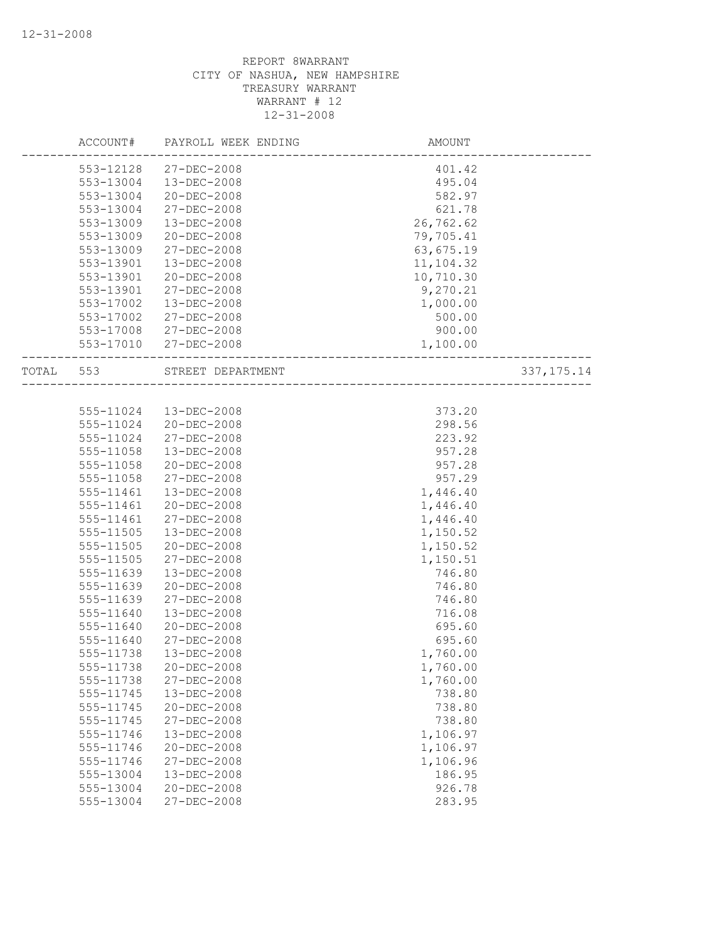|           | ACCOUNT#  | PAYROLL WEEK ENDING | AMOUNT                |              |
|-----------|-----------|---------------------|-----------------------|--------------|
|           | 553-12128 | 27-DEC-2008         | 401.42                |              |
|           | 553-13004 | $13 - DEC - 2008$   | 495.04                |              |
|           | 553-13004 | 20-DEC-2008         | 582.97                |              |
|           | 553-13004 | 27-DEC-2008         | 621.78                |              |
|           | 553-13009 | 13-DEC-2008         | 26,762.62             |              |
|           | 553-13009 | 20-DEC-2008         | 79,705.41             |              |
|           | 553-13009 | 27-DEC-2008         | 63,675.19             |              |
|           | 553-13901 | 13-DEC-2008         | 11,104.32             |              |
|           | 553-13901 | $20 - DEC - 2008$   | 10,710.30             |              |
|           | 553-13901 | 27-DEC-2008         | 9,270.21              |              |
|           | 553-17002 | $13 - DEC - 2008$   | 1,000.00              |              |
|           | 553-17002 | 27-DEC-2008         | 500.00                |              |
|           | 553-17008 | 27-DEC-2008         | 900.00                |              |
|           | 553-17010 | 27-DEC-2008         | 1,100.00              |              |
| TOTAL 553 |           | STREET DEPARTMENT   |                       | 337, 175. 14 |
|           |           |                     | --------------------- |              |
|           | 555-11024 | 13-DEC-2008         | 373.20                |              |
|           | 555-11024 | 20-DEC-2008         | 298.56                |              |
|           | 555-11024 | 27-DEC-2008         | 223.92                |              |
|           | 555-11058 | 13-DEC-2008         | 957.28                |              |
|           | 555-11058 | 20-DEC-2008         | 957.28                |              |
|           | 555-11058 | 27-DEC-2008         | 957.29                |              |
|           | 555-11461 | 13-DEC-2008         | 1,446.40              |              |
|           | 555-11461 | $20 - DEC - 2008$   | 1,446.40              |              |
|           | 555-11461 | 27-DEC-2008         | 1,446.40              |              |
|           | 555-11505 | 13-DEC-2008         | 1,150.52              |              |
|           | 555-11505 | 20-DEC-2008         | 1,150.52              |              |
|           | 555-11505 | 27-DEC-2008         | 1,150.51              |              |
|           | 555-11639 | 13-DEC-2008         | 746.80                |              |
|           | 555-11639 | 20-DEC-2008         | 746.80                |              |
|           | 555-11639 | 27-DEC-2008         | 746.80                |              |
|           | 555-11640 | $13 - DEC - 2008$   | 716.08                |              |
|           | 555-11640 | $20 - DEC - 2008$   | 695.60                |              |
|           | 555-11640 | 27-DEC-2008         | 695.60                |              |
|           | 555-11738 | $13 - DEC - 2008$   | 1,760.00              |              |
|           | 555-11738 | 20-DEC-2008         | 1,760.00              |              |
|           | 555-11738 | 27-DEC-2008         | 1,760.00              |              |
|           | 555-11745 | 13-DEC-2008         | 738.80                |              |
|           | 555-11745 | 20-DEC-2008         | 738.80                |              |
|           | 555-11745 | 27-DEC-2008         | 738.80                |              |
|           | 555-11746 | 13-DEC-2008         | 1,106.97              |              |
|           | 555-11746 | 20-DEC-2008         | 1,106.97              |              |
|           | 555-11746 | 27-DEC-2008         | 1,106.96              |              |
|           | 555-13004 | 13-DEC-2008         | 186.95                |              |
|           | 555-13004 | 20-DEC-2008         | 926.78                |              |
|           | 555-13004 | 27-DEC-2008         | 283.95                |              |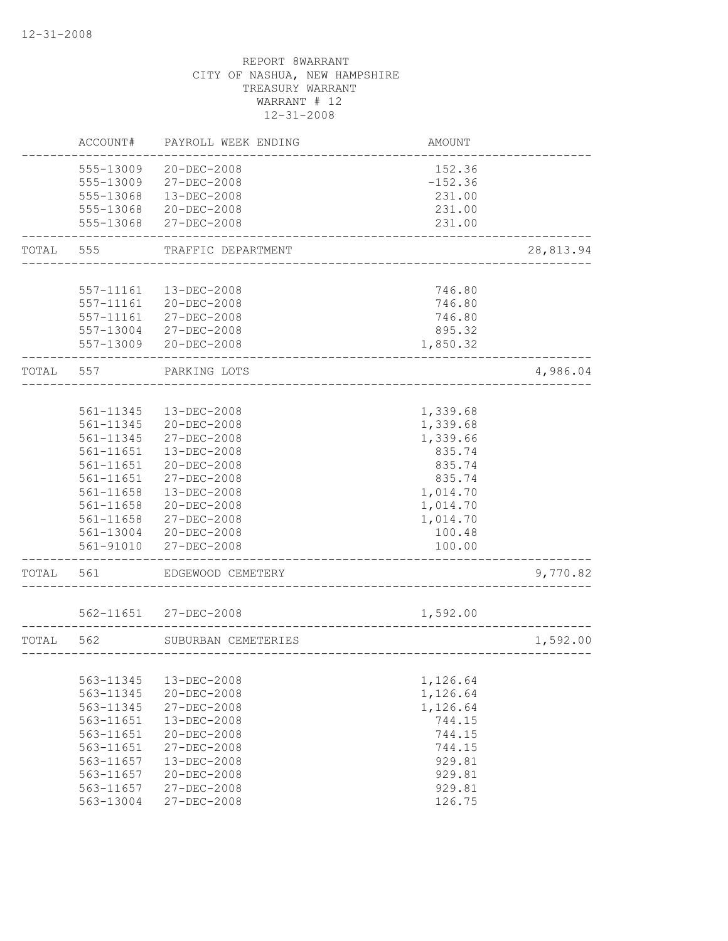|           | ACCOUNT#  | PAYROLL WEEK ENDING   | <b>AMOUNT</b>         |           |
|-----------|-----------|-----------------------|-----------------------|-----------|
|           | 555-13009 | $20 - DEC - 2008$     | 152.36                |           |
|           | 555-13009 | 27-DEC-2008           | $-152.36$             |           |
|           | 555-13068 | 13-DEC-2008           | 231.00                |           |
|           | 555-13068 | $20 - DEC - 2008$     | 231.00                |           |
|           | 555-13068 | 27-DEC-2008           | 231.00                |           |
| TOTAL     | 555       | TRAFFIC DEPARTMENT    |                       | 28,813.94 |
|           |           |                       |                       |           |
|           | 557-11161 | $13 - DEC - 2008$     | 746.80                |           |
|           | 557-11161 | 20-DEC-2008           | 746.80                |           |
|           | 557-11161 | 27-DEC-2008           | 746.80                |           |
|           |           | 557-13004 27-DEC-2008 | 895.32                |           |
|           |           | 557-13009 20-DEC-2008 | 1,850.32              |           |
| TOTAL 557 |           | PARKING LOTS          |                       | 4,986.04  |
|           |           |                       |                       |           |
|           | 561-11345 | $13 - DEC - 2008$     | 1,339.68              |           |
|           | 561-11345 | 20-DEC-2008           | 1,339.68              |           |
|           | 561-11345 | 27-DEC-2008           | 1,339.66              |           |
|           | 561-11651 | 13-DEC-2008           | 835.74                |           |
|           | 561-11651 | 20-DEC-2008           | 835.74                |           |
|           | 561-11651 | 27-DEC-2008           | 835.74                |           |
|           | 561-11658 | 13-DEC-2008           | 1,014.70              |           |
|           | 561-11658 | 20-DEC-2008           | 1,014.70              |           |
|           | 561-11658 | 27-DEC-2008           | 1,014.70              |           |
|           | 561-13004 | $20 - DEC - 2008$     | 100.48                |           |
|           | 561-91010 | 27-DEC-2008           | 100.00                |           |
| TOTAL     | 561       | EDGEWOOD CEMETERY     |                       | 9,770.82  |
|           |           |                       |                       |           |
|           |           | 562-11651 27-DEC-2008 | 1,592.00              |           |
| TOTAL     | 562       | SUBURBAN CEMETERIES   | _____________________ | 1,592.00  |
|           |           |                       |                       |           |
|           | 563-11345 | 13-DEC-2008           | 1,126.64              |           |
|           | 563-11345 | 20-DEC-2008           | 1,126.64              |           |
|           | 563-11345 | 27-DEC-2008           | 1,126.64              |           |
|           | 563-11651 | 13-DEC-2008           | 744.15                |           |
|           | 563-11651 | 20-DEC-2008           | 744.15                |           |
|           | 563-11651 | 27-DEC-2008           | 744.15                |           |
|           | 563-11657 | 13-DEC-2008           | 929.81                |           |
|           | 563-11657 | 20-DEC-2008           | 929.81                |           |
|           | 563-11657 | 27-DEC-2008           | 929.81                |           |
|           | 563-13004 | 27-DEC-2008           | 126.75                |           |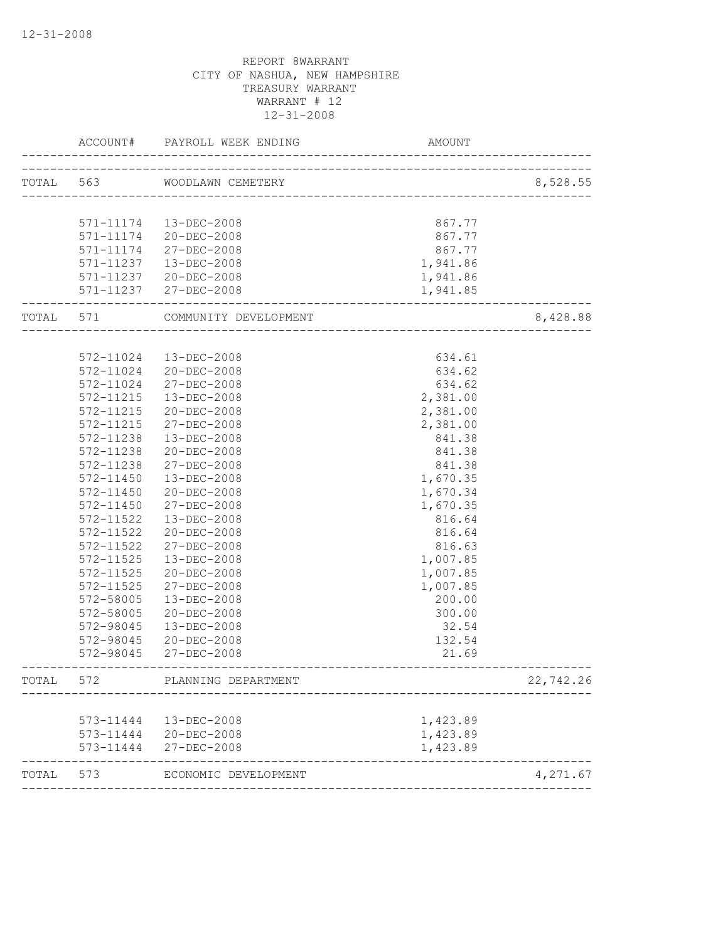|           | ACCOUNT#               | PAYROLL WEEK ENDING                  | AMOUNT                        |           |
|-----------|------------------------|--------------------------------------|-------------------------------|-----------|
| TOTAL 563 |                        | WOODLAWN CEMETERY                    |                               | 8,528.55  |
|           |                        |                                      | ----------------------------- |           |
|           |                        | 571-11174  13-DEC-2008               | 867.77                        |           |
|           |                        |                                      | 867.77                        |           |
|           | 571-11174              | 571-11174 20-DEC-2008<br>27-DEC-2008 | 867.77                        |           |
|           | 571-11237              | 13-DEC-2008                          | 1,941.86                      |           |
|           |                        | 571-11237 20-DEC-2008                | 1,941.86                      |           |
|           |                        | 571-11237 27-DEC-2008                | 1,941.85                      |           |
| TOTAL 571 |                        | COMMUNITY DEVELOPMENT                |                               | 8,428.88  |
|           |                        |                                      |                               |           |
|           | 572-11024              | 13-DEC-2008                          | 634.61                        |           |
|           | 572-11024              | 20-DEC-2008                          | 634.62                        |           |
|           | 572-11024              | $27 - DEC - 2008$                    | 634.62                        |           |
|           | 572-11215              | 13-DEC-2008                          | 2,381.00                      |           |
|           | $572 - 11215$          | 20-DEC-2008                          | 2,381.00                      |           |
|           | 572-11215              | $27 - DEC - 2008$                    | 2,381.00                      |           |
|           | 572-11238              | 13-DEC-2008                          | 841.38                        |           |
|           | 572-11238              | 20-DEC-2008                          | 841.38                        |           |
|           | 572-11238              | 27-DEC-2008                          | 841.38                        |           |
|           | 572-11450              | $13 - DEC - 2008$                    | 1,670.35                      |           |
|           | 572-11450              | 20-DEC-2008                          | 1,670.34                      |           |
|           | 572-11450              | 27-DEC-2008                          | 1,670.35                      |           |
|           | 572-11522              | $13 - DEC - 2008$                    | 816.64                        |           |
|           | 572-11522              | $20 - DEC - 2008$                    | 816.64                        |           |
|           | 572-11522              | $27 - DEC - 2008$                    | 816.63                        |           |
|           | 572-11525              | 13-DEC-2008                          | 1,007.85                      |           |
|           | 572-11525              | 20-DEC-2008                          | 1,007.85                      |           |
|           | 572-11525              | 27-DEC-2008                          | 1,007.85                      |           |
|           |                        |                                      |                               |           |
|           | 572-58005              | $13 - DEC - 2008$                    | 200.00                        |           |
|           | 572-58005              | 20-DEC-2008                          | 300.00                        |           |
|           | 572-98045              | 13-DEC-2008                          | 32.54                         |           |
|           | 572-98045<br>572-98045 | 20-DEC-2008<br>27-DEC-2008           | 132.54<br>21.69               |           |
|           |                        |                                      |                               |           |
| TOTAL     | 572                    | PLANNING DEPARTMENT                  |                               | 22,742.26 |
|           | 573-11444              | 13-DEC-2008                          | 1,423.89                      |           |
|           | 573-11444              | 20-DEC-2008                          | 1,423.89                      |           |
|           | 573-11444              | 27-DEC-2008                          | 1,423.89                      |           |
| TOTAL     | 573                    | ECONOMIC DEVELOPMENT                 |                               | 4,271.67  |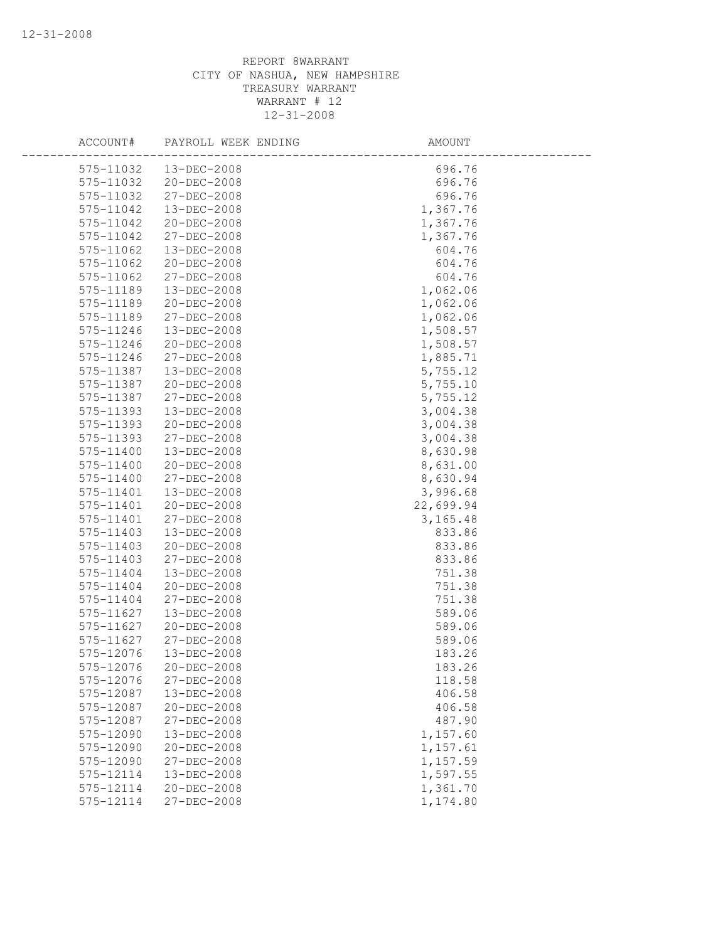| ACCOUNT#      | PAYROLL WEEK ENDING | AMOUNT    |
|---------------|---------------------|-----------|
| 575-11032     | $13 - DEC - 2008$   | 696.76    |
| 575-11032     | 20-DEC-2008         | 696.76    |
| 575-11032     | 27-DEC-2008         | 696.76    |
| 575-11042     | 13-DEC-2008         | 1,367.76  |
| 575-11042     | 20-DEC-2008         | 1,367.76  |
| 575-11042     | 27-DEC-2008         | 1,367.76  |
| 575-11062     | 13-DEC-2008         | 604.76    |
| 575-11062     | $20 - DEC - 2008$   | 604.76    |
| 575-11062     | 27-DEC-2008         | 604.76    |
| 575-11189     | $13 - DEC - 2008$   | 1,062.06  |
| 575-11189     | 20-DEC-2008         | 1,062.06  |
| 575-11189     | 27-DEC-2008         | 1,062.06  |
| 575-11246     | 13-DEC-2008         | 1,508.57  |
| 575-11246     | 20-DEC-2008         | 1,508.57  |
| 575-11246     | 27-DEC-2008         | 1,885.71  |
| 575-11387     | 13-DEC-2008         | 5,755.12  |
| 575-11387     | 20-DEC-2008         | 5,755.10  |
| 575-11387     | $27 - DEC - 2008$   | 5,755.12  |
| 575-11393     | 13-DEC-2008         | 3,004.38  |
| 575-11393     | 20-DEC-2008         | 3,004.38  |
| 575-11393     | 27-DEC-2008         | 3,004.38  |
| 575-11400     | 13-DEC-2008         | 8,630.98  |
| 575-11400     | 20-DEC-2008         | 8,631.00  |
| 575-11400     | 27-DEC-2008         | 8,630.94  |
| 575-11401     | 13-DEC-2008         | 3,996.68  |
| 575-11401     | $20 - DEC - 2008$   | 22,699.94 |
| 575-11401     | 27-DEC-2008         | 3, 165.48 |
| 575-11403     | 13-DEC-2008         | 833.86    |
| 575-11403     | $20 - DEC - 2008$   | 833.86    |
| 575-11403     | 27-DEC-2008         | 833.86    |
| 575-11404     | 13-DEC-2008         | 751.38    |
| 575-11404     | 20-DEC-2008         | 751.38    |
| 575-11404     | 27-DEC-2008         | 751.38    |
| 575-11627     | $13 - DEC - 2008$   | 589.06    |
| 575-11627     | $20 - DEC - 2008$   | 589.06    |
| $575 - 11627$ | 27-DEC-2008         | 589.06    |
| 575-12076     | $13 - DEC - 2008$   | 183.26    |
| 575-12076     | 20-DEC-2008         | 183.26    |
| 575-12076     | 27-DEC-2008         | 118.58    |
| 575-12087     | 13-DEC-2008         | 406.58    |
| 575-12087     | $20 - DEC - 2008$   | 406.58    |
| 575-12087     | 27-DEC-2008         | 487.90    |
| 575-12090     | 13-DEC-2008         | 1,157.60  |
| 575-12090     | $20 - DEC - 2008$   | 1,157.61  |
| 575-12090     | $27 - DEC - 2008$   | 1,157.59  |
| 575-12114     | 13-DEC-2008         | 1,597.55  |
| 575-12114     | 20-DEC-2008         | 1,361.70  |
| 575-12114     | $27 - DEC - 2008$   | 1,174.80  |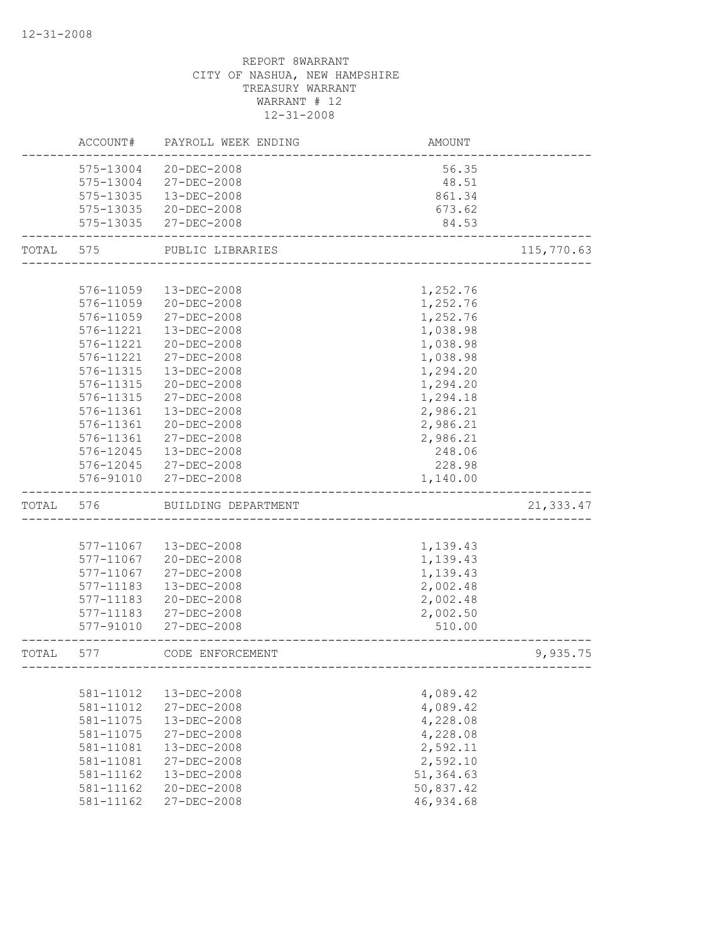|       | ACCOUNT#  | PAYROLL WEEK ENDING   | <b>AMOUNT</b> |            |
|-------|-----------|-----------------------|---------------|------------|
|       | 575-13004 | $20 - DEC - 2008$     | 56.35         |            |
|       | 575-13004 | 27-DEC-2008           | 48.51         |            |
|       | 575-13035 | 13-DEC-2008           | 861.34        |            |
|       |           | 575-13035 20-DEC-2008 | 673.62        |            |
|       | 575-13035 | 27-DEC-2008           | 84.53         |            |
| TOTAL | 575       | PUBLIC LIBRARIES      |               | 115,770.63 |
|       |           |                       |               |            |
|       | 576-11059 | 13-DEC-2008           | 1,252.76      |            |
|       | 576-11059 | 20-DEC-2008           | 1,252.76      |            |
|       | 576-11059 | 27-DEC-2008           | 1,252.76      |            |
|       | 576-11221 | 13-DEC-2008           | 1,038.98      |            |
|       | 576-11221 | 20-DEC-2008           | 1,038.98      |            |
|       | 576-11221 | 27-DEC-2008           | 1,038.98      |            |
|       | 576-11315 | 13-DEC-2008           | 1,294.20      |            |
|       | 576-11315 | 20-DEC-2008           | 1,294.20      |            |
|       | 576-11315 | 27-DEC-2008           | 1,294.18      |            |
|       | 576-11361 | 13-DEC-2008           | 2,986.21      |            |
|       | 576-11361 | 20-DEC-2008           | 2,986.21      |            |
|       | 576-11361 | 27-DEC-2008           | 2,986.21      |            |
|       | 576-12045 | 13-DEC-2008           | 248.06        |            |
|       |           | 576-12045 27-DEC-2008 | 228.98        |            |
|       | 576-91010 | 27-DEC-2008           | 1,140.00      |            |
| TOTAL | 576       | BUILDING DEPARTMENT   |               | 21,333.47  |
|       |           |                       |               |            |
|       | 577-11067 | 13-DEC-2008           | 1,139.43      |            |
|       | 577-11067 | 20-DEC-2008           | 1,139.43      |            |
|       | 577-11067 | 27-DEC-2008           | 1,139.43      |            |
|       | 577-11183 | 13-DEC-2008           | 2,002.48      |            |
|       | 577-11183 | $20 - DEC - 2008$     | 2,002.48      |            |
|       | 577-11183 | $27 - DEC - 2008$     | 2,002.50      |            |
|       | 577-91010 | 27-DEC-2008           | 510.00        |            |
| TOTAL | 577       | CODE ENFORCEMENT      |               | 9,935.75   |
|       |           |                       |               |            |
|       | 581-11012 | 13-DEC-2008           | 4,089.42      |            |
|       | 581-11012 | 27-DEC-2008           | 4,089.42      |            |
|       | 581-11075 | 13-DEC-2008           | 4,228.08      |            |
|       | 581-11075 | $27 - DEC - 2008$     | 4,228.08      |            |
|       | 581-11081 | 13-DEC-2008           | 2,592.11      |            |
|       | 581-11081 | $27 - DEC - 2008$     | 2,592.10      |            |
|       | 581-11162 | 13-DEC-2008           | 51,364.63     |            |
|       | 581-11162 | 20-DEC-2008           | 50,837.42     |            |
|       | 581-11162 | 27-DEC-2008           | 46,934.68     |            |
|       |           |                       |               |            |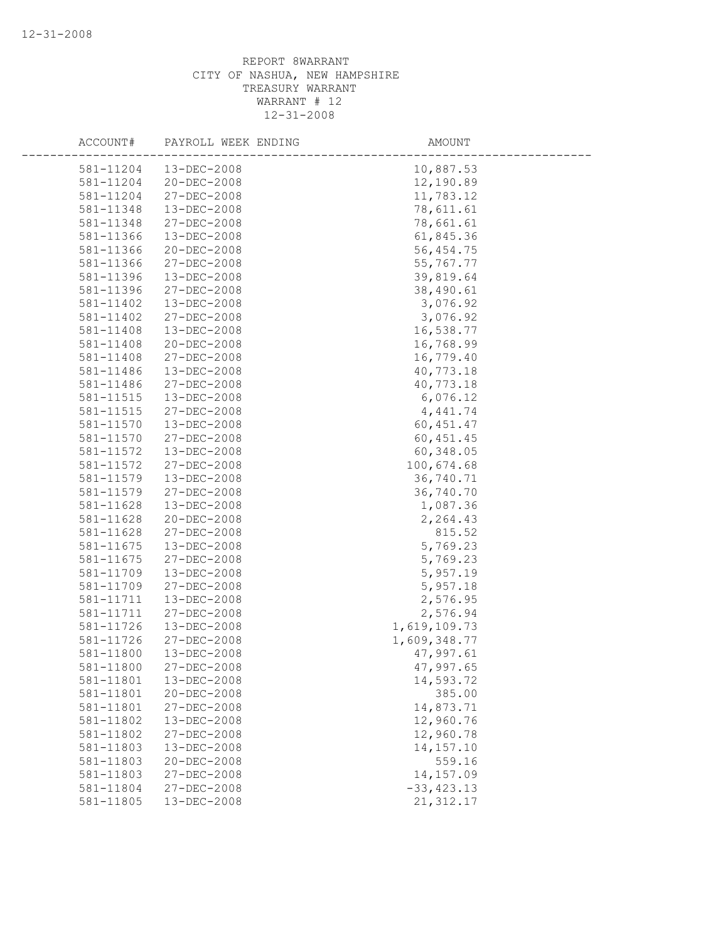| ACCOUNT#  | PAYROLL WEEK ENDING | AMOUNT        |  |
|-----------|---------------------|---------------|--|
| 581-11204 | 13-DEC-2008         | 10,887.53     |  |
| 581-11204 | $20 - DEC - 2008$   | 12,190.89     |  |
| 581-11204 | 27-DEC-2008         | 11,783.12     |  |
| 581-11348 | 13-DEC-2008         | 78,611.61     |  |
| 581-11348 | 27-DEC-2008         | 78,661.61     |  |
| 581-11366 | 13-DEC-2008         | 61,845.36     |  |
| 581-11366 | 20-DEC-2008         | 56, 454.75    |  |
| 581-11366 | 27-DEC-2008         | 55,767.77     |  |
| 581-11396 | $13 - DEC - 2008$   | 39,819.64     |  |
| 581-11396 | $27 - DEC - 2008$   | 38,490.61     |  |
| 581-11402 | 13-DEC-2008         | 3,076.92      |  |
| 581-11402 | 27-DEC-2008         | 3,076.92      |  |
| 581-11408 | 13-DEC-2008         | 16,538.77     |  |
| 581-11408 | 20-DEC-2008         | 16,768.99     |  |
| 581-11408 | $27 - DEC - 2008$   | 16,779.40     |  |
| 581-11486 | 13-DEC-2008         | 40,773.18     |  |
| 581-11486 | $27 - DEC - 2008$   | 40,773.18     |  |
| 581-11515 | 13-DEC-2008         | 6,076.12      |  |
| 581-11515 | $27 - DEC - 2008$   | 4, 441.74     |  |
| 581-11570 | $13 - DEC - 2008$   | 60, 451.47    |  |
| 581-11570 | 27-DEC-2008         | 60, 451.45    |  |
| 581-11572 | $13 - DEC - 2008$   | 60,348.05     |  |
| 581-11572 | $27 - DEC - 2008$   | 100,674.68    |  |
| 581-11579 | $13 - DEC - 2008$   | 36,740.71     |  |
| 581-11579 | 27-DEC-2008         | 36,740.70     |  |
| 581-11628 | 13-DEC-2008         | 1,087.36      |  |
| 581-11628 | 20-DEC-2008         | 2,264.43      |  |
| 581-11628 | $27 - DEC - 2008$   | 815.52        |  |
| 581-11675 | 13-DEC-2008         | 5,769.23      |  |
| 581-11675 | 27-DEC-2008         | 5,769.23      |  |
| 581-11709 | $13 - DEC - 2008$   | 5,957.19      |  |
| 581-11709 | 27-DEC-2008         | 5,957.18      |  |
| 581-11711 | $13 - DEC - 2008$   | 2,576.95      |  |
| 581-11711 | 27-DEC-2008         | 2,576.94      |  |
| 581-11726 | 13-DEC-2008         | 1,619,109.73  |  |
| 581-11726 | 27-DEC-2008         | 1,609,348.77  |  |
| 581-11800 | 13-DEC-2008         | 47,997.61     |  |
| 581-11800 | $27 - DEC - 2008$   | 47,997.65     |  |
| 581-11801 | 13-DEC-2008         | 14,593.72     |  |
| 581-11801 | 20-DEC-2008         | 385.00        |  |
| 581-11801 | 27-DEC-2008         | 14,873.71     |  |
| 581-11802 | 13-DEC-2008         | 12,960.76     |  |
| 581-11802 | 27-DEC-2008         | 12,960.78     |  |
| 581-11803 | 13-DEC-2008         | 14, 157. 10   |  |
| 581-11803 | 20-DEC-2008         | 559.16        |  |
| 581-11803 | 27-DEC-2008         | 14, 157.09    |  |
| 581-11804 | 27-DEC-2008         | $-33, 423.13$ |  |
| 581-11805 | 13-DEC-2008         | 21, 312.17    |  |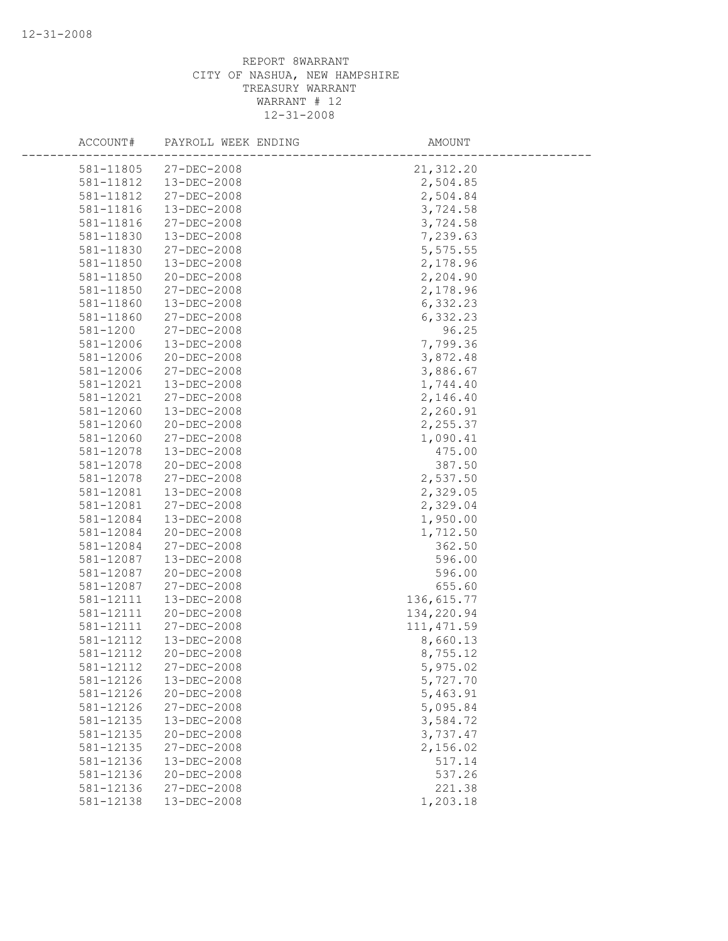| ACCOUNT#  | PAYROLL WEEK ENDING | AMOUNT      |  |
|-----------|---------------------|-------------|--|
| 581-11805 | $27 - DEC - 2008$   | 21, 312.20  |  |
| 581-11812 | 13-DEC-2008         | 2,504.85    |  |
| 581-11812 | 27-DEC-2008         | 2,504.84    |  |
| 581-11816 | 13-DEC-2008         | 3,724.58    |  |
| 581-11816 | 27-DEC-2008         | 3,724.58    |  |
| 581-11830 | 13-DEC-2008         | 7,239.63    |  |
| 581-11830 | 27-DEC-2008         | 5,575.55    |  |
| 581-11850 | 13-DEC-2008         | 2,178.96    |  |
| 581-11850 | 20-DEC-2008         | 2,204.90    |  |
| 581-11850 | $27 - DEC - 2008$   | 2,178.96    |  |
| 581-11860 | $13 - DEC - 2008$   | 6,332.23    |  |
| 581-11860 | 27-DEC-2008         | 6,332.23    |  |
| 581-1200  | 27-DEC-2008         | 96.25       |  |
| 581-12006 | 13-DEC-2008         | 7,799.36    |  |
| 581-12006 | 20-DEC-2008         | 3,872.48    |  |
| 581-12006 | 27-DEC-2008         | 3,886.67    |  |
| 581-12021 | 13-DEC-2008         | 1,744.40    |  |
| 581-12021 | 27-DEC-2008         | 2,146.40    |  |
| 581-12060 | $13 - DEC - 2008$   | 2,260.91    |  |
| 581-12060 | $20 - DEC - 2008$   | 2,255.37    |  |
| 581-12060 | 27-DEC-2008         | 1,090.41    |  |
| 581-12078 | 13-DEC-2008         | 475.00      |  |
| 581-12078 | 20-DEC-2008         | 387.50      |  |
| 581-12078 | 27-DEC-2008         | 2,537.50    |  |
| 581-12081 | 13-DEC-2008         | 2,329.05    |  |
| 581-12081 | 27-DEC-2008         | 2,329.04    |  |
| 581-12084 | 13-DEC-2008         | 1,950.00    |  |
| 581-12084 | 20-DEC-2008         | 1,712.50    |  |
| 581-12084 | 27-DEC-2008         | 362.50      |  |
| 581-12087 | 13-DEC-2008         | 596.00      |  |
| 581-12087 | 20-DEC-2008         | 596.00      |  |
| 581-12087 | 27-DEC-2008         | 655.60      |  |
| 581-12111 | 13-DEC-2008         | 136, 615.77 |  |
| 581-12111 | 20-DEC-2008         | 134,220.94  |  |
| 581-12111 | 27-DEC-2008         | 111, 471.59 |  |
| 581-12112 | 13-DEC-2008         | 8,660.13    |  |
| 581-12112 | $20 - DEC - 2008$   | 8,755.12    |  |
| 581-12112 | $27 - DEC - 2008$   | 5,975.02    |  |
| 581-12126 | 13-DEC-2008         | 5,727.70    |  |
| 581-12126 | 20-DEC-2008         | 5,463.91    |  |
| 581-12126 | 27-DEC-2008         | 5,095.84    |  |
| 581-12135 | 13-DEC-2008         | 3,584.72    |  |
| 581-12135 | 20-DEC-2008         | 3,737.47    |  |
| 581-12135 | $27 - DEC - 2008$   | 2,156.02    |  |
| 581-12136 | 13-DEC-2008         | 517.14      |  |
| 581-12136 | $20 - DEC - 2008$   | 537.26      |  |
| 581-12136 | 27-DEC-2008         | 221.38      |  |
| 581-12138 | 13-DEC-2008         | 1,203.18    |  |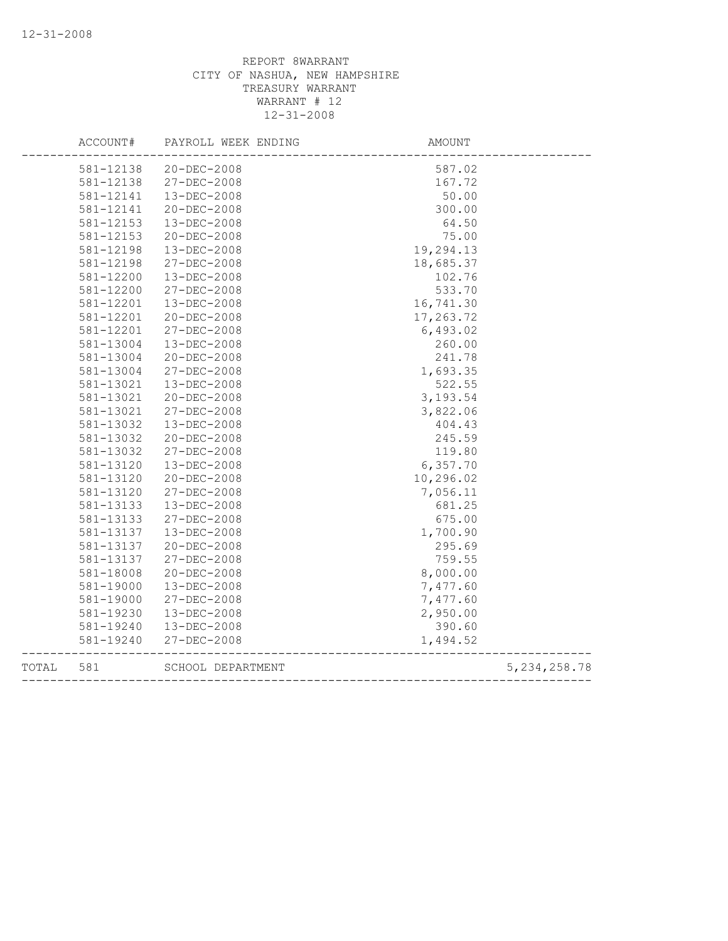|       | ACCOUNT#  | PAYROLL WEEK ENDING | <b>AMOUNT</b>            |                |
|-------|-----------|---------------------|--------------------------|----------------|
|       | 581-12138 | 20-DEC-2008         | 587.02                   |                |
|       | 581-12138 | 27-DEC-2008         | 167.72                   |                |
|       | 581-12141 | 13-DEC-2008         | 50.00                    |                |
|       | 581-12141 | 20-DEC-2008         | 300.00                   |                |
|       | 581-12153 | 13-DEC-2008         | 64.50                    |                |
|       | 581-12153 | 20-DEC-2008         | 75.00                    |                |
|       | 581-12198 | $13 - DEC - 2008$   | 19,294.13                |                |
|       | 581-12198 | 27-DEC-2008         | 18,685.37                |                |
|       | 581-12200 | 13-DEC-2008         | 102.76                   |                |
|       | 581-12200 | 27-DEC-2008         | 533.70                   |                |
|       | 581-12201 | 13-DEC-2008         | 16,741.30                |                |
|       | 581-12201 | 20-DEC-2008         | 17,263.72                |                |
|       | 581-12201 | $27 - DEC - 2008$   | 6,493.02                 |                |
|       | 581-13004 | 13-DEC-2008         | 260.00                   |                |
|       | 581-13004 | 20-DEC-2008         | 241.78                   |                |
|       | 581-13004 | 27-DEC-2008         | 1,693.35                 |                |
|       | 581-13021 | 13-DEC-2008         | 522.55                   |                |
|       | 581-13021 | $20 - DEC - 2008$   | 3,193.54                 |                |
|       | 581-13021 | 27-DEC-2008         | 3,822.06                 |                |
|       | 581-13032 | 13-DEC-2008         | 404.43                   |                |
|       | 581-13032 | $20 - DEC - 2008$   | 245.59                   |                |
|       | 581-13032 | 27-DEC-2008         | 119.80                   |                |
|       | 581-13120 | 13-DEC-2008         | 6,357.70                 |                |
|       | 581-13120 | $20 - DEC - 2008$   | 10,296.02                |                |
|       | 581-13120 | 27-DEC-2008         | 7,056.11                 |                |
|       | 581-13133 | 13-DEC-2008         | 681.25                   |                |
|       | 581-13133 | 27-DEC-2008         | 675.00                   |                |
|       | 581-13137 | 13-DEC-2008         | 1,700.90                 |                |
|       | 581-13137 | $20 - DEC - 2008$   | 295.69                   |                |
|       | 581-13137 | 27-DEC-2008         | 759.55                   |                |
|       | 581-18008 | 20-DEC-2008         | 8,000.00                 |                |
|       | 581-19000 | 13-DEC-2008         | 7,477.60                 |                |
|       | 581-19000 | 27-DEC-2008         | 7,477.60                 |                |
|       | 581-19230 | 13-DEC-2008         | 2,950.00                 |                |
|       | 581-19240 | 13-DEC-2008         | 390.60                   |                |
|       | 581-19240 | 27-DEC-2008         | 1,494.52                 |                |
| TOTAL | 581       | SCHOOL DEPARTMENT   | ------------------------ | 5, 234, 258.78 |
|       |           |                     |                          |                |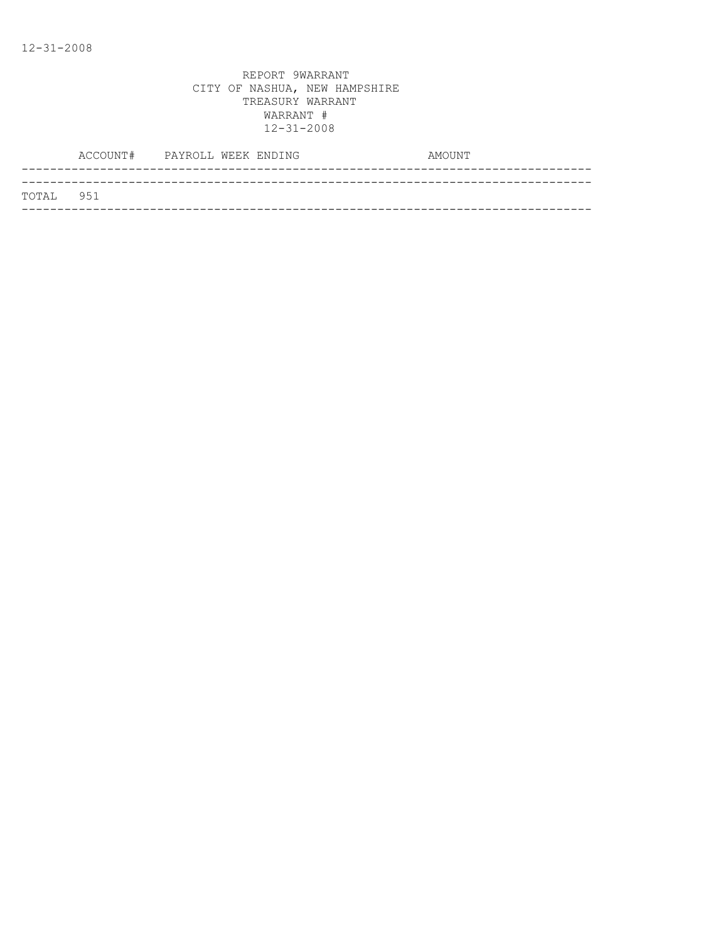| TOTAL 951 |  |
|-----------|--|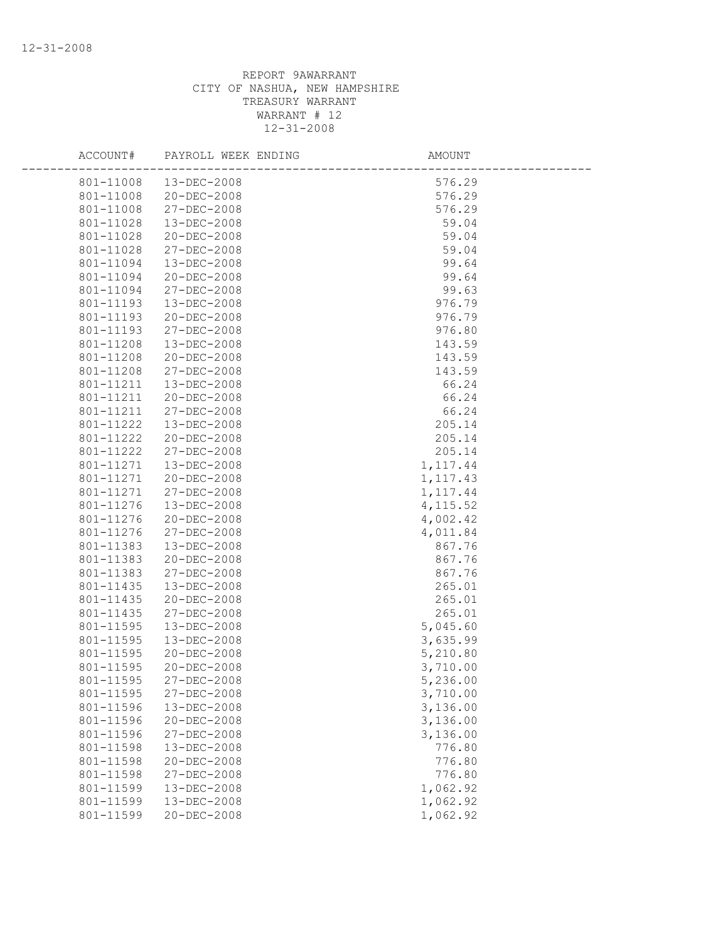| ACCOUNT#  | PAYROLL WEEK ENDING | AMOUNT    |  |
|-----------|---------------------|-----------|--|
| 801-11008 | 13-DEC-2008         | 576.29    |  |
| 801-11008 | 20-DEC-2008         | 576.29    |  |
| 801-11008 | 27-DEC-2008         | 576.29    |  |
| 801-11028 | 13-DEC-2008         | 59.04     |  |
| 801-11028 | 20-DEC-2008         | 59.04     |  |
| 801-11028 | 27-DEC-2008         | 59.04     |  |
| 801-11094 | 13-DEC-2008         | 99.64     |  |
| 801-11094 | 20-DEC-2008         | 99.64     |  |
| 801-11094 | 27-DEC-2008         | 99.63     |  |
| 801-11193 | $13 - DEC - 2008$   | 976.79    |  |
| 801-11193 | 20-DEC-2008         | 976.79    |  |
| 801-11193 | 27-DEC-2008         | 976.80    |  |
| 801-11208 | 13-DEC-2008         | 143.59    |  |
| 801-11208 | 20-DEC-2008         | 143.59    |  |
| 801-11208 | 27-DEC-2008         | 143.59    |  |
| 801-11211 | 13-DEC-2008         | 66.24     |  |
| 801-11211 | 20-DEC-2008         | 66.24     |  |
| 801-11211 | 27-DEC-2008         | 66.24     |  |
| 801-11222 | $13 - DEC - 2008$   | 205.14    |  |
| 801-11222 | 20-DEC-2008         | 205.14    |  |
| 801-11222 | 27-DEC-2008         | 205.14    |  |
| 801-11271 | 13-DEC-2008         | 1, 117.44 |  |
| 801-11271 | 20-DEC-2008         | 1, 117.43 |  |
| 801-11271 | 27-DEC-2008         | 1, 117.44 |  |
| 801-11276 | 13-DEC-2008         | 4, 115.52 |  |
| 801-11276 | 20-DEC-2008         | 4,002.42  |  |
| 801-11276 | 27-DEC-2008         | 4,011.84  |  |
| 801-11383 | $13 - DEC - 2008$   | 867.76    |  |
| 801-11383 | 20-DEC-2008         | 867.76    |  |
| 801-11383 | 27-DEC-2008         | 867.76    |  |
| 801-11435 | 13-DEC-2008         | 265.01    |  |
| 801-11435 | 20-DEC-2008         | 265.01    |  |
| 801-11435 | 27-DEC-2008         | 265.01    |  |
| 801-11595 | 13-DEC-2008         | 5,045.60  |  |
| 801-11595 | 13-DEC-2008         | 3,635.99  |  |
| 801-11595 | $20 - DEC - 2008$   | 5,210.80  |  |
| 801-11595 | 20-DEC-2008         | 3,710.00  |  |
| 801-11595 | 27-DEC-2008         | 5,236.00  |  |
| 801-11595 | 27-DEC-2008         | 3,710.00  |  |
| 801-11596 | 13-DEC-2008         | 3,136.00  |  |
| 801-11596 | 20-DEC-2008         | 3,136.00  |  |
| 801-11596 | 27-DEC-2008         | 3,136.00  |  |
| 801-11598 | 13-DEC-2008         | 776.80    |  |
| 801-11598 | $20 - DEC - 2008$   | 776.80    |  |
| 801-11598 | 27-DEC-2008         | 776.80    |  |
| 801-11599 | 13-DEC-2008         | 1,062.92  |  |
| 801-11599 | 13-DEC-2008         | 1,062.92  |  |
| 801-11599 | $20 - DEC - 2008$   | 1,062.92  |  |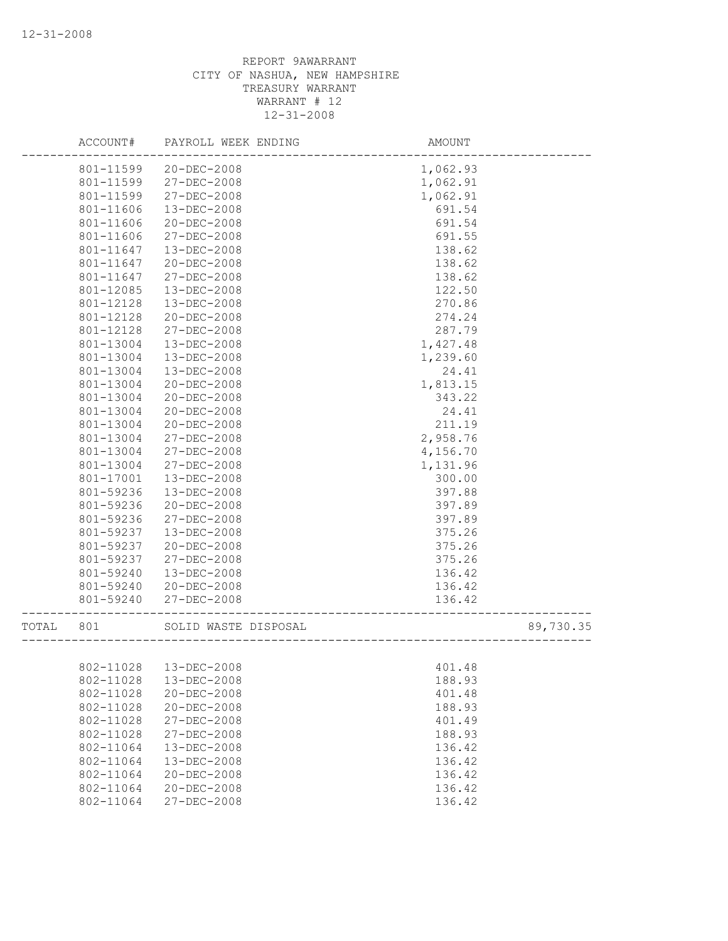|       | ACCOUNT#  | PAYROLL WEEK ENDING    | AMOUNT   |           |
|-------|-----------|------------------------|----------|-----------|
|       | 801-11599 | 20-DEC-2008            | 1,062.93 |           |
|       | 801-11599 | 27-DEC-2008            | 1,062.91 |           |
|       | 801-11599 | 27-DEC-2008            | 1,062.91 |           |
|       | 801-11606 | $13 - DEC - 2008$      | 691.54   |           |
|       | 801-11606 | $20 - DEC - 2008$      | 691.54   |           |
|       | 801-11606 | 27-DEC-2008            | 691.55   |           |
|       | 801-11647 | 13-DEC-2008            | 138.62   |           |
|       | 801-11647 | $20 - DEC - 2008$      | 138.62   |           |
|       | 801-11647 | 27-DEC-2008            | 138.62   |           |
|       | 801-12085 | 13-DEC-2008            | 122.50   |           |
|       | 801-12128 | 13-DEC-2008            | 270.86   |           |
|       | 801-12128 | 20-DEC-2008            | 274.24   |           |
|       | 801-12128 | 27-DEC-2008            | 287.79   |           |
|       | 801-13004 | 13-DEC-2008            | 1,427.48 |           |
|       | 801-13004 | 13-DEC-2008            | 1,239.60 |           |
|       | 801-13004 | 13-DEC-2008            | 24.41    |           |
|       | 801-13004 | 20-DEC-2008            | 1,813.15 |           |
|       | 801-13004 | $20 - DEC - 2008$      | 343.22   |           |
|       | 801-13004 | 20-DEC-2008            | 24.41    |           |
|       | 801-13004 | $20 - DEC - 2008$      | 211.19   |           |
|       | 801-13004 | 27-DEC-2008            | 2,958.76 |           |
|       | 801-13004 | 27-DEC-2008            | 4,156.70 |           |
|       | 801-13004 | $27 - DEC - 2008$      | 1,131.96 |           |
|       | 801-17001 | 13-DEC-2008            | 300.00   |           |
|       | 801-59236 | 13-DEC-2008            | 397.88   |           |
|       | 801-59236 | $20 - DEC - 2008$      | 397.89   |           |
|       | 801-59236 | 27-DEC-2008            |          |           |
|       |           |                        | 397.89   |           |
|       | 801-59237 | 13-DEC-2008            | 375.26   |           |
|       | 801-59237 | 20-DEC-2008            | 375.26   |           |
|       | 801-59237 | 27-DEC-2008            | 375.26   |           |
|       | 801-59240 | 13-DEC-2008            | 136.42   |           |
|       | 801-59240 | $20 - DEC - 2008$      | 136.42   |           |
|       | 801-59240 | 27-DEC-2008            | 136.42   |           |
| TOTAL | 801       | SOLID WASTE DISPOSAL   |          | 89,730.35 |
|       |           |                        |          |           |
|       |           | 802-11028  13-DEC-2008 | 401.48   |           |
|       | 802-11028 | 13-DEC-2008            | 188.93   |           |
|       | 802-11028 | $20 - DEC - 2008$      | 401.48   |           |
|       | 802-11028 | 20-DEC-2008            | 188.93   |           |
|       | 802-11028 | 27-DEC-2008            | 401.49   |           |
|       | 802-11028 | 27-DEC-2008            | 188.93   |           |
|       | 802-11064 | 13-DEC-2008            | 136.42   |           |
|       | 802-11064 | 13-DEC-2008            | 136.42   |           |
|       | 802-11064 | 20-DEC-2008            | 136.42   |           |
|       | 802-11064 | 20-DEC-2008            | 136.42   |           |
|       | 802-11064 | 27-DEC-2008            | 136.42   |           |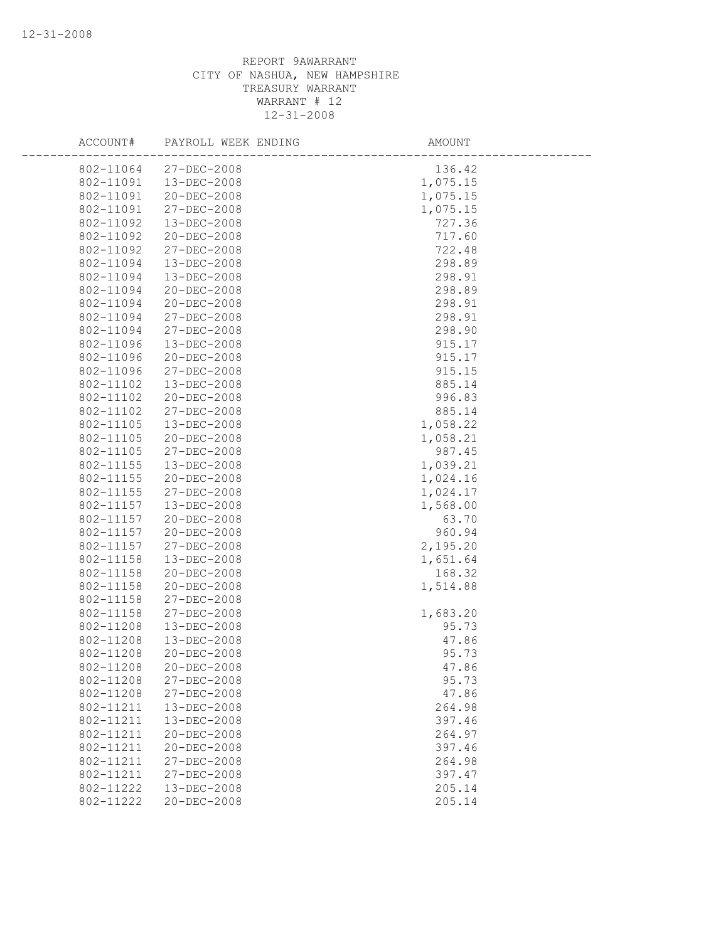| ACCOUNT#  | PAYROLL WEEK ENDING | AMOUNT   |  |
|-----------|---------------------|----------|--|
| 802-11064 | $27 - DEC - 2008$   | 136.42   |  |
| 802-11091 | 13-DEC-2008         | 1,075.15 |  |
| 802-11091 | 20-DEC-2008         | 1,075.15 |  |
| 802-11091 | 27-DEC-2008         | 1,075.15 |  |
| 802-11092 | 13-DEC-2008         | 727.36   |  |
| 802-11092 | 20-DEC-2008         | 717.60   |  |
| 802-11092 | 27-DEC-2008         | 722.48   |  |
| 802-11094 | $13 - DEC - 2008$   | 298.89   |  |
| 802-11094 | 13-DEC-2008         | 298.91   |  |
| 802-11094 | $20 - DEC - 2008$   | 298.89   |  |
| 802-11094 | 20-DEC-2008         | 298.91   |  |
| 802-11094 | 27-DEC-2008         | 298.91   |  |
| 802-11094 | 27-DEC-2008         | 298.90   |  |
| 802-11096 | 13-DEC-2008         | 915.17   |  |
| 802-11096 | 20-DEC-2008         | 915.17   |  |
| 802-11096 | 27-DEC-2008         | 915.15   |  |
| 802-11102 | 13-DEC-2008         | 885.14   |  |
| 802-11102 | $20 - DEC - 2008$   | 996.83   |  |
| 802-11102 | 27-DEC-2008         | 885.14   |  |
| 802-11105 | 13-DEC-2008         | 1,058.22 |  |
| 802-11105 | $20 - DEC - 2008$   | 1,058.21 |  |
| 802-11105 | 27-DEC-2008         | 987.45   |  |
| 802-11155 | $13 - DEC - 2008$   | 1,039.21 |  |
| 802-11155 | 20-DEC-2008         | 1,024.16 |  |
| 802-11155 | 27-DEC-2008         | 1,024.17 |  |
| 802-11157 | 13-DEC-2008         | 1,568.00 |  |
| 802-11157 | $20 - DEC - 2008$   | 63.70    |  |
| 802-11157 | 20-DEC-2008         | 960.94   |  |
| 802-11157 | 27-DEC-2008         | 2,195.20 |  |
| 802-11158 | 13-DEC-2008         | 1,651.64 |  |
| 802-11158 | 20-DEC-2008         | 168.32   |  |
| 802-11158 | 20-DEC-2008         | 1,514.88 |  |
| 802-11158 | 27-DEC-2008         |          |  |
| 802-11158 | 27-DEC-2008         | 1,683.20 |  |
| 802-11208 | 13-DEC-2008         | 95.73    |  |
| 802-11208 | 13-DEC-2008         | 47.86    |  |
| 802-11208 | $20 - DEC - 2008$   | 95.73    |  |
| 802-11208 | 20-DEC-2008         | 47.86    |  |
| 802-11208 | 27-DEC-2008         | 95.73    |  |
| 802-11208 | 27-DEC-2008         | 47.86    |  |
| 802-11211 | 13-DEC-2008         | 264.98   |  |
| 802-11211 | 13-DEC-2008         | 397.46   |  |
| 802-11211 | $20 - DEC - 2008$   | 264.97   |  |
| 802-11211 | $20 - DEC - 2008$   | 397.46   |  |
| 802-11211 | 27-DEC-2008         | 264.98   |  |
| 802-11211 | 27-DEC-2008         | 397.47   |  |
| 802-11222 | 13-DEC-2008         | 205.14   |  |
| 802-11222 | 20-DEC-2008         | 205.14   |  |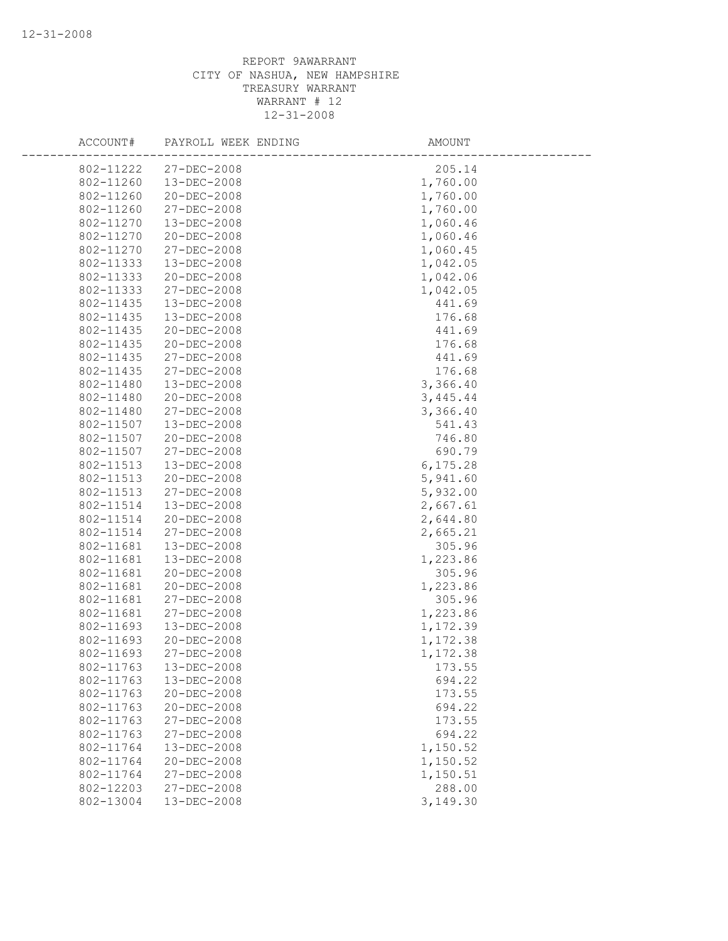| ACCOUNT#  | PAYROLL WEEK ENDING | AMOUNT    |
|-----------|---------------------|-----------|
| 802-11222 | $27 - DEC - 2008$   | 205.14    |
| 802-11260 | 13-DEC-2008         | 1,760.00  |
| 802-11260 | 20-DEC-2008         | 1,760.00  |
| 802-11260 | 27-DEC-2008         | 1,760.00  |
| 802-11270 | 13-DEC-2008         | 1,060.46  |
| 802-11270 | 20-DEC-2008         | 1,060.46  |
| 802-11270 | 27-DEC-2008         | 1,060.45  |
| 802-11333 | 13-DEC-2008         | 1,042.05  |
| 802-11333 | 20-DEC-2008         | 1,042.06  |
| 802-11333 | 27-DEC-2008         | 1,042.05  |
| 802-11435 | 13-DEC-2008         | 441.69    |
| 802-11435 | 13-DEC-2008         | 176.68    |
| 802-11435 | 20-DEC-2008         | 441.69    |
| 802-11435 | 20-DEC-2008         | 176.68    |
| 802-11435 | 27-DEC-2008         | 441.69    |
| 802-11435 | 27-DEC-2008         | 176.68    |
| 802-11480 | 13-DEC-2008         | 3,366.40  |
| 802-11480 | 20-DEC-2008         | 3, 445.44 |
| 802-11480 | 27-DEC-2008         | 3,366.40  |
| 802-11507 | 13-DEC-2008         | 541.43    |
| 802-11507 | $20 - DEC - 2008$   | 746.80    |
| 802-11507 | 27-DEC-2008         | 690.79    |
| 802-11513 | 13-DEC-2008         | 6, 175.28 |
| 802-11513 | 20-DEC-2008         | 5,941.60  |
| 802-11513 | 27-DEC-2008         | 5,932.00  |
| 802-11514 | 13-DEC-2008         | 2,667.61  |
| 802-11514 | 20-DEC-2008         | 2,644.80  |
| 802-11514 | 27-DEC-2008         | 2,665.21  |
| 802-11681 | 13-DEC-2008         | 305.96    |
| 802-11681 | 13-DEC-2008         | 1,223.86  |
| 802-11681 | 20-DEC-2008         | 305.96    |
| 802-11681 | 20-DEC-2008         | 1,223.86  |
| 802-11681 | 27-DEC-2008         | 305.96    |
| 802-11681 | 27-DEC-2008         | 1,223.86  |
| 802-11693 | $13 - DEC - 2008$   | 1,172.39  |
| 802-11693 | 20-DEC-2008         | 1,172.38  |
| 802-11693 | 27-DEC-2008         | 1,172.38  |
| 802-11763 | 13-DEC-2008         | 173.55    |
| 802-11763 | 13-DEC-2008         | 694.22    |
| 802-11763 | $20 - DEC - 2008$   | 173.55    |
| 802-11763 | $20 - DEC - 2008$   | 694.22    |
| 802-11763 | 27-DEC-2008         | 173.55    |
| 802-11763 | 27-DEC-2008         | 694.22    |
| 802-11764 | 13-DEC-2008         | 1,150.52  |
| 802-11764 | $20 - DEC - 2008$   | 1,150.52  |
| 802-11764 | 27-DEC-2008         | 1,150.51  |
| 802-12203 | 27-DEC-2008         | 288.00    |
| 802-13004 | 13-DEC-2008         | 3,149.30  |